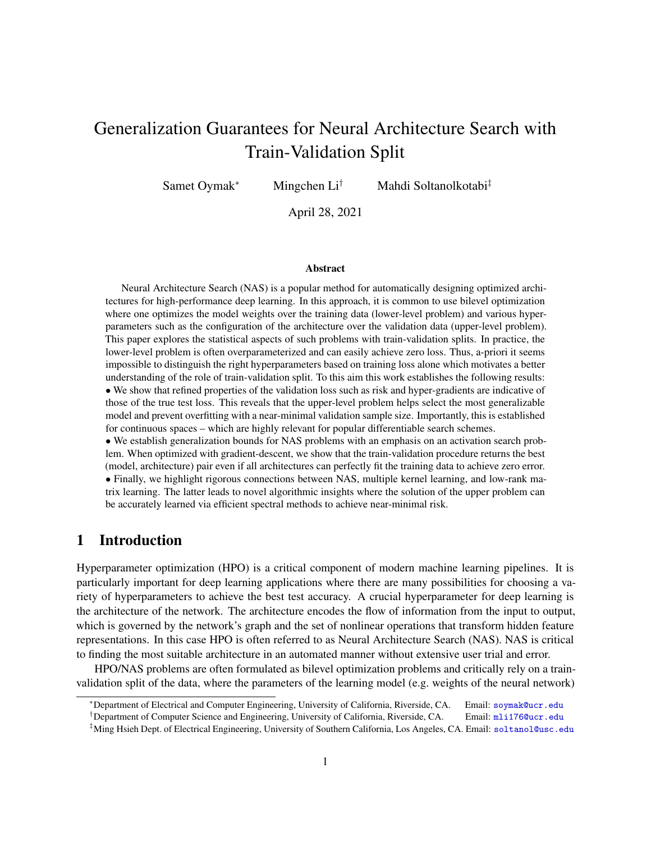# Generalization Guarantees for Neural Architecture Search with Train-Validation Split

Samet Oymak<sup>∗</sup> Mingchen Li† Mahdi Soltanolkotabi‡

April 28, 2021

#### Abstract

Neural Architecture Search (NAS) is a popular method for automatically designing optimized architectures for high-performance deep learning. In this approach, it is common to use bilevel optimization where one optimizes the model weights over the training data (lower-level problem) and various hyperparameters such as the configuration of the architecture over the validation data (upper-level problem). This paper explores the statistical aspects of such problems with train-validation splits. In practice, the lower-level problem is often overparameterized and can easily achieve zero loss. Thus, a-priori it seems impossible to distinguish the right hyperparameters based on training loss alone which motivates a better understanding of the role of train-validation split. To this aim this work establishes the following results: • We show that refined properties of the validation loss such as risk and hyper-gradients are indicative of those of the true test loss. This reveals that the upper-level problem helps select the most generalizable model and prevent overfitting with a near-minimal validation sample size. Importantly, this is established for continuous spaces – which are highly relevant for popular differentiable search schemes.

• We establish generalization bounds for NAS problems with an emphasis on an activation search problem. When optimized with gradient-descent, we show that the train-validation procedure returns the best (model, architecture) pair even if all architectures can perfectly fit the training data to achieve zero error. • Finally, we highlight rigorous connections between NAS, multiple kernel learning, and low-rank matrix learning. The latter leads to novel algorithmic insights where the solution of the upper problem can be accurately learned via efficient spectral methods to achieve near-minimal risk.

# 1 Introduction

Hyperparameter optimization (HPO) is a critical component of modern machine learning pipelines. It is particularly important for deep learning applications where there are many possibilities for choosing a variety of hyperparameters to achieve the best test accuracy. A crucial hyperparameter for deep learning is the architecture of the network. The architecture encodes the flow of information from the input to output, which is governed by the network's graph and the set of nonlinear operations that transform hidden feature representations. In this case HPO is often referred to as Neural Architecture Search (NAS). NAS is critical to finding the most suitable architecture in an automated manner without extensive user trial and error.

HPO/NAS problems are often formulated as bilevel optimization problems and critically rely on a trainvalidation split of the data, where the parameters of the learning model (e.g. weights of the neural network)

<sup>∗</sup>Department of Electrical and Computer Engineering, University of California, Riverside, CA. Email: <soymak@ucr.edu>

<sup>†</sup>Department of Computer Science and Engineering, University of California, Riverside, CA. Email: <mli176@ucr.edu>

<sup>‡</sup>Ming Hsieh Dept. of Electrical Engineering, University of Southern California, Los Angeles, CA. Email: <soltanol@usc.edu>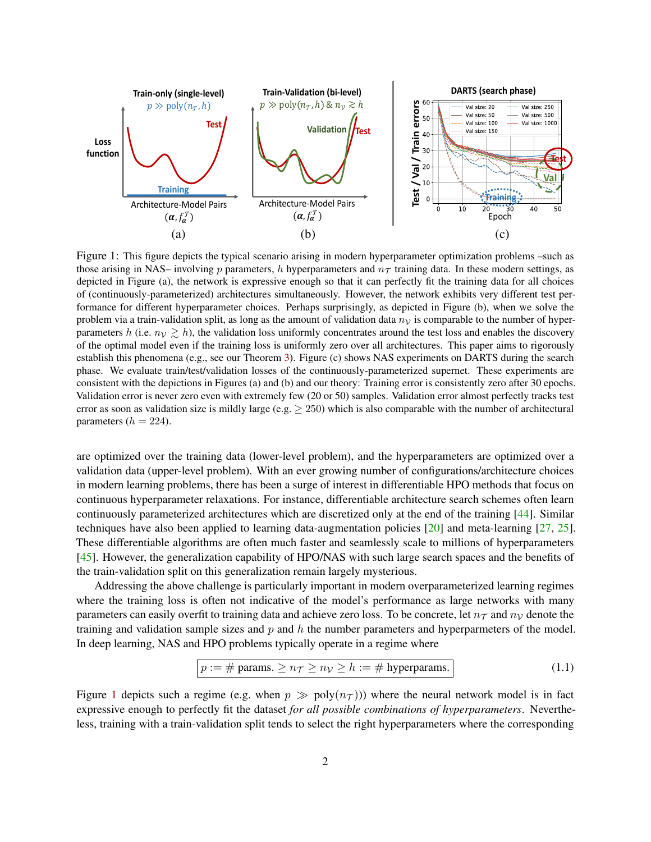

<span id="page-1-0"></span>Figure 1: This figure depicts the typical scenario arising in modern hyperparameter optimization problems –such as those arising in NAS– involving p parameters, h hyperparameters and  $n<sub>T</sub>$  training data. In these modern settings, as depicted in Figure (a), the network is expressive enough so that it can perfectly fit the training data for all choices of (continuously-parameterized) architectures simultaneously. However, the network exhibits very different test performance for different hyperparameter choices. Perhaps surprisingly, as depicted in Figure (b), when we solve the problem via a train-validation split, as long as the amount of validation data  $n<sub>V</sub>$  is comparable to the number of hyperparameters h (i.e.  $n_v \ge h$ ), the validation loss uniformly concentrates around the test loss and enables the discovery of the optimal model even if the training loss is uniformly zero over all architectures. This paper aims to rigorously establish this phenomena (e.g., see our Theorem [3\)](#page-9-0). Figure (c) shows NAS experiments on DARTS during the search phase. We evaluate train/test/validation losses of the continuously-parameterized supernet. These experiments are consistent with the depictions in Figures (a) and (b) and our theory: Training error is consistently zero after 30 epochs. Validation error is never zero even with extremely few (20 or 50) samples. Validation error almost perfectly tracks test error as soon as validation size is mildly large (e.g.  $\geq$  250) which is also comparable with the number of architectural parameters ( $h = 224$ ).

are optimized over the training data (lower-level problem), and the hyperparameters are optimized over a validation data (upper-level problem). With an ever growing number of configurations/architecture choices in modern learning problems, there has been a surge of interest in differentiable HPO methods that focus on continuous hyperparameter relaxations. For instance, differentiable architecture search schemes often learn continuously parameterized architectures which are discretized only at the end of the training [\[44\]](#page-22-0). Similar techniques have also been applied to learning data-augmentation policies [\[20\]](#page-21-0) and meta-learning [\[27,](#page-21-1) [25\]](#page-21-2). These differentiable algorithms are often much faster and seamlessly scale to millions of hyperparameters [\[45\]](#page-22-1). However, the generalization capability of HPO/NAS with such large search spaces and the benefits of the train-validation split on this generalization remain largely mysterious.

Addressing the above challenge is particularly important in modern overparameterized learning regimes where the training loss is often not indicative of the model's performance as large networks with many parameters can easily overfit to training data and achieve zero loss. To be concrete, let  $n<sub>T</sub>$  and  $n<sub>V</sub>$  denote the training and validation sample sizes and  $p$  and  $h$  the number parameters and hyperparmeters of the model. In deep learning, NAS and HPO problems typically operate in a regime where

<span id="page-1-1"></span>
$$
p := # \text{params.} \ge n\tau \ge n\nu \ge h := # \text{ hyperparams.} \tag{1.1}
$$

Figure [1](#page-1-0) depicts such a regime (e.g. when  $p \gg poly(n<sub>T</sub>))$ ) where the neural network model is in fact expressive enough to perfectly fit the dataset *for all possible combinations of hyperparameters*. Nevertheless, training with a train-validation split tends to select the right hyperparameters where the corresponding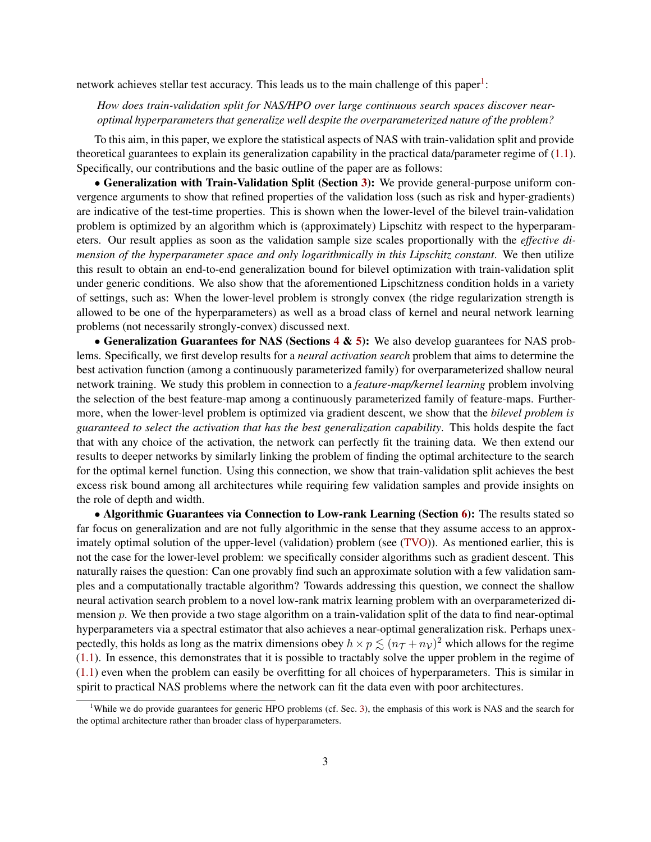network achieves stellar test accuracy. This leads us to the main challenge of this paper<sup>[1](#page-2-0)</sup>:

### *How does train-validation split for NAS/HPO over large continuous search spaces discover nearoptimal hyperparameters that generalize well despite the overparameterized nature of the problem?*

To this aim, in this paper, we explore the statistical aspects of NAS with train-validation split and provide theoretical guarantees to explain its generalization capability in the practical data/parameter regime of  $(1.1)$ . Specifically, our contributions and the basic outline of the paper are as follows:

• Generalization with Train-Validation Split (Section [3\)](#page-3-0): We provide general-purpose uniform convergence arguments to show that refined properties of the validation loss (such as risk and hyper-gradients) are indicative of the test-time properties. This is shown when the lower-level of the bilevel train-validation problem is optimized by an algorithm which is (approximately) Lipschitz with respect to the hyperparameters. Our result applies as soon as the validation sample size scales proportionally with the *effective dimension of the hyperparameter space and only logarithmically in this Lipschitz constant*. We then utilize this result to obtain an end-to-end generalization bound for bilevel optimization with train-validation split under generic conditions. We also show that the aforementioned Lipschitzness condition holds in a variety of settings, such as: When the lower-level problem is strongly convex (the ridge regularization strength is allowed to be one of the hyperparameters) as well as a broad class of kernel and neural network learning problems (not necessarily strongly-convex) discussed next.

• Generalization Guarantees for NAS (Sections  $4 \& 5$  $4 \& 5$ ): We also develop guarantees for NAS problems. Specifically, we first develop results for a *neural activation search* problem that aims to determine the best activation function (among a continuously parameterized family) for overparameterized shallow neural network training. We study this problem in connection to a *feature-map/kernel learning* problem involving the selection of the best feature-map among a continuously parameterized family of feature-maps. Furthermore, when the lower-level problem is optimized via gradient descent, we show that the *bilevel problem is guaranteed to select the activation that has the best generalization capability*. This holds despite the fact that with any choice of the activation, the network can perfectly fit the training data. We then extend our results to deeper networks by similarly linking the problem of finding the optimal architecture to the search for the optimal kernel function. Using this connection, we show that train-validation split achieves the best excess risk bound among all architectures while requiring few validation samples and provide insights on the role of depth and width.

• Algorithmic Guarantees via Connection to Low-rank Learning (Section [6\)](#page-13-0): The results stated so far focus on generalization and are not fully algorithmic in the sense that they assume access to an approximately optimal solution of the upper-level (validation) problem (see [\(TVO\)](#page-3-1)). As mentioned earlier, this is not the case for the lower-level problem: we specifically consider algorithms such as gradient descent. This naturally raises the question: Can one provably find such an approximate solution with a few validation samples and a computationally tractable algorithm? Towards addressing this question, we connect the shallow neural activation search problem to a novel low-rank matrix learning problem with an overparameterized dimension p. We then provide a two stage algorithm on a train-validation split of the data to find near-optimal hyperparameters via a spectral estimator that also achieves a near-optimal generalization risk. Perhaps unexpectedly, this holds as long as the matrix dimensions obey  $h \times p \lesssim (n\tau + n_V)^2$  which allows for the regime [\(1.1\)](#page-1-1). In essence, this demonstrates that it is possible to tractably solve the upper problem in the regime of [\(1.1\)](#page-1-1) even when the problem can easily be overfitting for all choices of hyperparameters. This is similar in spirit to practical NAS problems where the network can fit the data even with poor architectures.

<span id="page-2-0"></span><sup>&</sup>lt;sup>1</sup>While we do provide guarantees for generic HPO problems (cf. Sec. [3\)](#page-3-0), the emphasis of this work is NAS and the search for the optimal architecture rather than broader class of hyperparameters.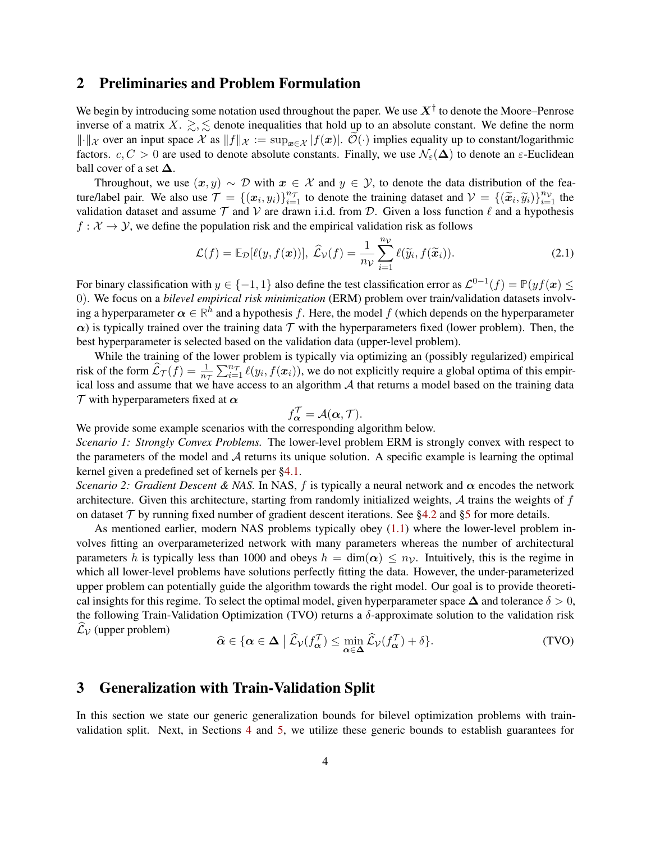## <span id="page-3-2"></span>2 Preliminaries and Problem Formulation

We begin by introducing some notation used throughout the paper. We use  $X^{\dagger}$  to denote the Moore–Penrose inverse of a matrix X.  $\geq$ ,  $\leq$  denote inequalities that hold up to an absolute constant. We define the norm  $\|\cdot\|_{\mathcal{X}}$  over an input space  $\mathcal{X}$  as  $\|f\|_{\mathcal{X}} := \sup_{x \in \mathcal{X}} |f(x)|$ .  $\mathcal{O}(\cdot)$  implies equality up to constant/logarithmic factors.  $c, C > 0$  are used to denote absolute constants. Finally, we use  $\mathcal{N}_{\varepsilon}(\Delta)$  to denote an  $\varepsilon$ -Euclidean ball cover of a set  $\Delta$ .

Throughout, we use  $(x, y) \sim \mathcal{D}$  with  $x \in \mathcal{X}$  and  $y \in \mathcal{Y}$ , to denote the data distribution of the feature/label pair. We also use  $\mathcal{T} = \{(\mathbf{x}_i, y_i)\}_{i=1}^{n_{\mathcal{T}}}$  to denote the training dataset and  $\mathcal{V} = \{(\widetilde{\mathbf{x}}_i, \widetilde{y}_i)\}_{i=1}^{n_{\mathcal{V}}}$  the volidation dataset and essume  $\mathcal{T}$  and  $\mathcal{V}$  are drawn i.i.d. from validation dataset and assume  $T$  and  $V$  are drawn i.i.d. from  $D$ . Given a loss function  $\ell$  and a hypothesis  $f: \mathcal{X} \to \mathcal{Y}$ , we define the population risk and the empirical validation risk as follows

$$
\mathcal{L}(f) = \mathbb{E}_{\mathcal{D}}[\ell(y, f(\boldsymbol{x}))], \ \hat{\mathcal{L}}_{\mathcal{V}}(f) = \frac{1}{n_{\mathcal{V}}} \sum_{i=1}^{n_{\mathcal{V}}} \ell(\widetilde{y}_i, f(\widetilde{\boldsymbol{x}}_i)).
$$
\n(2.1)

For binary classification with  $y \in \{-1, 1\}$  also define the test classification error as  $\mathcal{L}^{0-1}(f) = \mathbb{P}(yf(\boldsymbol{x}) \leq$ 0). We focus on a *bilevel empirical risk minimization* (ERM) problem over train/validation datasets involving a hyperparameter  $\alpha \in \mathbb{R}^h$  and a hypothesis f. Here, the model f (which depends on the hyperparameter  $\alpha$ ) is typically trained over the training data T with the hyperparameters fixed (lower problem). Then, the best hyperparameter is selected based on the validation data (upper-level problem).

While the training of the lower problem is typically via optimizing an (possibly regularized) empirical risk of the form  $\widehat{L}_{\mathcal{T}}(f) = \frac{1}{n_{\mathcal{T}}} \sum_{i=1}^{n_{\mathcal{T}}} \ell(y_i, f(\mathbf{x}_i))$ , we do not explicitly require a global optima of this empirical loss and assume that we have access to an algorithm  $A$  that returns a model based on the training data  $\tau$  with hyperparameters fixed at  $\alpha$ 

<span id="page-3-1"></span>
$$
f_{\alpha}^{\mathcal{T}} = \mathcal{A}(\alpha, \mathcal{T}).
$$

We provide some example scenarios with the corresponding algorithm below.

*Scenario 1: Strongly Convex Problems.* The lower-level problem ERM is strongly convex with respect to the parameters of the model and  $A$  returns its unique solution. A specific example is learning the optimal kernel given a predefined set of kernels per [§4.1.](#page-7-1)

*Scenario 2: Gradient Descent & NAS.* In NAS, f is typically a neural network and  $\alpha$  encodes the network architecture. Given this architecture, starting from randomly initialized weights,  $A$  trains the weights of  $f$ on dataset  $\mathcal T$  by running fixed number of gradient descent iterations. See [§4.2](#page-8-0) and [§5](#page-10-0) for more details.

As mentioned earlier, modern NAS problems typically obey [\(1.1\)](#page-1-1) where the lower-level problem involves fitting an overparameterized network with many parameters whereas the number of architectural parameters h is typically less than 1000 and obeys  $h = \dim(\alpha) \leq n_{\mathcal{V}}$ . Intuitively, this is the regime in which all lower-level problems have solutions perfectly fitting the data. However, the under-parameterized upper problem can potentially guide the algorithm towards the right model. Our goal is to provide theoretical insights for this regime. To select the optimal model, given hyperparameter space  $\Delta$  and tolerance  $\delta > 0$ , the following Train-Validation Optimization (TVO) returns a  $\delta$ -approximate solution to the validation risk  $\mathcal{L}_{\mathcal{V}}$  (upper problem)

$$
\widehat{\alpha} \in \{ \alpha \in \Delta \mid \widehat{\mathcal{L}}_{\mathcal{V}}(f_{\alpha}^{\mathcal{T}}) \le \min_{\alpha \in \Delta} \widehat{\mathcal{L}}_{\mathcal{V}}(f_{\alpha}^{\mathcal{T}}) + \delta \}. \tag{TVO}
$$

# <span id="page-3-0"></span>3 Generalization with Train-Validation Split

In this section we state our generic generalization bounds for bilevel optimization problems with trainvalidation split. Next, in Sections [4](#page-7-0) and [5,](#page-10-0) we utilize these generic bounds to establish guarantees for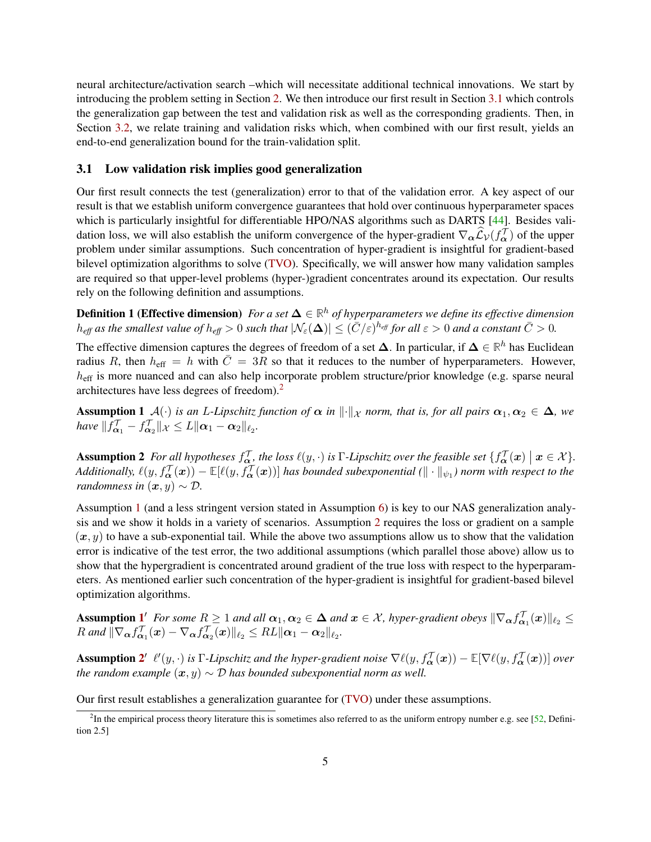neural architecture/activation search –which will necessitate additional technical innovations. We start by introducing the problem setting in Section [2.](#page-3-2) We then introduce our first result in Section [3.1](#page-4-0) which controls the generalization gap between the test and validation risk as well as the corresponding gradients. Then, in Section [3.2,](#page-6-0) we relate training and validation risks which, when combined with our first result, yields an end-to-end generalization bound for the train-validation split.

### <span id="page-4-0"></span>3.1 Low validation risk implies good generalization

Our first result connects the test (generalization) error to that of the validation error. A key aspect of our result is that we establish uniform convergence guarantees that hold over continuous hyperparameter spaces which is particularly insightful for differentiable HPO/NAS algorithms such as DARTS [\[44\]](#page-22-0). Besides validation loss, we will also establish the uniform convergence of the hyper-gradient  $\nabla_{\alpha} \widehat{\mathcal{L}}_{\mathcal{V}}(f_{\alpha}^{\mathcal{T}})$  of the upperproblem under similar assumptions. Such concentration of hyper-gradient is insightful for gradient-based bilevel optimization algorithms to solve [\(TVO\)](#page-3-1). Specifically, we will answer how many validation samples are required so that upper-level problems (hyper-)gradient concentrates around its expectation. Our results rely on the following definition and assumptions.

<span id="page-4-5"></span>Definition 1 (Effective dimension) *For a set* ∆ ∈ **R** <sup>h</sup> *of hyperparameters we define its effective dimension*  $h_{eff}$  as the smallest value of  $h_{eff} > 0$  such that  $|\mathcal{N}_{\varepsilon}(\mathbf{\Delta})| \leq (\bar{C}/\varepsilon)^{h_{eff}}$  for all  $\varepsilon > 0$  and a constant  $\bar{C} > 0$ .

The effective dimension captures the degrees of freedom of a set  $\Delta$ . In particular, if  $\Delta \in \mathbb{R}^h$  has Euclidean radius R, then  $h_{\text{eff}} = h$  with  $\bar{C} = 3R$  so that it reduces to the number of hyperparameters. However,  $h_{\text{eff}}$  is more nuanced and can also help incorporate problem structure/prior knowledge (e.g. sparse neural architectures have less degrees of freedom).[2](#page-4-1)

<span id="page-4-2"></span>**Assumption 1**  $\mathcal{A}(\cdot)$  *is an L-Lipschitz function of*  $\alpha$  *in*  $\|\cdot\|_{\mathcal{X}}$  *norm, that is, for all pairs*  $\alpha_1, \alpha_2 \in \Delta$ *, we have*  $|| f_{\boldsymbol{\alpha}_1}^{\mathcal{T}} - f_{\boldsymbol{\alpha}_2}^{\mathcal{T}} ||_{\mathcal{X}} \leq L ||\boldsymbol{\alpha}_1 - \boldsymbol{\alpha}_2||_{\ell_2}.$ 

<span id="page-4-3"></span>Assumption 2 *For all hypotheses*  $f_{\alpha}^{\mathcal{T}}$ *, the loss*  $\ell(y, \cdot)$  *is* Γ*-Lipschitz over the feasible set*  $\{f_{\alpha}^{\mathcal{T}}(x) \mid x \in \mathcal{X}\}$ *.* Additionally,  $\ell(y, f_{\bm{\alpha}}^{\mathcal{T}}(\bm{x})) - \mathbb{E}[\ell(y, f_{\bm{\alpha}}^{\mathcal{T}}(\bm{x}))]$  has bounded subexponential  $(\|\cdot\|_{\psi_1})$  norm with respect to the *randomness in*  $(\mathbf{x}, y) \sim \mathcal{D}$ .

Assumption [1](#page-4-2) (and a less stringent version stated in Assumption [6\)](#page-27-0) is key to our NAS generalization analysis and we show it holds in a variety of scenarios. Assumption [2](#page-4-3) requires the loss or gradient on a sample  $(x, y)$  to have a sub-exponential tail. While the above two assumptions allow us to show that the validation error is indicative of the test error, the two additional assumptions (which parallel those above) allow us to show that the hypergradient is concentrated around gradient of the true loss with respect to the hyperparameters. As mentioned earlier such concentration of the hyper-gradient is insightful for gradient-based bilevel optimization algorithms.

Assumption  $\mathbf{1}'$  $\mathbf{1}'$  $\mathbf{1}'$  For some  $R \geq 1$  and all  $\alpha_1, \alpha_2 \in \Delta$  and  $x \in \mathcal{X}$ , hyper-gradient obeys  $\|\nabla_{\alpha} f_{\alpha_1}^{\mathcal{T}}(x)\|_{\ell_2} \leq$  $R$  and  $\|\nabla_{\boldsymbol{\alpha}} f_{\boldsymbol{\alpha}_1}^{\mathcal{T}}(\boldsymbol{x}) - \nabla_{\boldsymbol{\alpha}} f_{\boldsymbol{\alpha}_2}^{\mathcal{T}}(\boldsymbol{x})\|_{\ell_2} \leq R L \|\boldsymbol{\alpha}_1 - \boldsymbol{\alpha}_2\|_{\ell_2}.$ 

Assumption [2](#page-4-3)'  $\ell'(y, \cdot)$  is  $\Gamma$ -Lipschitz and the hyper-gradient noise  $\nabla \ell(y, f_{\bm{\alpha}}^{\mathcal{T}}(\bm{x})) - \mathbb{E}[\nabla \ell(y, f_{\bm{\alpha}}^{\mathcal{T}}(\bm{x}))]$  over *the random example*  $(x, y) \sim \mathcal{D}$  *has bounded subexponential norm as well.* 

<span id="page-4-4"></span>Our first result establishes a generalization guarantee for [\(TVO\)](#page-3-1) under these assumptions.

<span id="page-4-1"></span> ${}^{2}$ In the empirical process theory literature this is sometimes also referred to as the uniform entropy number e.g. see [\[52,](#page-23-0) Definition 2.5]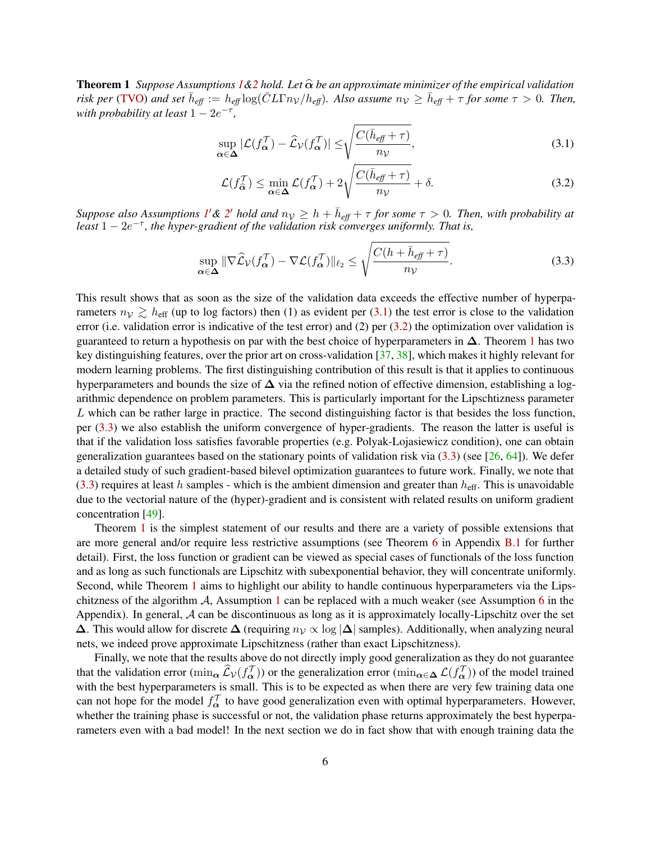**Theorem 1** *Suppose Assumptions*  $1\&2$  $1\&2$  *hold. Let*  $\hat{\alpha}$  *be an approximate minimizer of the empirical validation*  $r$ *isk per* [\(TVO\)](#page-3-1) and set  $\bar{h}_{\text{eff}} := h_{\text{eff}} \log(\bar{C} L \Gamma n_V/h_{\text{eff}})$ . Also assume  $n_V \ge \bar{h}_{\text{eff}} + \tau$  for some  $\tau > 0$ . Then, *with probability at least*  $1 - 2e^{-\tau}$ ,

$$
\sup_{\alpha \in \Delta} |\mathcal{L}(f_{\alpha}^{\mathcal{T}}) - \widehat{\mathcal{L}}_{\mathcal{V}}(f_{\alpha}^{\mathcal{T}})| \le \sqrt{\frac{C(\bar{h}_{\text{eff}} + \tau)}{n_{\mathcal{V}}}},
$$
\n(3.1)

<span id="page-5-2"></span><span id="page-5-1"></span><span id="page-5-0"></span>
$$
\mathcal{L}(f_{\widehat{\alpha}}^{\mathcal{T}}) \le \min_{\alpha \in \Delta} \mathcal{L}(f_{\alpha}^{\mathcal{T}}) + 2\sqrt{\frac{C(\bar{h}_{\text{eff}} + \tau)}{n_{\mathcal{V}}}} + \delta. \tag{3.2}
$$

*Suppose also Assumptions* [1](#page-4-3)' & [2](#page-4-3)' *hold and*  $n<sub>V</sub> \ge h + \bar{h}_{\text{eff}} + \tau$  for some  $\tau > 0$ . Then, with probability at *least* 1 − 2e −τ *, the hyper-gradient of the validation risk converges uniformly. That is,*

$$
\sup_{\alpha \in \Delta} \|\nabla \widehat{\mathcal{L}}_{\mathcal{V}}(f_{\alpha}^{\mathcal{T}}) - \nabla \mathcal{L}(f_{\alpha}^{\mathcal{T}})\|_{\ell_2} \le \sqrt{\frac{C(h + \bar{h}_{\ell f} + \tau)}{n_{\mathcal{V}}}}.
$$
\n(3.3)

This result shows that as soon as the size of the validation data exceeds the effective number of hyperparameters  $n_V \gtrsim h_{\text{eff}}$  (up to log factors) then (1) as evident per [\(3.1\)](#page-5-0) the test error is close to the validation error (i.e. validation error is indicative of the test error) and (2) per [\(3.2\)](#page-5-1) the optimization over validation is guaranteed to return a hypothesis on par with the best choice of hyperparameters in  $\Delta$ . Theorem [1](#page-4-4) has two key distinguishing features, over the prior art on cross-validation  $[37, 38]$  $[37, 38]$  $[37, 38]$ , which makes it highly relevant for modern learning problems. The first distinguishing contribution of this result is that it applies to continuous hyperparameters and bounds the size of  $\Delta$  via the refined notion of effective dimension, establishing a logarithmic dependence on problem parameters. This is particularly important for the Lipschtizness parameter L which can be rather large in practice. The second distinguishing factor is that besides the loss function, per [\(3.3\)](#page-5-2) we also establish the uniform convergence of hyper-gradients. The reason the latter is useful is that if the validation loss satisfies favorable properties (e.g. Polyak-Lojasiewicz condition), one can obtain generalization guarantees based on the stationary points of validation risk via  $(3.3)$  (see [\[26,](#page-21-3) [64\]](#page-23-1)). We defer a detailed study of such gradient-based bilevel optimization guarantees to future work. Finally, we note that [\(3.3\)](#page-5-2) requires at least h samples - which is the ambient dimension and greater than  $h_{\text{eff}}$ . This is unavoidable due to the vectorial nature of the (hyper)-gradient and is consistent with related results on uniform gradient concentration [\[49\]](#page-22-4).

Theorem [1](#page-4-4) is the simplest statement of our results and there are a variety of possible extensions that are more general and/or require less restrictive assumptions (see Theorem [6](#page-27-1) in Appendix [B.1](#page-27-2) for further detail). First, the loss function or gradient can be viewed as special cases of functionals of the loss function and as long as such functionals are Lipschitz with subexponential behavior, they will concentrate uniformly. Second, while Theorem [1](#page-4-4) aims to highlight our ability to handle continuous hyperparameters via the Lipschitzness of the algorithm  $\mathcal{A}$ , Assumption [1](#page-4-2) can be replaced with a much weaker (see Assumption [6](#page-27-0) in the Appendix). In general,  $A$  can be discontinuous as long as it is approximately locally-Lipschitz over the set  $\Delta$ . This would allow for discrete  $\Delta$  (requiring  $n<sub>V</sub> \propto \log |\Delta|$  samples). Additionally, when analyzing neural nets, we indeed prove approximate Lipschitzness (rather than exact Lipschitzness).

Finally, we note that the results above do not directly imply good generalization as they do not guarantee that the validation error (min<sub>α</sub>  $\hat{\mathcal{L}}v(f_{\alpha}^{\mathcal{T}})$ ) or the generalization error (min<sub>α∈△</sub>  $\mathcal{L}(f_{\alpha}^{\mathcal{T}})$ ) of the model trained with the best hyperparameters is small. This is to be expected as when there are very few training data one can not hope for the model  $f_{\alpha}^{\mathcal{T}}$  to have good generalization even with optimal hyperparameters. However, whether the training phase is successful or not, the validation phase returns approximately the best hyperparameters even with a bad model! In the next section we do in fact show that with enough training data the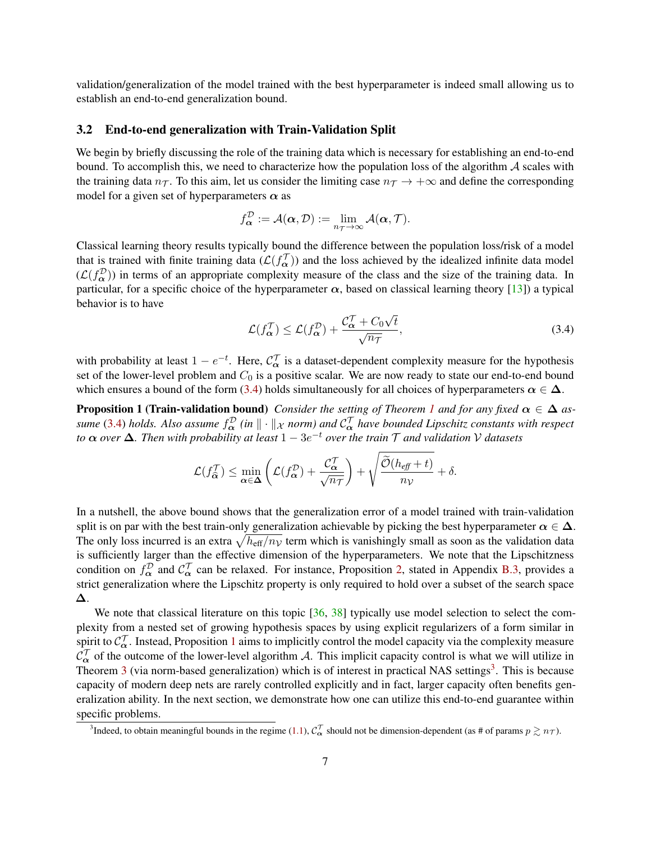validation/generalization of the model trained with the best hyperparameter is indeed small allowing us to establish an end-to-end generalization bound.

### <span id="page-6-0"></span>3.2 End-to-end generalization with Train-Validation Split

We begin by briefly discussing the role of the training data which is necessary for establishing an end-to-end bound. To accomplish this, we need to characterize how the population loss of the algorithm  $A$  scales with the training data  $n_{\mathcal{T}}$ . To this aim, let us consider the limiting case  $n_{\mathcal{T}} \to +\infty$  and define the corresponding model for a given set of hyperparameters  $\alpha$  as

$$
f_{\boldsymbol{\alpha}}^{\mathcal{D}} := \mathcal{A}(\boldsymbol{\alpha}, \mathcal{D}) := \lim_{n_{\mathcal{T}} \to \infty} \mathcal{A}(\boldsymbol{\alpha}, \mathcal{T}).
$$

Classical learning theory results typically bound the difference between the population loss/risk of a model that is trained with finite training data  $(\mathcal{L}(f_\alpha^{\mathcal{T}}))$  and the loss achieved by the idealized infinite data model  $(L(f_{\alpha}^{\mathcal{D}}))$  in terms of an appropriate complexity measure of the class and the size of the training data. In particular, for a specific choice of the hyperparameter  $\alpha$ , based on classical learning theory [\[13\]](#page-20-0)) a typical behavior is to have √

<span id="page-6-2"></span><span id="page-6-1"></span>
$$
\mathcal{L}(f_{\alpha}^{\mathcal{T}}) \le \mathcal{L}(f_{\alpha}^{\mathcal{D}}) + \frac{\mathcal{C}_{\alpha}^{\mathcal{T}} + C_0\sqrt{t}}{\sqrt{n_{\mathcal{T}}}},
$$
\n(3.4)

with probability at least  $1 - e^{-t}$ . Here,  $C_{\alpha}^{\mathcal{T}}$  is a dataset-dependent complexity measure for the hypothesis set of the lower-level problem and  $C_0$  is a positive scalar. We are now ready to state our end-to-end bound which ensures a bound of the form [\(3.4\)](#page-6-1) holds simultaneously for all choices of hyperparameters  $\alpha \in \Delta$ .

**Proposition [1](#page-4-4) (Train-validation bound)** *Consider the setting of Theorem 1 and for any fixed*  $\alpha \in \Delta$  *as*-sume [\(3.4\)](#page-6-1) holds. Also assume  $f_\alpha^\mathcal D$  (in  $\|\cdot\|_\mathcal X$  norm) and  $\mathcal C_\alpha^\mathcal T$  have bounded Lipschitz constants with respect *to* α *over* ∆*. Then with probability at least* 1 − 3e <sup>−</sup><sup>t</sup> *over the train* T *and validation* V *datasets*

$$
\mathcal{L}(f_{\widehat{\alpha}}^{\mathcal{T}}) \leq \min_{\alpha \in \Delta} \left( \mathcal{L}(f_{\alpha}^{\mathcal{D}}) + \frac{\mathcal{C}_{\alpha}^{\mathcal{T}}}{\sqrt{n_{\mathcal{T}}}} \right) + \sqrt{\frac{\widetilde{\mathcal{O}}(h_{\text{eff}} + t)}{n_{\mathcal{V}}}} + \delta.
$$

In a nutshell, the above bound shows that the generalization error of a model trained with train-validation split is on par with the best train-only generalization achievable by picking the best hyperparameter  $\alpha \in \Delta$ . The only loss incurred is an extra  $\sqrt{h_{\text{eff}}/n_{\mathcal{V}}}$  term which is vanishingly small as soon as the validation data is sufficiently larger than the effective dimension of the hyperparameters. We note that the Lipschitzness condition on  $f_{\alpha}^{\mathcal{D}}$  and  $\mathcal{C}_{\alpha}^{\mathcal{T}}$  can be relaxed. For instance, Proposition [2,](#page-30-0) stated in Appendix [B.3,](#page-30-1) provides a strict generalization where the Lipschitz property is only required to hold over a subset of the search space ∆.

We note that classical literature on this topic [\[36,](#page-22-5) [38\]](#page-22-3) typically use model selection to select the complexity from a nested set of growing hypothesis spaces by using explicit regularizers of a form similar in spirit to  $C^{\mathcal{T}}_{\alpha}$ . Instead, Proposition [1](#page-6-2) aims to implicitly control the model capacity via the complexity measure  $\mathcal{C}_{\alpha}^{\mathcal{T}}$  of the outcome of the lower-level algorithm A. This implicit capacity control is what we will utilize in Theorem [3](#page-6-3) (via norm-based generalization) which is of interest in practical NAS settings<sup>3</sup>. This is because capacity of modern deep nets are rarely controlled explicitly and in fact, larger capacity often benefits generalization ability. In the next section, we demonstrate how one can utilize this end-to-end guarantee within specific problems.

<span id="page-6-3"></span><sup>&</sup>lt;sup>3</sup>Indeed, to obtain meaningful bounds in the regime [\(1.1\)](#page-1-1),  $C_\alpha^\mathcal{T}$  should not be dimension-dependent (as # of params  $p \gtrsim n_\mathcal{T}$ ).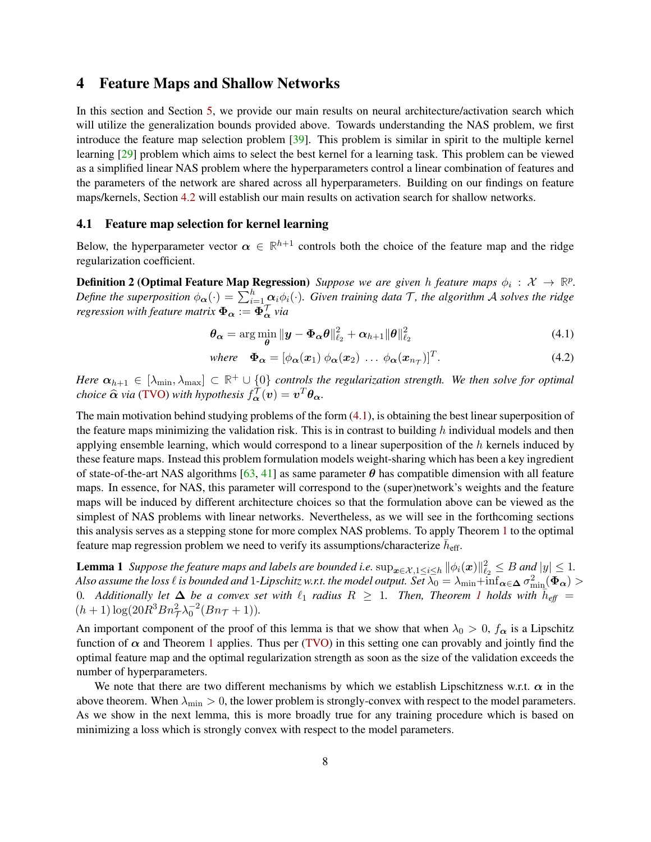## <span id="page-7-0"></span>4 Feature Maps and Shallow Networks

In this section and Section [5,](#page-10-0) we provide our main results on neural architecture/activation search which will utilize the generalization bounds provided above. Towards understanding the NAS problem, we first introduce the feature map selection problem [\[39\]](#page-22-6). This problem is similar in spirit to the multiple kernel learning [\[29\]](#page-21-4) problem which aims to select the best kernel for a learning task. This problem can be viewed as a simplified linear NAS problem where the hyperparameters control a linear combination of features and the parameters of the network are shared across all hyperparameters. Building on our findings on feature maps/kernels, Section [4.2](#page-8-0) will establish our main results on activation search for shallow networks.

#### <span id="page-7-1"></span>4.1 Feature map selection for kernel learning

Below, the hyperparameter vector  $\alpha \in \mathbb{R}^{h+1}$  controls both the choice of the feature map and the ridge regularization coefficient.

<span id="page-7-4"></span>**Definition 2 (Optimal Feature Map Regression)** Suppose we are given h feature maps  $\phi_i$  :  $\mathcal{X} \to \mathbb{R}^p$ . *Define the superposition*  $\phi_{\alpha}(\cdot) = \sum_{i=1}^{h} \alpha_i \phi_i(\cdot)$ . Given training data T, the algorithm A solves the ridge regression with feature matrix  $\Phi_{\bm{\alpha}} := \bm{\Phi}_{\bm{\alpha}}^{\mathcal{T}}$  via

<span id="page-7-2"></span>
$$
\boldsymbol{\theta_{\alpha}} = \arg \min_{\boldsymbol{\theta}} \|\boldsymbol{y} - \boldsymbol{\Phi_{\alpha}} \boldsymbol{\theta}\|_{\ell_2}^2 + \boldsymbol{\alpha}_{h+1} \|\boldsymbol{\theta}\|_{\ell_2}^2 \tag{4.1}
$$

<span id="page-7-5"></span><span id="page-7-3"></span>where 
$$
\Phi_{\alpha} = [\phi_{\alpha}(x_1) \ \phi_{\alpha}(x_2) \ \dots \ \phi_{\alpha}(x_{n_{\mathcal{T}}})]^T
$$
. (4.2)

*Here*  $\alpha_{h+1} \in [\lambda_{\min}, \lambda_{\max}] \subset \mathbb{R}^+ \cup \{0\}$  *controls the regularization strength. We then solve for optimal choice*  $\widehat{\alpha}$  *via* [\(TVO\)](#page-3-1) *with hypothesis*  $f^{\mathcal{T}}_{\alpha}(v) = v^T \theta_{\alpha}$ .

The main motivation behind studying problems of the form [\(4.1\)](#page-7-2), is obtaining the best linear superposition of the feature maps minimizing the validation risk. This is in contrast to building  $h$  individual models and then applying ensemble learning, which would correspond to a linear superposition of the  $h$  kernels induced by these feature maps. Instead this problem formulation models weight-sharing which has been a key ingredient of state-of-the-art NAS algorithms [\[63,](#page-23-2) [41\]](#page-22-7) as same parameter  $\theta$  has compatible dimension with all feature maps. In essence, for NAS, this parameter will correspond to the (super)network's weights and the feature maps will be induced by different architecture choices so that the formulation above can be viewed as the simplest of NAS problems with linear networks. Nevertheless, as we will see in the forthcoming sections this analysis serves as a stepping stone for more complex NAS problems. To apply Theorem [1](#page-4-4) to the optimal feature map regression problem we need to verify its assumptions/characterize  $\bar{h}_{\text{eff}}$ .

**Lemma 1** Suppose the feature maps and labels are bounded i.e.  $\sup_{x \in \mathcal{X}, 1 \leq i \leq h} ||\phi_i(x)||_{\ell_2}^2 \leq B$  and  $|y| \leq 1$ . Also assume the loss  $\ell$  is bounded and  $1$ -Lipschitz w.r.t. the model output. Set  $\bar{\lambda_0}=\lambda_{\min}+\inf_{\pmb{\alpha}\in\pmb{\Delta}} \sigma_{\min}^2(\pmb{\Phi_{\alpha}})>0$ 0. Additionally let  $\Delta$  be a convex set with  $\ell_1$  $\ell_1$  radius  $R \geq 1$ . Then, Theorem 1 holds with  $\bar{h}_{\text{eff}} =$  $(h+1)\log(20R^3Bn^2_{\tau}\lambda_0^{-2}(Bn_{\tau}+1)).$ 

An important component of the proof of this lemma is that we show that when  $\lambda_0 > 0$ ,  $f_{\alpha}$  is a Lipschitz function of  $\alpha$  and Theorem [1](#page-4-4) applies. Thus per [\(TVO\)](#page-3-1) in this setting one can provably and jointly find the optimal feature map and the optimal regularization strength as soon as the size of the validation exceeds the number of hyperparameters.

<span id="page-7-6"></span>We note that there are two different mechanisms by which we establish Lipschitzness w.r.t.  $\alpha$  in the above theorem. When  $\lambda_{\min} > 0$ , the lower problem is strongly-convex with respect to the model parameters. As we show in the next lemma, this is more broadly true for any training procedure which is based on minimizing a loss which is strongly convex with respect to the model parameters.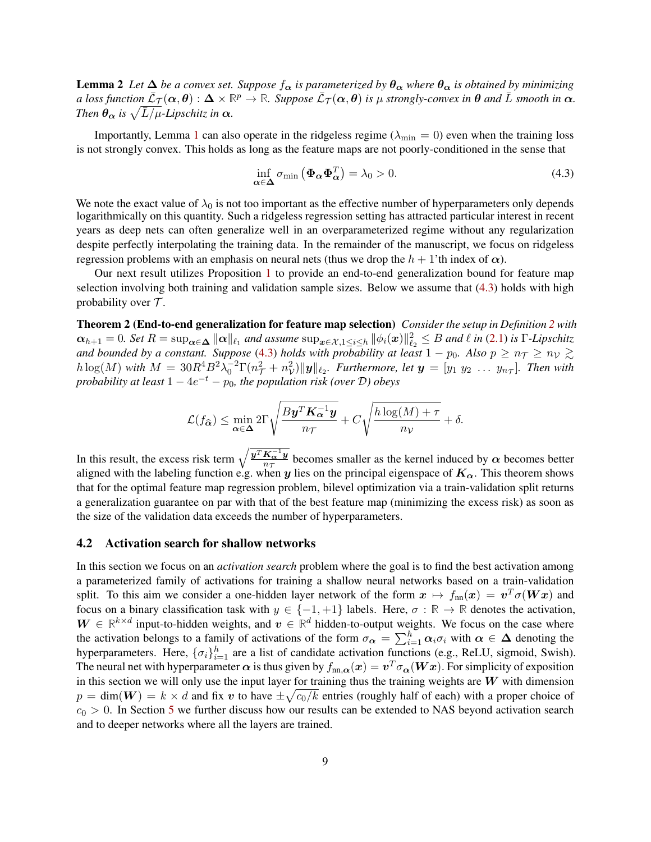**Lemma 2** *Let*  $\Delta$  *be a convex set. Suppose*  $f_{\alpha}$  *is parameterized by*  $\theta_{\alpha}$  *where*  $\theta_{\alpha}$  *is obtained by minimizing*  $a$  loss function  $\bar{\mathcal{L}}_{\mathcal{T}}(\alpha,\theta):\Delta\times\mathbb{R}^p\to\mathbb{R}$ *. Suppose*  $\bar{\mathcal{L}}_{\mathcal{T}}(\alpha,\theta)$  is  $\mu$  strongly-convex in  $\theta$  and  $\bar{L}$  smooth in  $\alpha$ *. Then*  $\theta_{\alpha}$  *is*  $\sqrt{\bar{L}/\mu}$ *-Lipschitz in*  $\alpha$ *.* 

Importantly, Lemma [1](#page-7-3) can also operate in the ridgeless regime ( $\lambda_{\min} = 0$ ) even when the training loss is not strongly convex. This holds as long as the feature maps are not poorly-conditioned in the sense that

<span id="page-8-1"></span>
$$
\inf_{\alpha \in \Delta} \sigma_{\min} \left( \Phi_{\alpha} \Phi_{\alpha}^{T} \right) = \lambda_0 > 0. \tag{4.3}
$$

We note the exact value of  $\lambda_0$  is not too important as the effective number of hyperparameters only depends logarithmically on this quantity. Such a ridgeless regression setting has attracted particular interest in recent years as deep nets can often generalize well in an overparameterized regime without any regularization despite perfectly interpolating the training data. In the remainder of the manuscript, we focus on ridgeless regression problems with an emphasis on neural nets (thus we drop the  $h + 1$ 'th index of  $\alpha$ ).

<span id="page-8-2"></span>Our next result utilizes Proposition [1](#page-6-2) to provide an end-to-end generalization bound for feature map selection involving both training and validation sample sizes. Below we assume that [\(4.3\)](#page-8-1) holds with high probability over  $\mathcal{T}$ .

Theorem 2 (End-to-end generalization for feature map selection) *Consider the setup in Definition [2](#page-7-4) with*  $\alpha_{h+1} = 0$ . Set  $R = \sup_{\alpha \in \Delta} \|\alpha\|_{\ell_1}$  and assume  $\sup_{x \in \mathcal{X}, 1 \leq i \leq h} \|\phi_i(x)\|_{\ell_2}^2 \leq B$  and  $\ell$  in [\(2.1\)](#page-3-1) is  $\Gamma$ -Lipschitz *and bounded by a constant. Suppose* [\(4.3\)](#page-8-1) *holds with probability at least*  $1 - p_0$ *. Also*  $p \ge n_\mathcal{T} \ge n_\mathcal{V} \gtrsim$  $h \log(M)$  with  $M = 30R^4B^2\lambda_0^{-2}\Gamma(n_\mathcal{T}^2 + n_\mathcal{V}^2) \|y\|_{\ell_2}$ . Furthermore, let  $\bm{y} = [y_1 \ y_2 \ \dots \ y_{n_\mathcal{T}}]$ . Then with *probability at least*  $1 - 4e^{-t} - p_0$ , *the population risk (over D*) obeys

$$
\mathcal{L}(f_{\widehat{\alpha}}) \le \min_{\alpha \in \Delta} 2\Gamma \sqrt{\frac{By^T K_{\alpha}^{-1} y}{n\tau}} + C \sqrt{\frac{h \log(M) + \tau}{n_{\mathcal{V}}}} + \delta.
$$

In this result, the excess risk term  $\sqrt{\frac{y^T K_{\alpha}^{-1} y}{n \tau}}$  $rac{\mathbf{R}_{\alpha} y}{n_{\tau}}$  becomes smaller as the kernel induced by  $\alpha$  becomes better aligned with the labeling function e.g. when y lies on the principal eigenspace of  $K_{\alpha}$ . This theorem shows that for the optimal feature map regression problem, bilevel optimization via a train-validation split returns a generalization guarantee on par with that of the best feature map (minimizing the excess risk) as soon as the size of the validation data exceeds the number of hyperparameters.

#### <span id="page-8-0"></span>4.2 Activation search for shallow networks

In this section we focus on an *activation search* problem where the goal is to find the best activation among a parameterized family of activations for training a shallow neural networks based on a train-validation split. To this aim we consider a one-hidden layer network of the form  $x \mapsto f_{nn}(x) = v^T \sigma(Wx)$  and focus on a binary classification task with  $y \in \{-1, +1\}$  labels. Here,  $\sigma : \mathbb{R} \to \mathbb{R}$  denotes the activation,  $W \in \mathbb{R}^{k \times d}$  input-to-hidden weights, and  $v \in \mathbb{R}^d$  hidden-to-output weights. We focus on the case where the activation belongs to a family of activations of the form  $\sigma_{\alpha} = \sum_{i=1}^{h} \alpha_i \sigma_i$  with  $\alpha \in \Delta$  denoting the hyperparameters. Here,  $\{\sigma_i\}_{i=1}^h$  are a list of candidate activation functions (e.g., ReLU, sigmoid, Swish). The neural net with hyperparameter  $\alpha$  is thus given by  $f_{\rm nn,\alpha}(\bm{x})=\bm{v}^T\sigma_{\bm{\alpha}}(\bm{W}\bm{x})$ . For simplicity of exposition in this section we will only use the input layer for training thus the training weights are  $W$  with dimension  $p = \dim(W) = k \times d$  and fix v to have  $\pm \sqrt{c_0/k}$  entries (roughly half of each) with a proper choice of  $c_0 > 0$ . In Section [5](#page-10-0) we further discuss how our results can be extended to NAS beyond activation search and to deeper networks where all the layers are trained.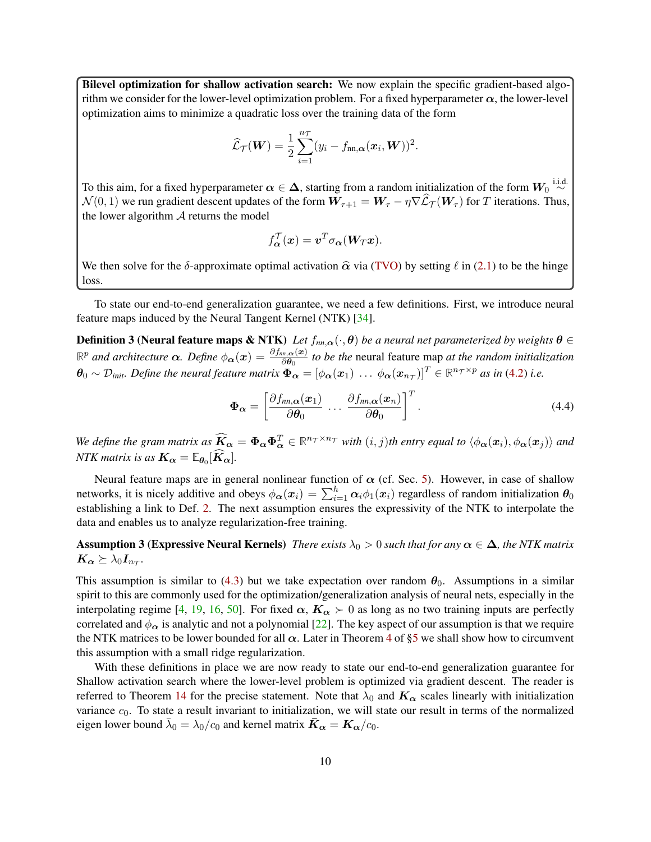Bilevel optimization for shallow activation search: We now explain the specific gradient-based algorithm we consider for the lower-level optimization problem. For a fixed hyperparameter  $\alpha$ , the lower-level optimization aims to minimize a quadratic loss over the training data of the form

$$
\widehat{\mathcal{L}}_{\mathcal{T}}(\boldsymbol{W}) = \frac{1}{2} \sum_{i=1}^{n_{\mathcal{T}}} (y_i - f_{nn,\alpha}(\boldsymbol{x}_i, \boldsymbol{W}))^2.
$$

To this aim, for a fixed hyperparameter  $\alpha\in\Delta,$  starting from a random initialization of the form  $W_0\overset{\text{i.i.d.}}{\sim}$  $\mathcal{N}(0, 1)$  we run gradient descent updates of the form  $W_{\tau+1} = W_{\tau} - \eta \nabla \widehat{L}_{\tau}(W_{\tau})$  for T iterations. Thus, the lower algorithm  $A$  returns the model

<span id="page-9-2"></span>
$$
f_{\boldsymbol{\alpha}}^{\mathcal{T}}(\boldsymbol{x}) = \boldsymbol{v}^T \sigma_{\boldsymbol{\alpha}}(\boldsymbol{W}_T \boldsymbol{x}).
$$

We then solve for the δ-approximate optimal activation  $\hat{\alpha}$  via [\(TVO\)](#page-3-1) by setting  $\ell$  in [\(2.1\)](#page-3-1) to be the hinge loss.

To state our end-to-end generalization guarantee, we need a few definitions. First, we introduce neural feature maps induced by the Neural Tangent Kernel (NTK) [\[34\]](#page-21-5).

**Definition 3 (Neural feature maps & NTK)** Let  $f_{nn,\alpha}(\cdot,\theta)$  be a neural net parameterized by weights  $\theta \in$  $\mathbb{R}^p$  *and architecture* α*. Define*  $φ_α(x) = \frac{∂f_{nm,α}(x)}{∂θ_0}$  to be the neural feature map *at the random initialization*  $\bm{\theta}_0 \sim \mathcal{D}_{\textit{init}}$ *. Define the neural feature matrix*  $\bm{\Phi_{\alpha}} = [\phi_{\bm{\alpha}}(\bm{x}_1) \ \dots \ \phi_{\bm{\alpha}}(\bm{x}_{n_{\mathcal{T}}})]^T \in \mathbb{R}^{n_{\mathcal{T}} \times p}$  as in [\(4.2\)](#page-7-5) i.e.

<span id="page-9-3"></span><span id="page-9-1"></span>
$$
\Phi_{\alpha} = \left[ \frac{\partial f_{nn,\alpha}(x_1)}{\partial \theta_0} \cdots \frac{\partial f_{nn,\alpha}(x_n)}{\partial \theta_0} \right]^T.
$$
\n(4.4)

We define the gram matrix as  $\widetilde{K}_{\alpha} = \Phi_{\alpha} \Phi_{\alpha}^{T} \in \mathbb{R}^{n_T \times n_T}$  with  $(i, j)$ th entry equal to  $\langle \phi_{\alpha}(x_i), \phi_{\alpha}(x_j) \rangle$  and *NTK matrix is as*  $K_{\alpha} = \mathbb{E}_{\theta_0}[K_{\alpha}].$ 

Neural feature maps are in general nonlinear function of  $\alpha$  (cf. Sec. [5\)](#page-10-0). However, in case of shallow networks, it is nicely additive and obeys  $\phi_{\alpha}(x_i) = \sum_{i=1}^h \alpha_i \phi_1(x_i)$  regardless of random initialization  $\theta_0$ establishing a link to Def. [2.](#page-7-4) The next assumption ensures the expressivity of the NTK to interpolate the data and enables us to analyze regularization-free training.

**Assumption 3 (Expressive Neural Kernels)** *There exists*  $\lambda_0 > 0$  *such that for any*  $\alpha \in \Delta$ *, the NTK matrix*  $\boldsymbol{K_{\alpha}} \succeq \lambda_0 \boldsymbol{I_{n_{\mathcal{T}}}}.$ 

This assumption is similar to [\(4.3\)](#page-8-1) but we take expectation over random  $\theta_0$ . Assumptions in a similar spirit to this are commonly used for the optimization/generalization analysis of neural nets, especially in the interpolating regime [\[4,](#page-20-1) [19,](#page-20-2) [16,](#page-20-3) [50\]](#page-22-8). For fixed  $\alpha$ ,  $K_{\alpha} > 0$  as long as no two training inputs are perfectly correlated and  $\phi_{\alpha}$  is analytic and not a polynomial [\[22\]](#page-21-6). The key aspect of our assumption is that we require the NTK matrices to be lower bounded for all  $\alpha$ . Later in Theorem [4](#page-11-0) of [§5](#page-10-0) we shall show how to circumvent this assumption with a small ridge regularization.

<span id="page-9-0"></span>With these definitions in place we are now ready to state our end-to-end generalization guarantee for Shallow activation search where the lower-level problem is optimized via gradient descent. The reader is referred to Theorem [14](#page-65-0) for the precise statement. Note that  $\lambda_0$  and  $K_\alpha$  scales linearly with initialization variance  $c_0$ . To state a result invariant to initialization, we will state our result in terms of the normalized eigen lower bound  $\bar{\lambda}_0 = \lambda_0/c_0$  and kernel matrix  $\bar{\bm{K}}_{\bm{\alpha}} = \bm{K}_{\bm{\alpha}}/c_0$ .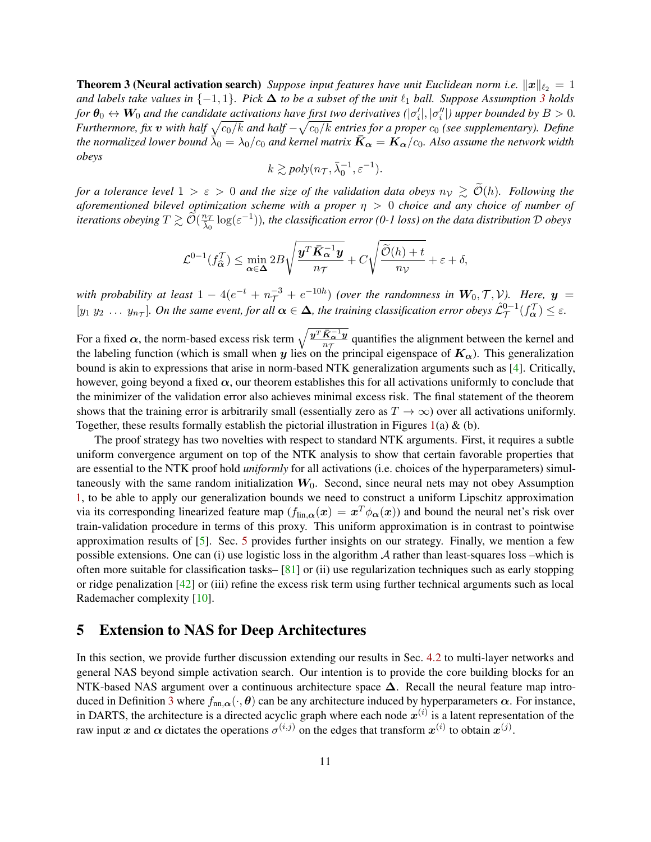**Theorem 3 (Neural activation search)** *Suppose input features have unit Euclidean norm i.e.*  $||x||_{\ell_2} = 1$ *and labels take values in*  $\{-1, 1\}$ *. Pick*  $\Delta$  *to be a subset of the unit*  $\ell_1$  *ball. Suppose Assumption [3](#page-9-1) holds for*  $\theta_0 \leftrightarrow W_0$  and the candidate activations have first two derivatives  $(|\sigma'_i|, |\sigma''_i|)$  upper bounded by  $B > 0$ . *Furthermore, fix*  $v$  with half  $\sqrt{c_0/k}$  and half  $-\sqrt{c_0/k}$  entries for a proper  $c_0$  (see supplementary). Define the normalized lower bound  $\dot{\bar{\lambda}}_0 = \lambda_0/c_0$  and kernel matrix  $\bar{K}_{\alpha} = K_{\alpha}/c_0$ . Also assume the network width *obeys*

$$
k \gtrsim poly(n_{\mathcal{T}}, \bar{\lambda}_0^{-1}, \varepsilon^{-1}).
$$

*for a tolerance level*  $1 > \varepsilon > 0$  *and the size of the validation data obeys*  $n_v \geq O(h)$ *. Following the aforementioned bilevel optimization scheme with a proper* η > 0 *choice and any choice of number of* iterations obeying  $T\gtrsim \widetilde{\mathcal{O}}(\frac{n_T}{\lambda_0}\log(\varepsilon^{-1}))$ , the classification error (0-1 loss) on the data distribution  $\cal D$  obeys

$$
\mathcal{L}^{0-1}(f_{\widehat{\alpha}}^{\mathcal{T}}) \leq \min_{\alpha \in \Delta} 2B \sqrt{\frac{\boldsymbol{y}^T \bar{\boldsymbol{K}}_\alpha^{-1} \boldsymbol{y}}{n_{\mathcal{T}}}} + C \sqrt{\frac{\widetilde{\mathcal{O}}(h) + t}{n_{\mathcal{V}}}} + \varepsilon + \delta,
$$

*with probability at least*  $1-4(e^{-t}+n_{\mathcal{T}}^{-3}+e^{-10h})$  *(over the randomness in*  $W_0, \mathcal{T}, \mathcal{V}$ *). Here,*  $y =$  $[y_1\ y_2\ \dots\ y_{n_{\mathcal{T}}}].$  On the same event, for all  $\alpha \in \Delta$ , the training classification error obeys  $\mathcal{L}^{0-1}_{\mathcal{T}}(f^\mathcal{T}_\alpha) \le \varepsilon$ .

For a fixed  $\alpha$ , the norm-based excess risk term  $\sqrt{\frac{\boldsymbol{y}^T \bar{\boldsymbol{K}}_{\alpha}^{-1} \boldsymbol{y}}{n_{\alpha}}}$  $\frac{\mathbf{R}_{\alpha} \cdot \mathbf{y}}{n_{\mathcal{T}}}$  quantifies the alignment between the kernel and the labeling function (which is small when y lies on the principal eigenspace of  $K_{\alpha}$ ). This generalization bound is akin to expressions that arise in norm-based NTK generalization arguments such as [\[4\]](#page-20-1). Critically, however, going beyond a fixed  $\alpha$ , our theorem establishes this for all activations uniformly to conclude that the minimizer of the validation error also achieves minimal excess risk. The final statement of the theorem shows that the training error is arbitrarily small (essentially zero as  $T \to \infty$ ) over all activations uniformly. Together, these results formally establish the pictorial illustration in Figures [1\(](#page-1-0)a)  $\&$  (b).

The proof strategy has two novelties with respect to standard NTK arguments. First, it requires a subtle uniform convergence argument on top of the NTK analysis to show that certain favorable properties that are essential to the NTK proof hold *uniformly* for all activations (i.e. choices of the hyperparameters) simultaneously with the same random initialization  $W_0$ . Second, since neural nets may not obey Assumption [1,](#page-4-2) to be able to apply our generalization bounds we need to construct a uniform Lipschitz approximation via its corresponding linearized feature map ( $f_{\text{lin},\alpha}(x) = x^T \phi_\alpha(x)$ ) and bound the neural net's risk over train-validation procedure in terms of this proxy. This uniform approximation is in contrast to pointwise approximation results of [\[5\]](#page-20-4). Sec. [5](#page-10-0) provides further insights on our strategy. Finally, we mention a few possible extensions. One can (i) use logistic loss in the algorithm A rather than least-squares loss –which is often more suitable for classification tasks–  $[81]$  or (ii) use regularization techniques such as early stopping or ridge penalization [\[42\]](#page-22-9) or (iii) refine the excess risk term using further technical arguments such as local Rademacher complexity [\[10\]](#page-20-5).

# <span id="page-10-0"></span>5 Extension to NAS for Deep Architectures

In this section, we provide further discussion extending our results in Sec. [4.2](#page-8-0) to multi-layer networks and general NAS beyond simple activation search. Our intention is to provide the core building blocks for an NTK-based NAS argument over a continuous architecture space  $\Delta$ . Recall the neural feature map intro-duced in Definition [3](#page-9-2) where  $f_{nn,\alpha}(\cdot,\theta)$  can be any architecture induced by hyperparameters  $\alpha$ . For instance, in DARTS, the architecture is a directed acyclic graph where each node  $x^{(i)}$  is a latent representation of the raw input x and  $\alpha$  dictates the operations  $\sigma^{(i,j)}$  on the edges that transform  $x^{(i)}$  to obtain  $x^{(j)}$ .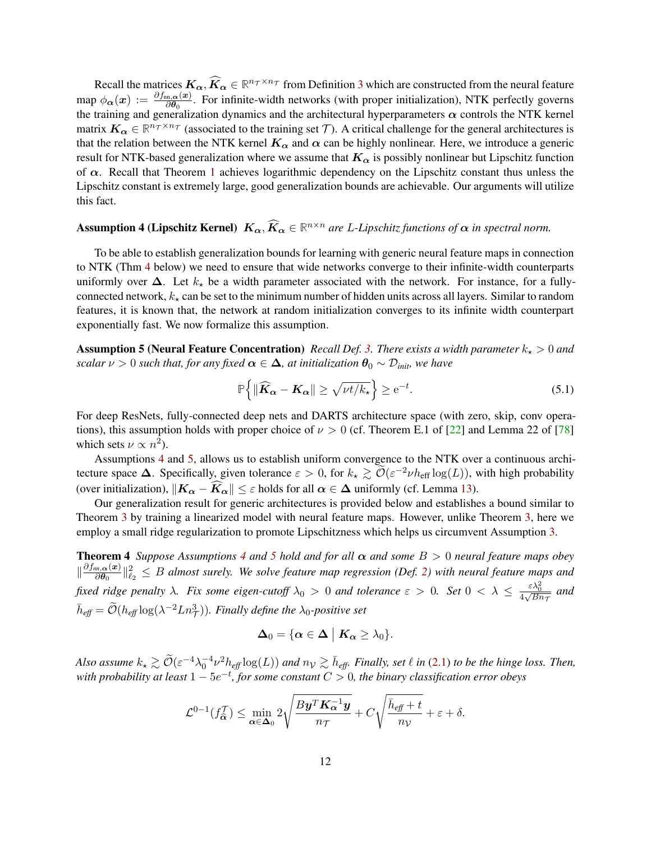Recall the matrices  $K_{\alpha}$ ,  $\widehat{K}_{\alpha} \in \mathbb{R}^{n_{\mathcal{T}} \times n_{\mathcal{T}}}$  from Definition [3](#page-9-2) which are constructed from the neural feature map  $\phi_{\alpha}(x) := \frac{\partial f_{\text{nn},\alpha}(x)}{\partial \theta_0}$ . For infinite-width networks (with proper initialization), NTK perfectly governs the training and generalization dynamics and the architectural hyperparameters  $\alpha$  controls the NTK kernel matrix  $K_{\alpha} \in \mathbb{R}^{n_T \times n_T}$  (associated to the training set T). A critical challenge for the general architectures is that the relation between the NTK kernel  $K_{\alpha}$  and  $\alpha$  can be highly nonlinear. Here, we introduce a generic result for NTK-based generalization where we assume that  $K_{\alpha}$  is possibly nonlinear but Lipschitz function of  $\alpha$ . Recall that Theorem [1](#page-4-4) achieves logarithmic dependency on the Lipschitz constant thus unless the Lipschitz constant is extremely large, good generalization bounds are achievable. Our arguments will utilize this fact.

# <span id="page-11-1"></span>**Assumption 4 (Lipschitz Kernel)**  $K_{\alpha}$ ,  $\widehat{K}_{\alpha} \in \mathbb{R}^{n \times n}$  are *L*-Lipschitz functions of  $\alpha$  in spectral norm.

To be able to establish generalization bounds for learning with generic neural feature maps in connection to NTK (Thm [4](#page-11-0) below) we need to ensure that wide networks converge to their infinite-width counterparts uniformly over  $\Delta$ . Let  $k_{\star}$  be a width parameter associated with the network. For instance, for a fullyconnected network,  $k_{\star}$  can be set to the minimum number of hidden units across all layers. Similar to random features, it is known that, the network at random initialization converges to its infinite width counterpart exponentially fast. We now formalize this assumption.

**Assumption 5 (Neural Feature Concentration)** *Recall Def. [3.](#page-9-2) There exists a width parameter*  $k_{\star} > 0$  *and scalar*  $\nu > 0$  *such that, for any fixed*  $\alpha \in \Delta$ *, at initialization*  $\theta_0 \sim \mathcal{D}_{init}$ *, we have* 

<span id="page-11-3"></span><span id="page-11-2"></span>
$$
\mathbb{P}\left\{\|\widehat{\boldsymbol{K}}_{\boldsymbol{\alpha}} - \boldsymbol{K}_{\boldsymbol{\alpha}}\| \ge \sqrt{\nu t / k_{\star}}\right\} \ge e^{-t}.\tag{5.1}
$$

For deep ResNets, fully-connected deep nets and DARTS architecture space (with zero, skip, conv operations), this assumption holds with proper choice of  $\nu > 0$  (cf. Theorem E.1 of [\[22\]](#page-21-6) and Lemma 22 of [\[78\]](#page-24-1) which sets  $\nu \propto n^2$ ).

Assumptions [4](#page-11-1) and [5,](#page-11-2) allows us to establish uniform convergence to the NTK over a continuous architecture space  $\Delta$ . Specifically, given tolerance  $\varepsilon > 0$ , for  $k_{\star} \gtrsim \widetilde{\mathcal{O}}(\varepsilon^{-2} \nu h_{\text{eff}} \log(L))$ , with high probability (over initialization),  $||K_{\alpha} - K_{\alpha}|| \leq \varepsilon$  holds for all  $\alpha \in \Delta$  uniformly (cf. Lemma [13\)](#page-39-0).

Our generalization result for generic architectures is provided below and establishes a bound similar to Theorem [3](#page-9-0) by training a linearized model with neural feature maps. However, unlike Theorem [3,](#page-9-0) here we employ a small ridge regularization to promote Lipschitzness which helps us circumvent Assumption [3.](#page-9-1)

**Theorem [4](#page-11-1)** *Suppose Assumptions* 4 *and* [5](#page-11-2) *hold and for all*  $\alpha$  *and some*  $B > 0$  *neural feature maps obey*  $\|\frac{\partial f_{nn,\boldsymbol{\alpha}}(\boldsymbol{x})}{\partial \boldsymbol{\theta}_{\alpha}}\|$  $\frac{d\ln\{a(x)}\theta}{d\theta_0}\|_{\ell_2}^2 \leq B$  almost surely. We solve feature map regression (Def. [2\)](#page-7-4) with neural feature maps and *fixed ridge penalty*  $\lambda$ *. Fix some eigen-cutoff*  $\lambda_0 > 0$  *and tolerance*  $\varepsilon > 0$ *. Set*  $0 < \lambda \le \frac{\varepsilon \lambda_0^2}{4\sqrt{Bn_{\tau}}}$  *and*  $\bar{h}_{\text{eff}} = \tilde{\mathcal{O}}(h_{\text{eff}} \log(\lambda^{-2}Ln_{\mathcal{T}}^3))$ *. Finally define the*  $\lambda_0$ -positive set

<span id="page-11-0"></span>
$$
\Delta_0 = \{ \alpha \in \Delta \mid K_\alpha \geq \lambda_0 \}.
$$

*Also assume*  $k_{\star} \gtrsim \widetilde{\mathcal{O}}(\varepsilon^{-4} \lambda_0^{-4} \nu^2 h_{\text{eff}} \log(L))$  and  $n_{\mathcal{V}} \gtrsim \overline{h}_{\text{eff}}$ . Finally, set  $\ell$  in [\(2.1\)](#page-3-1) to be the hinge loss. Then, *with probability at least* 1 − 5e −t *, for some constant* C > 0*, the binary classification error obeys*

$$
\mathcal{L}^{0-1}(f_{\widehat{\alpha}}^{\mathcal{T}}) \leq \min_{\alpha \in \Delta_0} 2 \sqrt{\frac{By^T \mathbf{K}_{\alpha}^{-1} \mathbf{y}}{n_{\mathcal{T}}}} + C \sqrt{\frac{\bar{h}_{\text{eff}} + t}{n_{\mathcal{V}}}} + \varepsilon + \delta.
$$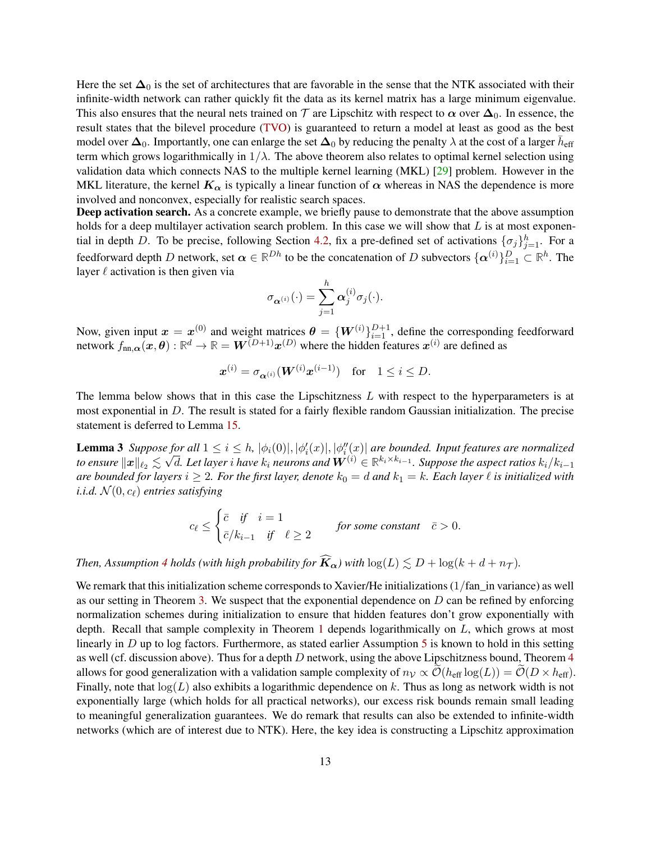Here the set  $\Delta_0$  is the set of architectures that are favorable in the sense that the NTK associated with their infinite-width network can rather quickly fit the data as its kernel matrix has a large minimum eigenvalue. This also ensures that the neural nets trained on  $\tau$  are Lipschitz with respect to  $\alpha$  over  $\Delta_0$ . In essence, the result states that the bilevel procedure [\(TVO\)](#page-3-1) is guaranteed to return a model at least as good as the best model over  $\Delta_0$ . Importantly, one can enlarge the set  $\Delta_0$  by reducing the penalty  $\lambda$  at the cost of a larger  $\bar{h}_{\text{eff}}$ term which grows logarithmically in  $1/\lambda$ . The above theorem also relates to optimal kernel selection using validation data which connects NAS to the multiple kernel learning (MKL) [\[29\]](#page-21-4) problem. However in the MKL literature, the kernel  $K_{\alpha}$  is typically a linear function of  $\alpha$  whereas in NAS the dependence is more involved and nonconvex, especially for realistic search spaces.

Deep activation search. As a concrete example, we briefly pause to demonstrate that the above assumption holds for a deep multilayer activation search problem. In this case we will show that  $L$  is at most exponen-tial in depth D. To be precise, following Section [4.2,](#page-8-0) fix a pre-defined set of activations  $\{\sigma_j\}_{j=1}^h$ . For a feedforward depth D network, set  $\alpha \in \mathbb{R}^{Dh}$  to be the concatenation of D subvectors  $\{\alpha^{(i)}\}_{i=1}^D \subset \mathbb{R}^h$ . The layer  $\ell$  activation is then given via

$$
\sigma_{\boldsymbol{\alpha}^{(i)}}(\cdot)=\sum_{j=1}^h\boldsymbol{\alpha}_j^{(i)}\sigma_j(\cdot).
$$

Now, given input  $x = x^{(0)}$  and weight matrices  $\theta = \{W^{(i)}\}_{i=1}^{D+1}$ , define the corresponding feedforward network  $f_{nn,\alpha}(x,\theta):\mathbb{R}^d\to\mathbb{R}=W^{(D+1)}x^{(D)}$  where the hidden features  $x^{(i)}$  are defined as

<span id="page-12-0"></span>
$$
\boldsymbol{x}^{(i)} = \sigma_{\boldsymbol{\alpha}^{(i)}}(\boldsymbol{W}^{(i)}\boldsymbol{x}^{(i-1)}) \quad \text{for} \quad 1 \leq i \leq D.
$$

The lemma below shows that in this case the Lipschitzness  $L$  with respect to the hyperparameters is at most exponential in D. The result is stated for a fairly flexible random Gaussian initialization. The precise statement is deferred to Lemma [15.](#page-44-0)

**Lemma 3** Suppose for all  $1 \leq i \leq h$ ,  $|\phi_i(0)|$ ,  $|\phi'_i(x)|$ ,  $|\phi''_i(x)|$  are bounded. Input features are normalized to ensure  $\|\bm x\|_{\ell_2}\lesssim \sqrt{d}$ . Let layer  $i$  have  $k_i$  neurons and  $\bm W^{(i)}\in\mathbb R^{k_i\times k_{i-1}}$ . Suppose the aspect ratios  $k_i/k_{i-1}$ *are bounded for layers*  $i \geq 2$ *. For the first layer, denote*  $k_0 = d$  *and*  $k_1 = k$ *. Each layer*  $\ell$  *is initialized with i.i.d.*  $\mathcal{N}(0, c_{\ell})$  *entries satisfying* 

$$
c_{\ell} \le \begin{cases} \bar{c} & \text{if } i = 1 \\ \bar{c}/k_{i-1} & \text{if } \ell \ge 2 \end{cases}
$$
 for some constant  $\bar{c} > 0$ .

*Then, Assumption* [4](#page-11-1) *holds (with high probability for*  $\widehat{K}_{\alpha}$ ) with  $\log(L) \le D + \log(k + d + n_{\mathcal{T}})$ .

We remark that this initialization scheme corresponds to Xavier/He initializations (1/fan\_in variance) as well as our setting in Theorem [3.](#page-9-0) We suspect that the exponential dependence on D can be refined by enforcing normalization schemes during initialization to ensure that hidden features don't grow exponentially with depth. Recall that sample complexity in Theorem [1](#page-4-4) depends logarithmically on L, which grows at most linearly in  $D$  up to log factors. Furthermore, as stated earlier Assumption [5](#page-11-2) is known to hold in this setting as well (cf. discussion above). Thus for a depth  $D$  network, using the above Lipschitzness bound, Theorem  $4$ allows for good generalization with a validation sample complexity of  $n<sub>V</sub> \propto \mathcal{O}(h_{\text{eff}} \log(L)) = \mathcal{O}(D \times h_{\text{eff}})$ . Finally, note that  $log(L)$  also exhibits a logarithmic dependence on k. Thus as long as network width is not exponentially large (which holds for all practical networks), our excess risk bounds remain small leading to meaningful generalization guarantees. We do remark that results can also be extended to infinite-width networks (which are of interest due to NTK). Here, the key idea is constructing a Lipschitz approximation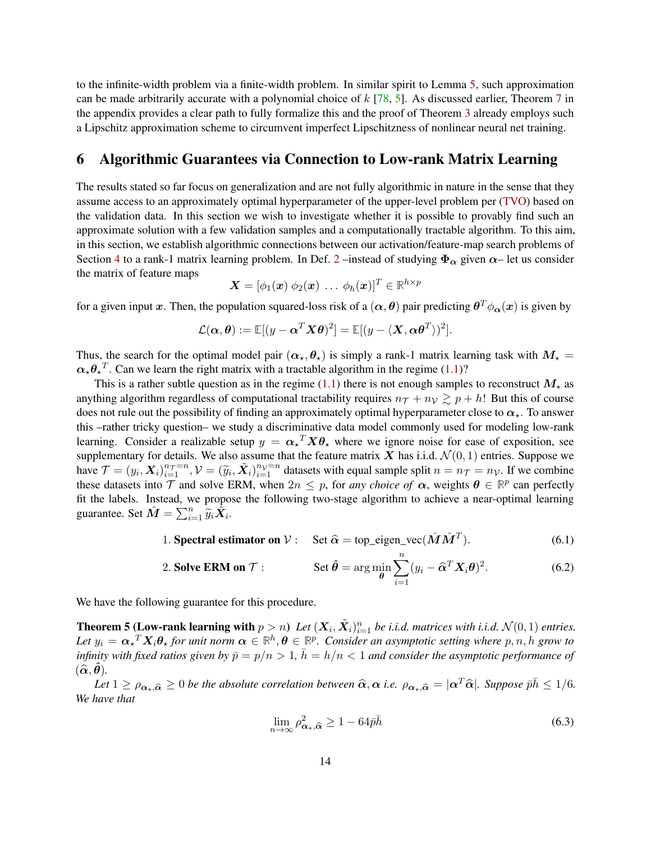to the infinite-width problem via a finite-width problem. In similar spirit to Lemma [5,](#page-11-2) such approximation can be made arbitrarily accurate with a polynomial choice of  $k$  [\[78,](#page-24-1) [5\]](#page-20-4). As discussed earlier, Theorem [7](#page-29-0) in the appendix provides a clear path to fully formalize this and the proof of Theorem [3](#page-9-0) already employs such a Lipschitz approximation scheme to circumvent imperfect Lipschitzness of nonlinear neural net training.

## <span id="page-13-0"></span>6 Algorithmic Guarantees via Connection to Low-rank Matrix Learning

The results stated so far focus on generalization and are not fully algorithmic in nature in the sense that they assume access to an approximately optimal hyperparameter of the upper-level problem per [\(TVO\)](#page-3-1) based on the validation data. In this section we wish to investigate whether it is possible to provably find such an approximate solution with a few validation samples and a computationally tractable algorithm. To this aim, in this section, we establish algorithmic connections between our activation/feature-map search problems of Section [4](#page-7-0) to a rank-1 matrix learning problem. In Def. [2](#page-7-4) –instead of studying  $\Phi_{\alpha}$  given  $\alpha$ – let us consider the matrix of feature maps

$$
\bm{X} = [\phi_1(\bm{x}) \ \phi_2(\bm{x}) \ \dots \ \phi_h(\bm{x})]^T \in \mathbb{R}^{h \times p}
$$

for a given input  $x.$  Then, the population squared-loss risk of a  $(\alpha,\theta)$  pair predicting  $\theta^T\phi_{\alpha}(x)$  is given by

$$
\mathcal{L}(\boldsymbol{\alpha},\boldsymbol{\theta}) := \mathbb{E}[(y - \boldsymbol{\alpha}^T \boldsymbol{X} \boldsymbol{\theta})^2] = \mathbb{E}[(y - \langle \boldsymbol{X}, \boldsymbol{\alpha} \boldsymbol{\theta}^T \rangle)^2].
$$

Thus, the search for the optimal model pair  $(\alpha_{\star}, \theta_{\star})$  is simply a rank-1 matrix learning task with  $M_{\star}$  =  $\alpha_{\star} \theta_{\star}^T$ . Can we learn the right matrix with a tractable algorithm in the regime [\(1.1\)](#page-1-1)?

This is a rather subtle question as in the regime [\(1.1\)](#page-1-1) there is not enough samples to reconstruct  $M_{\star}$  as anything algorithm regardless of computational tractability requires  $n<sub>T</sub> + n<sub>V</sub> \gtrsim p + h!$  But this of course does not rule out the possibility of finding an approximately optimal hyperparameter close to  $\alpha_{\star}$ . To answer this –rather tricky question– we study a discriminative data model commonly used for modeling low-rank learning. Consider a realizable setup  $y = \alpha_x^T X \theta_x$  where we ignore noise for ease of exposition, see supplementary for details. We also assume that the feature matrix X has i.i.d.  $\mathcal{N}(0, 1)$  entries. Suppose we have  $\mathcal{T} = (y_i, \mathbf{X}_i)_{i=1}^{n_{\mathcal{T}}=n}$ ,  $\mathcal{V} = (\tilde{y}_i, \tilde{\mathbf{X}}_i)_{i=1}^{n_{\mathcal{V}}=n}$  datasets with equal sample split  $n = n_{\mathcal{T}} = n_{\mathcal{V}}$ . If we combine these datasets into  $\mathcal{T}$  and solve ERM, when  $2n \leq p$ , for *any choice of*  $\alpha$ , weights  $\theta \in \mathbb{R}^p$  can perfectly fit the labels. Instead, we propose the following two-stage algorithm to achieve a near-optimal learning guarantee. Set  $\hat{M} = \sum_{i=1}^{n} \tilde{y}_i \tilde{X}_i$ .

1. Spectral estimator on 
$$
V
$$
: Set  $\hat{\alpha} = \text{top\_eigen\_vec}(\hat{M}\hat{M}^T)$ . (6.1)

2. Solve **ERM on** 
$$
\mathcal{T}
$$
: Set  $\hat{\theta} = \arg \min_{\theta} \sum_{i=1}^{n} (y_i - \hat{\alpha}^T X_i \theta)^2$ . (6.2)

<span id="page-13-2"></span>We have the following guarantee for this procedure.

**Theorem 5 (Low-rank learning with**  $p > n$ ) Let  $(X_i, \tilde{X}_i)_{i=1}^n$  be i.i.d. matrices with i.i.d.  $\mathcal{N}(0, 1)$  entries. Let  $y_i = \alpha_*^T X_i \theta_*$  for unit norm  $\alpha \in \mathbb{R}^h, \theta \in \mathbb{R}^p$ . Consider an asymptotic setting where  $p, n, h$  grow to *infinity with fixed ratios given by*  $\bar{p} = p/n > 1$ ,  $\bar{h} = h/n < 1$  *and consider the asymptotic performance of*  $(\widehat{\boldsymbol{\alpha}}, \widehat{\boldsymbol{\theta}})$ .

*Let*  $1 \ge \rho_{\alpha,\alpha} \ge 0$  *be the absolute correlation between*  $\hat{\alpha}, \alpha$  *i.e.*  $\rho_{\alpha,\alpha} = |\alpha^T \hat{\alpha}|$ *. Suppose*  $\bar{p}\bar{h} \le 1/6$ *. We have that*

<span id="page-13-4"></span><span id="page-13-3"></span><span id="page-13-1"></span>
$$
\lim_{n \to \infty} \rho_{\alpha_\star, \widehat{\alpha}}^2 \ge 1 - 64 \bar{p} \bar{h} \tag{6.3}
$$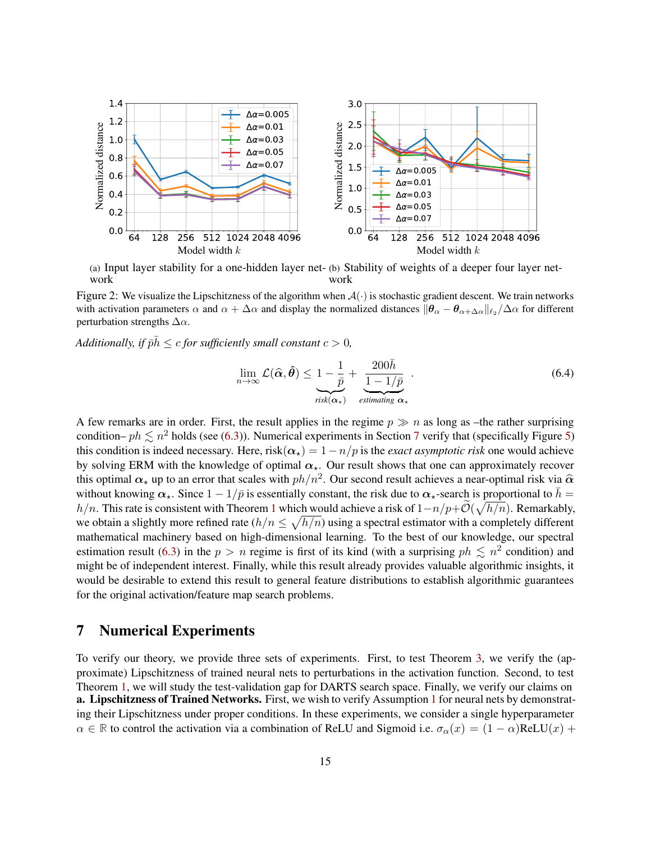<span id="page-14-1"></span>

<span id="page-14-2"></span>(a) Input layer stability for a one-hidden layer net-(b) Stability of weights of a deeper four layer network work

Figure 2: We visualize the Lipschitzness of the algorithm when  $A(\cdot)$  is stochastic gradient descent. We train networks with activation parameters  $\alpha$  and  $\alpha + \Delta \alpha$  and display the normalized distances  $\|\theta_{\alpha} - \theta_{\alpha + \Delta \alpha}\|_{\ell_2}/\Delta \alpha$  for different perturbation strengths  $\Delta \alpha$ .

*Additionally, if*  $\bar{p}\bar{h} \leq c$  *for sufficiently small constant*  $c > 0$ *,* 

<span id="page-14-4"></span><span id="page-14-3"></span>
$$
\lim_{n \to \infty} \mathcal{L}(\widehat{\alpha}, \widehat{\theta}) \leq \underbrace{1 - \frac{1}{\bar{p}}}_{\text{risk}(\alpha_{\star})} + \underbrace{\frac{200\bar{h}}{1 - 1/\bar{p}}}_{\text{estimating } \alpha_{\star}}.
$$
\n(6.4)

A few remarks are in order. First, the result applies in the regime  $p \gg n$  as long as –the rather surprising condition–  $ph \lesssim n^2$  holds (see [\(6.3\)](#page-13-1)). Numerical experiments in Section [7](#page-14-0) verify that (specifically Figure [5\)](#page-17-0) this condition is indeed necessary. Here,  $risk(\alpha_\star) = 1 - n/p$  is the *exact asymptotic risk* one would achieve by solving ERM with the knowledge of optimal  $\alpha_{\star}$ . Our result shows that one can approximately recover this optimal  $\alpha_{\star}$  up to an error that scales with  $ph/n^2$ . Our second result achieves a near-optimal risk via  $\hat{\alpha}$ <br>without leaving  $\alpha_{\star}$ . Since  $1 - 1/\bar{\alpha}$  is essentially constant, the risk due to  $\alpha_{\star}$  search without knowing  $\alpha_{\star}$ . Since  $1 - 1/\bar{p}$  is essentially constant, the risk due to  $\alpha_{\star}$ -search is proportional to  $\bar{h} =$ h/n. This rate is consistent with Theorem [1](#page-4-4) which would achieve a risk of  $1-n/p+\widetilde{\mathcal{O}}(\sqrt{h/n})$ . Remarkably, we obtain a slightly more refined rate  $(h/n \leq \sqrt{h/n})$  using a spectral estimator with a completely different mathematical machinery based on high-dimensional learning. To the best of our knowledge, our spectral estimation result [\(6.3\)](#page-13-1) in the  $p > n$  regime is first of its kind (with a surprising  $ph \leq n^2$  condition) and might be of independent interest. Finally, while this result already provides valuable algorithmic insights, it would be desirable to extend this result to general feature distributions to establish algorithmic guarantees for the original activation/feature map search problems.

# <span id="page-14-0"></span>7 Numerical Experiments

To verify our theory, we provide three sets of experiments. First, to test Theorem [3,](#page-9-0) we verify the (approximate) Lipschitzness of trained neural nets to perturbations in the activation function. Second, to test Theorem [1,](#page-4-4) we will study the test-validation gap for DARTS search space. Finally, we verify our claims on a. Lipschitzness of Trained Networks. First, we wish to verify Assumption [1](#page-4-2) for neural nets by demonstrating their Lipschitzness under proper conditions. In these experiments, we consider a single hyperparameter  $\alpha \in \mathbb{R}$  to control the activation via a combination of ReLU and Sigmoid i.e.  $\sigma_{\alpha}(x) = (1 - \alpha)$ ReLU $(x)$  +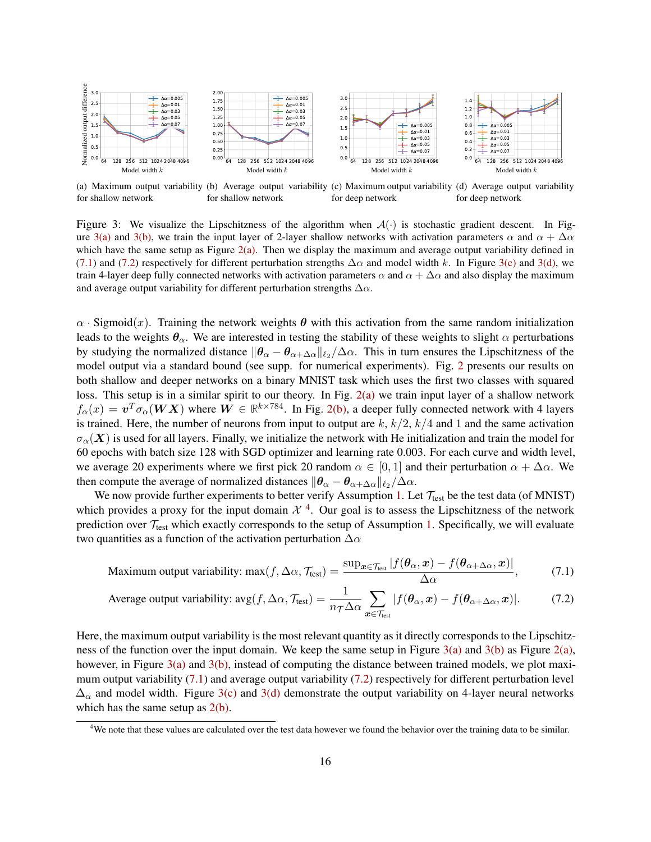<span id="page-15-0"></span>

<span id="page-15-5"></span><span id="page-15-4"></span><span id="page-15-1"></span>(a) Maximum output variability (b) Average output variability (c) Maximum output variability (d) Average output variability for shallow network for shallow network for deep network for deep network

Figure 3: We visualize the Lipschitzness of the algorithm when  $A(\cdot)$  is stochastic gradient descent. In Fig-ure [3\(a\)](#page-15-0) and [3\(b\),](#page-15-1) we train the input layer of 2-layer shallow networks with activation parameters  $\alpha$  and  $\alpha + \Delta \alpha$ which have the same setup as Figure  $2(a)$ . Then we display the maximum and average output variability defined in [\(7.1\)](#page-15-2) and [\(7.2\)](#page-15-3) respectively for different perturbation strengths  $\Delta \alpha$  and model width k. In Figure [3\(c\)](#page-15-4) and [3\(d\),](#page-15-5) we train 4-layer deep fully connected networks with activation parameters  $\alpha$  and  $\alpha + \Delta \alpha$  and also display the maximum and average output variability for different perturbation strengths  $\Delta \alpha$ .

 $\alpha$  · Sigmoid(x). Training the network weights  $\theta$  with this activation from the same random initialization leads to the weights  $\theta_{\alpha}$ . We are interested in testing the stability of these weights to slight  $\alpha$  perturbations by studying the normalized distance  $\|\theta_\alpha - \theta_{\alpha+\Delta\alpha}\|_{\ell_2}/\Delta\alpha$ . This in turn ensures the Lipschitzness of the model output via a standard bound (see supp. for numerical experiments). Fig. [2](#page-14-2) presents our results on both shallow and deeper networks on a binary MNIST task which uses the first two classes with squared loss. This setup is in a similar spirit to our theory. In Fig. [2\(a\)](#page-14-1) we train input layer of a shallow network  $f_\alpha(x) = \bm{v}^T \sigma_\alpha(\bm{W} \bm{X})$  where  $\bm{W} \in \mathbb{R}^{k \times 784}$ . In Fig. [2\(b\),](#page-14-3) a deeper fully connected network with 4 layers is trained. Here, the number of neurons from input to output are  $k, k/2, k/4$  and 1 and the same activation  $\sigma_{\alpha}(\bm{X})$  is used for all layers. Finally, we initialize the network with He initialization and train the model for 60 epochs with batch size 128 with SGD optimizer and learning rate 0.003. For each curve and width level, we average 20 experiments where we first pick 20 random  $\alpha \in [0, 1]$  and their perturbation  $\alpha + \Delta \alpha$ . We then compute the average of normalized distances  $\|\bm{\theta}_\alpha - \bm{\theta}_{\alpha+\Delta\alpha}\|_{\ell_2}/\Delta\alpha$ .

We now provide further experiments to better verify Assumption [1.](#page-4-2) Let  $\mathcal{T}_{\text{test}}$  be the test data (of MNIST) which provides a proxy for the input domain  $\mathcal{X}^4$  $\mathcal{X}^4$ . Our goal is to assess the Lipschitzness of the network prediction over  $\mathcal{T}_{\text{test}}$  which exactly corresponds to the setup of Assumption [1.](#page-4-2) Specifically, we will evaluate two quantities as a function of the activation perturbation  $\Delta \alpha$ 

<span id="page-15-2"></span>Maximum output variability: 
$$
\max(f, \Delta \alpha, \mathcal{T}_{\text{test}}) = \frac{\sup_{\bm{x} \in \mathcal{T}_{\text{test}}} |f(\bm{\theta}_{\alpha}, \bm{x}) - f(\bm{\theta}_{\alpha + \Delta \alpha}, \bm{x})|}{\Delta \alpha},
$$
 (7.1)

<span id="page-15-3"></span>Average output variability: 
$$
\text{avg}(f, \Delta\alpha, \mathcal{T}_{\text{test}}) = \frac{1}{n_{\mathcal{T}}\Delta\alpha} \sum_{\mathbf{x} \in \mathcal{T}_{\text{test}}} |f(\boldsymbol{\theta}_{\alpha}, \mathbf{x}) - f(\boldsymbol{\theta}_{\alpha + \Delta\alpha}, \mathbf{x})|.
$$
 (7.2)

Here, the maximum output variability is the most relevant quantity as it directly corresponds to the Lipschitz-ness of the function over the input domain. We keep the same setup in Figure [3\(a\)](#page-15-0) and [3\(b\)](#page-15-1) as Figure [2\(a\),](#page-14-1) however, in Figure [3\(a\)](#page-15-0) and [3\(b\),](#page-15-1) instead of computing the distance between trained models, we plot maximum output variability [\(7.1\)](#page-15-2) and average output variability [\(7.2\)](#page-15-3) respectively for different perturbation level  $\Delta_{\alpha}$  and model width. Figure [3\(c\)](#page-15-4) and [3\(d\)](#page-15-5) demonstrate the output variability on 4-layer neural networks which has the same setup as  $2(b)$ .

<span id="page-15-6"></span><sup>&</sup>lt;sup>4</sup>We note that these values are calculated over the test data however we found the behavior over the training data to be similar.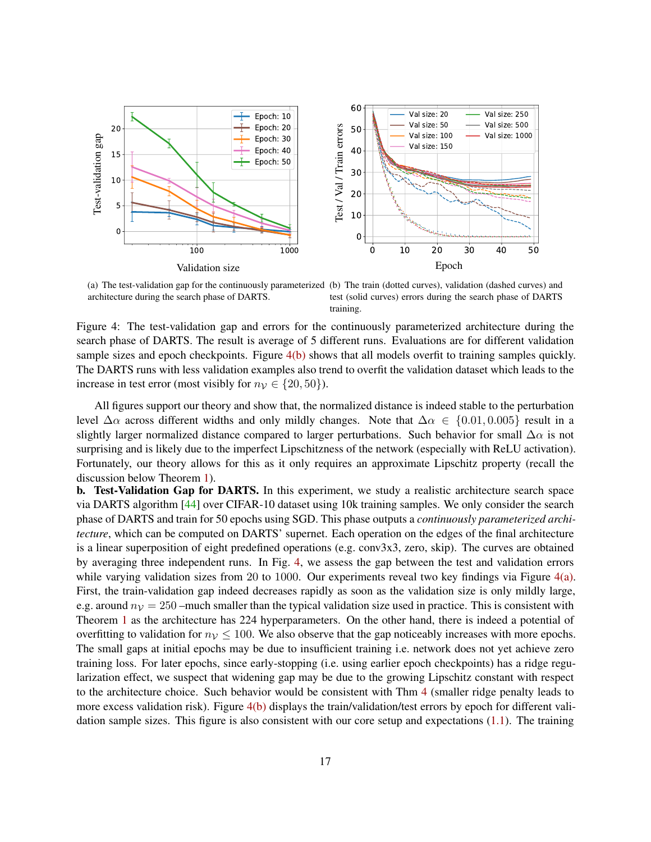<span id="page-16-2"></span>

(a) The test-validation gap for the continuously parameterized (b) The train (dotted curves), validation (dashed curves) and architecture during the search phase of DARTS.

<span id="page-16-0"></span>test (solid curves) errors during the search phase of DARTS training.

<span id="page-16-1"></span>Figure 4: The test-validation gap and errors for the continuously parameterized architecture during the search phase of DARTS. The result is average of 5 different runs. Evaluations are for different validation sample sizes and epoch checkpoints. Figure [4\(b\)](#page-16-0) shows that all models overfit to training samples quickly. The DARTS runs with less validation examples also trend to overfit the validation dataset which leads to the increase in test error (most visibly for  $n<sub>V</sub> \in \{20, 50\}$ ).

All figures support our theory and show that, the normalized distance is indeed stable to the perturbation level  $\Delta \alpha$  across different widths and only mildly changes. Note that  $\Delta \alpha \in \{0.01, 0.005\}$  result in a slightly larger normalized distance compared to larger perturbations. Such behavior for small  $\Delta \alpha$  is not surprising and is likely due to the imperfect Lipschitzness of the network (especially with ReLU activation). Fortunately, our theory allows for this as it only requires an approximate Lipschitz property (recall the discussion below Theorem [1\)](#page-4-4).

b. Test-Validation Gap for DARTS. In this experiment, we study a realistic architecture search space via DARTS algorithm [\[44\]](#page-22-0) over CIFAR-10 dataset using 10k training samples. We only consider the search phase of DARTS and train for 50 epochs using SGD. This phase outputs a *continuously parameterized architecture*, which can be computed on DARTS' supernet. Each operation on the edges of the final architecture is a linear superposition of eight predefined operations (e.g. conv3x3, zero, skip). The curves are obtained by averaging three independent runs. In Fig. [4,](#page-16-1) we assess the gap between the test and validation errors while varying validation sizes from 20 to 1000. Our experiments reveal two key findings via Figure  $4(a)$ . First, the train-validation gap indeed decreases rapidly as soon as the validation size is only mildly large, e.g. around  $n<sub>V</sub> = 250$  –much smaller than the typical validation size used in practice. This is consistent with Theorem [1](#page-4-4) as the architecture has 224 hyperparameters. On the other hand, there is indeed a potential of overfitting to validation for  $n<sub>V</sub> \le 100$ . We also observe that the gap noticeably increases with more epochs. The small gaps at initial epochs may be due to insufficient training i.e. network does not yet achieve zero training loss. For later epochs, since early-stopping (i.e. using earlier epoch checkpoints) has a ridge regularization effect, we suspect that widening gap may be due to the growing Lipschitz constant with respect to the architecture choice. Such behavior would be consistent with Thm [4](#page-11-0) (smaller ridge penalty leads to more excess validation risk). Figure [4\(b\)](#page-16-0) displays the train/validation/test errors by epoch for different validation sample sizes. This figure is also consistent with our core setup and expectations [\(1.1\)](#page-1-1). The training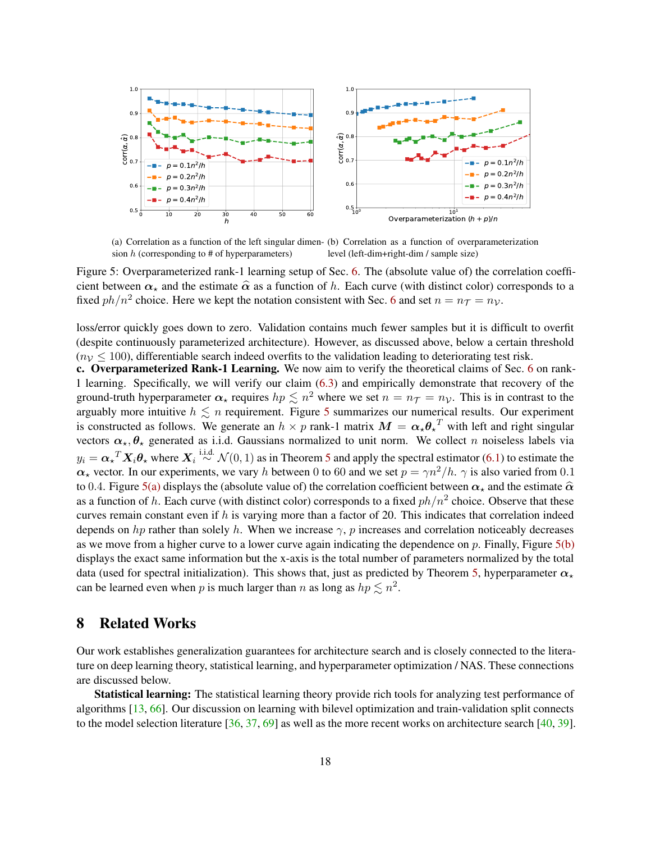<span id="page-17-1"></span>

<span id="page-17-2"></span><span id="page-17-0"></span>(a) Correlation as a function of the left singular dimen-(b) Correlation as a function of overparameterization sion  $h$  (corresponding to  $\#$  of hyperparameters) level (left-dim+right-dim / sample size)

Figure 5: Overparameterized rank-1 learning setup of Sec. [6.](#page-13-0) The (absolute value of) the correlation coefficient between  $\alpha_{\star}$  and the estimate  $\hat{\alpha}$  as a function of h. Each curve (with distinct color) corresponds to a fixed  $ph/n^2$  choice. Here we kept the notation consistent with Sec. [6](#page-13-0) and set  $n = n<sub>T</sub> = n<sub>V</sub>$ .

loss/error quickly goes down to zero. Validation contains much fewer samples but it is difficult to overfit (despite continuously parameterized architecture). However, as discussed above, below a certain threshold  $(n<sub>V</sub> \le 100)$ , differentiable search indeed overfits to the validation leading to deteriorating test risk.

c. Overparameterized Rank-1 Learning. We now aim to verify the theoretical claims of Sec. [6](#page-13-0) on rank-1 learning. Specifically, we will verify our claim [\(6.3\)](#page-13-1) and empirically demonstrate that recovery of the ground-truth hyperparameter  $\alpha_{\star}$  requires  $hp \lesssim n^2$  where we set  $n = n\tau = n_{\mathcal{V}}$ . This is in contrast to the arguably more intuitive  $h \leq n$  requirement. Figure [5](#page-17-0) summarizes our numerical results. Our experiment is constructed as follows. We generate an  $h \times p$  rank-1 matrix  $M = \alpha_{\star} \theta_{\star}^T$  with left and right singular vectors  $\alpha_{\star}, \theta_{\star}$  generated as i.i.d. Gaussians normalized to unit norm. We collect n noiseless labels via  $y_i = \alpha_x^T X_i \theta_x$  where  $X_i \stackrel{i.i.d.}{\sim} \mathcal{N}(0,1)$  as in Theorem [5](#page-13-2) and apply the spectral estimator [\(6.1\)](#page-13-3) to estimate the  $\alpha_{\star}$  vector. In our experiments, we vary h between 0 to 60 and we set  $p = \gamma n^2/h$ .  $\gamma$  is also varied from 0.1 to 0.4. Figure [5\(a\)](#page-17-1) displays the (absolute value of) the correlation coefficient between  $\alpha_{\star}$  and the estimate  $\hat{\alpha}$ as a function of h. Each curve (with distinct color) corresponds to a fixed  $ph/n^2$  choice. Observe that these curves remain constant even if  $h$  is varying more than a factor of 20. This indicates that correlation indeed depends on hp rather than solely h. When we increase  $\gamma$ , p increases and correlation noticeably decreases as we move from a higher curve to a lower curve again indicating the dependence on  $p$ . Finally, Figure  $5(b)$ displays the exact same information but the x-axis is the total number of parameters normalized by the total data (used for spectral initialization). This shows that, just as predicted by Theorem [5,](#page-13-2) hyperparameter  $\alpha_{\star}$ can be learned even when p is much larger than n as long as  $hp \lesssim n^2$ .

# 8 Related Works

Our work establishes generalization guarantees for architecture search and is closely connected to the literature on deep learning theory, statistical learning, and hyperparameter optimization / NAS. These connections are discussed below.

Statistical learning: The statistical learning theory provide rich tools for analyzing test performance of algorithms [\[13,](#page-20-0) [66\]](#page-23-3). Our discussion on learning with bilevel optimization and train-validation split connects to the model selection literature  $[36, 37, 69]$  $[36, 37, 69]$  $[36, 37, 69]$  $[36, 37, 69]$  $[36, 37, 69]$  as well as the more recent works on architecture search  $[40, 39]$  $[40, 39]$  $[40, 39]$ .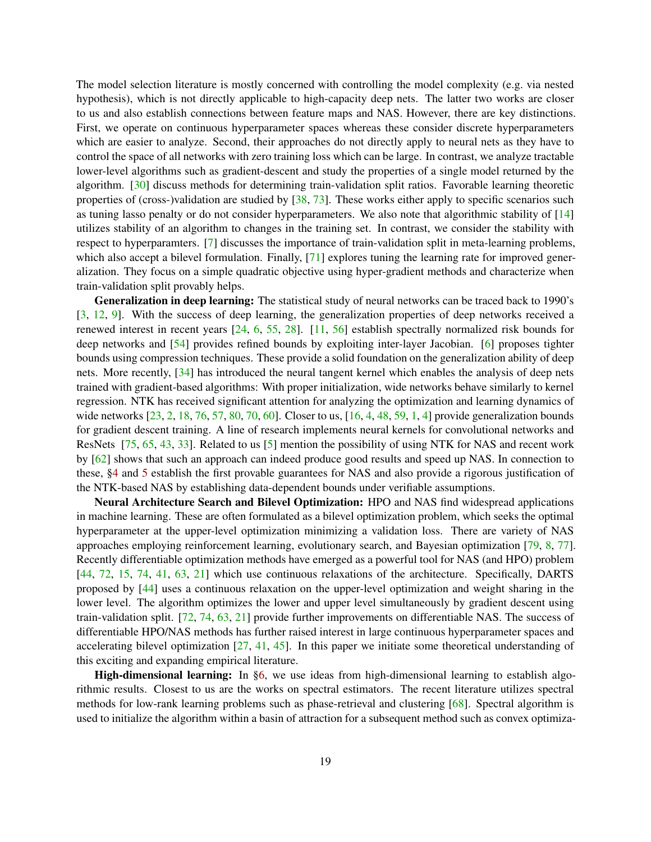The model selection literature is mostly concerned with controlling the model complexity (e.g. via nested hypothesis), which is not directly applicable to high-capacity deep nets. The latter two works are closer to us and also establish connections between feature maps and NAS. However, there are key distinctions. First, we operate on continuous hyperparameter spaces whereas these consider discrete hyperparameters which are easier to analyze. Second, their approaches do not directly apply to neural nets as they have to control the space of all networks with zero training loss which can be large. In contrast, we analyze tractable lower-level algorithms such as gradient-descent and study the properties of a single model returned by the algorithm. [\[30\]](#page-21-7) discuss methods for determining train-validation split ratios. Favorable learning theoretic properties of (cross-)validation are studied by [\[38,](#page-22-3) [73\]](#page-24-3). These works either apply to specific scenarios such as tuning lasso penalty or do not consider hyperparameters. We also note that algorithmic stability of [\[14\]](#page-20-6) utilizes stability of an algorithm to changes in the training set. In contrast, we consider the stability with respect to hyperparamters. [\[7\]](#page-20-7) discusses the importance of train-validation split in meta-learning problems, which also accept a bilevel formulation. Finally, [\[71\]](#page-24-4) explores tuning the learning rate for improved generalization. They focus on a simple quadratic objective using hyper-gradient methods and characterize when train-validation split provably helps.

Generalization in deep learning: The statistical study of neural networks can be traced back to 1990's [\[3,](#page-19-0) [12,](#page-20-8) [9\]](#page-20-9). With the success of deep learning, the generalization properties of deep networks received a renewed interest in recent years [\[24,](#page-21-8) [6,](#page-20-10) [55,](#page-23-4) [28\]](#page-21-9). [\[11,](#page-20-11) [56\]](#page-23-5) establish spectrally normalized risk bounds for deep networks and [\[54\]](#page-23-6) provides refined bounds by exploiting inter-layer Jacobian. [\[6\]](#page-20-10) proposes tighter bounds using compression techniques. These provide a solid foundation on the generalization ability of deep nets. More recently, [\[34\]](#page-21-5) has introduced the neural tangent kernel which enables the analysis of deep nets trained with gradient-based algorithms: With proper initialization, wide networks behave similarly to kernel regression. NTK has received significant attention for analyzing the optimization and learning dynamics of wide networks [\[23,](#page-21-10) [2,](#page-19-1) [18,](#page-20-12) [76,](#page-24-5) [57,](#page-23-7) [80,](#page-24-6) [70,](#page-24-7) [60\]](#page-23-8). Closer to us, [\[16,](#page-20-3) [4,](#page-20-1) [48,](#page-22-11) [59,](#page-23-9) [1,](#page-19-2) [4\]](#page-20-1) provide generalization bounds for gradient descent training. A line of research implements neural kernels for convolutional networks and ResNets [\[75,](#page-24-8) [65,](#page-23-10) [43,](#page-22-12) [33\]](#page-21-11). Related to us [\[5\]](#page-20-4) mention the possibility of using NTK for NAS and recent work by [\[62\]](#page-23-11) shows that such an approach can indeed produce good results and speed up NAS. In connection to these, [§4](#page-7-0) and [5](#page-10-0) establish the first provable guarantees for NAS and also provide a rigorous justification of the NTK-based NAS by establishing data-dependent bounds under verifiable assumptions.

Neural Architecture Search and Bilevel Optimization: HPO and NAS find widespread applications in machine learning. These are often formulated as a bilevel optimization problem, which seeks the optimal hyperparameter at the upper-level optimization minimizing a validation loss. There are variety of NAS approaches employing reinforcement learning, evolutionary search, and Bayesian optimization [\[79,](#page-24-9) [8,](#page-20-13) [77\]](#page-24-10). Recently differentiable optimization methods have emerged as a powerful tool for NAS (and HPO) problem [\[44,](#page-22-0) [72,](#page-24-11) [15,](#page-20-14) [74,](#page-24-12) [41,](#page-22-7) [63,](#page-23-2) [21\]](#page-21-12) which use continuous relaxations of the architecture. Specifically, DARTS proposed by [\[44\]](#page-22-0) uses a continuous relaxation on the upper-level optimization and weight sharing in the lower level. The algorithm optimizes the lower and upper level simultaneously by gradient descent using train-validation split. [\[72,](#page-24-11) [74,](#page-24-12) [63,](#page-23-2) [21\]](#page-21-12) provide further improvements on differentiable NAS. The success of differentiable HPO/NAS methods has further raised interest in large continuous hyperparameter spaces and accelerating bilevel optimization [\[27,](#page-21-1) [41,](#page-22-7) [45\]](#page-22-1). In this paper we initiate some theoretical understanding of this exciting and expanding empirical literature.

High-dimensional learning: In [§6,](#page-13-0) we use ideas from high-dimensional learning to establish algorithmic results. Closest to us are the works on spectral estimators. The recent literature utilizes spectral methods for low-rank learning problems such as phase-retrieval and clustering [\[68\]](#page-24-13). Spectral algorithm is used to initialize the algorithm within a basin of attraction for a subsequent method such as convex optimiza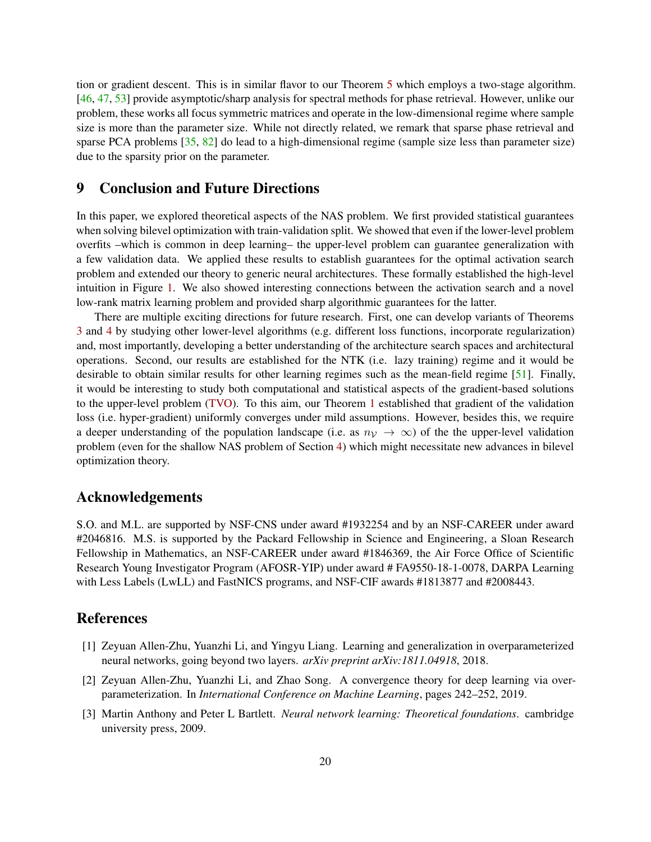tion or gradient descent. This is in similar flavor to our Theorem [5](#page-13-2) which employs a two-stage algorithm. [\[46,](#page-22-13) [47,](#page-22-14) [53\]](#page-23-12) provide asymptotic/sharp analysis for spectral methods for phase retrieval. However, unlike our problem, these works all focus symmetric matrices and operate in the low-dimensional regime where sample size is more than the parameter size. While not directly related, we remark that sparse phase retrieval and sparse PCA problems [\[35,](#page-21-13) [82\]](#page-24-14) do lead to a high-dimensional regime (sample size less than parameter size) due to the sparsity prior on the parameter.

# 9 Conclusion and Future Directions

In this paper, we explored theoretical aspects of the NAS problem. We first provided statistical guarantees when solving bilevel optimization with train-validation split. We showed that even if the lower-level problem overfits –which is common in deep learning– the upper-level problem can guarantee generalization with a few validation data. We applied these results to establish guarantees for the optimal activation search problem and extended our theory to generic neural architectures. These formally established the high-level intuition in Figure [1.](#page-1-0) We also showed interesting connections between the activation search and a novel low-rank matrix learning problem and provided sharp algorithmic guarantees for the latter.

There are multiple exciting directions for future research. First, one can develop variants of Theorems [3](#page-9-0) and [4](#page-11-0) by studying other lower-level algorithms (e.g. different loss functions, incorporate regularization) and, most importantly, developing a better understanding of the architecture search spaces and architectural operations. Second, our results are established for the NTK (i.e. lazy training) regime and it would be desirable to obtain similar results for other learning regimes such as the mean-field regime [\[51\]](#page-22-15). Finally, it would be interesting to study both computational and statistical aspects of the gradient-based solutions to the upper-level problem [\(TVO\)](#page-3-1). To this aim, our Theorem [1](#page-4-4) established that gradient of the validation loss (i.e. hyper-gradient) uniformly converges under mild assumptions. However, besides this, we require a deeper understanding of the population landscape (i.e. as  $n<sub>V</sub> \rightarrow \infty$ ) of the the upper-level validation problem (even for the shallow NAS problem of Section [4\)](#page-7-0) which might necessitate new advances in bilevel optimization theory.

### Acknowledgements

S.O. and M.L. are supported by NSF-CNS under award #1932254 and by an NSF-CAREER under award #2046816. M.S. is supported by the Packard Fellowship in Science and Engineering, a Sloan Research Fellowship in Mathematics, an NSF-CAREER under award #1846369, the Air Force Office of Scientific Research Young Investigator Program (AFOSR-YIP) under award # FA9550-18-1-0078, DARPA Learning with Less Labels (LwLL) and FastNICS programs, and NSF-CIF awards #1813877 and #2008443.

# References

- <span id="page-19-2"></span>[1] Zeyuan Allen-Zhu, Yuanzhi Li, and Yingyu Liang. Learning and generalization in overparameterized neural networks, going beyond two layers. *arXiv preprint arXiv:1811.04918*, 2018.
- <span id="page-19-1"></span>[2] Zeyuan Allen-Zhu, Yuanzhi Li, and Zhao Song. A convergence theory for deep learning via overparameterization. In *International Conference on Machine Learning*, pages 242–252, 2019.
- <span id="page-19-0"></span>[3] Martin Anthony and Peter L Bartlett. *Neural network learning: Theoretical foundations*. cambridge university press, 2009.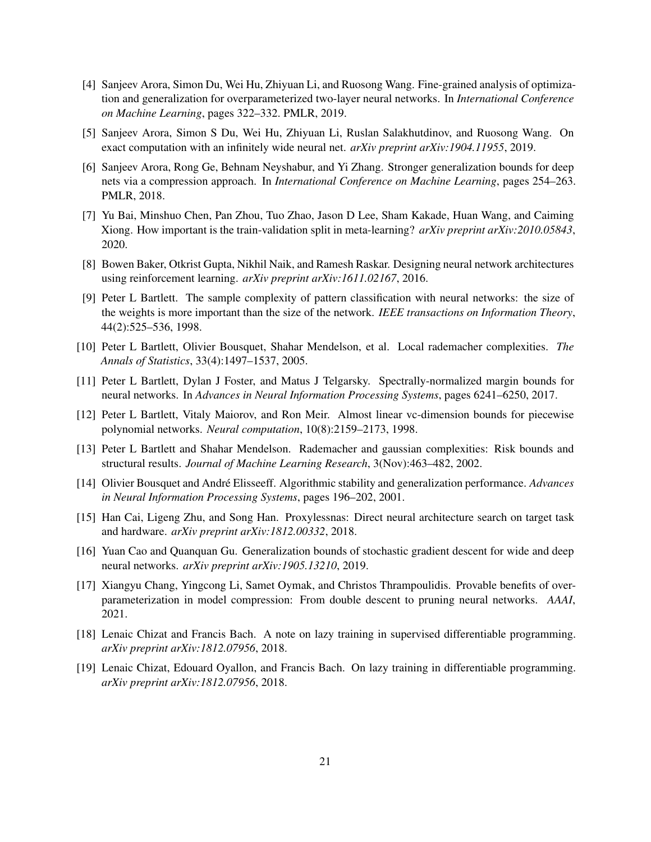- <span id="page-20-1"></span>[4] Sanjeev Arora, Simon Du, Wei Hu, Zhiyuan Li, and Ruosong Wang. Fine-grained analysis of optimization and generalization for overparameterized two-layer neural networks. In *International Conference on Machine Learning*, pages 322–332. PMLR, 2019.
- <span id="page-20-4"></span>[5] Sanjeev Arora, Simon S Du, Wei Hu, Zhiyuan Li, Ruslan Salakhutdinov, and Ruosong Wang. On exact computation with an infinitely wide neural net. *arXiv preprint arXiv:1904.11955*, 2019.
- <span id="page-20-10"></span>[6] Sanjeev Arora, Rong Ge, Behnam Neyshabur, and Yi Zhang. Stronger generalization bounds for deep nets via a compression approach. In *International Conference on Machine Learning*, pages 254–263. PMLR, 2018.
- <span id="page-20-7"></span>[7] Yu Bai, Minshuo Chen, Pan Zhou, Tuo Zhao, Jason D Lee, Sham Kakade, Huan Wang, and Caiming Xiong. How important is the train-validation split in meta-learning? *arXiv preprint arXiv:2010.05843*, 2020.
- <span id="page-20-13"></span>[8] Bowen Baker, Otkrist Gupta, Nikhil Naik, and Ramesh Raskar. Designing neural network architectures using reinforcement learning. *arXiv preprint arXiv:1611.02167*, 2016.
- <span id="page-20-9"></span>[9] Peter L Bartlett. The sample complexity of pattern classification with neural networks: the size of the weights is more important than the size of the network. *IEEE transactions on Information Theory*, 44(2):525–536, 1998.
- <span id="page-20-5"></span>[10] Peter L Bartlett, Olivier Bousquet, Shahar Mendelson, et al. Local rademacher complexities. *The Annals of Statistics*, 33(4):1497–1537, 2005.
- <span id="page-20-11"></span>[11] Peter L Bartlett, Dylan J Foster, and Matus J Telgarsky. Spectrally-normalized margin bounds for neural networks. In *Advances in Neural Information Processing Systems*, pages 6241–6250, 2017.
- <span id="page-20-8"></span>[12] Peter L Bartlett, Vitaly Maiorov, and Ron Meir. Almost linear vc-dimension bounds for piecewise polynomial networks. *Neural computation*, 10(8):2159–2173, 1998.
- <span id="page-20-0"></span>[13] Peter L Bartlett and Shahar Mendelson. Rademacher and gaussian complexities: Risk bounds and structural results. *Journal of Machine Learning Research*, 3(Nov):463–482, 2002.
- <span id="page-20-6"></span>[14] Olivier Bousquet and André Elisseeff. Algorithmic stability and generalization performance. *Advances in Neural Information Processing Systems*, pages 196–202, 2001.
- <span id="page-20-14"></span>[15] Han Cai, Ligeng Zhu, and Song Han. Proxylessnas: Direct neural architecture search on target task and hardware. *arXiv preprint arXiv:1812.00332*, 2018.
- <span id="page-20-3"></span>[16] Yuan Cao and Quanquan Gu. Generalization bounds of stochastic gradient descent for wide and deep neural networks. *arXiv preprint arXiv:1905.13210*, 2019.
- <span id="page-20-15"></span>[17] Xiangyu Chang, Yingcong Li, Samet Oymak, and Christos Thrampoulidis. Provable benefits of overparameterization in model compression: From double descent to pruning neural networks. *AAAI*, 2021.
- <span id="page-20-12"></span>[18] Lenaic Chizat and Francis Bach. A note on lazy training in supervised differentiable programming. *arXiv preprint arXiv:1812.07956*, 2018.
- <span id="page-20-2"></span>[19] Lenaic Chizat, Edouard Oyallon, and Francis Bach. On lazy training in differentiable programming. *arXiv preprint arXiv:1812.07956*, 2018.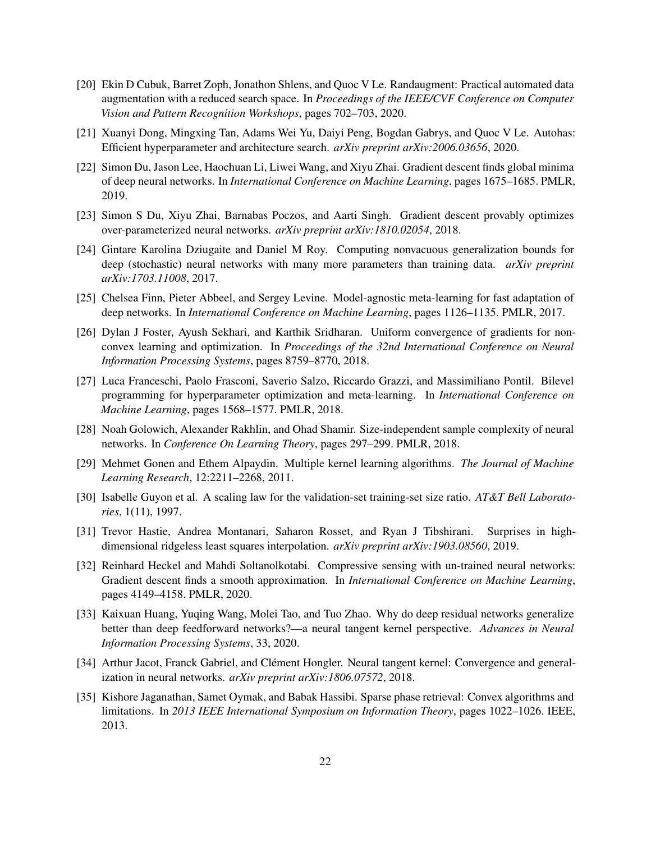- <span id="page-21-0"></span>[20] Ekin D Cubuk, Barret Zoph, Jonathon Shlens, and Quoc V Le. Randaugment: Practical automated data augmentation with a reduced search space. In *Proceedings of the IEEE/CVF Conference on Computer Vision and Pattern Recognition Workshops*, pages 702–703, 2020.
- <span id="page-21-12"></span>[21] Xuanyi Dong, Mingxing Tan, Adams Wei Yu, Daiyi Peng, Bogdan Gabrys, and Quoc V Le. Autohas: Efficient hyperparameter and architecture search. *arXiv preprint arXiv:2006.03656*, 2020.
- <span id="page-21-6"></span>[22] Simon Du, Jason Lee, Haochuan Li, Liwei Wang, and Xiyu Zhai. Gradient descent finds global minima of deep neural networks. In *International Conference on Machine Learning*, pages 1675–1685. PMLR, 2019.
- <span id="page-21-10"></span>[23] Simon S Du, Xiyu Zhai, Barnabas Poczos, and Aarti Singh. Gradient descent provably optimizes over-parameterized neural networks. *arXiv preprint arXiv:1810.02054*, 2018.
- <span id="page-21-8"></span>[24] Gintare Karolina Dziugaite and Daniel M Roy. Computing nonvacuous generalization bounds for deep (stochastic) neural networks with many more parameters than training data. *arXiv preprint arXiv:1703.11008*, 2017.
- <span id="page-21-2"></span>[25] Chelsea Finn, Pieter Abbeel, and Sergey Levine. Model-agnostic meta-learning for fast adaptation of deep networks. In *International Conference on Machine Learning*, pages 1126–1135. PMLR, 2017.
- <span id="page-21-3"></span>[26] Dylan J Foster, Ayush Sekhari, and Karthik Sridharan. Uniform convergence of gradients for nonconvex learning and optimization. In *Proceedings of the 32nd International Conference on Neural Information Processing Systems*, pages 8759–8770, 2018.
- <span id="page-21-1"></span>[27] Luca Franceschi, Paolo Frasconi, Saverio Salzo, Riccardo Grazzi, and Massimiliano Pontil. Bilevel programming for hyperparameter optimization and meta-learning. In *International Conference on Machine Learning*, pages 1568–1577. PMLR, 2018.
- <span id="page-21-9"></span>[28] Noah Golowich, Alexander Rakhlin, and Ohad Shamir. Size-independent sample complexity of neural networks. In *Conference On Learning Theory*, pages 297–299. PMLR, 2018.
- <span id="page-21-4"></span>[29] Mehmet Gonen and Ethem Alpaydin. Multiple kernel learning algorithms. *The Journal of Machine Learning Research*, 12:2211–2268, 2011.
- <span id="page-21-7"></span>[30] Isabelle Guyon et al. A scaling law for the validation-set training-set size ratio. *AT&T Bell Laboratories*, 1(11), 1997.
- <span id="page-21-14"></span>[31] Trevor Hastie, Andrea Montanari, Saharon Rosset, and Ryan J Tibshirani. Surprises in highdimensional ridgeless least squares interpolation. *arXiv preprint arXiv:1903.08560*, 2019.
- <span id="page-21-15"></span>[32] Reinhard Heckel and Mahdi Soltanolkotabi. Compressive sensing with un-trained neural networks: Gradient descent finds a smooth approximation. In *International Conference on Machine Learning*, pages 4149–4158. PMLR, 2020.
- <span id="page-21-11"></span>[33] Kaixuan Huang, Yuqing Wang, Molei Tao, and Tuo Zhao. Why do deep residual networks generalize better than deep feedforward networks?—a neural tangent kernel perspective. *Advances in Neural Information Processing Systems*, 33, 2020.
- <span id="page-21-5"></span>[34] Arthur Jacot, Franck Gabriel, and Clément Hongler. Neural tangent kernel: Convergence and generalization in neural networks. *arXiv preprint arXiv:1806.07572*, 2018.
- <span id="page-21-13"></span>[35] Kishore Jaganathan, Samet Oymak, and Babak Hassibi. Sparse phase retrieval: Convex algorithms and limitations. In *2013 IEEE International Symposium on Information Theory*, pages 1022–1026. IEEE, 2013.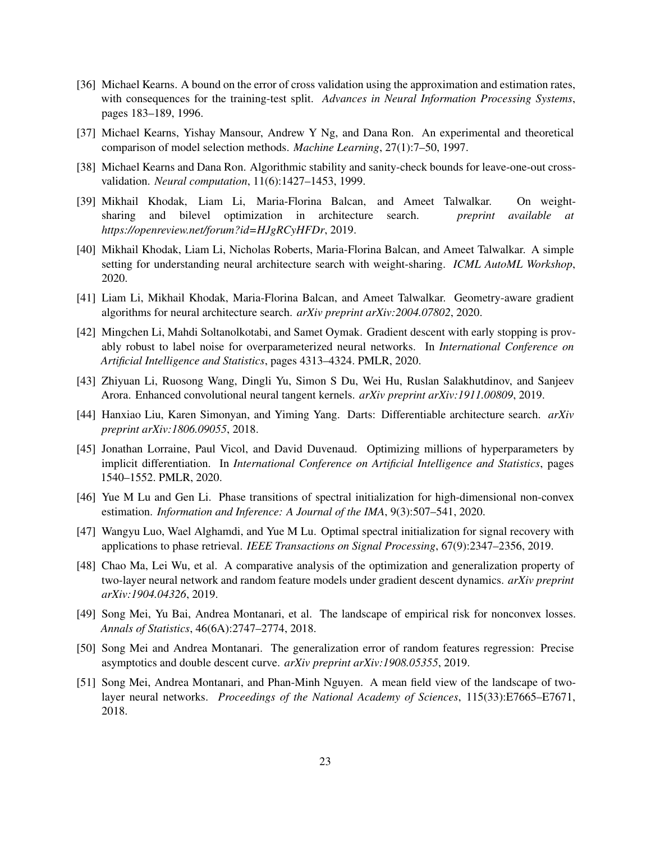- <span id="page-22-5"></span>[36] Michael Kearns. A bound on the error of cross validation using the approximation and estimation rates, with consequences for the training-test split. *Advances in Neural Information Processing Systems*, pages 183–189, 1996.
- <span id="page-22-2"></span>[37] Michael Kearns, Yishay Mansour, Andrew Y Ng, and Dana Ron. An experimental and theoretical comparison of model selection methods. *Machine Learning*, 27(1):7–50, 1997.
- <span id="page-22-3"></span>[38] Michael Kearns and Dana Ron. Algorithmic stability and sanity-check bounds for leave-one-out crossvalidation. *Neural computation*, 11(6):1427–1453, 1999.
- <span id="page-22-6"></span>[39] Mikhail Khodak, Liam Li, Maria-Florina Balcan, and Ameet Talwalkar. On weightsharing and bilevel optimization in architecture search. *preprint available at https://openreview.net/forum?id=HJgRCyHFDr*, 2019.
- <span id="page-22-10"></span>[40] Mikhail Khodak, Liam Li, Nicholas Roberts, Maria-Florina Balcan, and Ameet Talwalkar. A simple setting for understanding neural architecture search with weight-sharing. *ICML AutoML Workshop*, 2020.
- <span id="page-22-7"></span>[41] Liam Li, Mikhail Khodak, Maria-Florina Balcan, and Ameet Talwalkar. Geometry-aware gradient algorithms for neural architecture search. *arXiv preprint arXiv:2004.07802*, 2020.
- <span id="page-22-9"></span>[42] Mingchen Li, Mahdi Soltanolkotabi, and Samet Oymak. Gradient descent with early stopping is provably robust to label noise for overparameterized neural networks. In *International Conference on Artificial Intelligence and Statistics*, pages 4313–4324. PMLR, 2020.
- <span id="page-22-12"></span>[43] Zhiyuan Li, Ruosong Wang, Dingli Yu, Simon S Du, Wei Hu, Ruslan Salakhutdinov, and Sanjeev Arora. Enhanced convolutional neural tangent kernels. *arXiv preprint arXiv:1911.00809*, 2019.
- <span id="page-22-0"></span>[44] Hanxiao Liu, Karen Simonyan, and Yiming Yang. Darts: Differentiable architecture search. *arXiv preprint arXiv:1806.09055*, 2018.
- <span id="page-22-1"></span>[45] Jonathan Lorraine, Paul Vicol, and David Duvenaud. Optimizing millions of hyperparameters by implicit differentiation. In *International Conference on Artificial Intelligence and Statistics*, pages 1540–1552. PMLR, 2020.
- <span id="page-22-13"></span>[46] Yue M Lu and Gen Li. Phase transitions of spectral initialization for high-dimensional non-convex estimation. *Information and Inference: A Journal of the IMA*, 9(3):507–541, 2020.
- <span id="page-22-14"></span>[47] Wangyu Luo, Wael Alghamdi, and Yue M Lu. Optimal spectral initialization for signal recovery with applications to phase retrieval. *IEEE Transactions on Signal Processing*, 67(9):2347–2356, 2019.
- <span id="page-22-11"></span>[48] Chao Ma, Lei Wu, et al. A comparative analysis of the optimization and generalization property of two-layer neural network and random feature models under gradient descent dynamics. *arXiv preprint arXiv:1904.04326*, 2019.
- <span id="page-22-4"></span>[49] Song Mei, Yu Bai, Andrea Montanari, et al. The landscape of empirical risk for nonconvex losses. *Annals of Statistics*, 46(6A):2747–2774, 2018.
- <span id="page-22-8"></span>[50] Song Mei and Andrea Montanari. The generalization error of random features regression: Precise asymptotics and double descent curve. *arXiv preprint arXiv:1908.05355*, 2019.
- <span id="page-22-15"></span>[51] Song Mei, Andrea Montanari, and Phan-Minh Nguyen. A mean field view of the landscape of twolayer neural networks. *Proceedings of the National Academy of Sciences*, 115(33):E7665–E7671, 2018.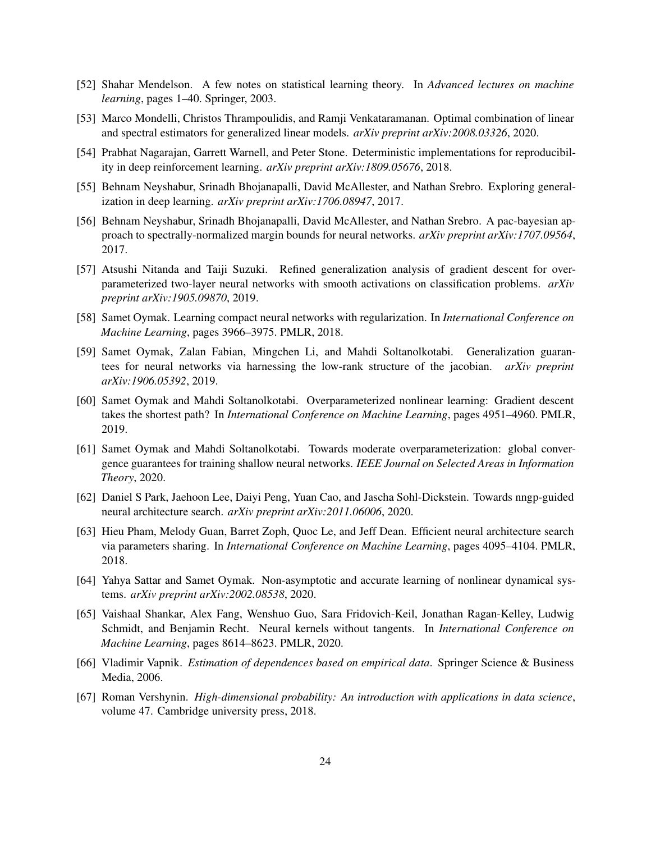- <span id="page-23-0"></span>[52] Shahar Mendelson. A few notes on statistical learning theory. In *Advanced lectures on machine learning*, pages 1–40. Springer, 2003.
- <span id="page-23-12"></span>[53] Marco Mondelli, Christos Thrampoulidis, and Ramji Venkataramanan. Optimal combination of linear and spectral estimators for generalized linear models. *arXiv preprint arXiv:2008.03326*, 2020.
- <span id="page-23-6"></span>[54] Prabhat Nagarajan, Garrett Warnell, and Peter Stone. Deterministic implementations for reproducibility in deep reinforcement learning. *arXiv preprint arXiv:1809.05676*, 2018.
- <span id="page-23-4"></span>[55] Behnam Neyshabur, Srinadh Bhojanapalli, David McAllester, and Nathan Srebro. Exploring generalization in deep learning. *arXiv preprint arXiv:1706.08947*, 2017.
- <span id="page-23-5"></span>[56] Behnam Neyshabur, Srinadh Bhojanapalli, David McAllester, and Nathan Srebro. A pac-bayesian approach to spectrally-normalized margin bounds for neural networks. *arXiv preprint arXiv:1707.09564*, 2017.
- <span id="page-23-7"></span>[57] Atsushi Nitanda and Taiji Suzuki. Refined generalization analysis of gradient descent for overparameterized two-layer neural networks with smooth activations on classification problems. *arXiv preprint arXiv:1905.09870*, 2019.
- <span id="page-23-13"></span>[58] Samet Oymak. Learning compact neural networks with regularization. In *International Conference on Machine Learning*, pages 3966–3975. PMLR, 2018.
- <span id="page-23-9"></span>[59] Samet Oymak, Zalan Fabian, Mingchen Li, and Mahdi Soltanolkotabi. Generalization guarantees for neural networks via harnessing the low-rank structure of the jacobian. *arXiv preprint arXiv:1906.05392*, 2019.
- <span id="page-23-8"></span>[60] Samet Oymak and Mahdi Soltanolkotabi. Overparameterized nonlinear learning: Gradient descent takes the shortest path? In *International Conference on Machine Learning*, pages 4951–4960. PMLR, 2019.
- <span id="page-23-14"></span>[61] Samet Oymak and Mahdi Soltanolkotabi. Towards moderate overparameterization: global convergence guarantees for training shallow neural networks. *IEEE Journal on Selected Areas in Information Theory*, 2020.
- <span id="page-23-11"></span>[62] Daniel S Park, Jaehoon Lee, Daiyi Peng, Yuan Cao, and Jascha Sohl-Dickstein. Towards nngp-guided neural architecture search. *arXiv preprint arXiv:2011.06006*, 2020.
- <span id="page-23-2"></span>[63] Hieu Pham, Melody Guan, Barret Zoph, Quoc Le, and Jeff Dean. Efficient neural architecture search via parameters sharing. In *International Conference on Machine Learning*, pages 4095–4104. PMLR, 2018.
- <span id="page-23-1"></span>[64] Yahya Sattar and Samet Oymak. Non-asymptotic and accurate learning of nonlinear dynamical systems. *arXiv preprint arXiv:2002.08538*, 2020.
- <span id="page-23-10"></span>[65] Vaishaal Shankar, Alex Fang, Wenshuo Guo, Sara Fridovich-Keil, Jonathan Ragan-Kelley, Ludwig Schmidt, and Benjamin Recht. Neural kernels without tangents. In *International Conference on Machine Learning*, pages 8614–8623. PMLR, 2020.
- <span id="page-23-3"></span>[66] Vladimir Vapnik. *Estimation of dependences based on empirical data*. Springer Science & Business Media, 2006.
- <span id="page-23-15"></span>[67] Roman Vershynin. *High-dimensional probability: An introduction with applications in data science*, volume 47. Cambridge university press, 2018.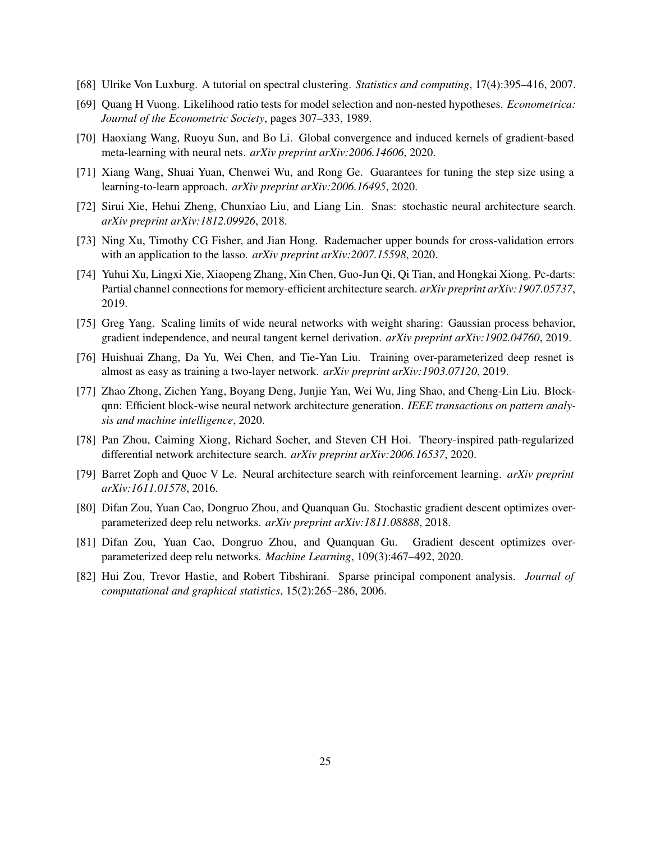- <span id="page-24-13"></span>[68] Ulrike Von Luxburg. A tutorial on spectral clustering. *Statistics and computing*, 17(4):395–416, 2007.
- <span id="page-24-2"></span>[69] Quang H Vuong. Likelihood ratio tests for model selection and non-nested hypotheses. *Econometrica: Journal of the Econometric Society*, pages 307–333, 1989.
- <span id="page-24-7"></span>[70] Haoxiang Wang, Ruoyu Sun, and Bo Li. Global convergence and induced kernels of gradient-based meta-learning with neural nets. *arXiv preprint arXiv:2006.14606*, 2020.
- <span id="page-24-4"></span>[71] Xiang Wang, Shuai Yuan, Chenwei Wu, and Rong Ge. Guarantees for tuning the step size using a learning-to-learn approach. *arXiv preprint arXiv:2006.16495*, 2020.
- <span id="page-24-11"></span>[72] Sirui Xie, Hehui Zheng, Chunxiao Liu, and Liang Lin. Snas: stochastic neural architecture search. *arXiv preprint arXiv:1812.09926*, 2018.
- <span id="page-24-3"></span>[73] Ning Xu, Timothy CG Fisher, and Jian Hong. Rademacher upper bounds for cross-validation errors with an application to the lasso. *arXiv preprint arXiv:2007.15598*, 2020.
- <span id="page-24-12"></span>[74] Yuhui Xu, Lingxi Xie, Xiaopeng Zhang, Xin Chen, Guo-Jun Qi, Qi Tian, and Hongkai Xiong. Pc-darts: Partial channel connections for memory-efficient architecture search. *arXiv preprint arXiv:1907.05737*, 2019.
- <span id="page-24-8"></span>[75] Greg Yang. Scaling limits of wide neural networks with weight sharing: Gaussian process behavior, gradient independence, and neural tangent kernel derivation. *arXiv preprint arXiv:1902.04760*, 2019.
- <span id="page-24-5"></span>[76] Huishuai Zhang, Da Yu, Wei Chen, and Tie-Yan Liu. Training over-parameterized deep resnet is almost as easy as training a two-layer network. *arXiv preprint arXiv:1903.07120*, 2019.
- <span id="page-24-10"></span>[77] Zhao Zhong, Zichen Yang, Boyang Deng, Junjie Yan, Wei Wu, Jing Shao, and Cheng-Lin Liu. Blockqnn: Efficient block-wise neural network architecture generation. *IEEE transactions on pattern analysis and machine intelligence*, 2020.
- <span id="page-24-1"></span>[78] Pan Zhou, Caiming Xiong, Richard Socher, and Steven CH Hoi. Theory-inspired path-regularized differential network architecture search. *arXiv preprint arXiv:2006.16537*, 2020.
- <span id="page-24-9"></span>[79] Barret Zoph and Quoc V Le. Neural architecture search with reinforcement learning. *arXiv preprint arXiv:1611.01578*, 2016.
- <span id="page-24-6"></span>[80] Difan Zou, Yuan Cao, Dongruo Zhou, and Quanquan Gu. Stochastic gradient descent optimizes overparameterized deep relu networks. *arXiv preprint arXiv:1811.08888*, 2018.
- <span id="page-24-0"></span>[81] Difan Zou, Yuan Cao, Dongruo Zhou, and Quanquan Gu. Gradient descent optimizes overparameterized deep relu networks. *Machine Learning*, 109(3):467–492, 2020.
- <span id="page-24-14"></span>[82] Hui Zou, Trevor Hastie, and Robert Tibshirani. Sparse principal component analysis. *Journal of computational and graphical statistics*, 15(2):265–286, 2006.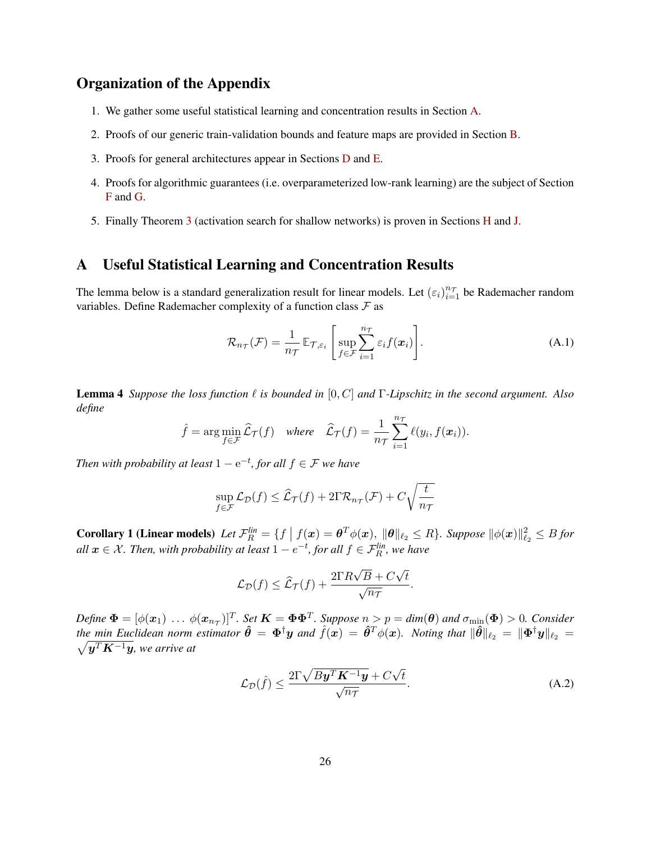# Organization of the Appendix

- 1. We gather some useful statistical learning and concentration results in Section [A.](#page-25-0)
- 2. Proofs of our generic train-validation bounds and feature maps are provided in Section [B.](#page-27-3)
- 3. Proofs for general architectures appear in Sections [D](#page-37-0) and [E.](#page-40-0)
- 4. Proofs for algorithmic guarantees (i.e. overparameterized low-rank learning) are the subject of Section [F](#page-45-0) and [G.](#page-47-0)
- 5. Finally Theorem [3](#page-9-0) (activation search for shallow networks) is proven in Sections [H](#page-49-0) and [J.](#page-65-1)

# <span id="page-25-0"></span>A Useful Statistical Learning and Concentration Results

The lemma below is a standard generalization result for linear models. Let  $(\epsilon_i)_{i=1}^{n_{\tau}}$  be Rademacher random variables. Define Rademacher complexity of a function class  $\mathcal F$  as

$$
\mathcal{R}_{n_{\mathcal{T}}}(\mathcal{F}) = \frac{1}{n_{\mathcal{T}}} \mathbb{E}_{\mathcal{T}, \varepsilon_i} \left[ \sup_{f \in \mathcal{F}} \sum_{i=1}^{n_{\mathcal{T}}} \varepsilon_i f(\boldsymbol{x}_i) \right]. \tag{A.1}
$$

**Lemma 4** *Suppose the loss function*  $\ell$  *is bounded in* [0, C] *and*  $\Gamma$ -Lipschitz in the second argument. Also *define*

$$
\hat{f}
$$
 = arg min<sub>f \in \mathcal{F}</sub>  $\hat{\mathcal{L}}_{\mathcal{T}}(f)$  where  $\hat{\mathcal{L}}_{\mathcal{T}}(f) = \frac{1}{n_{\mathcal{T}}} \sum_{i=1}^{n_{\mathcal{T}}} \ell(y_i, f(\boldsymbol{x}_i)).$ 

*Then with probability at least*  $1 - e^{-t}$ *, for all*  $f \in \mathcal{F}$  *we have* 

$$
\sup_{f \in \mathcal{F}} \mathcal{L}_{\mathcal{D}}(f) \leq \widehat{\mathcal{L}}_{\mathcal{T}}(f) + 2\Gamma \mathcal{R}_{n_{\mathcal{T}}}(\mathcal{F}) + C\sqrt{\frac{t}{n_{\mathcal{T}}}}
$$

<span id="page-25-2"></span>**Corollary 1 (Linear models)** Let  $\mathcal{F}_R^{lin} = \{f \mid f(\boldsymbol{x}) = \boldsymbol{\theta}^T\phi(\boldsymbol{x}), \|\boldsymbol{\theta}\|_{\ell_2} \leq R\}$ . Suppose  $\|\phi(\boldsymbol{x})\|_{\ell_2}^2 \leq B$  for *all*  $x \in \mathcal{X}$ *. Then, with probability at least*  $1 - e^{-t}$ *, for all*  $f \in \mathcal{F}_R^{\text{lin}}$ *, we have* 

$$
\mathcal{L}_{\mathcal{D}}(f) \leq \widehat{\mathcal{L}}_{\mathcal{T}}(f) + \frac{2\Gamma R\sqrt{B} + C\sqrt{t}}{\sqrt{n_{\mathcal{T}}}}
$$

 $Define \ \Phi = [\phi(\bm{x}_1) \ \dots \ \phi(\bm{x}_{n_{\mathcal{T}}})]^T$ . Set  $\bm{K} = \bm{\Phi} \bm{\Phi}^T$ . Suppose  $n > p = dim(\bm{\theta})$  and  $\sigma_{\min}(\bm{\Phi}) > 0$ . Consider *the min Euclidean norm estimator*  $\hat{\bm{\theta}} = \bm{\Phi}^{\dagger} \bm{y}$  *and*  $\hat{f}(\bm{x}) = \hat{\bm{\theta}}^{T} \phi(\bm{x})$ *. Noting that*  $\|\hat{\bm{\theta}}\|_{\ell_2} = \|\bm{\Phi}^{\dagger} \bm{y}\|_{\ell_2}$  $\sqrt{\boldsymbol{y}^T\boldsymbol{K}^{-1}\boldsymbol{y}}$ , we arrive at

$$
\mathcal{L}_{\mathcal{D}}(\hat{f}) \le \frac{2\Gamma\sqrt{By^T K^{-1}y} + C\sqrt{t}}{\sqrt{n_{\mathcal{T}}}}.\tag{A.2}
$$

<span id="page-25-1"></span>.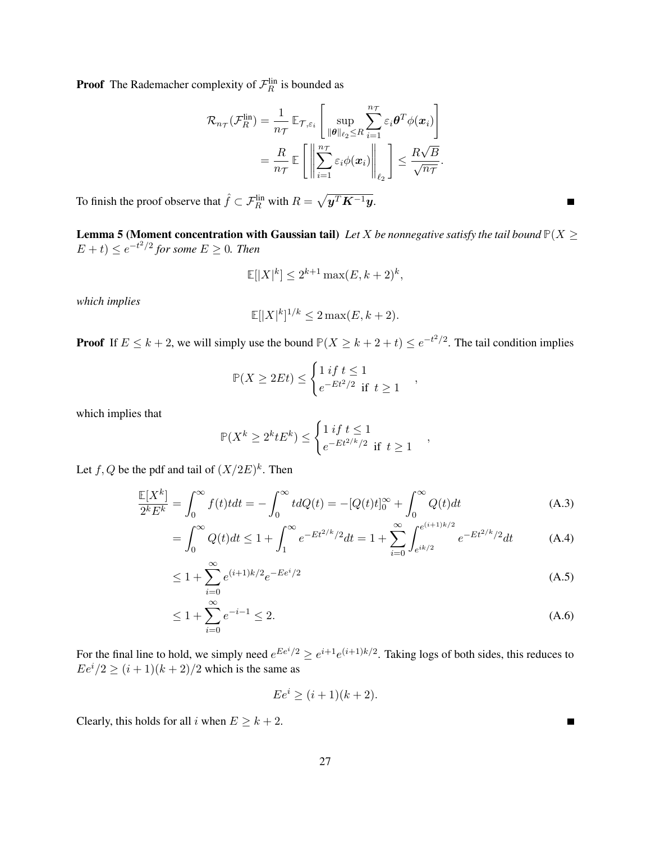**Proof** The Rademacher complexity of  $\mathcal{F}_R^{\text{lin}}$  is bounded as

$$
\mathcal{R}_{n_{\mathcal{T}}}(\mathcal{F}_R^{\text{lin}}) = \frac{1}{n_{\mathcal{T}}} \mathbb{E}_{\mathcal{T}, \varepsilon_i} \left[ \sup_{\|\boldsymbol{\theta}\|_{\ell_2} \leq R} \sum_{i=1}^{n_{\mathcal{T}}} \varepsilon_i \boldsymbol{\theta}^T \phi(\boldsymbol{x}_i) \right]
$$

$$
= \frac{R}{n_{\mathcal{T}}} \mathbb{E} \left[ \left\| \sum_{i=1}^{n_{\mathcal{T}}} \varepsilon_i \phi(\boldsymbol{x}_i) \right\|_{\ell_2} \right] \leq \frac{R\sqrt{B}}{\sqrt{n_{\mathcal{T}}}}.
$$

To finish the proof observe that  $\hat{f} \subset \mathcal{F}_R^{\text{lin}}$  with  $R = \sqrt{\mathbf{y}^T \mathbf{K}^{-1} \mathbf{y}}$ .

<span id="page-26-0"></span>**Lemma 5 (Moment concentration with Gaussian tail)** Let X be nonnegative satisfy the tail bound  $P(X \geq 1)$  $(E + t) \le e^{-t^2/2}$  for some  $E \ge 0$ . Then

$$
\mathbb{E}[|X|^k] \le 2^{k+1} \max(E, k+2)^k,
$$

*which implies*

$$
\mathbb{E}[|X|^k]^{1/k} \le 2 \max(E, k+2).
$$

**Proof** If  $E \leq k+2$ , we will simply use the bound  $P(X \geq k+2+t) \leq e^{-t^2/2}$ . The tail condition implies

$$
\mathbb{P}(X \ge 2Et) \le \begin{cases} 1 \text{ if } t \le 1 \\ e^{-Et^2/2} \text{ if } t \ge 1 \end{cases},
$$

which implies that

$$
\mathbb{P}(X^k \ge 2^k t E^k) \le \begin{cases} 1 \text{ if } t \le 1 \\ e^{-Et^{2/k}/2} \text{ if } t \ge 1 \end{cases},
$$

Let  $f, Q$  be the pdf and tail of  $(X/2E)^k$ . Then

$$
\frac{\mathbb{E}[X^k]}{2^k E^k} = \int_0^\infty f(t)t dt = -\int_0^\infty t dQ(t) = -[Q(t)t]_0^\infty + \int_0^\infty Q(t)dt
$$
\n(A.3)

$$
= \int_0^\infty Q(t)dt \le 1 + \int_1^\infty e^{-Et^{2/k}/2}dt = 1 + \sum_{i=0}^\infty \int_{e^{ik/2}}^{e^{(i+1)k/2}} e^{-Et^{2/k}/2}dt \tag{A.4}
$$

$$
\leq 1 + \sum_{i=0}^{\infty} e^{(i+1)k/2} e^{-E e^i/2} \tag{A.5}
$$

$$
\leq 1 + \sum_{i=0}^{\infty} e^{-i-1} \leq 2.
$$
\n(A.6)

For the final line to hold, we simply need  $e^{Ee^i/2} \ge e^{i+1}e^{(i+1)k/2}$ . Taking logs of both sides, this reduces to  $Ee^{i}/2 \geq (i+1)(k+2)/2$  which is the same as

$$
Ee^i \ge (i+1)(k+2).
$$

Clearly, this holds for all i when  $E \geq k + 2$ .

 $\blacksquare$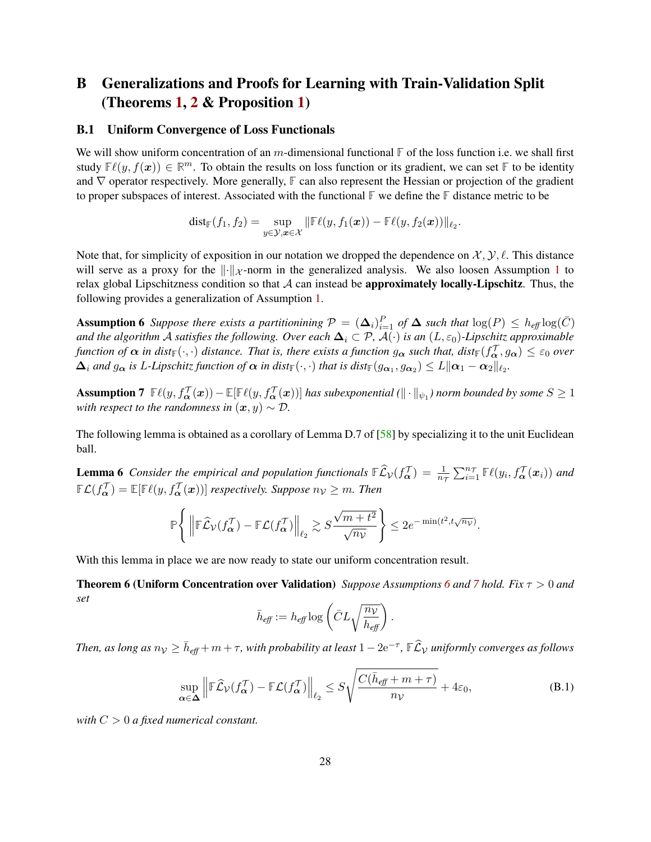# <span id="page-27-3"></span>B Generalizations and Proofs for Learning with Train-Validation Split (Theorems [1,](#page-4-4) [2](#page-8-2) & Proposition [1\)](#page-6-2)

#### <span id="page-27-2"></span>B.1 Uniform Convergence of Loss Functionals

We will show uniform concentration of an m-dimensional functional  $\mathbb{F}$  of the loss function i.e. we shall first study  $F(\ell(y, f(x))) \in \mathbb{R}^m$ . To obtain the results on loss function or its gradient, we can set **F** to be identity and ∇ operator respectively. More generally, **F** can also represent the Hessian or projection of the gradient to proper subspaces of interest. Associated with the functional **F** we define the **F** distance metric to be

<span id="page-27-0"></span>
$$
\text{dist}_{\mathbb{F}}(f_1, f_2) = \sup_{y \in \mathcal{Y}, \boldsymbol{x} \in \mathcal{X}} \|\mathbb{F}\ell(y, f_1(\boldsymbol{x})) - \mathbb{F}\ell(y, f_2(\boldsymbol{x}))\|_{\ell_2}.
$$

Note that, for simplicity of exposition in our notation we dropped the dependence on  $\mathcal{X}, \mathcal{Y}, \ell$ . This distance will serve as a proxy for the  $\|\cdot\|_{\mathcal{X}}$ -norm in the generalized analysis. We also loosen Assumption [1](#page-4-2) to relax global Lipschitzness condition so that  $A$  can instead be **approximately locally-Lipschitz**. Thus, the following provides a generalization of Assumption [1.](#page-4-2)

Assumption 6 Suppose there exists a partitionining  $P = (\Delta_i)_{i=1}^P$  of  $\Delta$  such that  $\log(P) \le h_{\text{eff}} \log(\bar{C})$ *and the algorithm* A *satisfies the following. Over each*  $\Delta_i \subset \mathcal{P}$ ,  $\mathcal{A}(\cdot)$  *is an*  $(L, \varepsilon_0)$ *-Lipschitz approximable function of*  $\alpha$  *in dist*<sub> $F(\cdot, \cdot)$  *distance. That is, there exists a function*  $g_{\alpha}$  *such that, dist* $_F(f_{\alpha}^{\mathcal{T}}, g_{\alpha}) \leq \varepsilon_0$  over</sub>  $\bm{\Delta}_i$  and  $g_{\bm{\alpha}}$  is L-Lipschitz function of  $\bm{\alpha}$  in dist ${}_{\mathbb{F}}(\cdot,\cdot)$  that is dist ${}_{\mathbb{F}}(g_{\bm{\alpha}_1},g_{\bm{\alpha}_2})\leq L\|\bm{\alpha}_1-\bm{\alpha}_2\|_{\ell_2}.$ 

<span id="page-27-4"></span>**Assumption 7**  $\mathbb{F}\ell(y, f_{\bm{\alpha}}^{\mathcal{T}}(\bm{x})) - \mathbb{E}[\mathbb{F}\ell(y, f_{\bm{\alpha}}^{\mathcal{T}}(\bm{x}))]$  has subexponential  $(\|\cdot\|_{\psi_1})$  norm bounded by some  $S \geq 1$ *with respect to the randomness in*  $(x, y) \sim \mathcal{D}$ .

<span id="page-27-5"></span>The following lemma is obtained as a corollary of Lemma D.7 of [\[58\]](#page-23-13) by specializing it to the unit Euclidean ball.

**Lemma 6** Consider the empirical and population functionals  $\mathbb{E} \widehat{\mathcal{L}}_\mathcal{V}(f^\mathcal{T}_\alpha) = \frac{1}{n_\mathcal{T}} \sum_{i=1}^{n_\mathcal{T}} \mathbb{E} \ell(y_i, f^\mathcal{T}_\alpha(x_i))$  and  $\mathbb{E}\mathcal{L}(f_{\boldsymbol{\alpha}}^{\mathcal{T}})=\mathbb{E}[\mathbb{E}(y, f_{\boldsymbol{\alpha}}^{\mathcal{T}}(\boldsymbol{x}))]$  respectively. Suppose  $n_{\mathcal{V}}\geq m$ . Then

$$
\mathbb{P}\Bigg\{\left\|\mathbb{F}\widehat{\mathcal{L}}_{\mathcal{V}}(f^{\mathcal{T}}_{\pmb{\alpha}})-\mathbb{F}\mathcal{L}(f^{\mathcal{T}}_{\pmb{\alpha}})\right\|_{\ell_2}\gtrsim S\frac{\sqrt{m+t^2}}{\sqrt{n_{\mathcal{V}}}}\Bigg\}\leq 2e^{-\min(t^2,t\sqrt{n_{\mathcal{V}}})}.
$$

With this lemma in place we are now ready to state our uniform concentration result.

Theorem 6 (Uniform Concentration over Validation) *Suppose Assumptions [6](#page-27-0) and [7](#page-27-4) hold. Fix* τ > 0 *and set*

<span id="page-27-1"></span>
$$
\bar{h}_{\text{eff}} := h_{\text{eff}} \log \left( \bar{C} L \sqrt{\frac{n_{\mathcal{V}}}{h_{\text{eff}}} } \right).
$$

*Then, as long as*  $n_\mathcal{V} \ge \bar{h}_{\textit{eff}}+m+\tau$ *, with probability at least*  $1-2\text{e}^{-\tau}$ *,*  $\mathbb{F} \widehat{\mathcal{L}}_\mathcal{V}$  *uniformly converges as follows* 

$$
\sup_{\alpha \in \Delta} \left\| \mathbb{F}\widehat{\mathcal{L}}_{\mathcal{V}}(f_{\alpha}^{\mathcal{T}}) - \mathbb{F}\mathcal{L}(f_{\alpha}^{\mathcal{T}}) \right\|_{\ell_2} \le S\sqrt{\frac{C(\bar{h}_{\text{eff}} + m + \tau)}{n_{\mathcal{V}}}} + 4\varepsilon_0,
$$
\n(B.1)

*with* C > 0 *a fixed numerical constant.*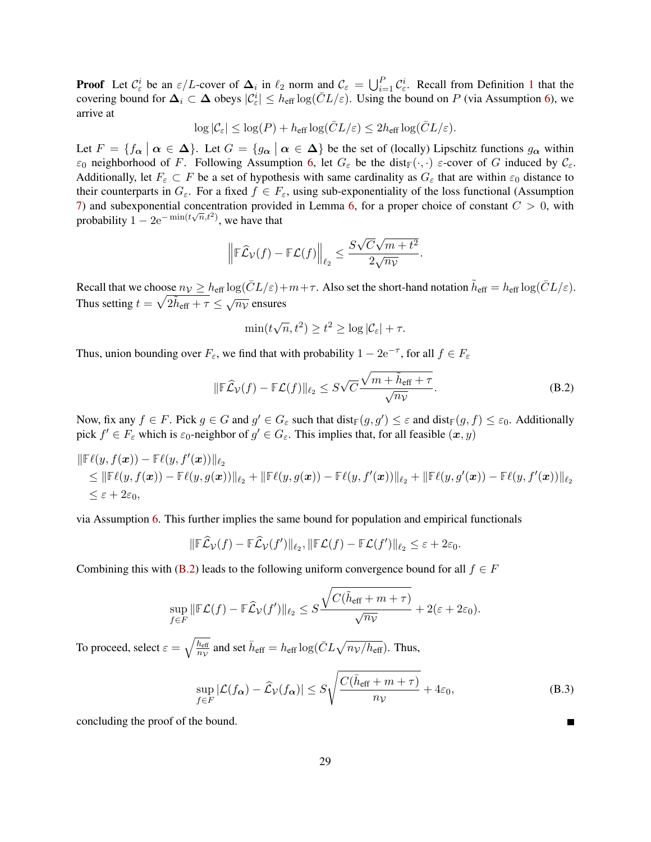**Proof** Let  $\mathcal{C}_{\varepsilon}^i$  be an  $\varepsilon/L$ -cover of  $\Delta_i$  in  $\ell_2$  norm and  $\mathcal{C}_{\varepsilon} = \bigcup_{i=1}^P \mathcal{C}_{\varepsilon}^i$  $\mathcal{C}_{\varepsilon} = \bigcup_{i=1}^P \mathcal{C}_{\varepsilon}^i$  $\mathcal{C}_{\varepsilon} = \bigcup_{i=1}^P \mathcal{C}_{\varepsilon}^i$ . Recall from Definition 1 that the covering bound for  $\Delta_i \subset \Delta$  obeys  $|\mathcal{C}_{\varepsilon}^i| \leq h_{\text{eff}} \log(\bar{C}L/\varepsilon)$ . Using the bound on P (via Assumption [6\)](#page-27-0), we arrive at

$$
\log |\mathcal{C}_{\varepsilon}| \leq \log(P) + h_{\text{eff}} \log(\bar{C}L/\varepsilon) \leq 2h_{\text{eff}} \log(\bar{C}L/\varepsilon).
$$

Let  $F = \{f_{\alpha} \mid \alpha \in \Delta\}$ . Let  $G = \{g_{\alpha} \mid \alpha \in \Delta\}$  be the set of (locally) Lipschitz functions  $g_{\alpha}$  within  $\varepsilon_0$  neighborhood of F. Following Assumption [6,](#page-27-0) let  $G_{\varepsilon}$  be the dist<sub> $\mathbb{F}(\cdot, \cdot)$   $\varepsilon$ -cover of G induced by  $\mathcal{C}_{\varepsilon}$ .</sub> Additionally, let  $F_{\varepsilon} \subset F$  be a set of hypothesis with same cardinality as  $G_{\varepsilon}$  that are within  $\varepsilon_0$  distance to their counterparts in  $G_{\varepsilon}$ . For a fixed  $f \in F_{\varepsilon}$ , using sub-exponentiality of the loss functional (Assumption [7\)](#page-27-4) and subexponential concentration provided in Lemma [6,](#page-27-5) for a proper choice of constant  $C > 0$ , with probability  $1 - 2e^{-\min(t\sqrt{n}, t^2)}$ , we have that

$$
\left\|\mathbb{F}\widehat{\mathcal{L}}_{\mathcal{V}}(f) - \mathbb{F}\mathcal{L}(f)\right\|_{\ell_2} \le \frac{S\sqrt{C}\sqrt{m+t^2}}{2\sqrt{n_{\mathcal{V}}}}.
$$

Recall that we choose  $n_V \ge h_{\text{eff}} \log(\bar{C}L/\varepsilon) + m + \tau$ . Also set the short-hand notation  $\tilde{h}_{\text{eff}} = h_{\text{eff}} \log(\bar{C}L/\varepsilon)$ . Thus setting  $t = \sqrt{2\tilde{h}_{eff} + \tau} \leq \sqrt{n_V}$  ensures

<span id="page-28-0"></span>
$$
\min(t\sqrt{n}, t^2) \ge t^2 \ge \log |\mathcal{C}_{\varepsilon}| + \tau.
$$

Thus, union bounding over  $F_{\varepsilon}$ , we find that with probability  $1 - 2e^{-\tau}$ , for all  $f \in F_{\varepsilon}$ 

$$
\|\mathbb{F}\widehat{\mathcal{L}}_{\mathcal{V}}(f) - \mathbb{F}\mathcal{L}(f)\|_{\ell_2} \leq S\sqrt{C} \frac{\sqrt{m + \tilde{h}_{\text{eff}} + \tau}}{\sqrt{n_{\mathcal{V}}}}.
$$
\n(B.2)

Now, fix any  $f \in F$ . Pick  $g \in G$  and  $g' \in G_{\varepsilon}$  such that  $dist_{\mathbb{F}}(g, g') \leq \varepsilon$  and  $dist_{\mathbb{F}}(g, f) \leq \varepsilon_0$ . Additionally pick  $f' \in F_{\varepsilon}$  which is  $\varepsilon_0$ -neighbor of  $g' \in G_{\varepsilon}$ . This implies that, for all feasible  $(x, y)$ 

$$
\|\mathbb{F}\ell(y,f(\boldsymbol{x}))-\mathbb{F}\ell(y,f'(\boldsymbol{x}))\|_{\ell_2} \leq \|\mathbb{F}\ell(y,f(\boldsymbol{x}))-\mathbb{F}\ell(y,g(\boldsymbol{x}))\|_{\ell_2}+\|\mathbb{F}\ell(y,g(\boldsymbol{x}))-\mathbb{F}\ell(y,f'(\boldsymbol{x}))\|_{\ell_2}+\|\mathbb{F}\ell(y,g'(\boldsymbol{x}))-\mathbb{F}\ell(y,f'(\boldsymbol{x}))\|_{\ell_2} \leq \varepsilon+2\varepsilon_0,
$$

via Assumption [6.](#page-27-0) This further implies the same bound for population and empirical functionals

$$
\|\mathbb{F}\widehat{\mathcal{L}}_{\mathcal{V}}(f) - \mathbb{F}\widehat{\mathcal{L}}_{\mathcal{V}}(f')\|_{\ell_2}, \|\mathbb{F}\mathcal{L}(f) - \mathbb{F}\mathcal{L}(f')\|_{\ell_2} \leq \varepsilon + 2\varepsilon_0.
$$

Combining this with [\(B.2\)](#page-28-0) leads to the following uniform convergence bound for all  $f \in F$ 

$$
\sup_{f\in F} \|\mathbb{F}\mathcal{L}(f) - \mathbb{F}\widehat{\mathcal{L}}_{\mathcal{V}}(f')\|_{\ell_2} \leq S \frac{\sqrt{C(\tilde{h}_{\text{eff}} + m + \tau)}}{\sqrt{n_{\mathcal{V}}}} + 2(\varepsilon + 2\varepsilon_0).
$$

To proceed, select  $\varepsilon = \sqrt{\frac{h_{\text{eff}}}{m}}$  $\frac{h_{\text{eff}}}{n_{\mathcal{V}}}$  and set  $\bar{h}_{\text{eff}} = h_{\text{eff}} \log(\bar{C} L \sqrt{n_{\mathcal{V}}/h_{\text{eff}}})$ . Thus,

$$
\sup_{f \in F} |\mathcal{L}(f_{\alpha}) - \widehat{\mathcal{L}}_{\mathcal{V}}(f_{\alpha})| \le S \sqrt{\frac{C(\bar{h}_{\text{eff}} + m + \tau)}{n_{\mathcal{V}}} + 4\varepsilon_0},\tag{B.3}
$$

concluding the proof of the bound.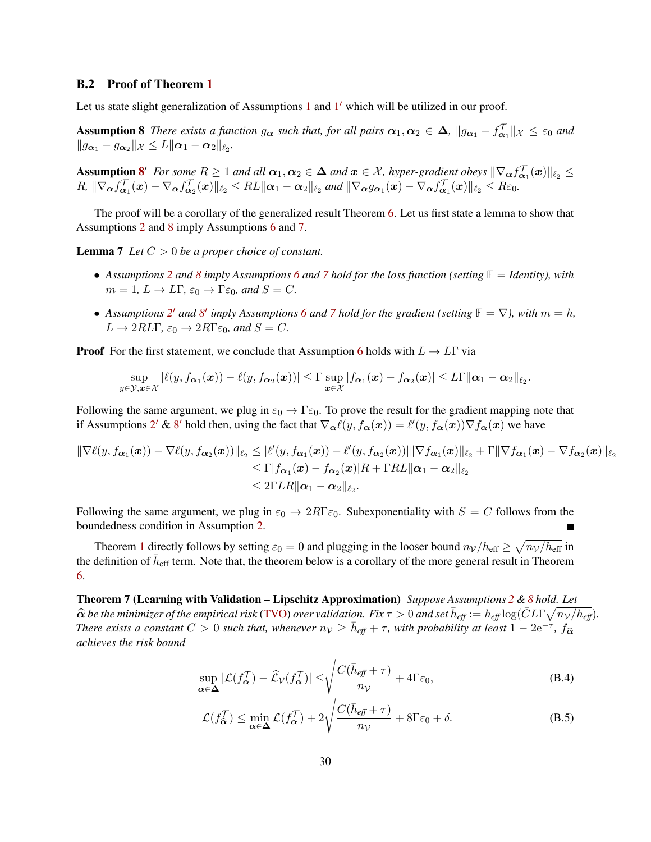#### B.2 Proof of Theorem [1](#page-4-4)

<span id="page-29-1"></span>Let us state slight generalization of Assumptions [1](#page-4-3) and  $1'$  which will be utilized in our proof.

**Assumption 8** *There exists a function*  $g_{\alpha}$  *such that, for all pairs*  $\alpha_1, \alpha_2 \in \Delta$ ,  $||g_{\alpha_1} - f_{\alpha_1}^{\top}||_{\mathcal{X}} \leq \varepsilon_0$  *and*  $||g_{\boldsymbol{\alpha}_1} - g_{\boldsymbol{\alpha}_2}||_{\mathcal{X}} \leq L||\boldsymbol{\alpha}_1 - \boldsymbol{\alpha}_2||_{\ell_2}.$ 

Assumption [8](#page-29-1)' For some  $R \ge 1$  and all  $\alpha_1, \alpha_2 \in \Delta$  and  $x \in \mathcal{X}$ , hyper-gradient obeys  $\|\nabla_{\alpha} f_{\alpha_1}^T(x)\|_{\ell_2} \le$  $R$ ,  $\|\nabla_{\boldsymbol{\alpha}} f_{\boldsymbol{\alpha}_1}^{\mathcal{T}}(\boldsymbol{x}) - \nabla_{\boldsymbol{\alpha}} f_{\boldsymbol{\alpha}_2}^{\mathcal{T}}(\boldsymbol{x})\|_{\ell_2} \leq R L \|\boldsymbol{\alpha}_1 - \boldsymbol{\alpha}_2\|_{\ell_2}$  and  $\|\nabla_{\boldsymbol{\alpha}} g_{\boldsymbol{\alpha}_1}(\boldsymbol{x}) - \nabla_{\boldsymbol{\alpha}} f_{\boldsymbol{\alpha}_1}^{\mathcal{T}}(\boldsymbol{x})\|_{\ell_2} \leq R \varepsilon_0$ .

The proof will be a corollary of the generalized result Theorem [6.](#page-27-1) Let us first state a lemma to show that Assumptions [2](#page-4-3) and [8](#page-29-1) imply Assumptions [6](#page-27-0) and [7.](#page-27-4)

Lemma 7 *Let* C > 0 *be a proper choice of constant.*

- <span id="page-29-2"></span>• *Assumptions [2](#page-4-3) and [8](#page-29-1) imply Assumptions [6](#page-27-0) and [7](#page-27-4) hold for the loss function (setting* **F** = *Identity), with*  $m = 1, L \to L\Gamma$ ,  $\varepsilon_0 \to \Gamma \varepsilon_0$ , and  $S = C$ .
- Assumptions [2](#page-4-3)' and [8](#page-29-1)' imply Assumptions [6](#page-27-0) and [7](#page-27-4) hold for the gradient (setting  $\mathbb{F} = \nabla$ ), with  $m = h$ ,  $L \to 2RL\Gamma$ ,  $\varepsilon_0 \to 2R\Gamma\varepsilon_0$ , and  $S = C$ .

**Proof** For the first statement, we conclude that Assumption [6](#page-27-0) holds with  $L \rightarrow L\Gamma$  via

$$
\sup_{y\in\mathcal{Y},\boldsymbol{x}\in\mathcal{X}}|\ell(y,f_{\boldsymbol{\alpha}_1}(\boldsymbol{x}))-\ell(y,f_{\boldsymbol{\alpha}_2}(\boldsymbol{x}))|\leq \Gamma \sup_{\boldsymbol{x}\in\mathcal{X}}|f_{\boldsymbol{\alpha}_1}(\boldsymbol{x})-f_{\boldsymbol{\alpha}_2}(\boldsymbol{x})|\leq L\Gamma\|\boldsymbol{\alpha}_1-\boldsymbol{\alpha}_2\|_{\ell_2}.
$$

Following the same argument, we plug in  $\varepsilon_0 \to \Gamma \varepsilon_0$ . To prove the result for the gradient mapping note that if Assumptions [2](#page-4-3)' & [8](#page-29-1)' hold then, using the fact that  $\nabla_{\alpha} \ell(y, f_{\alpha}(\bm{x})) = \ell'(y, f_{\alpha}(\bm{x})) \nabla f_{\alpha}(\bm{x})$  we have

$$
\begin{aligned}\n\|\nabla \ell(y, f_{\boldsymbol{\alpha}_1}(\boldsymbol{x})) - \nabla \ell(y, f_{\boldsymbol{\alpha}_2}(\boldsymbol{x}))\|_{\ell_2} &\leq |\ell'(y, f_{\boldsymbol{\alpha}_1}(\boldsymbol{x})) - \ell'(y, f_{\boldsymbol{\alpha}_2}(\boldsymbol{x}))| \|\nabla f_{\boldsymbol{\alpha}_1}(\boldsymbol{x})\|_{\ell_2} + \Gamma \|\nabla f_{\boldsymbol{\alpha}_1}(\boldsymbol{x}) - \nabla f_{\boldsymbol{\alpha}_2}(\boldsymbol{x})\|_{\ell_2} \\
&\leq \Gamma |f_{\boldsymbol{\alpha}_1}(\boldsymbol{x}) - f_{\boldsymbol{\alpha}_2}(\boldsymbol{x})| R + \Gamma R L \|\boldsymbol{\alpha}_1 - \boldsymbol{\alpha}_2\|_{\ell_2} \\
&\leq 2\Gamma L R \|\boldsymbol{\alpha}_1 - \boldsymbol{\alpha}_2\|_{\ell_2}.\n\end{aligned}
$$

Following the same argument, we plug in  $\varepsilon_0 \to 2R\Gamma\varepsilon_0$ . Subexponentiality with  $S = C$  follows from the boundedness condition in Assumption [2.](#page-4-3)

<span id="page-29-0"></span>Theorem [1](#page-4-4) directly follows by setting  $\varepsilon_0 = 0$  and plugging in the looser bound  $n_V/h_{\text{eff}} \ge \sqrt{n_V/h_{\text{eff}}}$  in the definition of  $\bar{h}_{\text{eff}}$  term. Note that, the theorem below is a corollary of the more general result in Theorem [6.](#page-27-1)

Theorem 7 (Learning with Validation – Lipschitz Approximation) *Suppose Assumptions [2](#page-4-3) & [8](#page-29-1) hold. Let*  $\hat{\alpha}$  be the minimizer of the empirical risk [\(TVO\)](#page-3-1) over validation. Fix  $\tau > 0$  and set  $\bar{h}_{\text{eff}} := h_{\text{eff}} \log(\bar{C} L \Gamma \sqrt{n_V/h_{\text{eff}}})$ .<br>There exists a constant  $C > 0$  such that whenever  $n_V > \bar{h}_{\text{cut}} + \pi$  with probability a *There exists a constant*  $C > 0$  *such that, whenever*  $n_V \geq \bar{h}_{\text{eff}} + \tau$ , with probability at least  $1 - 2e^{-\tau}$ ,  $f_{\widehat{\alpha}}$ *achieves the risk bound*

$$
\sup_{\alpha \in \Delta} |\mathcal{L}(f_{\alpha}^{\mathcal{T}}) - \widehat{\mathcal{L}}_{\mathcal{V}}(f_{\alpha}^{\mathcal{T}})| \le \sqrt{\frac{C(\bar{h}_{\text{eff}} + \tau)}{n_{\mathcal{V}}}} + 4\Gamma \varepsilon_0,
$$
\n(B.4)

<span id="page-29-4"></span><span id="page-29-3"></span>
$$
\mathcal{L}(f_{\widehat{\alpha}}^{\mathcal{T}}) \le \min_{\alpha \in \Delta} \mathcal{L}(f_{\alpha}^{\mathcal{T}}) + 2\sqrt{\frac{C(\bar{h}_{\text{eff}} + \tau)}{n_{\mathcal{V}}}} + 8\Gamma\varepsilon_0 + \delta.
$$
 (B.5)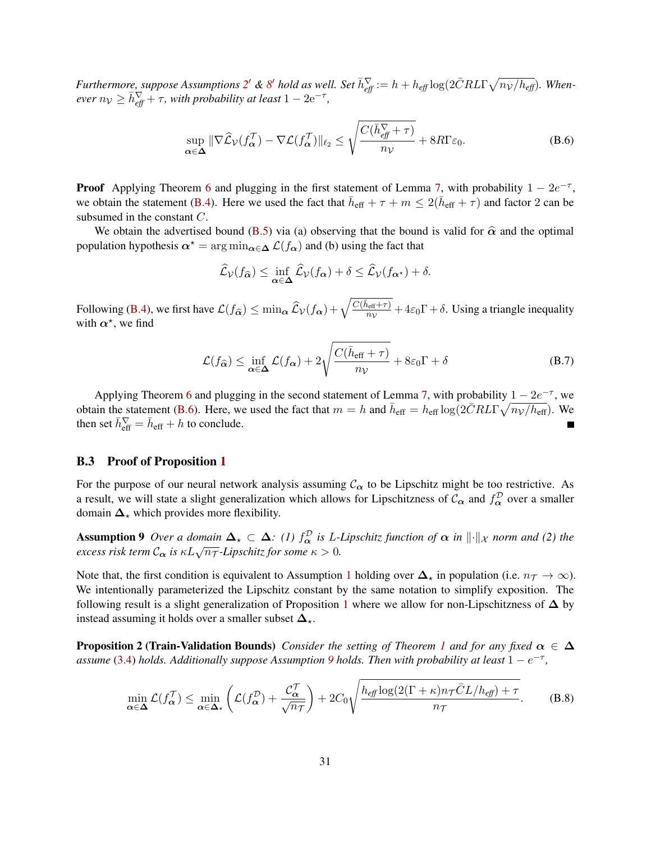*Furthermore, suppose Assumptions* [2](#page-4-3)' & [8](#page-29-1)' hold as well. Set  $\bar{h}^{\nabla}_{\text{eff}} := h + h_{\text{eff}} \log(2 \bar{C} R L \Gamma \sqrt{n_V/h_{\text{eff}}})$ . When- $\epsilon$ *ver*  $n_V \ge \bar{h}_{\text{eff}}^{\nabla} + \tau$ , with probability at least  $1 - 2e^{-\tau}$ ,

$$
\sup_{\alpha \in \Delta} \|\nabla \widehat{\mathcal{L}}_{\mathcal{V}}(f_{\alpha}^{\mathcal{T}}) - \nabla \mathcal{L}(f_{\alpha}^{\mathcal{T}})\|_{\ell_2} \le \sqrt{\frac{C(\bar{h}_{\text{eff}}^{\nabla} + \tau)}{n_{\mathcal{V}}} + 8R\Gamma\varepsilon_0}.
$$
\n(B.6)

**Proof** Applying Theorem [6](#page-27-1) and plugging in the first statement of Lemma [7,](#page-29-2) with probability  $1 - 2e^{-\tau}$ , we obtain the statement [\(B.4\)](#page-29-3). Here we used the fact that  $\bar{h}_{eff} + \tau + m \leq 2(\bar{h}_{eff} + \tau)$  and factor 2 can be subsumed in the constant C.

We obtain the advertised bound [\(B.5\)](#page-29-4) via (a) observing that the bound is valid for  $\hat{\alpha}$  and the optimal population hypothesis  $\alpha^* = \arg \min_{\alpha \in \Delta} \mathcal{L}(f_\alpha)$  and (b) using the fact that

<span id="page-30-2"></span>
$$
\widehat{\mathcal{L}}_{\mathcal{V}}(f_{\widehat{\alpha}}) \le \inf_{\alpha \in \Delta} \widehat{\mathcal{L}}_{\mathcal{V}}(f_{\alpha}) + \delta \le \widehat{\mathcal{L}}_{\mathcal{V}}(f_{\alpha^{\star}}) + \delta.
$$

Following [\(B.4\)](#page-29-3), we first have  $\mathcal{L}(f_{\hat{\alpha}}) \leq \min_{\alpha} \widehat{\mathcal{L}}_{\mathcal{V}}(f_{\alpha}) + \sqrt{\frac{C(\bar{h}_{\text{eff}} + \tau)}{n_{\mathcal{V}}}}$  $\frac{a_{\text{eff}} + \tau_j}{n_v} + 4\varepsilon_0 \Gamma + \delta$ . Using a triangle inequality with  $\alpha^*$ , we find

<span id="page-30-3"></span>
$$
\mathcal{L}(f_{\widehat{\alpha}}) \le \inf_{\alpha \in \Delta} \mathcal{L}(f_{\alpha}) + 2\sqrt{\frac{C(\bar{h}_{\text{eff}} + \tau)}{n_{\mathcal{V}}} + 8\varepsilon_0 \Gamma + \delta}
$$
 (B.7)

Applying Theorem [6](#page-27-1) and plugging in the second statement of Lemma [7,](#page-29-2) with probability  $1 - 2e^{-\tau}$ , we obtain the statement [\(B.6\)](#page-30-2). Here, we used the fact that  $m = h$  and  $\bar{h}_{eff} = h_{eff} \log(2\bar{C}RL\Gamma \sqrt{n_V/h_{eff}})$ . We then set  $\bar{h}^{\nabla}_{\text{eff}} = \bar{h}_{\text{eff}} + h$  to conclude.

### <span id="page-30-1"></span>B.3 Proof of Proposition [1](#page-6-2)

For the purpose of our neural network analysis assuming  $C_{\alpha}$  to be Lipschitz might be too restrictive. As a result, we will state a slight generalization which allows for Lipschitzness of  $C_{\alpha}$  and  $f_{\alpha}^{\mathcal{D}}$  over a smaller domain  $\Delta_{\star}$  which provides more flexibility.

**Assumption 9** Over a domain  $\Delta_{\star} \subset \Delta$ : (1)  $f_{\alpha}^{\mathcal{D}}$  is L-Lipschitz function of  $\alpha$  in  $\|\cdot\|_{\mathcal{X}}$  norm and (2) the **Example 6.** The *c is*  $\kappa L \sqrt{n_{\text{T}}}$ *-Lipschitz for some*  $\kappa > 0$ .

Note that, the first condition is equivalent to Assumption [1](#page-4-2) holding over  $\Delta_{\star}$  in population (i.e.  $n_{\tau} \to \infty$ ). We intentionally parameterized the Lipschitz constant by the same notation to simplify exposition. The following result is a slight generalization of Proposition [1](#page-6-2) where we allow for non-Lipschitzness of  $\Delta$  by instead assuming it holds over a smaller subset  $\Delta_{\star}$ .

<span id="page-30-0"></span>**Proposition 2 (Train-Validation Bounds)** *Consider the setting of Theorem [1](#page-4-4) and for any fixed*  $\alpha \in \Delta$  $a$ ssume [\(3.4\)](#page-6-1) *holds.* Additionally suppose Assumption [9](#page-30-3) holds. Then with probability at least  $1 - e^{-\tau}$ ,

<span id="page-30-4"></span>
$$
\min_{\alpha \in \Delta} \mathcal{L}(f_{\alpha}^{\mathcal{T}}) \le \min_{\alpha \in \Delta_{\star}} \left( \mathcal{L}(f_{\alpha}^{\mathcal{D}}) + \frac{\mathcal{C}_{\alpha}^{\mathcal{T}}}{\sqrt{n_{\mathcal{T}}}} \right) + 2C_0 \sqrt{\frac{h_{\text{eff}} \log(2(\Gamma + \kappa)n_{\mathcal{T}} \bar{C} L/h_{\text{eff}}) + \tau}{n_{\mathcal{T}}}}.
$$
(B.8)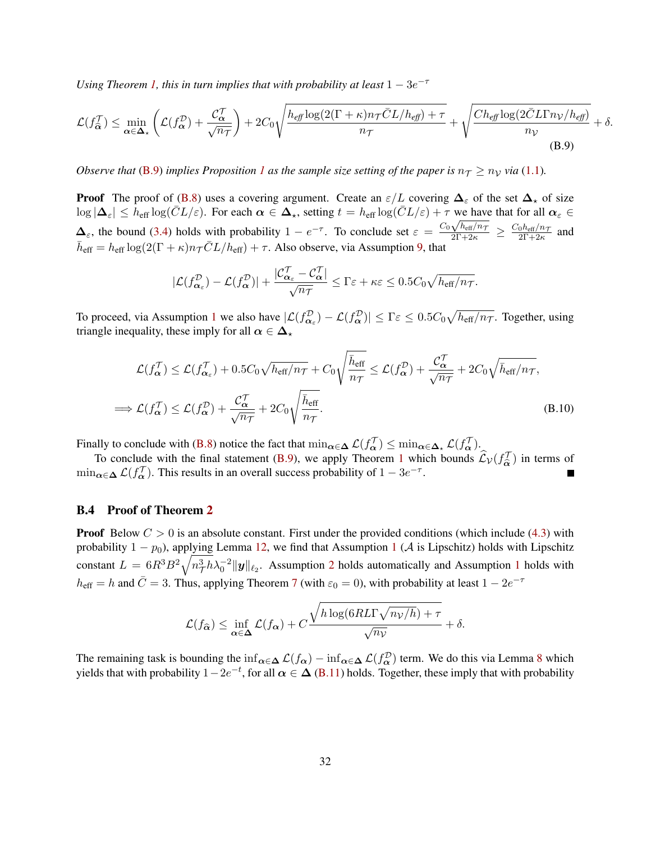*Using Theorem [1,](#page-4-4) this in turn implies that with probability at least*  $1 - 3e^{-\tau}$ 

$$
\mathcal{L}(f_{\widehat{\alpha}}^{\mathcal{T}}) \le \min_{\alpha \in \Delta_{\star}} \left( \mathcal{L}(f_{\alpha}^{\mathcal{D}}) + \frac{\mathcal{C}_{\alpha}^{\mathcal{T}}}{\sqrt{n_{\mathcal{T}}}} \right) + 2C_0 \sqrt{\frac{h_{\text{eff}} \log(2(\Gamma + \kappa)n_{\mathcal{T}} \bar{C}L/h_{\text{eff}}) + \tau}{n_{\mathcal{T}}}} + \sqrt{\frac{Ch_{\text{eff}} \log(2\bar{C}L\Gamma n_{\mathcal{V}}/h_{\text{eff}})}{n_{\mathcal{V}}} + \delta.
$$
\n(B.9)

*Observe that* [\(B.9\)](#page-31-0) *implies Proposition* [1](#page-6-2) *as the sample size setting of the paper is*  $n<sub>T</sub> \ge n<sub>V</sub>$  *via* [\(1.1\)](#page-1-1)*.* 

**Proof** The proof of [\(B.8\)](#page-30-4) uses a covering argument. Create an  $\varepsilon/L$  covering  $\Delta_{\varepsilon}$  of the set  $\Delta_{\star}$  of size  $\log |\Delta_{\varepsilon}| \leq h_{\text{eff}} \log (\bar{C}L/\varepsilon)$ . For each  $\alpha \in \Delta_{\star}$ , setting  $t = h_{\text{eff}} \log (\bar{C}L/\varepsilon) + \tau$  we have that for all  $\alpha_{\varepsilon} \in$  $\Delta_{\varepsilon}$ , the bound [\(3.4\)](#page-6-1) holds with probability  $1 - e^{-\tau}$ . To conclude set  $\varepsilon = \frac{C_0 \sqrt{h_{\text{eff}}/n_{\tau}}}{2\Gamma + 2\kappa} \ge \frac{C_0 h_{\text{eff}}/n_{\tau}}{2\Gamma + 2\kappa}$  $\frac{0^{n_{\text{eff}}/n_{\mathcal{T}}}}{2\Gamma+2\kappa}$  and  $\bar{h}_{\text{eff}} = h_{\text{eff}} \log(2(\Gamma + \kappa)n_{\mathcal{T}} \bar{C}L/h_{\text{eff}}) + \tau$ . Also observe, via Assumption [9,](#page-30-3) that

<span id="page-31-0"></span>
$$
|\mathcal{L}(f^{\mathcal{D}}_{\alpha_{\varepsilon}})-\mathcal{L}(f^{\mathcal{D}}_{\alpha})|+\frac{|\mathcal{C}^{\mathcal{T}}_{\alpha_{\varepsilon}}-\mathcal{C}^{\mathcal{T}}_{\alpha}|}{\sqrt{n_{\mathcal{T}}}}\leq \Gamma\varepsilon+\kappa\varepsilon\leq 0.5C_{0}\sqrt{h_{\text{eff}}/n_{\mathcal{T}}}.
$$

To proceed, via Assumption [1](#page-4-2) we also have  $|\mathcal{L}(f_{\alpha_\varepsilon}^{\mathcal{D}}) - \mathcal{L}(f_\alpha^{\mathcal{D}})| \le \Gamma \varepsilon \le 0.5C_0\sqrt{h_{\text{eff}}/n_{\mathcal{T}}}$ . Together, using triangle inequality, these imply for all  $\alpha \in \Delta_{\star}$ 

$$
\mathcal{L}(f_{\alpha}^{\mathcal{T}}) \leq \mathcal{L}(f_{\alpha_{\varepsilon}}^{\mathcal{T}}) + 0.5C_0\sqrt{h_{\text{eff}}/n_{\mathcal{T}}} + C_0\sqrt{\frac{\bar{h}_{\text{eff}}}{n_{\mathcal{T}}}} \leq \mathcal{L}(f_{\alpha}^{\mathcal{D}}) + \frac{\mathcal{C}_{\alpha}^{\mathcal{T}}}{\sqrt{n_{\mathcal{T}}}} + 2C_0\sqrt{\bar{h}_{\text{eff}}/n_{\mathcal{T}}},
$$
  

$$
\implies \mathcal{L}(f_{\alpha}^{\mathcal{T}}) \leq \mathcal{L}(f_{\alpha}^{\mathcal{D}}) + \frac{\mathcal{C}_{\alpha}^{\mathcal{T}}}{\sqrt{n_{\mathcal{T}}}} + 2C_0\sqrt{\frac{\bar{h}_{\text{eff}}}{n_{\mathcal{T}}}}.
$$
(B.10)

Finally to conclude with [\(B.8\)](#page-30-4) notice the fact that  $\min_{\alpha \in \Delta} \mathcal{L}(f_{\alpha}^{\mathcal{T}}) \leq \min_{\alpha \in \Delta_{\star}} \mathcal{L}(f_{\alpha}^{\mathcal{T}})$ .

To conclude with the final statement [\(B.9\)](#page-31-0), we apply Theorem [1](#page-4-4) which bounds  $\hat{\mathcal{L}}_{\mathcal{V}}(f_{\hat{\alpha}}^{\mathcal{T}})$  in terms of  $\min_{\alpha \in \Delta} \mathcal{L}(f_{\alpha}^{\mathcal{T}})$ . This results in an overall success probability of  $1 - 3e^{-\tau}$ .

#### B.4 Proof of Theorem [2](#page-8-2)

**Proof** Below  $C > 0$  is an absolute constant. First under the provided conditions (which include [\(4.3\)](#page-8-1) with probability  $1 - p_0$  $1 - p_0$ ), applying Lemma [12,](#page-36-0) we find that Assumption 1 (A is Lipschitz) holds with Lipschitz constant  $L = 6R^3B^2\sqrt{n_T^3h\lambda_0^{-2}}\|y\|_{\ell_2}$  $L = 6R^3B^2\sqrt{n_T^3h\lambda_0^{-2}}\|y\|_{\ell_2}$  $L = 6R^3B^2\sqrt{n_T^3h\lambda_0^{-2}}\|y\|_{\ell_2}$ . Assumption 2 holds automatically and Assumption [1](#page-4-5) holds with  $h_{\text{eff}} = h$  and  $\bar{C} = 3$ . Thus, applying Theorem [7](#page-29-0) (with  $\varepsilon_0 = 0$ ), with probability at least  $1 - 2e^{-\tau}$ 

$$
\mathcal{L}(f_{\widehat{\alpha}}) \le \inf_{\alpha \in \Delta} \mathcal{L}(f_{\alpha}) + C \frac{\sqrt{h \log(6RLT\sqrt{n_V/h}) + \tau}}{\sqrt{n_V}} + \delta.
$$

The remaining task is bounding the  $\inf_{\alpha \in \Delta} \mathcal{L}(f_\alpha) - \inf_{\alpha \in \Delta} \mathcal{L}(f_\alpha^{\mathcal{D}})$  term. We do this via Lemma [8](#page-32-0) which yields that with probability  $1-2e^{-t}$ , for all  $\alpha \in \Delta$  [\(B.11\)](#page-32-1) holds. Together, these imply that with probability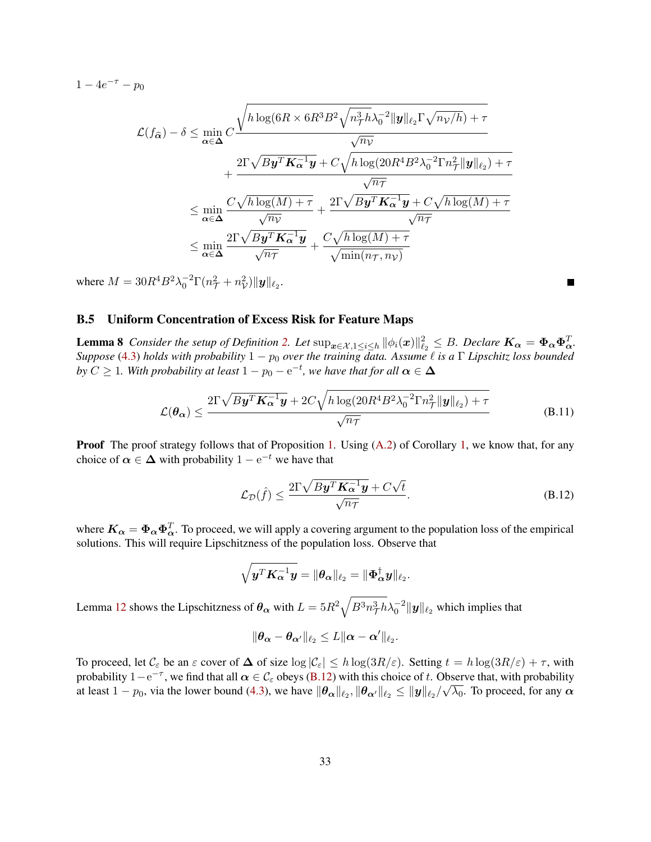$1 - 4e^{-\tau} - p_0$ 

$$
\mathcal{L}(f_{\widehat{\alpha}}) - \delta \le \min_{\alpha \in \Delta} C \frac{\sqrt{h \log(6R \times 6R^3B^2 \sqrt{n_{\mathcal{T}}^3h}\lambda_0^{-2}\|\mathbf{y}\|_{\ell_2}\Gamma \sqrt{n_{\mathcal{V}}/h}) + \tau}}{\sqrt{n_{\mathcal{V}}}} \\ + \frac{2\Gamma \sqrt{B\mathbf{y}^T\mathbf{K}_{\alpha}^{-1}\mathbf{y}} + C\sqrt{h \log(20R^4B^2\lambda_0^{-2}\Gamma n_{\mathcal{T}}^2\|\mathbf{y}\|_{\ell_2}) + \tau}}{\sqrt{n_{\mathcal{T}}}} \\ \le \min_{\alpha \in \Delta} \frac{C\sqrt{h \log(M) + \tau}}{\sqrt{n_{\mathcal{V}}}} + \frac{2\Gamma \sqrt{B\mathbf{y}^T\mathbf{K}_{\alpha}^{-1}\mathbf{y}} + C\sqrt{h \log(M) + \tau}}{\sqrt{n_{\mathcal{T}}}} \\ \le \min_{\alpha \in \Delta} \frac{2\Gamma \sqrt{B\mathbf{y}^T\mathbf{K}_{\alpha}^{-1}\mathbf{y}}}{\sqrt{n_{\mathcal{T}}}} + \frac{C\sqrt{h \log(M) + \tau}}{\sqrt{\min(n_{\mathcal{T}}, n_{\mathcal{V}})}}
$$

where  $M = 30R^4B^2\lambda_0^{-2}\Gamma(n_{\mathcal{T}}^2 + n_{\mathcal{V}}^2)\|\mathbf{y}\|_{\ell_2}$ .

### B.5 Uniform Concentration of Excess Risk for Feature Maps

<span id="page-32-0"></span>**Lemma 8** *Consider the setup of Definition [2.](#page-7-4) Let*  $\sup_{x \in \mathcal{X}, 1 \leq i \leq h} ||\phi_i(x)||_{\ell_2}^2 \leq B$ . *Declare*  $K_\alpha = \Phi_\alpha \Phi_\alpha^T$ . *Suppose* [\(4.3\)](#page-8-1) *holds with probability*  $1 - p_0$  *over the training data. Assume*  $\ell$  *is a* Γ *Lipschitz loss bounded*  $b$ y  $C\geq 1$ . With probability at least  $1-p_0-\mathrm{e}^{-t}$ , we have that for all  $\boldsymbol{\alpha}\in\boldsymbol{\Delta}$ 

$$
\mathcal{L}(\theta_{\alpha}) \le \frac{2\Gamma\sqrt{By^T\mathbf{K}_{\alpha}^{-1}\mathbf{y}} + 2C\sqrt{h\log(20R^4B^2\lambda_0^{-2}\Gamma n_{\mathcal{T}}^2\|\mathbf{y}\|_{\ell_2}) + \tau}}{\sqrt{n_{\mathcal{T}}}} \tag{B.11}
$$

**Proof** The proof strategy follows that of Proposition [1.](#page-6-2) Using  $(A.2)$  of Corollary [1,](#page-25-2) we know that, for any choice of  $\alpha \in \Delta$  with probability  $1 - e^{-t}$  we have that

$$
\mathcal{L}_{\mathcal{D}}(\hat{f}) \le \frac{2\Gamma\sqrt{By^T \mathbf{K}_{\alpha}^{-1} \mathbf{y}} + C\sqrt{t}}{\sqrt{n_{\mathcal{T}}}}.
$$
\n(B.12)

<span id="page-32-2"></span><span id="page-32-1"></span>Г

where  $K_{\alpha} = \Phi_{\alpha} \Phi_{\alpha}^T$ . To proceed, we will apply a covering argument to the population loss of the empirical solutions. This will require Lipschitzness of the population loss. Observe that

$$
\sqrt{\boldsymbol{y}^T\boldsymbol{K}_{\boldsymbol{\alpha}}^{-1}\boldsymbol{y}}=\|\boldsymbol{\theta}_{\boldsymbol{\alpha}}\|_{\ell_2}=\|\boldsymbol{\Phi}_{\boldsymbol{\alpha}}^{\dagger}\boldsymbol{y}\|_{\ell_2}.
$$

Lemma [12](#page-36-0) shows the Lipschitzness of  $\bm{\theta_{\alpha}}$  with  $L=5R^2\sqrt{B^3n^3_{\mathcal{T}}h}\lambda_0^{-2}\|\bm{y}\|_{\ell_2}$  which implies that

$$
\|\boldsymbol{\theta_\alpha}-\boldsymbol{\theta_{\alpha'}}\|_{\ell_2}\leq L\|\boldsymbol{\alpha}-\boldsymbol{\alpha'}\|_{\ell_2}.
$$

To proceed, let  $\mathcal{C}_{\varepsilon}$  be an  $\varepsilon$  cover of  $\Delta$  of size  $\log |\mathcal{C}_{\varepsilon}| \leq h \log (3R/\varepsilon)$ . Setting  $t = h \log (3R/\varepsilon) + \tau$ , with probability  $1-e^{-\tau}$ , we find that all  $\alpha \in C_{\epsilon}$  obeys [\(B.12\)](#page-32-2) with this choice of t. Observe that, with probability at least  $1-p_0$ , via the lower bound [\(4.3\)](#page-8-1), we have  $\|\theta_\alpha\|_{\ell_2}, \|\theta_{\alpha'}\|_{\ell_2} \le \|y\|_{\ell_2}/\sqrt{\lambda_0}.$  To proceed, for any  $\alpha$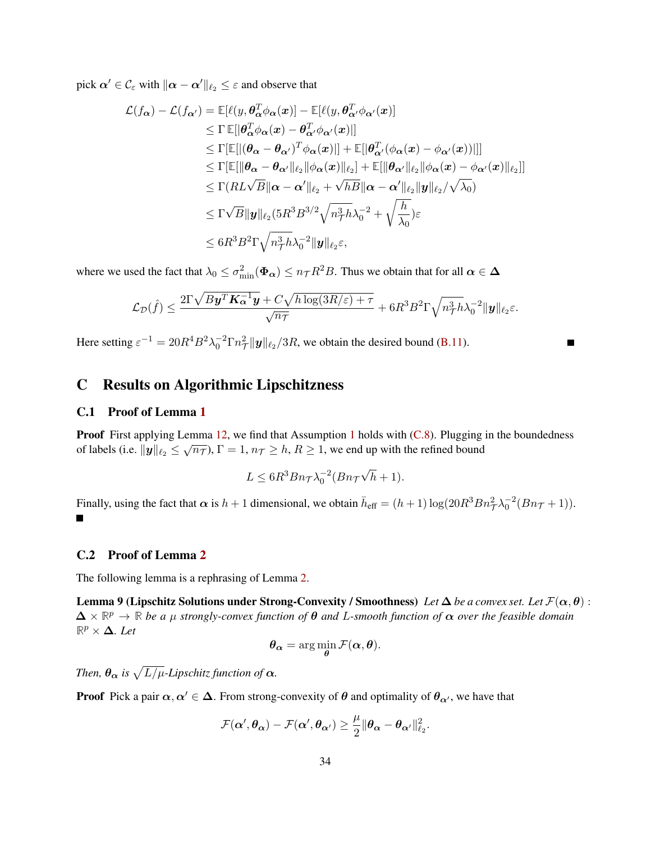pick  $\alpha' \in \mathcal{C}_{\varepsilon}$  with  $\|\alpha - \alpha'\|_{\ell_2} \leq \varepsilon$  and observe that

$$
\mathcal{L}(f_{\alpha}) - \mathcal{L}(f_{\alpha'}) = \mathbb{E}[\ell(y, \theta_{\alpha}^T \phi_{\alpha}(x)] - \mathbb{E}[\ell(y, \theta_{\alpha'}^T \phi_{\alpha'}(x)]
$$
\n
$$
\leq \Gamma \mathbb{E}[|\theta_{\alpha}^T \phi_{\alpha}(x) - \theta_{\alpha'}^T \phi_{\alpha'}(x)|]
$$
\n
$$
\leq \Gamma[\mathbb{E}[|(\theta_{\alpha} - \theta_{\alpha'})^T \phi_{\alpha}(x)|] + \mathbb{E}[|\theta_{\alpha'}^T(\phi_{\alpha}(x) - \phi_{\alpha'}(x))|]]
$$
\n
$$
\leq \Gamma[\mathbb{E}[||\theta_{\alpha} - \theta_{\alpha'}||_{\ell_2} ||\phi_{\alpha}(x)||_{\ell_2}] + \mathbb{E}[||\theta_{\alpha'}||_{\ell_2} ||\phi_{\alpha}(x) - \phi_{\alpha'}(x)||_{\ell_2}]]
$$
\n
$$
\leq \Gamma(RL\sqrt{B}||\alpha - \alpha'||_{\ell_2} + \sqrt{hB}||\alpha - \alpha'||_{\ell_2} ||y||_{\ell_2}/\sqrt{\lambda_0})
$$
\n
$$
\leq \Gamma\sqrt{B}||y||_{\ell_2}(5R^3B^{3/2}\sqrt{n_{\mathcal{T}}^3h\lambda_0^{-2}} + \sqrt{\frac{h}{\lambda_0}})\varepsilon
$$
\n
$$
\leq 6R^3B^2\Gamma\sqrt{n_{\mathcal{T}}^3h\lambda_0^{-2}}||y||_{\ell_2}\varepsilon,
$$

where we used the fact that  $\lambda_0 \le \sigma_{\min}^2(\Phi_{\alpha}) \le n_T R^2 B$ . Thus we obtain that for all  $\alpha \in \Delta$ 

$$
\mathcal{L}_{\mathcal{D}}(\hat{f}) \leq \frac{2\Gamma\sqrt{By^T}\mathbf{K}_{\alpha}^{-1}\mathbf{y} + C\sqrt{h\log(3R/\varepsilon) + \tau}}{\sqrt{n_{\mathcal{T}}}} + 6R^3B^2\Gamma\sqrt{n_{\mathcal{T}}^3h\lambda_0^{-2}}\|\mathbf{y}\|_{\ell_2\varepsilon}.
$$

Here setting  $\varepsilon^{-1} = 20R^4B^2\lambda_0^{-2}\Gamma n_\mathcal{T}^2 ||y||_{\ell_2}/3R$ , we obtain the desired bound [\(B.11\)](#page-32-1).

# C Results on Algorithmic Lipschitzness

### C.1 Proof of Lemma [1](#page-7-3)

**Proof** First applying Lemma [12,](#page-36-0) we find that Assumption [1](#page-4-2) holds with [\(C.8\)](#page-36-1). Plugging in the boundedness of labels (i.e.  $||y||_{\ell_2} \le \sqrt{n_{\mathcal{T}}}$ ),  $\Gamma = 1$ ,  $n_{\mathcal{T}} \ge h$ ,  $R \ge 1$ , we end up with the refined bound

$$
L \le 6R^3 B n_{\mathcal{T}} \lambda_0^{-2} (B n_{\mathcal{T}} \sqrt{h} + 1).
$$

Finally, using the fact that  $\alpha$  is  $h+1$  dimensional, we obtain  $\bar{h}_{eff} = (h+1) \log(20R^3Bn^2 \pi \lambda_0^{-2}(Bn\tau+1)).$  $\blacksquare$ 

#### C.2 Proof of Lemma [2](#page-7-6)

The following lemma is a rephrasing of Lemma [2.](#page-7-6)

Lemma 9 (Lipschitz Solutions under Strong-Convexity / Smoothness) *Let*  $\Delta$  *be a convex set. Let*  $\mathcal{F}(\alpha, \theta)$ :  $\Delta \times \mathbb{R}^p \to \mathbb{R}$  *be a*  $\mu$  *strongly-convex function of*  $\theta$  *and* L-smooth function of  $\alpha$  *over the feasible domain*  $\mathbb{R}^p$  ×  $\Delta$ *. Let* 

$$
\boldsymbol{\theta}_{\boldsymbol{\alpha}} = \arg\min_{\boldsymbol{\theta}} \mathcal{F}(\boldsymbol{\alpha},\boldsymbol{\theta}).
$$

*Then,*  $\theta_{\alpha}$  *is*  $\sqrt{L/\mu}$ *-Lipschitz function of*  $\alpha$ *.* 

**Proof** Pick a pair  $\alpha, \alpha' \in \Delta$ . From strong-convexity of  $\theta$  and optimality of  $\theta_{\alpha'}$ , we have that

$$
\mathcal{F}(\boldsymbol{\alpha}', \boldsymbol{\theta}_{\boldsymbol{\alpha}}) - \mathcal{F}(\boldsymbol{\alpha}', \boldsymbol{\theta}_{\boldsymbol{\alpha}'}) \geq \frac{\mu}{2} \|\boldsymbol{\theta}_{\boldsymbol{\alpha}} - \boldsymbol{\theta}_{\boldsymbol{\alpha}'}\|_{\ell_2}^2.
$$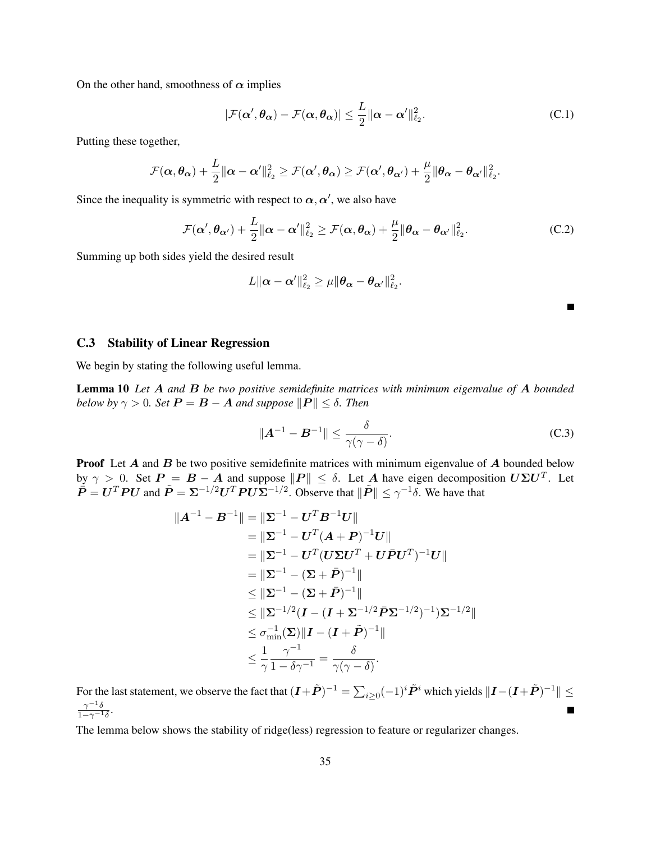On the other hand, smoothness of  $\alpha$  implies

$$
|\mathcal{F}(\alpha', \theta_{\alpha}) - \mathcal{F}(\alpha, \theta_{\alpha})| \le \frac{L}{2} \|\alpha - \alpha'\|_{\ell_2}^2.
$$
 (C.1)

Putting these together,

$$
\mathcal{F}(\boldsymbol{\alpha}, \boldsymbol{\theta_{\alpha}}) + \frac{L}{2} \|\boldsymbol{\alpha} - \boldsymbol{\alpha}'\|_{\ell_2}^2 \geq \mathcal{F}(\boldsymbol{\alpha}', \boldsymbol{\theta_{\alpha}}) \geq \mathcal{F}(\boldsymbol{\alpha}', \boldsymbol{\theta_{\alpha'}}) + \frac{\mu}{2} \|\boldsymbol{\theta_{\alpha}} - \boldsymbol{\theta_{\alpha'}}\|_{\ell_2}^2.
$$

Since the inequality is symmetric with respect to  $\alpha, \alpha'$ , we also have

$$
\mathcal{F}(\alpha', \theta_{\alpha'}) + \frac{L}{2} \|\alpha - \alpha'\|_{\ell_2}^2 \ge \mathcal{F}(\alpha, \theta_{\alpha}) + \frac{\mu}{2} \|\theta_{\alpha} - \theta_{\alpha'}\|_{\ell_2}^2.
$$
 (C.2)

Summing up both sides yield the desired result

$$
L\|\boldsymbol{\alpha}-\boldsymbol{\alpha}'\|_{\ell_2}^2 \geq \mu\|\boldsymbol{\theta_{\alpha}}-\boldsymbol{\theta_{\alpha'}}\|_{\ell_2}^2.
$$

<span id="page-34-0"></span>П

#### C.3 Stability of Linear Regression

We begin by stating the following useful lemma.

Lemma 10 *Let* A *and* B *be two positive semidefinite matrices with minimum eigenvalue of* A *bounded below by*  $\gamma > 0$ *. Set*  $P = B - A$  *and suppose*  $||P|| \leq \delta$ *. Then* 

<span id="page-34-2"></span><span id="page-34-1"></span>
$$
\|\mathbf{A}^{-1} - \mathbf{B}^{-1}\| \le \frac{\delta}{\gamma(\gamma - \delta)}.\tag{C.3}
$$

**Proof** Let  $A$  and  $B$  be two positive semidefinite matrices with minimum eigenvalue of  $A$  bounded below by  $\gamma > 0$ . Set  $P = B - A$  and suppose  $||P|| \le \delta$ . Let A have eigen decomposition  $U\Sigma U^T$ . Let  $\tilde{P} = U^T P U$  and  $\tilde{P} = \Sigma^{-1/2} U^T P U \Sigma^{-1/2}$ . Observe that  $\|\tilde{P}\| \le \gamma^{-1} \delta$ . We have that

$$
\|A^{-1} - B^{-1}\| = \|\Sigma^{-1} - U^T B^{-1} U\| \n= \|\Sigma^{-1} - U^T (A + P)^{-1} U\| \n= \|\Sigma^{-1} - U^T (U \Sigma U^T + U \bar{P} U^T)^{-1} U\| \n= \|\Sigma^{-1} - (\Sigma + \bar{P})^{-1}\| \n\le \|\Sigma^{-1} - (\Sigma + \bar{P})^{-1}\| \n\le \|\Sigma^{-1/2} (I - (I + \Sigma^{-1/2} \bar{P} \Sigma^{-1/2})^{-1}) \Sigma^{-1/2}\| \n\le \sigma_{\min}^{-1} (\Sigma) \|I - (I + \tilde{P})^{-1}\| \n\le \frac{1}{\gamma} \frac{\gamma^{-1}}{1 - \delta \gamma^{-1}} = \frac{\delta}{\gamma(\gamma - \delta)}.
$$

For the last statement, we observe the fact that  $(I+\tilde{P})^{-1}=\sum_{i\geq 0}(-1)^i\tilde{P}^i$  which yields  $\|I-(I+\tilde{P})^{-1}\|\leq$  $\gamma^{-1}\delta$  $\frac{\gamma - \sigma}{1 - \gamma^{-1} \delta}$ .

The lemma below shows the stability of ridge(less) regression to feature or regularizer changes.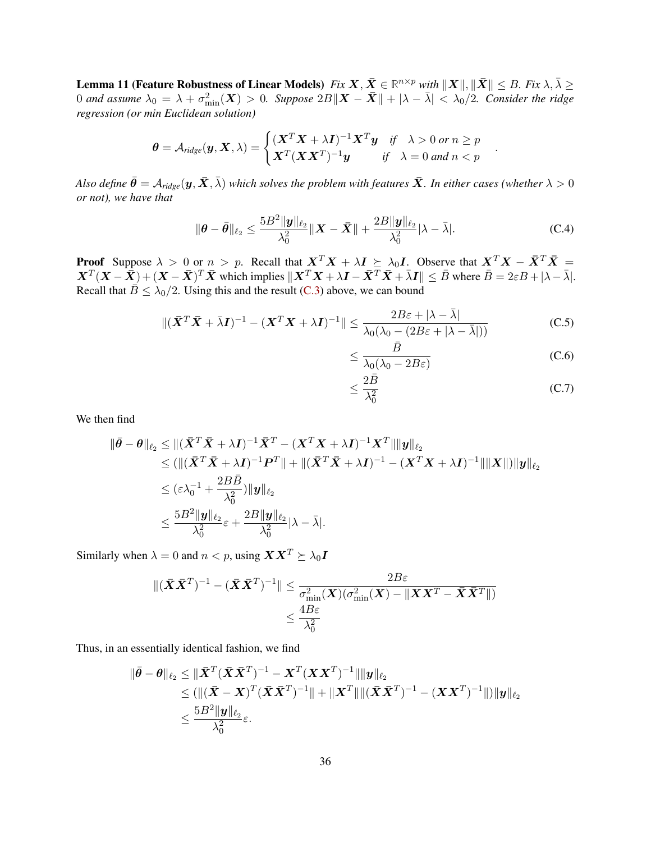Lemma 11 (Feature Robustness of Linear Models)  $Fix\,X, \bar{X}\in\mathbb{R}^{n\times p}$  with  $\|X\|,\|\bar{X}\|\le B$ . Fix  $\lambda,\bar{\lambda}\ge\lambda$ 0 and assume  $\lambda_0 = \lambda + \sigma_{\min}^2(\bm X) > 0$ . Suppose  $2B\|\bm X - \bar{\bm X}\| + |\lambda - \bar{\lambda}| < \lambda_0/2$ . Consider the ridge *regression (or min Euclidean solution)*

$$
\boldsymbol{\theta} = \mathcal{A}_{ridge}(\boldsymbol{y}, \boldsymbol{X}, \lambda) = \begin{cases} (\boldsymbol{X}^T \boldsymbol{X} + \lambda \boldsymbol{I})^{-1} \boldsymbol{X}^T \boldsymbol{y} & \text{if } \lambda > 0 \text{ or } n \ge p \\ \boldsymbol{X}^T (\boldsymbol{X} \boldsymbol{X}^T)^{-1} \boldsymbol{y} & \text{if } \lambda = 0 \text{ and } n < p \end{cases}
$$

*Also define*  $\bar{\theta} = A_{ridge}(y, \bar{X}, \bar{\lambda})$  *which solves the problem with features*  $\bar{X}$ *. In either cases (whether*  $\lambda > 0$ *or not), we have that*

$$
\|\boldsymbol{\theta}-\bar{\boldsymbol{\theta}}\|_{\ell_2} \le \frac{5B^2\|\boldsymbol{y}\|_{\ell_2}}{\lambda_0^2} \|\boldsymbol{X}-\bar{\boldsymbol{X}}\| + \frac{2B\|\boldsymbol{y}\|_{\ell_2}}{\lambda_0^2} |\lambda-\bar{\lambda}|.
$$
 (C.4)

**Proof** Suppose  $\lambda > 0$  or  $n > p$ . Recall that  $X^T X + \lambda I \succeq \lambda_0 I$ . Observe that  $X^T X - \bar{X}^T \bar{X} =$  $\mathbf{X}^T(\mathbf{X}-\widetilde{\mathbf{X}})+(\mathbf{X}-\bar{\mathbf{X}})^T\bar{\mathbf{X}}$  which implies  $\|\mathbf{X}^T\mathbf{X}+\lambda\mathbf{I}-\bar{\mathbf{X}}^T\bar{\mathbf{X}}+\bar{\lambda}\mathbf{I}\|\leq B$  where  $\bar{B}=2\varepsilon B+|\lambda-\bar{\lambda}|$ . Recall that  $\overline{B} \leq \lambda_0/2$ . Using this and the result [\(C.3\)](#page-34-0) above, we can bound

$$
\|(\bar{\mathbf{X}}^T \bar{\mathbf{X}} + \bar{\lambda} \mathbf{I})^{-1} - (\mathbf{X}^T \mathbf{X} + \lambda \mathbf{I})^{-1}\| \le \frac{2B\varepsilon + |\lambda - \bar{\lambda}|}{\lambda_0(\lambda_0 - (2B\varepsilon + |\lambda - \bar{\lambda}|))}
$$
(C.5)

$$
\leq \frac{\bar{B}}{\lambda_0(\lambda_0 - 2B\varepsilon)}\tag{C.6}
$$

<span id="page-35-0"></span>.

$$
\leq \frac{2\bar{B}}{\lambda_0^2} \tag{C.7}
$$

We then find

$$
\begin{aligned}\n\|\bar{\theta}-\theta\|_{\ell_2} &\leq \|(\bar{\mathbf{X}}^T\bar{\mathbf{X}}+\lambda\mathbf{I})^{-1}\bar{\mathbf{X}}^T-(\mathbf{X}^T\mathbf{X}+\lambda\mathbf{I})^{-1}\mathbf{X}^T\|\|\mathbf{y}\|_{\ell_2} \\
&\leq (\|(\bar{\mathbf{X}}^T\bar{\mathbf{X}}+\lambda\mathbf{I})^{-1}\mathbf{P}^T\|+\|(\bar{\mathbf{X}}^T\bar{\mathbf{X}}+\lambda\mathbf{I})^{-1}-(\mathbf{X}^T\mathbf{X}+\lambda\mathbf{I})^{-1}\|\|\mathbf{X}\|)\|\mathbf{y}\|_{\ell_2} \\
&\leq (\varepsilon\lambda_0^{-1}+\frac{2B\bar{B}}{\lambda_0^2})\|\mathbf{y}\|_{\ell_2} \\
&\leq \frac{5B^2\|\mathbf{y}\|_{\ell_2}}{\lambda_0^2}\varepsilon+\frac{2B\|\mathbf{y}\|_{\ell_2}}{\lambda_0^2}|\lambda-\bar{\lambda}].\n\end{aligned}
$$

Similarly when  $\lambda = 0$  and  $n < p$ , using  $\mathbf{X} \mathbf{X}^T \succeq \lambda_0 \mathbf{I}$ 

$$
\begin{aligned} \|(\bar{\boldsymbol{X}}\bar{\boldsymbol{X}}^T)^{-1} - (\bar{\boldsymbol{X}}\bar{\boldsymbol{X}}^T)^{-1} \| &\leq \frac{2B\varepsilon}{\sigma_{\min}^2(\boldsymbol{X})(\sigma_{\min}^2(\boldsymbol{X}) - \|\boldsymbol{X}\boldsymbol{X}^T - \bar{\boldsymbol{X}}\bar{\boldsymbol{X}}^T\|)} \\ &\leq \frac{4B\varepsilon}{\lambda_0^2} \end{aligned}
$$

Thus, in an essentially identical fashion, we find

$$
\begin{aligned} \|\bar{\bm{\theta}}-\bm{\theta}\|_{\ell_2} &\leq \|\bar{\bm{X}}^T(\bar{\bm{X}}\bar{\bm{X}}^T)^{-1}-\bm{X}^T(\bm{X}\bm{X}^T)^{-1}\|\|\bm{y}\|_{\ell_2}\\ &\leq (\|(\bar{\bm{X}}-\bm{X})^T(\bar{\bm{X}}\bar{\bm{X}}^T)^{-1}\|+\|\bm{X}^T\|\|(\bar{\bm{X}}\bar{\bm{X}}^T)^{-1}-(\bm{X}\bm{X}^T)^{-1}\|)\|\bm{y}\|_{\ell_2}\\ &\leq \frac{5B^2\|\bm{y}\|_{\ell_2}}{\lambda_0^2}\varepsilon.\end{aligned}
$$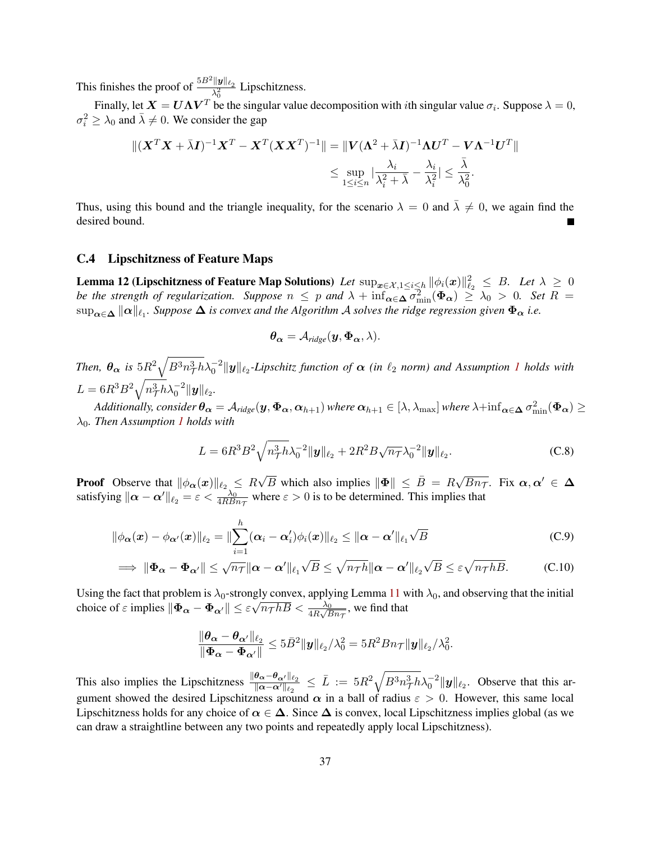This finishes the proof of  $\frac{5B^2 ||y||_{\ell_2}}{\lambda_0^2}$  Lipschitzness.

Finally, let  $\bm{X} = \bm{U}\bm{\Lambda}\bm{V}^T$  be the singular value decomposition with *i*th singular value  $\sigma_i$ . Suppose  $\lambda = 0$ ,  $\sigma_i^2 \geq \lambda_0$  and  $\bar{\lambda} \neq 0$ . We consider the gap

$$
\|(\boldsymbol{X}^T\boldsymbol{X}+\bar{\lambda}\boldsymbol{I})^{-1}\boldsymbol{X}^T-\boldsymbol{X}^T(\boldsymbol{X}\boldsymbol{X}^T)^{-1}\|=\|\boldsymbol{V}(\boldsymbol{\Lambda}^2+\bar{\lambda}\boldsymbol{I})^{-1}\boldsymbol{\Lambda}\boldsymbol{U}^T-\boldsymbol{V}\boldsymbol{\Lambda}^{-1}\boldsymbol{U}^T\|
$$
  

$$
\leq \sup_{1\leq i\leq n}|\frac{\lambda_i}{\lambda_i^2+\bar{\lambda}}-\frac{\lambda_i}{\lambda_i^2}|\leq \frac{\bar{\lambda}}{\lambda_0^2}.
$$

Thus, using this bound and the triangle inequality, for the scenario  $\lambda = 0$  and  $\bar{\lambda} \neq 0$ , we again find the desired bound.

#### C.4 Lipschitzness of Feature Maps

<span id="page-36-0"></span>Lemma 12 (Lipschitzness of Feature Map Solutions) *Let*  $\sup_{\bm{x}\in\mathcal{X},1\leq i\leq h}\|\phi_i(\bm{x})\|_{\ell_2}^2\ \leq\ B.$  *Let*  $\lambda\ \geq\ 0$ *be the strength of regularization.* Suppose  $n \leq p$  and  $\lambda + \inf_{\alpha \in \Delta} \sigma_{\min}^2(\Phi_{\alpha}) \geq \lambda_0 > 0$ . Set  $R =$  $\sup_{\pmb{\alpha} \in \pmb{\Delta}} \| \pmb{\alpha} \|_{\ell_1}$ . Suppose  $\pmb{\Delta}$  is convex and the Algorithm  $\cal A$  solves the ridge regression given  $\pmb{\Phi}_{\pmb{\alpha}}$  i.e.

<span id="page-36-1"></span>
$$
\boldsymbol{\theta_{\alpha}} = \mathcal{A}_{ridge}(\boldsymbol{y}, \boldsymbol{\Phi_{\alpha}}, \lambda).
$$

Then,  $\theta_{\alpha}$  is  $5R^2\sqrt{B^3n_T^3h}\lambda_0^{-2}\|y\|_{\ell_2}$ -Lipschitz function of  $\alpha$  (in  $\ell_2$  norm) and Assumption [1](#page-4-2) holds with  $L = 6R^3B^2\sqrt{n_{\mathcal{T}}^3h}\lambda_0^{-2}\|\boldsymbol{y}\|_{\ell_2}.$ 

 $Additionally, \, consider \,\bm{\theta_{\alpha}}=\mathcal{A}_{ridge}(\bm{y},\bm{\Phi_{\alpha}},\bm{\alpha}_{h+1})\, where \, \bm{\alpha}_{h+1}\in[\lambda,\lambda_{\max}] \, where \, \lambda+inf_{\bm{\alpha}\in\bm{\Delta}}\sigma_{\min}^2(\bm{\Phi_{\alpha}})\geq 0$ λ0*. Then Assumption [1](#page-4-2) holds with*

$$
L = 6R^3B^2\sqrt{n_{\mathcal{T}}^3h\lambda_0^{-2}}\|\mathbf{y}\|_{\ell_2} + 2R^2B\sqrt{n_{\mathcal{T}}}\lambda_0^{-2}\|\mathbf{y}\|_{\ell_2}.
$$
 (C.8)

**Proof** Observe that  $\|\phi_{\alpha}(x)\|_{\ell_2} \leq R$  $\sqrt{B}$  which also implies  $\|\mathbf{\Phi}\| \leq \bar{B} = R\sqrt{Bn_{\mathcal{T}}}$ . Fix  $\alpha, \alpha' \in \mathbf{\Delta}$ satisfying  $\|\boldsymbol{\alpha} - \boldsymbol{\alpha}'\|_{\ell_2} = \varepsilon < \frac{\lambda_0}{4R B n_{\tau}}$  where  $\varepsilon > 0$  is to be determined. This implies that

$$
\|\phi_{\boldsymbol{\alpha}}(\boldsymbol{x}) - \phi_{\boldsymbol{\alpha}'}(\boldsymbol{x})\|_{\ell_2} = \|\sum_{i=1}^h (\boldsymbol{\alpha}_i - \boldsymbol{\alpha}'_i)\phi_i(\boldsymbol{x})\|_{\ell_2} \leq \|\boldsymbol{\alpha} - \boldsymbol{\alpha}'\|_{\ell_1}\sqrt{B}
$$
\n(C.9)

$$
\implies \|\Phi_{\alpha} - \Phi_{\alpha'}\| \le \sqrt{n_{\mathcal{T}}} \|\alpha - \alpha'\|_{\ell_1} \sqrt{B} \le \sqrt{n_{\mathcal{T}} h} \|\alpha - \alpha'\|_{\ell_2} \sqrt{B} \le \varepsilon \sqrt{n_{\mathcal{T}} h B}.\tag{C.10}
$$

Using the fact that problem is  $\lambda_0$ -strongly convex, applying Lemma [11](#page-34-1) with  $\lambda_0$ , and observing that the initial choice of  $\varepsilon$  implies  $\|\bm{\Phi_{\alpha}} - \bm{\Phi_{\alpha'}}\| \leq \varepsilon$ gly convex, applying Lemma 11 w<br> $\sqrt{n_{\mathcal{T}} h B} < \frac{\lambda_0}{4R\sqrt{Bn_{\mathcal{T}}}}$ , we find that

$$
\frac{\|\boldsymbol{\theta}_{\boldsymbol{\alpha}}-\boldsymbol{\theta}_{\boldsymbol{\alpha}'}\|_{\ell_2}}{\|\boldsymbol{\Phi}_{\boldsymbol{\alpha}}-\boldsymbol{\Phi}_{\boldsymbol{\alpha}'}\|}\leq 5\bar{B}^2\|\boldsymbol{y}\|_{\ell_2}/\lambda_0^2=5R^2Bn_{\mathcal{T}}\|\boldsymbol{y}\|_{\ell_2}/\lambda_0^2.
$$

This also implies the Lipschitzness  $\frac{\|\theta_{\alpha}-\theta_{\alpha'}\|_{\ell_2}}{\|\alpha-\alpha'\|_{\ell_2}} \leq \bar{L} := 5R^2 \sqrt{B^3 n_{\mathcal{T}}^3 h} \lambda_0^{-2} \|y\|_{\ell_2}$ . Observe that this argument showed the desired Lipschitzness around  $\alpha$  in a ball of radius  $\varepsilon > 0$ . However, this same local Lipschitzness holds for any choice of  $\alpha \in \Delta$ . Since  $\Delta$  is convex, local Lipschitzness implies global (as we can draw a straightline between any two points and repeatedly apply local Lipschitzness).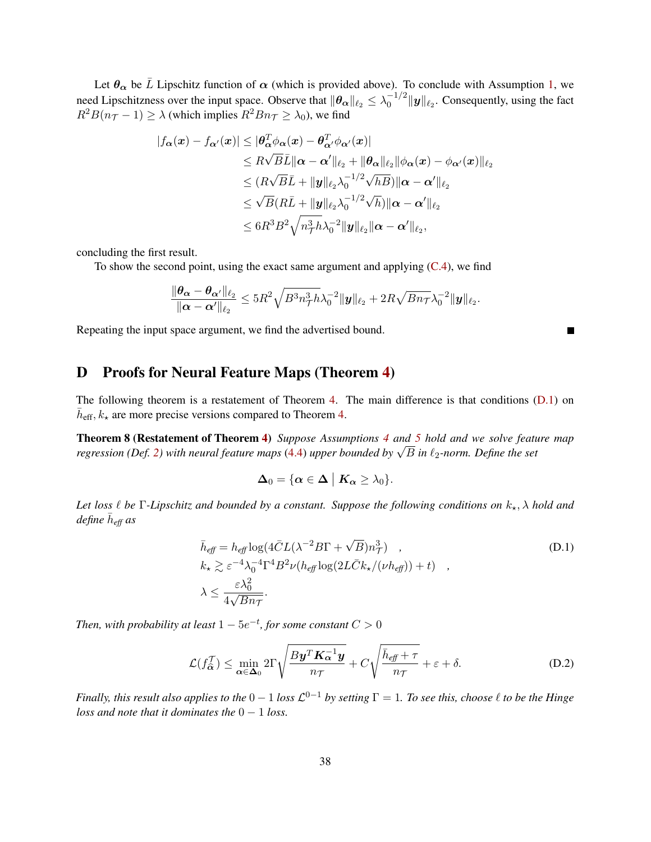Let  $\theta_{\alpha}$  be  $\overline{L}$  Lipschitz function of  $\alpha$  (which is provided above). To conclude with Assumption [1,](#page-4-2) we need Lipschitzness over the input space. Observe that  $\|\theta_{\alpha}\|_{\ell_2} \leq \lambda_0^{-1/2}$  $\int_0^{-1/2} ||\mathbf{y}||_{\ell_2}$ . Consequently, using the fact  $R^2B(n_{\mathcal{T}}-1) \geq \lambda$  (which implies  $R^2Bn_{\mathcal{T}} \geq \lambda_0$ ), we find

$$
|f_{\boldsymbol{\alpha}}(\boldsymbol{x}) - f_{\boldsymbol{\alpha}'}(\boldsymbol{x})| \leq |\boldsymbol{\theta}_{\boldsymbol{\alpha}}^T \boldsymbol{\phi}_{\boldsymbol{\alpha}}(\boldsymbol{x}) - \boldsymbol{\theta}_{\boldsymbol{\alpha}'}^T \boldsymbol{\phi}_{\boldsymbol{\alpha}'}(\boldsymbol{x})|
$$
  
\n
$$
\leq R \sqrt{B} \bar{L} \|\boldsymbol{\alpha} - \boldsymbol{\alpha}'\|_{\ell_2} + \|\boldsymbol{\theta}_{\boldsymbol{\alpha}}\|_{\ell_2} \|\boldsymbol{\phi}_{\boldsymbol{\alpha}}(\boldsymbol{x}) - \boldsymbol{\phi}_{\boldsymbol{\alpha}'}(\boldsymbol{x})\|_{\ell_2}
$$
  
\n
$$
\leq (R \sqrt{B} \bar{L} + \|\boldsymbol{y}\|_{\ell_2} \lambda_0^{-1/2} \sqrt{h} B) \|\boldsymbol{\alpha} - \boldsymbol{\alpha}'\|_{\ell_2}
$$
  
\n
$$
\leq \sqrt{B} (R \bar{L} + \|\boldsymbol{y}\|_{\ell_2} \lambda_0^{-1/2} \sqrt{h}) \|\boldsymbol{\alpha} - \boldsymbol{\alpha}'\|_{\ell_2}
$$
  
\n
$$
\leq 6R^3 B^2 \sqrt{n_{\text{Th}}^3} \lambda_0^{-2} \|\boldsymbol{y}\|_{\ell_2} \|\boldsymbol{\alpha} - \boldsymbol{\alpha}'\|_{\ell_2},
$$

concluding the first result.

To show the second point, using the exact same argument and applying [\(C.4\)](#page-35-0), we find

$$
\frac{\|\boldsymbol{\theta_\alpha}-\boldsymbol{\theta_{\alpha'}}\|_{\ell_2}}{\|\boldsymbol{\alpha}-\boldsymbol{\alpha'}\|_{\ell_2}} \leq 5R^2\sqrt{B^3n_{\mathcal{T}}^3h}\lambda_0^{-2}\|\boldsymbol{y}\|_{\ell_2} + 2R\sqrt{Bn_{\mathcal{T}}}\lambda_0^{-2}\|\boldsymbol{y}\|_{\ell_2}.
$$

Repeating the input space argument, we find the advertised bound.

# <span id="page-37-0"></span>D Proofs for Neural Feature Maps (Theorem [4\)](#page-11-0)

The following theorem is a restatement of Theorem [4.](#page-11-0) The main difference is that conditions [\(D.1\)](#page-37-1) on  $\bar{h}_{\text{eff}}$ ,  $k_{\star}$  are more precise versions compared to Theorem [4.](#page-11-0)

Theorem 8 (Restatement of Theorem [4\)](#page-11-0) *Suppose Assumptions [4](#page-11-1) and [5](#page-11-2) hold and we solve feature map regression (Def. [2\)](#page-7-4)* with neural feature maps [\(4.4\)](#page-9-3) upper bounded by  $\sqrt{B}$  in  $\ell_2$ -norm. Define the set regression (Def. 2) with neural feature maps (4.4) upper bounded by  $\sqrt{B}$  in  $\ell_2$ -norm. Define the set

<span id="page-37-2"></span><span id="page-37-1"></span>
$$
\Delta_0 = \{ \alpha \in \Delta \mid K_\alpha \geq \lambda_0 \}.
$$

*Let loss*  $\ell$  *be*  $\Gamma$ *-Lipschitz and bounded by a constant. Suppose the following conditions on*  $k_{\star}$ ,  $\lambda$  *hold and define* h¯ *eff as*

$$
\bar{h}_{\text{eff}} = h_{\text{eff}} \log(4\bar{C}L(\lambda^{-2}B\Gamma + \sqrt{B})n_{\mathcal{T}}^3),
$$
\n
$$
k_{\star} \gtrsim \varepsilon^{-4} \lambda_0^{-4} \Gamma^4 B^2 \nu (h_{\text{eff}} \log(2L\bar{C}k_{\star}/(\nu h_{\text{eff}})) + t),
$$
\n
$$
\lambda \le \frac{\varepsilon \lambda_0^2}{4\sqrt{B}n_{\mathcal{T}}}.
$$
\n(D.1)

Then, with probability at least  $1-5e^{-t}$ , for some constant  $C>0$ 

$$
\mathcal{L}(f_{\widehat{\alpha}}^{\mathcal{T}}) \le \min_{\alpha \in \Delta_0} 2\Gamma \sqrt{\frac{By^T K_{\alpha}^{-1} y}{n\tau}} + C\sqrt{\frac{\bar{h}_{\text{eff}} + \tau}{n\tau}} + \varepsilon + \delta. \tag{D.2}
$$

*Finally, this result also applies to the*  $0-1$  *loss*  $\mathcal{L}^{0-1}$  *by setting*  $\Gamma = 1$ *. To see this, choose*  $\ell$  *to be the Hinge loss and note that it dominates the*  $0 - 1$  *loss.*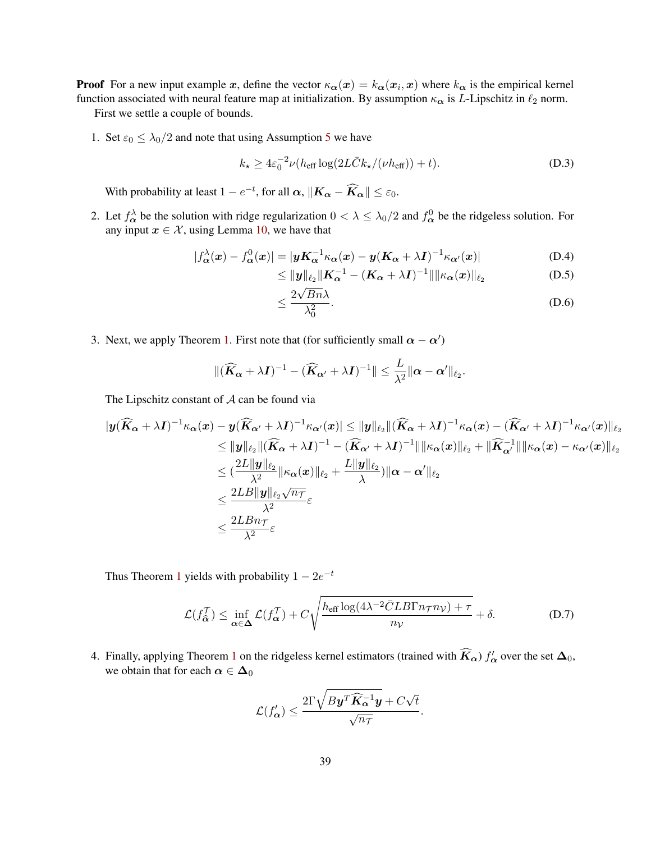**Proof** For a new input example x, define the vector  $\kappa_{\alpha}(x) = k_{\alpha}(x_i, x)$  where  $k_{\alpha}$  is the empirical kernel function associated with neural feature map at initialization. By assumption  $\kappa_{\alpha}$  is L-Lipschitz in  $\ell_2$  norm.

First we settle a couple of bounds.

1. Set  $\varepsilon_0 \leq \lambda_0/2$  and note that using Assumption [5](#page-11-2) we have

$$
k_{\star} \ge 4\varepsilon_0^{-2}\nu(h_{\rm eff}\log(2L\bar{C}k_{\star}/(\nu h_{\rm eff}))+t). \tag{D.3}
$$

With probability at least  $1 - e^{-t}$ , for all  $\boldsymbol{\alpha}$ ,  $\|\boldsymbol{K_{\alpha}} - \boldsymbol{\widehat{K_{\alpha}}}\| \leq \varepsilon_0$ .

2. Let  $f_{\alpha}^{\lambda}$  be the solution with ridge regularization  $0 < \lambda \leq \lambda_0/2$  and  $f_{\alpha}^0$  be the ridgeless solution. For any input  $x \in \mathcal{X}$ , using Lemma [10,](#page-34-2) we have that

$$
|f_{\alpha}^{\lambda}(\boldsymbol{x}) - f_{\alpha}^{0}(\boldsymbol{x})| = |\boldsymbol{y}K_{\alpha}^{-1}\kappa_{\alpha}(\boldsymbol{x}) - \boldsymbol{y}(K_{\alpha} + \lambda I)^{-1}\kappa_{\alpha'}(\boldsymbol{x})|
$$
(D.4)

<span id="page-38-1"></span><span id="page-38-0"></span>
$$
\leq \|\mathbf{y}\|_{\ell_2} \|\mathbf{K}_{\alpha}^{-1} - (\mathbf{K}_{\alpha} + \lambda \mathbf{I})^{-1}\| \|\kappa_{\alpha}(\mathbf{x})\|_{\ell_2}
$$
(D.5)

$$
\leq \frac{2\sqrt{Bn\lambda}}{\lambda_0^2}.\tag{D.6}
$$

3. Next, we apply Theorem [1.](#page-4-4) First note that (for sufficiently small  $\alpha - \alpha'$ )

$$
\|(\widehat{\boldsymbol{K}}_{\boldsymbol{\alpha}}+\lambda \boldsymbol{I})^{-1}-(\widehat{\boldsymbol{K}}_{\boldsymbol{\alpha}'}+\lambda \boldsymbol{I})^{-1}\|\leq \frac{L}{\lambda^2}\|\boldsymbol{\alpha}-\boldsymbol{\alpha}'\|_{\ell_2}.
$$

The Lipschitz constant of  $A$  can be found via

$$
\begin{aligned} |y(\widehat{K}_{\boldsymbol{\alpha}}+\lambda I)^{-1}\kappa_{\boldsymbol{\alpha}}(\boldsymbol{x})&-y(\widehat{K}_{\boldsymbol{\alpha}'}+\lambda I)^{-1}\kappa_{\boldsymbol{\alpha}'}(\boldsymbol{x})|\leq\|\boldsymbol{y}\|_{\ell_2}\|(\widehat{K}_{\boldsymbol{\alpha}}+\lambda I)^{-1}\kappa_{\boldsymbol{\alpha}}(\boldsymbol{x})-(\widehat{K}_{\boldsymbol{\alpha}'}+\lambda I)^{-1}\kappa_{\boldsymbol{\alpha}'}(\boldsymbol{x})\|_{\ell_2}\\ &\leq\|\boldsymbol{y}\|_{\ell_2}\|(\widehat{K}_{\boldsymbol{\alpha}}+\lambda I)^{-1}-(\widehat{K}_{\boldsymbol{\alpha}'}+\lambda I)^{-1}\|\|\kappa_{\boldsymbol{\alpha}}(\boldsymbol{x})\|_{\ell_2}+\|\widehat{K}_{\boldsymbol{\alpha}'}^{-1}\|\|\kappa_{\boldsymbol{\alpha}}(\boldsymbol{x})-\kappa_{\boldsymbol{\alpha}'}(\boldsymbol{x})\|_{\ell_2}\\ &\leq(\frac{2L\|\boldsymbol{y}\|_{\ell_2}}{\lambda^2}\|\kappa_{\boldsymbol{\alpha}}(\boldsymbol{x})\|_{\ell_2}+\frac{L\|\boldsymbol{y}\|_{\ell_2}}{\lambda})\|\boldsymbol{\alpha}-\boldsymbol{\alpha}'\|_{\ell_2}\\ &\leq\frac{2LB\|\boldsymbol{y}\|_{\ell_2}\sqrt{n_{\mathcal{T}}}}{\lambda^2}\varepsilon\\ &\leq\frac{2LBn_{\mathcal{T}}}{\lambda^2}\varepsilon\end{aligned}
$$

Thus Theorem [1](#page-4-4) yields with probability  $1 - 2e^{-t}$ 

$$
\mathcal{L}(f_{\widehat{\alpha}}^{\mathcal{T}}) \le \inf_{\alpha \in \Delta} \mathcal{L}(f_{\alpha}^{\mathcal{T}}) + C \sqrt{\frac{h_{\text{eff}} \log(4\lambda^{-2} \bar{C} L B \Gamma n_{\mathcal{T}} n_{\mathcal{V}}) + \tau}{n_{\mathcal{V}}}} + \delta.
$$
 (D.7)

4. Finally, applying Theorem [1](#page-6-2) on the ridgeless kernel estimators (trained with  $\widehat{K}_{\alpha}$ )  $f'_{\alpha}$  over the set  $\Delta_0$ , we obtain that for each  $\alpha \in \Delta_0$ 

<span id="page-38-2"></span>
$$
\mathcal{L}(f'_{\pmb{\alpha}}) \leq \frac{2\Gamma\sqrt{By^T\widehat{\pmb{K}}^{-1}_{\pmb{\alpha}}\pmb{y}}+C\sqrt{t}}{\sqrt{n_{\mathcal{T}}}}.
$$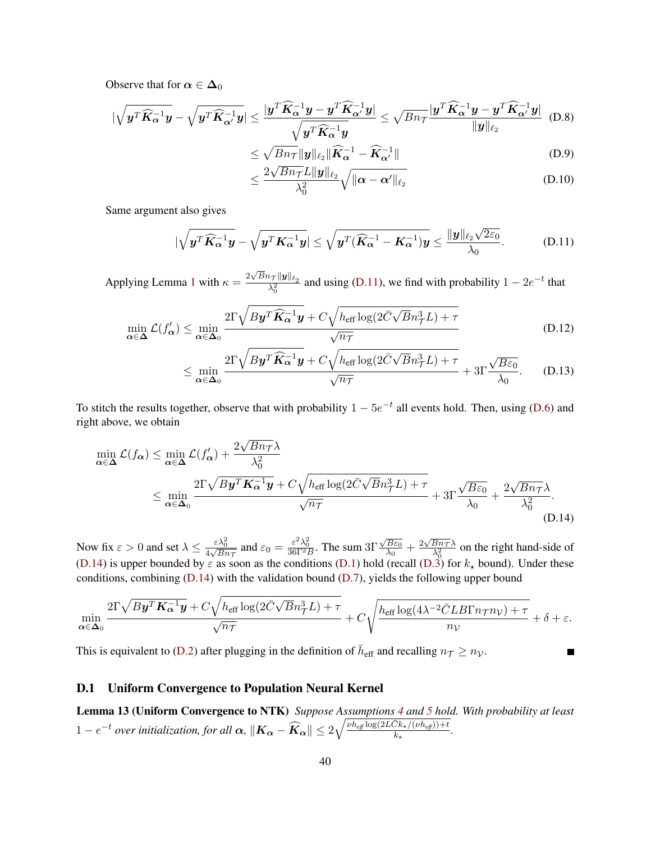Observe that for  $\alpha \in \Delta_0$ 

$$
\left|\sqrt{\boldsymbol{y}^T\widehat{\boldsymbol{K}}_{\alpha}^{-1}\boldsymbol{y}}-\sqrt{\boldsymbol{y}^T\widehat{\boldsymbol{K}}_{\alpha'}^{-1}\boldsymbol{y}}\right| \leq \frac{|\boldsymbol{y}^T\widehat{\boldsymbol{K}}_{\alpha}^{-1}\boldsymbol{y}-\boldsymbol{y}^T\widehat{\boldsymbol{K}}_{\alpha'}^{-1}\boldsymbol{y}|}{\sqrt{\boldsymbol{y}^T\widehat{\boldsymbol{K}}_{\alpha}^{-1}\boldsymbol{y}}} \leq \sqrt{Bn_{\mathcal{T}}} \frac{|\boldsymbol{y}^T\widehat{\boldsymbol{K}}_{\alpha}^{-1}\boldsymbol{y}-\boldsymbol{y}^T\widehat{\boldsymbol{K}}_{\alpha'}^{-1}\boldsymbol{y}|}{\|\boldsymbol{y}\|_{\ell_2}}
$$
(D.8)

$$
\leq \sqrt{Bn_{\mathcal{T}}} \|y\|_{\ell_2} \|\widehat{\mathbf{K}}_{\alpha}^{-1} - \widehat{\mathbf{K}}_{\alpha'}^{-1}\|
$$
\n(D.9)

<span id="page-39-1"></span>
$$
\leq \frac{2\sqrt{Bn_{\mathcal{T}}}L\|\boldsymbol{y}\|_{\ell_2}}{\lambda_0^2}\sqrt{\|\boldsymbol{\alpha}-\boldsymbol{\alpha}'\|_{\ell_2}}
$$
 (D.10)

Same argument also gives

$$
|\sqrt{\boldsymbol{y}^T\widehat{\boldsymbol{K}}_{\alpha}^{-1}\boldsymbol{y}}-\sqrt{\boldsymbol{y}^T\boldsymbol{K}_{\alpha}^{-1}\boldsymbol{y}}|\leq \sqrt{\boldsymbol{y}^T(\widehat{\boldsymbol{K}}_{\alpha}^{-1}-\boldsymbol{K}_{\alpha}^{-1})\boldsymbol{y}}\leq \frac{\|\boldsymbol{y}\|_{\ell_2}\sqrt{2\varepsilon_0}}{\lambda_0}.
$$
 (D.11)

Applying Lemma [1](#page-6-2) with  $\kappa = \frac{2\sqrt{B}n_{\mathcal{T}}||y||_{\ell_2}}{\lambda^2}$  $\frac{\partial \tau ||\mathbf{y}||_{\ell_2}}{\partial_0^2}$  and using [\(D.11\)](#page-39-1), we find with probability  $1 - 2e^{-t}$  that

$$
\min_{\alpha \in \Delta} \mathcal{L}(f_{\alpha}') \le \min_{\alpha \in \Delta_0} \frac{2\Gamma \sqrt{By^T \widehat{\mathbf{K}}_{\alpha}^{-1} \mathbf{y}} + C\sqrt{h_{\text{eff}} \log(2\bar{C}\sqrt{B}n_{\mathcal{T}}^3 L) + \tau}}{\sqrt{n_{\mathcal{T}}}}
$$
(D.12)

$$
\leq \min_{\alpha \in \Delta_0} \frac{2\Gamma \sqrt{By^T \widehat{K}_{\alpha}^{-1} y} + C\sqrt{h_{\text{eff}} \log(2\bar{C}\sqrt{B}n_{\mathcal{T}}^3 L) + \tau}}{\sqrt{n_{\mathcal{T}}}} + 3\Gamma \frac{\sqrt{B\varepsilon_0}}{\lambda_0}.
$$
 (D.13)

To stitch the results together, observe that with probability  $1 - 5e^{-t}$  all events hold. Then, using [\(D.6\)](#page-38-0) and right above, we obtain

$$
\min_{\alpha \in \Delta} \mathcal{L}(f_{\alpha}) \le \min_{\alpha \in \Delta} \mathcal{L}(f_{\alpha}') + \frac{2\sqrt{Bn_{\mathcal{T}}}\lambda}{\lambda_0^2}
$$
\n
$$
\le \min_{\alpha \in \Delta_0} \frac{2\Gamma \sqrt{By^T \mathbf{K}_{\alpha}^{-1} y} + C\sqrt{h_{\text{eff}} \log(2\bar{C}\sqrt{B}n_{\mathcal{T}}^3 L) + \tau}}{\sqrt{n_{\mathcal{T}}}} + 3\Gamma \frac{\sqrt{B\varepsilon_0}}{\lambda_0} + \frac{2\sqrt{Bn_{\mathcal{T}}}\lambda}{\lambda_0^2}.
$$
\n(D.14)

Now fix  $\varepsilon > 0$  and set  $\lambda \le \frac{\varepsilon \lambda_0^2}{4\sqrt{Bn_{\mathcal{T}}}}$  and  $\varepsilon_0 = \frac{\varepsilon^2 \lambda_0^2}{36\Gamma^2 B}$ . The sum 3 $\Gamma$  $\sqrt{B \varepsilon_0}$  $\frac{\overline{B\varepsilon_0}}{\lambda_0} + \frac{2\sqrt{Bn\tau}\lambda}{\lambda_0^2}$  $\frac{Bn\tau\lambda}{\lambda_0^2}$  on the right hand-side of [\(D.14\)](#page-39-2) is upper bounded by  $\varepsilon$  as soon as the conditions [\(D.1\)](#page-37-1) hold (recall [\(D.3\)](#page-38-1) for  $k_{\star}$  bound). Under these conditions, combining [\(D.14\)](#page-39-2) with the validation bound [\(D.7\)](#page-38-2), yields the following upper bound

$$
\min_{\pmb{\alpha} \in \pmb{\Delta}_0} \frac{2 \Gamma \sqrt{B \pmb{y}^T \pmb{K_{\alpha}^{-1} \pmb{y}}} + C \sqrt{h_{\text{eff}} \log(2 \bar{C} \sqrt{B} n_{\mathcal{T}}^3 L) + \tau}}{\sqrt{n_{\mathcal{T}}}} + C \sqrt{\frac{h_{\text{eff}} \log(4 \lambda^{-2} \bar{C} L B \Gamma n_{\mathcal{T}} n_{\mathcal{V}}) + \tau}{n_{\mathcal{V}}}}} + \delta + \varepsilon.
$$

This is equivalent to [\(D.2\)](#page-37-2) after plugging in the definition of  $\bar{h}_{\text{eff}}$  and recalling  $n_{\mathcal{T}} \ge n_{\mathcal{V}}$ .

#### <span id="page-39-2"></span>П

#### D.1 Uniform Convergence to Population Neural Kernel

<span id="page-39-0"></span>Lemma 13 (Uniform Convergence to NTK) *Suppose Assumptions [4](#page-11-1) and [5](#page-11-2) hold. With probability at least*  $1-e^{-t}$  over initialization, for all  $\boldsymbol{\alpha}$ ,  $\|\boldsymbol{K_{\alpha}}-\widehat{\boldsymbol{K_{\alpha}}}\|\leq 2\sqrt{\frac{\nu h_{\text{eff}}\log(2L\bar{C}k_{\star}/(\nu h_{\text{eff}}))+t}{k_{\star}}}$  $\frac{(\sqrt{K_{\star}}(\nu n_{eff}))+i}{k_{\star}}$ .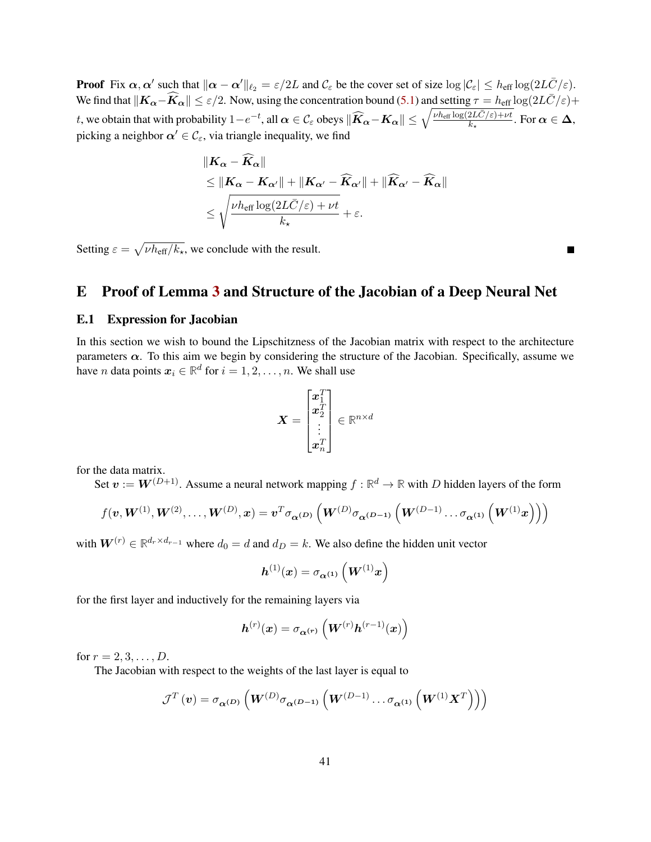**Proof** Fix  $\alpha$ ,  $\alpha'$  such that  $\|\alpha - \alpha'\|_{\ell_2} = \varepsilon/2L$  and  $\mathcal{C}_{\varepsilon}$  be the cover set of size  $\log|\mathcal{C}_{\varepsilon}| \leq h_{\text{eff}} \log(2L\bar{C}/\varepsilon)$ . We find that  $||K_{\alpha}-\widehat{K}_{\alpha}|| \leq \varepsilon/2$ . Now, using the concentration bound [\(5.1\)](#page-11-3) and setting  $\tau = h_{\text{eff}} \log(2L\bar{C}/\varepsilon) +$ t, we obtain that with probability  $1-e^{-t}$ , all  $\alpha \in \mathcal{C}_{\varepsilon}$  obeys  $\|\widehat{K}_{\alpha}-K_{\alpha}\| \leq \sqrt{\frac{\nu h_{\text{eff}} \log(2L\bar{C}/\varepsilon)+\nu t}{k_{\star}}}$ . For  $\alpha \in \Delta$ , picking a neighbor  $\alpha' \in \mathcal{C}_{\varepsilon}$ , via triangle inequality, we find

$$
\begin{aligned} &\|K_{\alpha} - \overline{K}_{\alpha}\| \\ &\leq \|K_{\alpha} - K_{\alpha'}\| + \|K_{\alpha'} - \widehat{K}_{\alpha'}\| + \|\widehat{K}_{\alpha'} - \widehat{K}_{\alpha}\| \\ &\leq \sqrt{\frac{\nu h_{\text{eff}} \log(2L\bar{C}/\varepsilon) + \nu t}{k_{\star}}} + \varepsilon. \end{aligned}
$$

Setting  $\varepsilon = \sqrt{\nu h_{\text{eff}}/k_{\star}}$ , we conclude with the result.

# <span id="page-40-0"></span>E Proof of Lemma [3](#page-12-0) and Structure of the Jacobian of a Deep Neural Net

#### E.1 Expression for Jacobian

In this section we wish to bound the Lipschitzness of the Jacobian matrix with respect to the architecture parameters  $\alpha$ . To this aim we begin by considering the structure of the Jacobian. Specifically, assume we have *n* data points  $x_i \in \mathbb{R}^d$  for  $i = 1, 2, \dots, n$ . We shall use

$$
\boldsymbol{X} = \begin{bmatrix} \boldsymbol{x}_1^T \\ \boldsymbol{x}_2^T \\ \vdots \\ \boldsymbol{x}_n^T \end{bmatrix} \in \mathbb{R}^{n \times d}
$$

for the data matrix.

Set  $v := W^{(D+1)}$ . Assume a neural network mapping  $f : \mathbb{R}^d \to \mathbb{R}$  with D hidden layers of the form

$$
f(\boldsymbol{v},\boldsymbol{W}^{(1)},\boldsymbol{W}^{(2)},\ldots,\boldsymbol{W}^{(D)},\boldsymbol{x})=\boldsymbol{v}^T\sigma_{\boldsymbol{\alpha}^{(D)}}\left(\boldsymbol{W}^{(D)}\sigma_{\boldsymbol{\alpha}^{(D-1)}}\left(\boldsymbol{W}^{(D-1)}\ldots\sigma_{\boldsymbol{\alpha}^{(1)}}\left(\boldsymbol{W}^{(1)}\boldsymbol{x}\right)\right)\right)
$$

with  $W^{(r)} \in \mathbb{R}^{d_r \times d_{r-1}}$  where  $d_0 = d$  and  $d_D = k$ . We also define the hidden unit vector

$$
\boldsymbol{h}^{(1)}(\boldsymbol{x}) = \sigma_{\boldsymbol{\alpha}^{(1)}}\left(\boldsymbol{W}^{(1)}\boldsymbol{x}\right)
$$

for the first layer and inductively for the remaining layers via

$$
\boldsymbol{h}^{(r)}(\boldsymbol{x}) = \sigma_{\boldsymbol{\alpha}^{(r)}}\left(\boldsymbol{W}^{(r)}\boldsymbol{h}^{(r-1)}(\boldsymbol{x})\right)
$$

for  $r = 2, 3, ..., D$ .

The Jacobian with respect to the weights of the last layer is equal to

$$
\mathcal{J}^T\left(\bm{v}\right) = \sigma_{\bm{\alpha}\left(\bm{D}\right)}\left(\bm{W}^{(D)}\sigma_{\bm{\alpha} \left(\bm{D}-1\right)}\left(\bm{W}^{(D-1)}\ldots\sigma_{\bm{\alpha} \left(\bm{1}\right)}\left(\bm{W}^{(1)}\bm{X}^T\right)\right)\right)
$$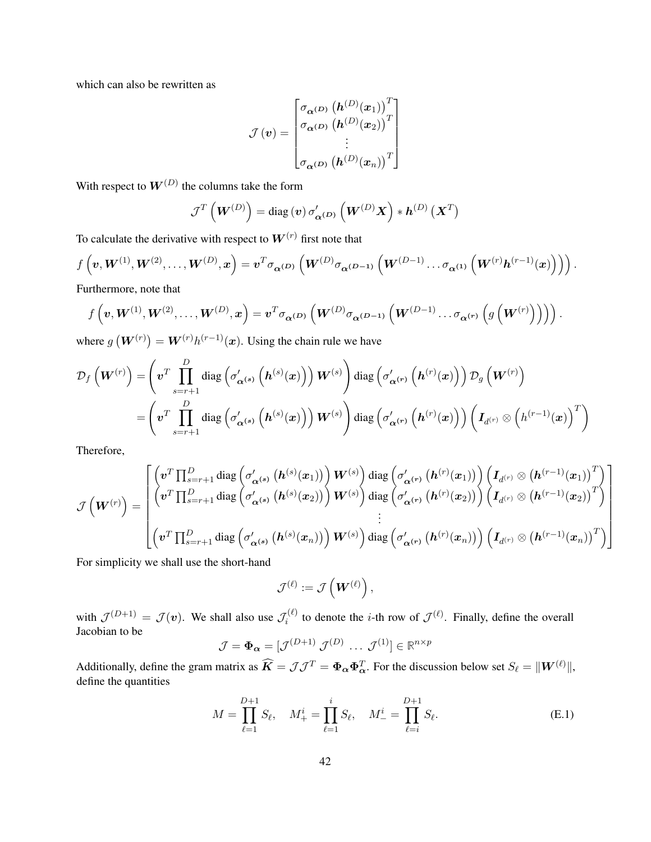which can also be rewritten as

$$
\mathcal{J}(v) = \begin{bmatrix} \sigma_{\alpha^{(D)}} (\boldsymbol{h}^{(D)}(x_1))^T \\ \sigma_{\alpha^{(D)}} (\boldsymbol{h}^{(D)}(x_2))^T \\ \vdots \\ \sigma_{\alpha^{(D)}} (\boldsymbol{h}^{(D)}(x_n))^T \end{bmatrix}
$$

With respect to  $W^{(D)}$  the columns take the form

$$
\mathcal{J}^{T}\left(\boldsymbol{W}^{\left(D\right)}\right)=\text{diag}\left(\boldsymbol{v}\right)\sigma_{\boldsymbol{\alpha}^{\left(D\right)}}^{\prime}\left(\boldsymbol{W}^{\left(D\right)}\boldsymbol{X}\right)\ast\boldsymbol{h}^{\left(D\right)}\left(\boldsymbol{X}^{T}\right)
$$

To calculate the derivative with respect to  $W^{(r)}$  first note that

$$
f\left(\boldsymbol{v},\boldsymbol{W}^{(1)},\boldsymbol{W}^{(2)},\ldots,\boldsymbol{W}^{(D)},\boldsymbol{x}\right)=\boldsymbol{v}^T\sigma_{\boldsymbol{\alpha}^{(D)}}\left(\boldsymbol{W}^{(D)}\sigma_{\boldsymbol{\alpha}^{(D-1)}}\left(\boldsymbol{W}^{(D-1)}\ldots\sigma_{\boldsymbol{\alpha}^{(1)}}\left(\boldsymbol{W}^{(r)}\boldsymbol{h}^{(r-1)}(\boldsymbol{x})\right)\right)\right).
$$

Furthermore, note that

$$
f\left(\boldsymbol{v},\boldsymbol{W}^{(1)},\boldsymbol{W}^{(2)},\ldots,\boldsymbol{W}^{(D)},\boldsymbol{x}\right)=\boldsymbol{v}^T\sigma_{\boldsymbol{\alpha}^{(D)}}\left(\boldsymbol{W}^{(D)}\sigma_{\boldsymbol{\alpha}^{(D-1)}}\left(\boldsymbol{W}^{(D-1)}\ldots\sigma_{\boldsymbol{\alpha}^{(r)}}\left(g\left(\boldsymbol{W}^{(r)}\right)\right)\right)\right).
$$

where  $g(W^{(r)}) = W^{(r)}h^{(r-1)}(x)$ . Using the chain rule we have

$$
\mathcal{D}_{f}\left(\bm{W}^{(r)}\right)=\left(\bm{v}^{T}\prod_{s=r+1}^{D}\text{diag}\left(\sigma_{\bm{\alpha}^{(s)}}'\left(\bm{h}^{(s)}(\bm{x})\right)\right)\bm{W}^{(s)}\right)\text{diag}\left(\sigma_{\bm{\alpha}^{(r)}}'\left(\bm{h}^{(r)}(\bm{x})\right)\right)\mathcal{D}_{g}\left(\bm{W}^{(r)}\right)\\=\left(\bm{v}^{T}\prod_{s=r+1}^{D}\text{diag}\left(\sigma_{\bm{\alpha}^{(s)}}'\left(\bm{h}^{(s)}(\bm{x})\right)\right)\bm{W}^{(s)}\right)\text{diag}\left(\sigma_{\bm{\alpha}^{(r)}}'\left(\bm{h}^{(r)}(\bm{x})\right)\right)\left(\bm{I}_{d^{(r)}}\otimes\left(h^{(r-1)}(\bm{x})\right)^{T}\right)
$$

Therefore,

$$
\mathcal{J}\left(\boldsymbol{W}^{(r)}\right)=\begin{bmatrix}\left(\boldsymbol{v}^T\prod_{s=r+1}^D\text{diag}\left(\sigma'_{\boldsymbol{\alpha}^{(s)}}\left(\boldsymbol{h}^{(s)}(\boldsymbol{x}_1)\right)\right)\boldsymbol{W}^{(s)}\right)\text{diag}\left(\sigma'_{\boldsymbol{\alpha}^{(r)}}\left(\boldsymbol{h}^{(r)}(\boldsymbol{x}_1)\right)\right)\left(\boldsymbol{I}_{d^{(r)}}\otimes\left(\boldsymbol{h}^{(r-1)}(\boldsymbol{x}_1)\right)^T\right)\\\left(\boldsymbol{v}^T\prod_{s=r+1}^D\text{diag}\left(\sigma'_{\boldsymbol{\alpha}^{(s)}}\left(\boldsymbol{h}^{(s)}(\boldsymbol{x}_2)\right)\right)\boldsymbol{W}^{(s)}\right)\text{diag}\left(\sigma'_{\boldsymbol{\alpha}^{(r)}}\left(\boldsymbol{h}^{(r)}(\boldsymbol{x}_2)\right)\right)\left(\boldsymbol{I}_{d^{(r)}}\otimes\left(\boldsymbol{h}^{(r-1)}(\boldsymbol{x}_2)\right)^T\right)\\\vdots\\\left(\boldsymbol{v}^T\prod_{s=r+1}^D\text{diag}\left(\sigma'_{\boldsymbol{\alpha}^{(s)}}\left(\boldsymbol{h}^{(s)}(\boldsymbol{x}_n)\right)\right)\boldsymbol{W}^{(s)}\right)\text{diag}\left(\sigma'_{\boldsymbol{\alpha}^{(r)}}\left(\boldsymbol{h}^{(r)}(\boldsymbol{x}_n)\right)\right)\left(\boldsymbol{I}_{d^{(r)}}\otimes\left(\boldsymbol{h}^{(r-1)}(\boldsymbol{x}_n)\right)^T\right)\end{bmatrix}
$$

For simplicity we shall use the short-hand

$$
\mathcal{J}^{(\ell)} := \mathcal{J}\left(\boldsymbol{W}^{(\ell)}\right),
$$

with  $\mathcal{J}^{(D+1)} = \mathcal{J}(v)$ . We shall also use  $\mathcal{J}_i^{(\ell)}$  $t_i^{(\ell)}$  to denote the *i*-th row of  $\mathcal{J}^{(\ell)}$ . Finally, define the overall Jacobian to be

$$
\mathcal{J} = \mathbf{\Phi}_{\alpha} = [\mathcal{J}^{(D+1)} \ \mathcal{J}^{(D)} \ \dots \ \mathcal{J}^{(1)}] \in \mathbb{R}^{n \times p}
$$

Additionally, define the gram matrix as  $\widehat{K} = \mathcal{J}\mathcal{J}^T = \Phi_\alpha \Phi_\alpha^T$ . For the discussion below set  $S_\ell = ||\mathbf{W}^{(\ell)}||$ , define the quantities

$$
M = \prod_{\ell=1}^{D+1} S_{\ell}, \quad M_{+}^{i} = \prod_{\ell=1}^{i} S_{\ell}, \quad M_{-}^{i} = \prod_{\ell=i}^{D+1} S_{\ell}.
$$
 (E.1)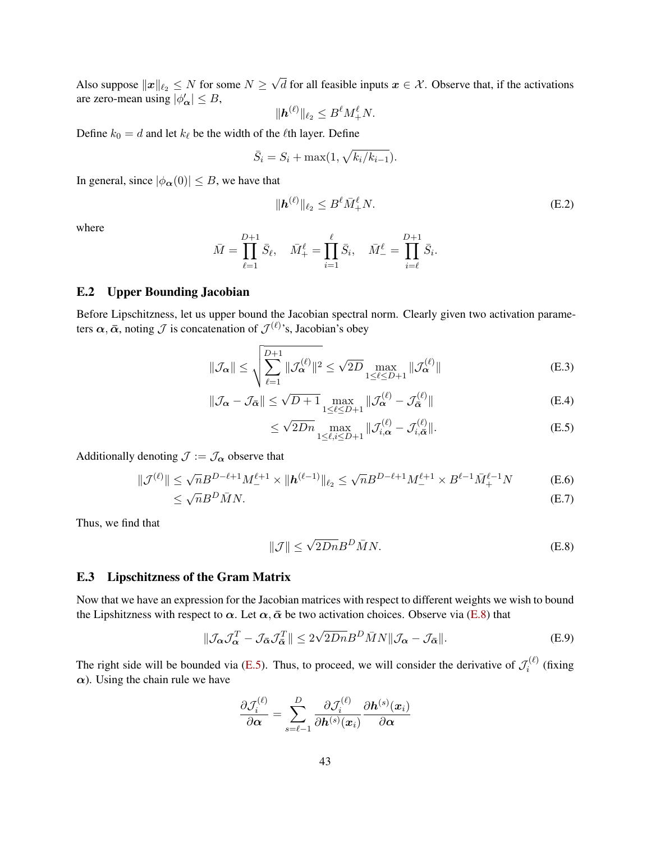Also suppose  $\|\boldsymbol{x}\|_{\ell_2} \leq N$  for some  $N \geq$ √ d for all feasible inputs  $x \in \mathcal{X}$ . Observe that, if the activations are zero-mean using  $|\phi'_{\alpha}| \leq B$ ,

$$
\|\boldsymbol{h}^{(\ell)}\|_{\ell_2}\leq B^{\ell}M_+^{\ell}N.
$$

Define  $k_0 = d$  and let  $k_\ell$  be the width of the  $\ell$ th layer. Define

$$
\bar{S}_i = S_i + \max(1, \sqrt{k_i/k_{i-1}}).
$$

In general, since  $|\phi_{\alpha}(0)| \leq B$ , we have that

<span id="page-42-2"></span>
$$
\|\mathbf{h}^{(\ell)}\|_{\ell_2} \le B^{\ell} \bar{M}_+^{\ell} N. \tag{E.2}
$$

where

$$
\bar{M} = \prod_{\ell=1}^{D+1} \bar{S}_{\ell}, \quad \bar{M}_{+}^{\ell} = \prod_{i=1}^{\ell} \bar{S}_{i}, \quad \bar{M}_{-}^{\ell} = \prod_{i=\ell}^{D+1} \bar{S}_{i}.
$$

### E.2 Upper Bounding Jacobian

Before Lipschitzness, let us upper bound the Jacobian spectral norm. Clearly given two activation parameters  $\alpha, \bar{\alpha}$ , noting  $\mathcal J$  is concatenation of  $\mathcal J^{(\ell)}$ 's, Jacobian's obey

$$
\|\mathcal{J}_{\alpha}\| \leq \sqrt{\sum_{\ell=1}^{D+1} \|\mathcal{J}_{\alpha}^{(\ell)}\|^2} \leq \sqrt{2D} \max_{1 \leq \ell \leq D+1} \|\mathcal{J}_{\alpha}^{(\ell)}\|
$$
 (E.3)

$$
\|\mathcal{J}_{\alpha} - \mathcal{J}_{\bar{\alpha}}\| \le \sqrt{D+1} \max_{1 \le \ell \le D+1} \|\mathcal{J}_{\alpha}^{(\ell)} - \mathcal{J}_{\bar{\alpha}}^{(\ell)}\|
$$
(E.4)

<span id="page-42-1"></span>
$$
\leq \sqrt{2Dn} \max_{1 \leq \ell, i \leq D+1} \|\mathcal{J}_{i,\alpha}^{(\ell)} - \mathcal{J}_{i,\bar{\alpha}}^{(\ell)}\|.
$$
 (E.5)

Additionally denoting  $\mathcal{J} := \mathcal{J}_{\alpha}$  observe that

$$
\|\mathcal{J}^{(\ell)}\| \le \sqrt{n} B^{D-\ell+1} M_-^{\ell+1} \times \|\mathbf{h}^{(\ell-1)}\|_{\ell_2} \le \sqrt{n} B^{D-\ell+1} M_-^{\ell+1} \times B^{\ell-1} \bar{M}_+^{\ell-1} N \tag{E.6}
$$

$$
\leq \sqrt{n}B^D\bar{M}N.\tag{E.7}
$$

Thus, we find that

<span id="page-42-3"></span><span id="page-42-0"></span>
$$
\|\mathcal{J}\| \le \sqrt{2Dn} B^D \bar{M} N. \tag{E.8}
$$

#### E.3 Lipschitzness of the Gram Matrix

Now that we have an expression for the Jacobian matrices with respect to different weights we wish to bound the Lipshitzness with respect to  $\alpha$ . Let  $\alpha$ ,  $\bar{\alpha}$  be two activation choices. Observe via [\(E.8\)](#page-42-0) that

$$
\|\mathcal{J}_{\alpha}\mathcal{J}_{\alpha}^{T} - \mathcal{J}_{\bar{\alpha}}\mathcal{J}_{\bar{\alpha}}^{T}\| \leq 2\sqrt{2Dn}B^{D}\bar{M}N\|\mathcal{J}_{\alpha} - \mathcal{J}_{\bar{\alpha}}\|.
$$
 (E.9)

The right side will be bounded via [\(E.5\)](#page-42-1). Thus, to proceed, we will consider the derivative of  $\mathcal{J}_i^{(\ell)}$  $\int_{i}^{\left(\ell\right)}$  (fixing  $\alpha$ ). Using the chain rule we have

$$
\frac{\partial \mathcal{J}_i^{(\ell)}}{\partial \boldsymbol{\alpha}} = \sum_{s=\ell-1}^D \frac{\partial \mathcal{J}_i^{(\ell)}}{\partial \boldsymbol{h}^{(s)}(\boldsymbol{x}_i)} \frac{\partial \boldsymbol{h}^{(s)}(\boldsymbol{x}_i)}{\partial \boldsymbol{\alpha}}
$$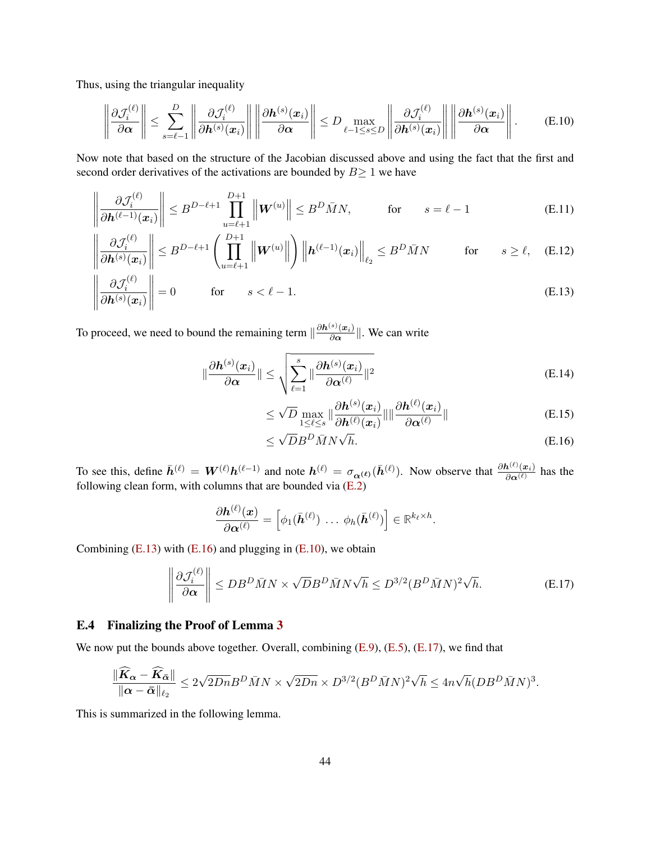Thus, using the triangular inequality

$$
\left\|\frac{\partial \mathcal{J}_{i}^{(\ell)}}{\partial \alpha}\right\| \leq \sum_{s=\ell-1}^{D} \left\|\frac{\partial \mathcal{J}_{i}^{(\ell)}}{\partial \mathbf{h}^{(s)}(\mathbf{x}_{i})}\right\| \left\|\frac{\partial \mathbf{h}^{(s)}(\mathbf{x}_{i})}{\partial \alpha}\right\| \leq D \max_{\ell-1 \leq s \leq D} \left\|\frac{\partial \mathcal{J}_{i}^{(\ell)}}{\partial \mathbf{h}^{(s)}(\mathbf{x}_{i})}\right\| \left\|\frac{\partial \mathbf{h}^{(s)}(\mathbf{x}_{i})}{\partial \alpha}\right\|.
$$
 (E.10)

Now note that based on the structure of the Jacobian discussed above and using the fact that the first and second order derivatives of the activations are bounded by  $B \ge 1$  we have

$$
\left\|\frac{\partial \mathcal{J}_i^{(\ell)}}{\partial \mathbf{h}^{(\ell-1)}(\mathbf{x}_i)}\right\| \le B^{D-\ell+1} \prod_{u=\ell+1}^{D+1} \left\|\mathbf{W}^{(u)}\right\| \le B^D \bar{M} N, \qquad \text{for} \qquad s=\ell-1 \tag{E.11}
$$

$$
\left\|\frac{\partial \mathcal{J}_i^{(\ell)}}{\partial \mathbf{h}^{(s)}(\mathbf{x}_i)}\right\| \leq B^{D-\ell+1} \left(\prod_{u=\ell+1}^{D+1} \left\|\mathbf{W}^{(u)}\right\|\right) \left\|\mathbf{h}^{(\ell-1)}(\mathbf{x}_i)\right\|_{\ell_2} \leq B^D \bar{M} N \qquad \text{for} \qquad s \geq \ell, \quad \text{(E.12)}
$$

$$
\left\| \frac{\partial \mathcal{J}_i^{(\ell)}}{\partial \mathbf{h}^{(s)}(\mathbf{x}_i)} \right\| = 0 \quad \text{for} \quad s < \ell - 1. \tag{E.13}
$$

To proceed, we need to bound the remaining term  $\|\frac{\partial h^{(s)}(x_i)}{\partial \alpha}\|$  $\frac{\partial \phi(x_i)}{\partial \alpha}$ . We can write

$$
\|\frac{\partial \mathbf{h}^{(s)}(\mathbf{x}_i)}{\partial \alpha}\| \leq \sqrt{\sum_{\ell=1}^s \|\frac{\partial \mathbf{h}^{(s)}(\mathbf{x}_i)}{\partial \alpha^{(\ell)}}\|^2}
$$
(E.14)

<span id="page-43-2"></span><span id="page-43-0"></span>
$$
\leq \sqrt{D} \max_{1 \leq \ell \leq s} \|\frac{\partial \mathbf{h}^{(s)}(\mathbf{x}_i)}{\partial \mathbf{h}^{(\ell)}(\mathbf{x}_i)}\| \|\frac{\partial \mathbf{h}^{(\ell)}(\mathbf{x}_i)}{\partial \alpha^{(\ell)}}\|
$$
(E.15)

<span id="page-43-3"></span><span id="page-43-1"></span>
$$
\leq \sqrt{D}B^D\bar{M}N\sqrt{h}.\tag{E.16}
$$

To see this, define  $\bar{h}^{(\ell)} = W^{(\ell)} h^{(\ell-1)}$  and note  $h^{(\ell)} = \sigma_{\alpha^{(\ell)}}(\bar{h}^{(\ell)})$ . Now observe that  $\frac{\partial h^{(\ell)}(x_i)}{\partial \alpha^{(\ell)}}$  has the following clean form, with columns that are bounded via [\(E.2\)](#page-42-2)

$$
\frac{\partial \boldsymbol{h}^{(\ell)}(\boldsymbol{x})}{\partial \boldsymbol{\alpha}^{(\ell)}} = \left[\phi_1(\bar{\boldsymbol{h}}^{(\ell)})\ \ldots\ \phi_h(\bar{\boldsymbol{h}}^{(\ell)})\right] \in \mathbb{R}^{k_{\ell} \times h}.
$$

Combining  $(E.13)$  with  $(E.16)$  and plugging in  $(E.10)$ , we obtain

$$
\left\| \frac{\partial \mathcal{J}_i^{(\ell)}}{\partial \alpha} \right\| \le DB^D \bar{M} N \times \sqrt{D} B^D \bar{M} N \sqrt{h} \le D^{3/2} (B^D \bar{M} N)^2 \sqrt{h}.
$$
 (E.17)

### E.4 Finalizing the Proof of Lemma [3](#page-12-0)

We now put the bounds above together. Overall, combining  $(E.9)$ ,  $(E.5)$ ,  $(E.17)$ , we find that

<span id="page-43-4"></span>
$$
\frac{\|\widehat{K}_{\boldsymbol{\alpha}} - \widehat{K}_{\bar{\boldsymbol{\alpha}}}\|}{\|\boldsymbol{\alpha} - \bar{\boldsymbol{\alpha}}\|_{\ell_2}} \leq 2\sqrt{2Dn}B^D\bar{M}N \times \sqrt{2Dn} \times D^{3/2}(B^D\bar{M}N)^2\sqrt{h} \leq 4n\sqrt{h}(DB^D\bar{M}N)^3.
$$

This is summarized in the following lemma.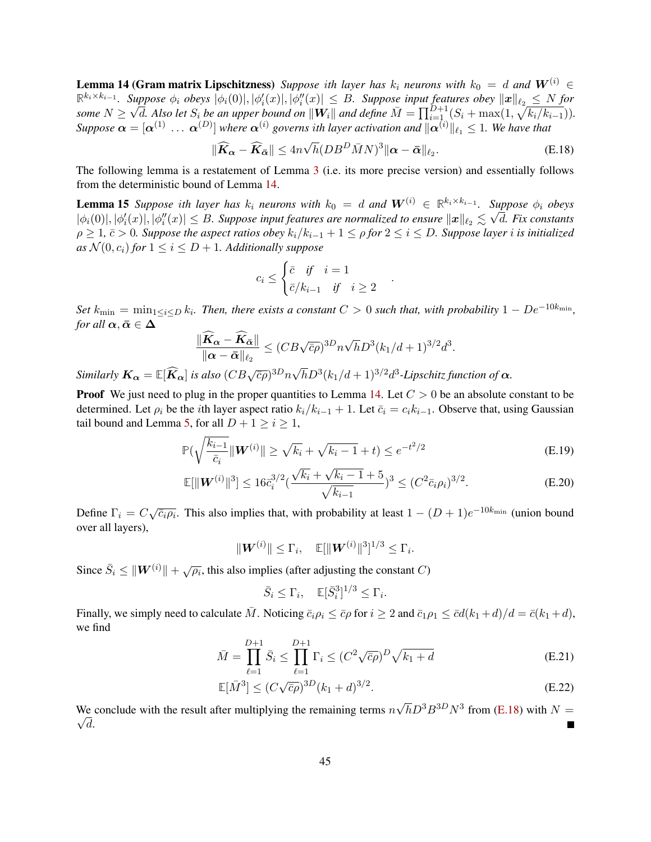**Lemma 14 (Gram matrix Lipschitzness)** *Suppose ith layer has*  $k_i$  *neurons with*  $k_0 = d$  *and*  $W^{(i)} \in$  $\mathbb{R}^{k_i\times k_{i-1}}$ . Suppose  $\phi_i$  obeys  $|\phi_i(0)|, |\phi'_i(x)|, |\phi''_i(x)| \leq B$ . Suppose input features obey  $\|\boldsymbol{x}\|_{\ell_2} \leq N$  for *some* N ≥  $\sqrt{d}$ . Also let  $S_i$  be an upper bound on  $||\mathbf{W}_i||$  and define  $\overline{M} = \prod_{i=1}^{D+1} (S_i + \max(1, \sqrt{k_i/k_{i-1}})).$ *Suppose*  $\bm{\alpha} = [\bm{\alpha}^{(1)} \ \dots \ \bm{\alpha}^{(D)}]$  where  $\bm{\alpha}^{(i)}$  governs ith layer activation and  $\|\bm{\alpha}^{(i)}\|_{\ell_1} \leq 1$ . We have that

<span id="page-44-0"></span>
$$
\|\widehat{K}_{\alpha} - \widehat{K}_{\bar{\alpha}}\| \leq 4n\sqrt{h}(DB^D \bar{M}N)^3 \|\alpha - \bar{\alpha}\|_{\ell_2}.
$$
 (E.18)

<span id="page-44-1"></span>.

The following lemma is a restatement of Lemma [3](#page-12-0) (i.e. its more precise version) and essentially follows from the deterministic bound of Lemma [14.](#page-43-4)

**Lemma 15** *Suppose ith layer has*  $k_i$  *neurons with*  $k_0 = d$  *and*  $W^{(i)} \in \mathbb{R}^{k_i \times k_{i-1}}$ *. Suppose*  $\phi_i$  *obeys*  $|\phi_i(0)|,|\phi_i'(x)|,|\phi_i''(x)|\leq B.$  Suppose input features are normalized to ensure  $\|\bm x\|_{\ell_2}\lesssim \sqrt{d}.$  Fix constants  $\rho$  ≥ 1,  $\bar{c}$  > 0*. Suppose the aspect ratios obey*  $k_i/k_{i-1} + 1 \leq \rho$  for  $2 \leq i \leq D$ *. Suppose layer i is initialized as*  $\mathcal{N}(0, c_i)$  *for*  $1 \leq i \leq D + 1$ *. Additionally suppose* 

$$
c_i \leq \begin{cases} \bar{c} & \text{if } i = 1\\ \bar{c}/k_{i-1} & \text{if } i \geq 2 \end{cases}
$$

 $Set\ k_{\min} = \min_{1\leq i\leq D} k_i$ . Then, there exists a constant  $C>0$  such that, with probability  $1-De^{-10k_{\min}}$ , *for all*  $\alpha, \bar{\alpha} \in \Delta$ 

$$
\frac{\|\widehat{K}_{\alpha} - \widehat{K}_{\bar{\alpha}}\|}{\|\alpha - \bar{\alpha}\|_{\ell_2}} \le (CB\sqrt{\bar{c}\rho})^{3D} n \sqrt{h} D^3 (k_1/d + 1)^{3/2} d^3.
$$

*Similarly*  $K_{\alpha} = \mathbb{E}[\widehat{K}_{\alpha}]$  *is also*  $(CB\sqrt{\overline{c}\rho})^{3D}n\sqrt{h}D^{3}(k_{1}/d+1)^{3/2}d^{3}$ -Lipschitz function of  $\alpha$ .

**Proof** We just need to plug in the proper quantities to Lemma [14.](#page-43-4) Let  $C > 0$  be an absolute constant to be determined. Let  $\rho_i$  be the *i*th layer aspect ratio  $k_i/k_{i-1} + 1$ . Let  $\bar{c}_i = c_i k_{i-1}$ . Observe that, using Gaussian tail bound and Lemma [5,](#page-26-0) for all  $D + 1 \ge i \ge 1$ ,

$$
\mathbb{P}(\sqrt{\frac{k_{i-1}}{\bar{c}_i}} \| \boldsymbol{W}^{(i)} \| \ge \sqrt{k_i} + \sqrt{k_i - 1} + t) \le e^{-t^2/2}
$$
\n(E.19)

$$
\mathbb{E}[\|\mathbf{W}^{(i)}\|^3] \le 16\bar{c}_i^{3/2} \left(\frac{\sqrt{k_i} + \sqrt{k_i - 1} + 5}{\sqrt{k_{i-1}}}\right)^3 \le (C^2 \bar{c}_i \rho_i)^{3/2}.
$$
 (E.20)

Define  $\Gamma_i = C \sqrt{\bar{c}_i \rho_i}$ . This also implies that, with probability at least  $1 - (D + 1)e^{-10k_{\min}}$  (union bound over all layers),

$$
\|\mathbf{W}^{(i)}\| \leq \Gamma_i, \quad \mathbb{E}[\|\mathbf{W}^{(i)}\|^3]^{1/3} \leq \Gamma_i.
$$

Since  $\bar{S}_i \leq ||\boldsymbol{W}^{(i)}|| + \sqrt{\rho_i}$ , this also implies (after adjusting the constant C)

$$
\bar{S}_i \le \Gamma_i, \quad \mathbb{E}[\bar{S}_i^3]^{1/3} \le \Gamma_i.
$$

Finally, we simply need to calculate  $\overline{M}$ . Noticing  $\overline{c}_i \rho_i \leq \overline{c} \rho$  for  $i \geq 2$  and  $\overline{c}_1 \rho_1 \leq \overline{c} d(k_1 + d)/d = \overline{c}(k_1 + d)$ , we find

$$
\bar{M} = \prod_{\ell=1}^{D+1} \bar{S}_i \le \prod_{\ell=1}^{D+1} \Gamma_i \le (C^2 \sqrt{\bar{c}\rho})^D \sqrt{k_1 + d}
$$
 (E.21)

$$
\mathbb{E}[\bar{M}^3] \le (C\sqrt{\bar{c}\rho})^{3D} (k_1 + d)^{3/2}.
$$
\n(E.22)

We conclude with the result after multiplying the remaining terms  $n$ We conclude with the result after multiplying the remaining terms  $n\sqrt{h}D^3B^{3D}N^3$  from [\(E.18\)](#page-44-1) with  $N =$  $\sqrt{d}$ .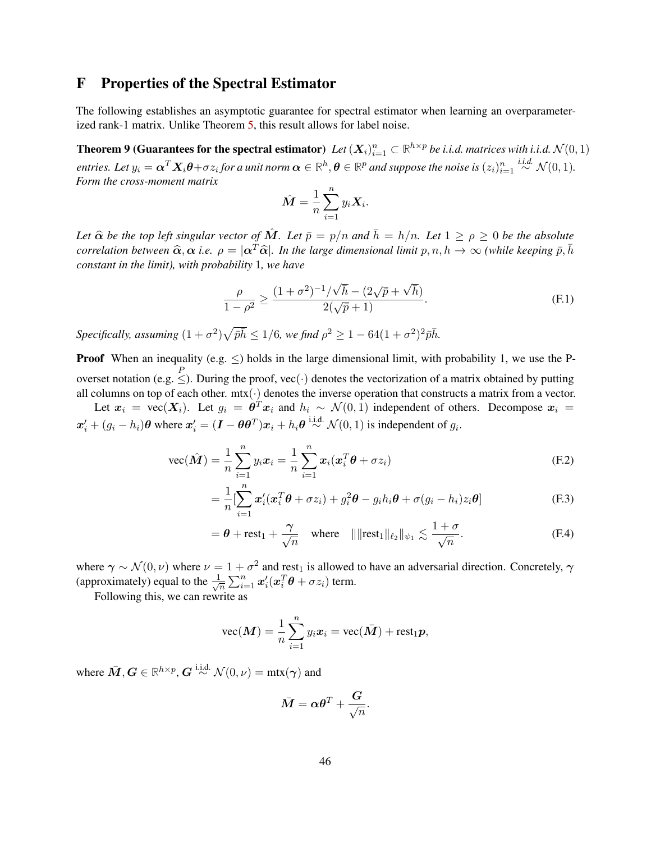# <span id="page-45-0"></span>F Properties of the Spectral Estimator

The following establishes an asymptotic guarantee for spectral estimator when learning an overparameterized rank-1 matrix. Unlike Theorem [5,](#page-13-2) this result allows for label noise.

**Theorem 9 (Guarantees for the spectral estimator)** Let  $(X_i)_{i=1}^n \subset \mathbb{R}^{h \times p}$  be i.i.d. matrices with i.i.d.  $\mathcal{N}(0,1)$  $\bm{e}$ ntries. Let  $y_i = \bm{\alpha}^T\bm{X}_i\bm{\theta} + \sigma z_i$  for a unit norm  $\bm{\alpha}\in\mathbb{R}^h, \bm{\theta}\in\mathbb{R}^p$  and suppose the noise is  $(z_i)_{i=1}^n\overset{i.i.d.}{\sim}\mathcal{N}(0,1).$ *Form the cross-moment matrix*

<span id="page-45-2"></span><span id="page-45-1"></span>
$$
\hat{\boldsymbol{M}} = \frac{1}{n} \sum_{i=1}^{n} y_i \boldsymbol{X}_i.
$$

*Let*  $\hat{\alpha}$  *be the top left singular vector of*  $\hat{M}$ *. Let*  $\bar{p} = p/n$  *and*  $\bar{h} = h/n$ *. Let*  $1 \ge \rho \ge 0$  *be the absolute correlation between*  $\hat{\alpha}, \alpha$  *i.e.*  $\rho = |\alpha^T \hat{\alpha}|$ *. In the large dimensional limit*  $p, n, h \to \infty$  *(while keeping*  $\bar{p}, \bar{h}$ *constant in the limit), with probability* 1*, we have*

$$
\frac{\rho}{1-\rho^2} \ge \frac{(1+\sigma^2)^{-1}/\sqrt{\bar{h}} - (2\sqrt{\bar{p}} + \sqrt{\bar{h}})}{2(\sqrt{\bar{p}} + 1)}.
$$
\n(F.1)

 $Specifically, assuming  $(1 + \sigma^2)\sqrt{\bar{p}h} \leq 1/6$ , we find  $\rho^2 \geq 1 - 64(1 + \sigma^2)^2 \bar{p}h$ .$ 

**Proof** When an inequality (e.g.  $\leq$ ) holds in the large dimensional limit, with probability 1, we use the Poverset notation (e.g.  $\leq$ ). During the proof, vec(·) denotes the vectorization of a matrix obtained by putting all columns on top of each other.  $m\text{tx}(\cdot)$  denotes the inverse operation that constructs a matrix from a vector.

Let  $x_i = \text{vec}(X_i)$ . Let  $g_i = \theta^T x_i$  and  $h_i \sim \mathcal{N}(0, 1)$  independent of others. Decompose  $x_i =$  $x'_i + (g_i - h_i)\theta$  where  $x'_i = (\bm{I} - \theta\theta^T)\bm{x}_i + h_i\theta \stackrel{\text{i.i.d.}}{\sim} \mathcal{N}(0, 1)$  is independent of  $g_i$ .

$$
\text{vec}(\hat{M}) = \frac{1}{n} \sum_{i=1}^{n} y_i x_i = \frac{1}{n} \sum_{i=1}^{n} x_i (x_i^T \theta + \sigma z_i)
$$
 (F.2)

$$
= \frac{1}{n} \left[ \sum_{i=1}^{n} \boldsymbol{x}'_i (\boldsymbol{x}_i^T \boldsymbol{\theta} + \sigma z_i) + g_i^2 \boldsymbol{\theta} - g_i h_i \boldsymbol{\theta} + \sigma (g_i - h_i) z_i \boldsymbol{\theta} \right]
$$
(F.3)

$$
= \theta + \text{rest}_1 + \frac{\gamma}{\sqrt{n}} \quad \text{where} \quad ||\|\text{rest}_1\|_{\ell_2}\|_{\psi_1} \lesssim \frac{1+\sigma}{\sqrt{n}}.
$$
 (F.4)

where  $\gamma \sim \mathcal{N}(0, \nu)$  where  $\nu = 1 + \sigma^2$  and rest<sub>1</sub> is allowed to have an adversarial direction. Concretely,  $\gamma$ (approximately) equal to the  $\frac{1}{\sqrt{2}}$  $\frac{1}{\overline{n}}\sum_{i=1}^n\bm{x}_i'(\bm{x}_i^T\bm{\theta}+\sigma z_i)$  term.

Following this, we can rewrite as

$$
\text{vec}(\boldsymbol{M}) = \frac{1}{n} \sum_{i=1}^{n} y_i \boldsymbol{x}_i = \text{vec}(\bar{\boldsymbol{M}}) + \text{rest}_1 \boldsymbol{p},
$$

where  $\bar{M}, G \in \mathbb{R}^{h \times p}$ ,  $G \stackrel{\text{i.i.d.}}{\sim} \mathcal{N}(0, \nu) = \text{mix}(\gamma)$  and

$$
\bar{\bm{M}} = \bm{\alpha}\bm{\theta}^T + \frac{\bm{G}}{\sqrt{n}}.
$$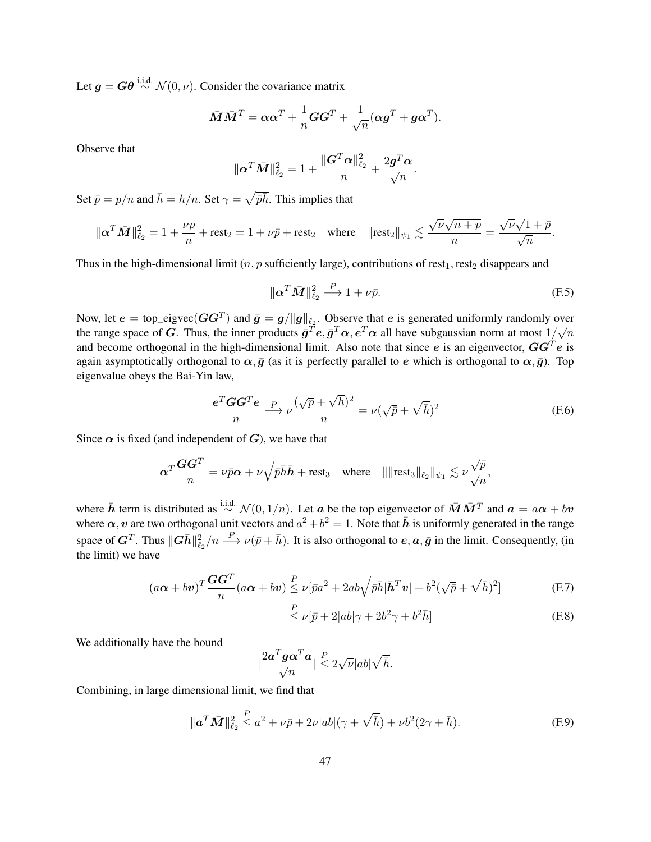Let  $q = G\theta \stackrel{\text{i.i.d.}}{\sim} \mathcal{N}(0, \nu)$ . Consider the covariance matrix

$$
\bar{\boldsymbol{M}}\bar{\boldsymbol{M}}^T=\boldsymbol{\alpha}\boldsymbol{\alpha}^T+\frac{1}{n}\boldsymbol{G}\boldsymbol{G}^T+\frac{1}{\sqrt{n}}(\boldsymbol{\alpha}\boldsymbol{g}^T+\boldsymbol{g}\boldsymbol{\alpha}^T).
$$

Observe that

$$
\|\boldsymbol{\alpha}^T\bar{\boldsymbol{M}}\|_{\ell_2}^2 = 1 + \frac{\|\boldsymbol{G}^T\boldsymbol{\alpha}\|_{\ell_2}^2}{n} + \frac{2\boldsymbol{g}^T\boldsymbol{\alpha}}{\sqrt{n}}.
$$

Set  $\bar{p} = p/n$  and  $\bar{h} = h/n$ . Set  $\gamma = \sqrt{\bar{p}\bar{h}}$ . This implies that

$$
\|\boldsymbol{\alpha}^T\bar{\boldsymbol{M}}\|_{\ell_2}^2 = 1 + \frac{\nu p}{n} + \mathrm{rest}_2 = 1 + \nu \bar{p} + \mathrm{rest}_2 \quad \text{where} \quad \|\mathrm{rest}_2\|_{\psi_1} \lesssim \frac{\sqrt{\nu}\sqrt{n+p}}{n} = \frac{\sqrt{\nu}\sqrt{1+p}}{\sqrt{n}}.
$$

Thus in the high-dimensional limit  $(n, p$  sufficiently large), contributions of rest<sub>1</sub>, rest<sub>2</sub> disappears and

<span id="page-46-0"></span>
$$
\|\boldsymbol{\alpha}^T\bar{\boldsymbol{M}}\|_{\ell_2}^2 \stackrel{P}{\longrightarrow} 1 + \nu \bar{p}.\tag{F.5}
$$

Now, let  $e = \text{top\_eigvec}(GG^T)$  and  $\bar{g} = g / \|g\|_{\ell_2}$ . Observe that  $e$  is generated uniformly randomly over the range space of G. Thus, the inner products  $\bar{g}^T e$ ,  $\bar{g}^T \alpha$ ,  $e^T \alpha$  all have subgaussian norm at most  $1/\sqrt{n}$ and become orthogonal in the high-dimensional limit. Also note that since  $e$  is an eigenvector,  $GG^T e$  is again asymptotically orthogonal to  $\alpha, \bar{g}$  (as it is perfectly parallel to e which is orthogonal to  $\alpha, \bar{g}$ ). Top eigenvalue obeys the Bai-Yin law,

$$
\frac{e^T G G^T e}{n} \xrightarrow{P} \nu \frac{(\sqrt{p} + \sqrt{h})^2}{n} = \nu (\sqrt{p} + \sqrt{h})^2
$$
 (F.6)

Since  $\alpha$  is fixed (and independent of G), we have that

$$
\alpha^T \frac{\mathbf{G} \mathbf{G}^T}{n} = \nu \bar{p} \alpha + \nu \sqrt{\bar{p} \bar{h}} \bar{h} + \text{rest}_3 \quad \text{where} \quad ||| \text{rest}_3 ||_{\ell_2} ||_{\psi_1} \lesssim \nu \frac{\sqrt{\bar{p}}}{\sqrt{n}},
$$

where  $\bar{h}$  term is distributed as  $\stackrel{\text{i.i.d.}}{\sim} \mathcal{N}(0, 1/n)$ . Let a be the top eigenvector of  $\bar{M}\bar{M}^T$  and  $a = a\alpha + bv$ where  $\alpha$ , v are two orthogonal unit vectors and  $a^2 + b^2 = 1$ . Note that  $\bar{h}$  is uniformly generated in the range space of  $G^T$ . Thus  $||G\bar{h}||_{\ell_2}^2/n \stackrel{P}{\longrightarrow} \nu(\bar{p}+\bar{h})$ . It is also orthogonal to  $e, a, \bar{g}$  in the limit. Consequently, (in the limit) we have

$$
(a\alpha + bv)^{T}\frac{GG^{T}}{n}(a\alpha + bv) \stackrel{P}{\leq} \nu[\bar{p}a^{2} + 2ab\sqrt{\bar{p}\bar{h}}|\bar{h}^{T}v| + b^{2}(\sqrt{\bar{p}} + \sqrt{\bar{h}})^{2}]
$$
 (F.7)

<span id="page-46-1"></span>
$$
\stackrel{P}{\leq} \nu[\bar{p} + 2|ab|\gamma + 2b^2\gamma + b^2\bar{h}]
$$
 (F.8)

We additionally have the bound

$$
|\frac{2\bm{a}^T\bm{g}\bm{\alpha}^T\bm{a}}{\sqrt{n}}|\overset{P}{\leq}2\sqrt{\nu}|ab|\sqrt{\bar{h}}.
$$

Combining, in large dimensional limit, we find that

$$
\|\mathbf{a}^T \bar{\mathbf{M}}\|_{\ell_2}^2 \le a^2 + \nu \bar{p} + 2\nu |ab| (\gamma + \sqrt{\bar{h}}) + \nu b^2 (2\gamma + \bar{h}). \tag{F.9}
$$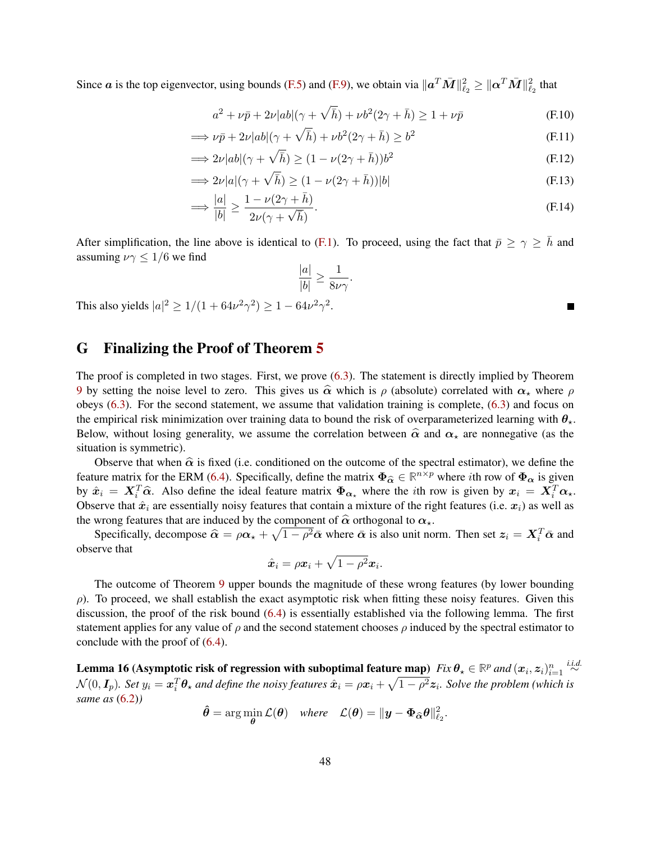Since  $a$  is the top eigenvector, using bounds [\(F.5\)](#page-46-0) and [\(F.9\)](#page-46-1), we obtain via  $\|\bm{a}^T\bar{\bm{M}}\|_{\ell_2}^2 \geq \|\bm{\alpha}^T\bar{\bm{M}}\|_{\ell_2}^2$  that

$$
a^{2} + \nu \bar{p} + 2\nu|ab|(\gamma + \sqrt{\bar{h}}) + \nu b^{2}(2\gamma + \bar{h}) \ge 1 + \nu \bar{p}
$$
 (F.10)

$$
\implies \nu \bar{p} + 2\nu|ab|(\gamma + \sqrt{\bar{h}}) + \nu b^2 (2\gamma + \bar{h}) \ge b^2
$$
 (F.11)

$$
\implies 2\nu|ab|(\gamma + \sqrt{\bar{h}}) \ge (1 - \nu(2\gamma + \bar{h}))b^2
$$
\n(F.12)

$$
\implies 2\nu|a|(\gamma + \sqrt{\bar{h}}) \ge (1 - \nu(2\gamma + \bar{h}))|b|
$$
\n(F.13)

$$
\Rightarrow \frac{|a|}{|b|} \ge \frac{1 - \nu(2\gamma + \bar{h})}{2\nu(\gamma + \sqrt{\bar{h}})}.
$$
\n(F.14)

After simplification, the line above is identical to [\(F.1\)](#page-45-1). To proceed, using the fact that  $\bar{p} \ge \gamma \ge \bar{h}$  and assuming  $\nu\gamma \leq 1/6$  we find

$$
\frac{|a|}{|b|} \ge \frac{1}{8\nu\gamma}.
$$

This also yields  $|a|^2 \ge 1/(1 + 64\nu^2\gamma^2) \ge 1 - 64\nu^2\gamma^2$ .

=⇒

### <span id="page-47-0"></span>G Finalizing the Proof of Theorem [5](#page-13-2)

The proof is completed in two stages. First, we prove [\(6.3\)](#page-13-1). The statement is directly implied by Theorem [9](#page-45-2) by setting the noise level to zero. This gives us  $\hat{\alpha}$  which is  $\rho$  (absolute) correlated with  $\alpha_{\star}$  where  $\rho$ obeys [\(6.3\)](#page-13-1). For the second statement, we assume that validation training is complete, [\(6.3\)](#page-13-1) and focus on the empirical risk minimization over training data to bound the risk of overparameterized learning with  $\theta_{\star}$ . Below, without losing generality, we assume the correlation between  $\hat{\alpha}$  and  $\alpha_{\star}$  are nonnegative (as the situation is symmetric).

Observe that when  $\hat{\alpha}$  is fixed (i.e. conditioned on the outcome of the spectral estimator), we define the feature matrix for the ERM [\(6.4\)](#page-14-4). Specifically, define the matrix  $\Phi_{\hat{\alpha}} \in \mathbb{R}^{n \times p}$  where *i*th row of  $\Phi_{\alpha}$  is given<br>the  $\hat{\alpha}$  and the define the ideal feature matrix  $\Phi_{\alpha}$  where the *i*th gaus is given by by  $\hat{x}_i = X_i^T \hat{\alpha}$ . Also define the ideal feature matrix  $\Phi_{\alpha_k}$  where the *i*th row is given by  $x_i = X_i^T \alpha_k$ .<br>Observe that  $\hat{x}_i$  are essentially noisy features that eartein a mixture of the right features (i.e.  $\pi$ Observe that  $\hat{x}_i$  are essentially noisy features that contain a mixture of the right features (i.e.  $x_i$ ) as well as the wrong features that are induced by the component of  $\hat{\alpha}$  orthogonal to  $\alpha_{\star}$ .

Specifically, decompose  $\hat{\alpha} = \rho \alpha_{\star} + \sqrt{1 - \rho^2} \bar{\alpha}$  where  $\bar{\alpha}$  is also unit norm. Then set  $z_i = X_i^T \bar{\alpha}$  and observe that

$$
\hat{\boldsymbol{x}}_i = \rho \boldsymbol{x}_i + \sqrt{1-\rho^2} \boldsymbol{x}_i.
$$

The outcome of Theorem [9](#page-45-2) upper bounds the magnitude of these wrong features (by lower bounding  $\rho$ ). To proceed, we shall establish the exact asymptotic risk when fitting these noisy features. Given this discussion, the proof of the risk bound [\(6.4\)](#page-14-4) is essentially established via the following lemma. The first statement applies for any value of  $\rho$  and the second statement chooses  $\rho$  induced by the spectral estimator to conclude with the proof of [\(6.4\)](#page-14-4).

Lemma 16 (Asymptotic risk of regression with suboptimal feature map)  $Fix\,\theta_\star\in\mathbb{R}^p$  and  $(\bm{x}_i,\bm{z}_i)_{i=1}^n\stackrel{i.i.d.}{\sim}$  $\mathcal{N}(0,\bm{I}_p).$  Set  $y_i=\bm{x}_i^T\bm{\theta}_\star$  and define the noisy features  $\hat{\bm{x}}_i=\rho\bm{x}_i+\sqrt{1-\rho^2}\bm{z}_i.$  Solve the problem (which is *same as* [\(6.2\)](#page-13-4)*)*

$$
\hat{\theta} = \arg\min_{\theta} \mathcal{L}(\theta) \quad \text{where} \quad \mathcal{L}(\theta) = \|\mathbf{y} - \mathbf{\Phi}_{\widehat{\alpha}}\theta\|_{\ell_2}^2.
$$

Е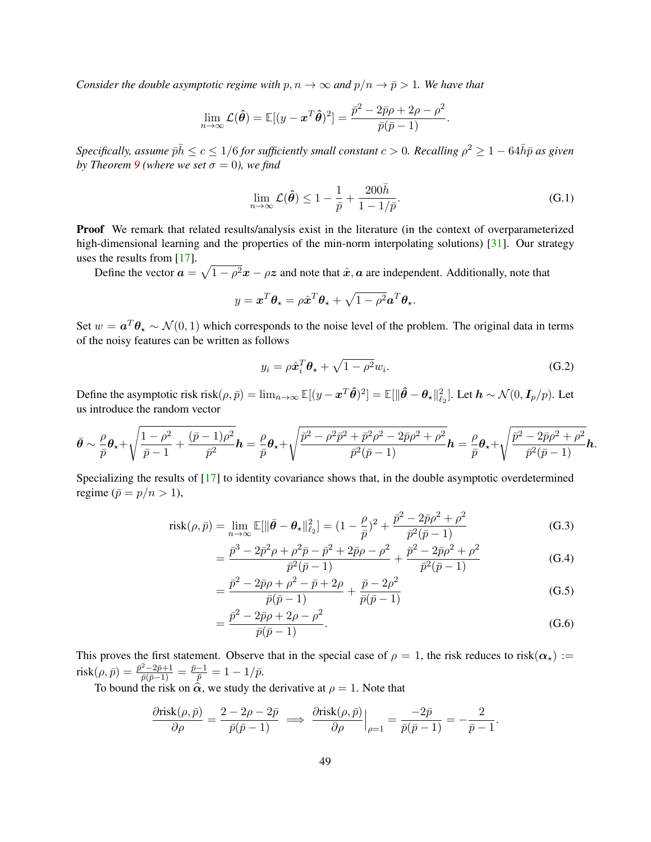*Consider the double asymptotic regime with*  $p, n \to \infty$  *and*  $p/n \to \bar{p} > 1$ *. We have that* 

$$
\lim_{n \to \infty} \mathcal{L}(\hat{\boldsymbol{\theta}}) = \mathbb{E}[(y - \boldsymbol{x}^T \hat{\boldsymbol{\theta}})^2] = \frac{\bar{p}^2 - 2\bar{p}\rho + 2\rho - \rho^2}{\bar{p}(\bar{p} - 1)}.
$$

 $S$ pecifically, assume  $\bar{p}\bar{h}\leq c\leq1/6$  for sufficiently small constant  $c>0.$  Recalling  $\rho^2\geq1-64\bar{h}\bar{p}$  as given *by Theorem* [9](#page-45-2) (where we set  $\sigma = 0$ ), we find

<span id="page-48-0"></span>
$$
\lim_{n \to \infty} \mathcal{L}(\hat{\boldsymbol{\theta}}) \le 1 - \frac{1}{\bar{p}} + \frac{200\bar{h}}{1 - 1/\bar{p}}.
$$
\n(G.1)

**Proof** We remark that related results/analysis exist in the literature (in the context of overparameterized high-dimensional learning and the properties of the min-norm interpolating solutions) [\[31\]](#page-21-14). Our strategy uses the results from [\[17\]](#page-20-15).

Define the vector  $a = \sqrt{1 - \rho^2}x - \rho z$  and note that  $\hat{x}, a$  are independent. Additionally, note that

$$
y = \boldsymbol{x}^T \boldsymbol{\theta}_\star = \rho \hat{\boldsymbol{x}}^T \boldsymbol{\theta}_\star + \sqrt{1 - \rho^2} \boldsymbol{a}^T \boldsymbol{\theta}_\star.
$$

Set  $w = a^T \theta_\star \sim \mathcal{N}(0, 1)$  which corresponds to the noise level of the problem. The original data in terms of the noisy features can be written as follows

$$
y_i = \rho \hat{\boldsymbol{x}}_i^T \boldsymbol{\theta}_\star + \sqrt{1 - \rho^2} w_i. \tag{G.2}
$$

Define the asymptotic risk risk $(\rho, \bar{p}) = \lim_{n \to \infty} \mathbb{E}[(y - x^T \hat{\boldsymbol{\theta}})^2] = \mathbb{E}[\|\hat{\boldsymbol{\theta}} - \boldsymbol{\theta}_\star\|_{\ell_2}^2]$ . Let  $\boldsymbol{h} \sim \mathcal{N}(0, \boldsymbol{I}_p/p)$ . Let us introduce the random vector

$$
\bar{\theta} \sim \frac{\rho}{\bar{p}} \theta_{\star} + \sqrt{\frac{1-\rho^2}{\bar{p}-1} + \frac{(\bar{p}-1)\rho^2}{\bar{p}^2}} \mathbf{h} = \frac{\rho}{\bar{p}} \theta_{\star} + \sqrt{\frac{\bar{p}^2 - \rho^2 \bar{p}^2 + \bar{p}^2 \rho^2 - 2\bar{p}\rho^2 + \rho^2}{\bar{p}^2(\bar{p}-1)}} \mathbf{h} = \frac{\rho}{\bar{p}} \theta_{\star} + \sqrt{\frac{\bar{p}^2 - 2\bar{p}\rho^2 + \rho^2}{\bar{p}^2(\bar{p}-1)}} \mathbf{h}.
$$

Specializing the results of [\[17\]](#page-20-15) to identity covariance shows that, in the double asymptotic overdetermined regime ( $\bar{p} = p/n > 1$ ),

$$
\text{risk}(\rho, \bar{p}) = \lim_{n \to \infty} \mathbb{E}[\|\bar{\theta} - \theta_{\star}\|_{\ell_2}^2] = (1 - \frac{\rho}{\bar{p}})^2 + \frac{\bar{p}^2 - 2\bar{p}\rho^2 + \rho^2}{\bar{p}^2(\bar{p} - 1)}
$$
(G.3)

$$
= \frac{\bar{p}^3 - 2\bar{p}^2\rho + \rho^2 \bar{p} - \bar{p}^2 + 2\bar{p}\rho - \rho^2}{\bar{p}^2(\bar{p} - 1)} + \frac{\bar{p}^2 - 2\bar{p}\rho^2 + \rho^2}{\bar{p}^2(\bar{p} - 1)}
$$
(G.4)

$$
= \frac{\bar{p}^2 - 2\bar{p}\rho + \rho^2 - \bar{p} + 2\rho}{\bar{p}(\bar{p} - 1)} + \frac{\bar{p} - 2\rho^2}{\bar{p}(\bar{p} - 1)}
$$
(G.5)

$$
= \frac{\bar{p}^2 - 2\bar{p}\rho + 2\rho - \rho^2}{\bar{p}(\bar{p} - 1)}.
$$
\n(G.6)

This proves the first statement. Observe that in the special case of  $\rho = 1$ , the risk reduces to risk( $\alpha_{\star}$ ) :=  ${\rm risk}(\rho, \bar{p}) = \frac{\bar{p}^2 - 2\bar{p} + 1}{\bar{p}(\bar{p}-1)} = \frac{\bar{p}-1}{\bar{p}} = 1 - 1/\bar{p}.$ 

To bound the risk on  $\hat{\alpha}$ , we study the derivative at  $\rho = 1$ . Note that

$$
\frac{\partial \text{risk}(\rho,\bar{p})}{\partial \rho} = \frac{2-2\rho-2\bar{p}}{\bar{p}(\bar{p}-1)} \implies \frac{\partial \text{risk}(\rho,\bar{p})}{\partial \rho}\Big|_{\rho=1} = \frac{-2\bar{p}}{\bar{p}(\bar{p}-1)} = -\frac{2}{\bar{p}-1}.
$$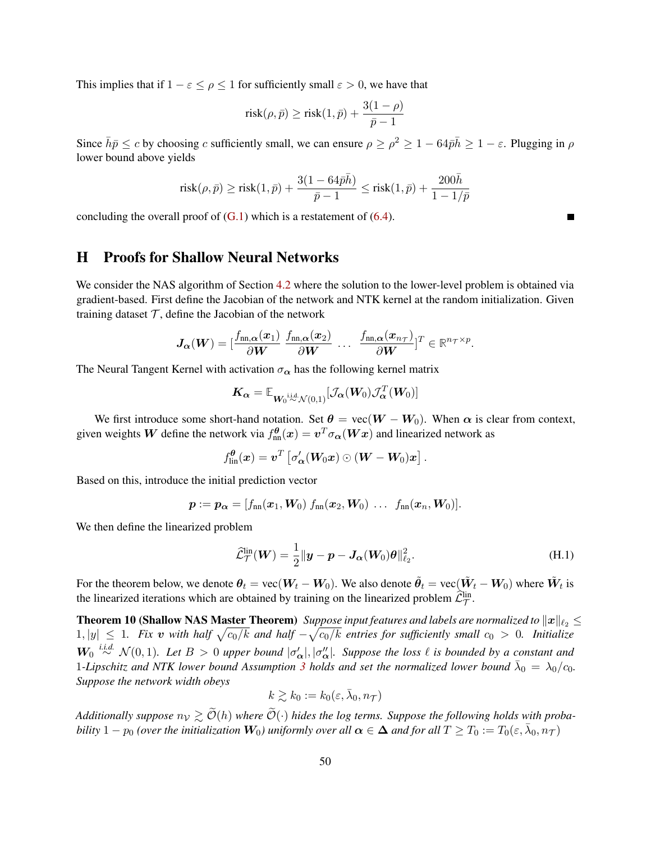This implies that if  $1 - \varepsilon \le \rho \le 1$  for sufficiently small  $\varepsilon > 0$ , we have that

$$
\text{risk}(\rho, \bar p) \ge \text{risk}(1, \bar p) + \frac{3(1-\rho)}{\bar p - 1}
$$

Since  $\bar{h}\bar{p}\leq c$  by choosing c sufficiently small, we can ensure  $\rho\geq \rho^2\geq 1-64\bar{p}\bar{h}\geq 1-\varepsilon$ . Plugging in  $\rho$ lower bound above yields

$$
\text{risk}(\rho,\bar{p}) \geq \text{risk}(1,\bar{p}) + \frac{3(1-64\bar{p}\bar{h})}{\bar{p}-1} \leq \text{risk}(1,\bar{p}) + \frac{200\bar{h}}{1-1/\bar{p}}
$$

concluding the overall proof of  $(G.1)$  which is a restatement of  $(6.4)$ .

# <span id="page-49-0"></span>H Proofs for Shallow Neural Networks

We consider the NAS algorithm of Section [4.2](#page-8-0) where the solution to the lower-level problem is obtained via gradient-based. First define the Jacobian of the network and NTK kernel at the random initialization. Given training dataset  $T$ , define the Jacobian of the network

$$
\boldsymbol{J}_{\boldsymbol{\alpha}}(\boldsymbol{W}) = [\frac{f_{\text{nn},\boldsymbol{\alpha}}(\boldsymbol{x}_1)}{\partial \boldsymbol{W}} \ \frac{f_{\text{nn},\boldsymbol{\alpha}}(\boldsymbol{x}_2)}{\partial \boldsymbol{W}} \ \dots \ \frac{f_{\text{nn},\boldsymbol{\alpha}}(\boldsymbol{x}_{n_{\mathcal{T}}})}{\partial \boldsymbol{W}} ]^T \in \mathbb{R}^{n_{\mathcal{T}} \times p}.
$$

The Neural Tangent Kernel with activation  $\sigma_{\alpha}$  has the following kernel matrix

$$
\boldsymbol{K_{\alpha}} = \mathbb{E}_{\boldsymbol{W_0} \overset{\mathrm{i.i.d.}}{\sim} \mathcal{N}(0,1)}[\mathcal{J}_{\boldsymbol{\alpha}}(\boldsymbol{W}_0) \mathcal{J}_{\boldsymbol{\alpha}}^T(\boldsymbol{W}_0)]
$$

We first introduce some short-hand notation. Set  $\theta = \text{vec}(W - W_0)$ . When  $\alpha$  is clear from context, given weights  $\bm{W}$  define the network via  $f^{\bm{\theta}}_{\text{nn}}(\bm{x})=\bm{v}^T\sigma_{\bm{\alpha}}(\bm{W}\bm{x})$  and linearized network as

$$
f^{\boldsymbol{\theta}}_{\mathrm{lin}}(\boldsymbol{x}) = \boldsymbol{v}^T \left[ \sigma'_{\boldsymbol{\alpha}}(\boldsymbol{W}_0 \boldsymbol{x}) \odot (\boldsymbol{W} - \boldsymbol{W}_0) \boldsymbol{x} \right].
$$

Based on this, introduce the initial prediction vector

$$
\boldsymbol{p} := \boldsymbol{p}_{\boldsymbol{\alpha}} = [f_{nn}(\boldsymbol{x}_1, \boldsymbol{W}_0) \ f_{nn}(\boldsymbol{x}_2, \boldsymbol{W}_0) \ \dots \ f_{nn}(\boldsymbol{x}_n, \boldsymbol{W}_0)].
$$

We then define the linearized problem

<span id="page-49-1"></span>
$$
\widehat{\mathcal{L}}_{\mathcal{T}}^{\text{lin}}(\boldsymbol{W}) = \frac{1}{2} \|\boldsymbol{y} - \boldsymbol{p} - \boldsymbol{J}_{\boldsymbol{\alpha}}(\boldsymbol{W}_0)\boldsymbol{\theta}\|_{\ell_2}^2.
$$
\n(H.1)

For the theorem below, we denote  $\bm{\theta}_t = \text{vec}(\bm{W}_t-\bm{W}_0)$ . We also denote  $\tilde{\bm{\theta}}_t = \text{vec}(\tilde{\bm{W}}_t-\bm{W}_0)$  where  $\tilde{\bm{W}}_t$  is the linearized iterations which are obtained by training on the linearized problem  $\hat{\mathcal{L}}^{\text{lin}}_{\mathcal{T}}$ .

**Theorem 10 (Shallow NAS Master Theorem)** Suppose input features and labels are normalized to  $||x||_{\ell_2} \le$  $1, |y|$  ≤ 1. Fix v with half  $\sqrt{c_0/k}$  and half  $-\sqrt{c_0/k}$  entries for sufficiently small  $c_0 > 0$ . Initialize  $W_0$ <sup>*i.i.d.*  $\mathcal{N}(0,1)$ . Let  $B > 0$  upper bound  $|\sigma'_{\alpha}|, |\sigma''_{\alpha}|$ . Suppose the loss  $\ell$  is bounded by a constant and</sup> 1-Lipschitz and NTK lower bound Assumption [3](#page-9-1) holds and set the normalized lower bound  $\bar{\lambda}_0 = \lambda_0/c_0$ . *Suppose the network width obeys*

<span id="page-49-2"></span>
$$
k\gtrsim k_0:=k_0(\varepsilon,\bar{\lambda}_0,n_{\mathcal{T}})
$$

*Additionally suppose*  $n_V \gtrsim \widetilde{\mathcal{O}}(h)$  *where*  $\widetilde{\mathcal{O}}(\cdot)$  *hides the log terms. Suppose the following holds with probability*  $1 - p_0$  *(over the initialization*  $W_0$ ) uniformly over all  $\alpha \in \Delta$  and for all  $T \ge T_0 := T_0(\varepsilon, \bar{\lambda}_0, n_\mathcal{T})$ 

Е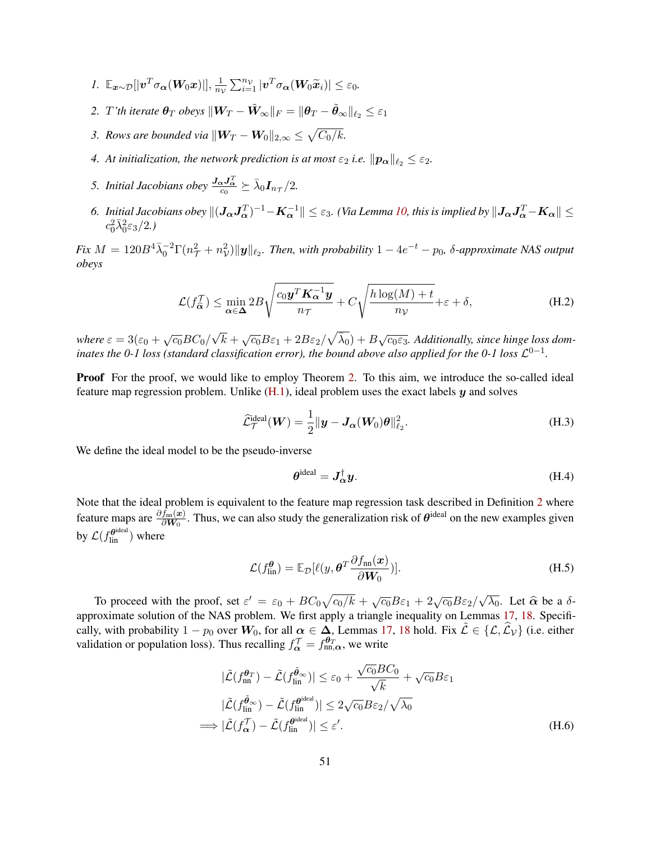- *1.*  $\mathbb{E}_{\boldsymbol{x} \sim \mathcal{D}}[|\boldsymbol{v}^T \sigma_{\boldsymbol{\alpha}}(\boldsymbol{W}_0 \boldsymbol{x})|], \frac{1}{n_0}$  $\frac{1}{n_{\mathcal{V}}} \sum_{i=1}^{n_{\mathcal{V}}} |\boldsymbol{v}^T \sigma_{\boldsymbol{\alpha}}(\boldsymbol{W}_0 \widetilde{\boldsymbol{x}}_i)| \leq \varepsilon_0.$
- *2. T'th iterate*  $\theta_T$  *obeys*  $||\boldsymbol{W}_T \tilde{\boldsymbol{W}}_{\infty}||_F = ||\theta_T \tilde{\theta}_{\infty}||_{\ell_2} \leq \varepsilon_1$
- *3. Rows are bounded via*  $\|\boldsymbol{W}_T \boldsymbol{W}_0\|_{2,\infty} \leq \sqrt{C_0/k}$ .
- *4.* At initialization, the network prediction is at most  $\varepsilon_2$  *i.e.*  $\|\boldsymbol{p}_{\alpha}\|_{\ell_2} \leq \varepsilon_2$ *.*
- 5. *Initial Jacobians obey*  $\frac{J_{\alpha}J_{\alpha}^T}{c_0} \succeq \bar{\lambda}_0 I_{n_{\mathcal{T}}}/2$ .
- 6. Initial Jacobians obey  $\|(J_{\bm{\alpha}}J_{\bm{\alpha}}^T)^{-1}-K_{\bm{\alpha}}^{-1}\|\leq\varepsilon_3.$  *(Via Lemma [10,](#page-34-2) this is implied by*  $\|J_{\bm{\alpha}}J_{\bm{\alpha}}^T-K_{\bm{\alpha}}\|\leq\delta$  $c_0^2\bar{\lambda}_0^2\varepsilon_3/2.$

 $Fix\ M=120B^4\bar{\lambda}_0^{-2}\Gamma(n_\mathcal{T}^2+n_\mathcal{V}^2)\|\bm{y}\|_{\ell_2}$ . Then, with probability  $1-4e^{-t}-p_0$ ,  $\delta$ -approximate NAS output *obeys*

$$
\mathcal{L}(f_{\widehat{\alpha}}^{\mathcal{T}}) \le \min_{\alpha \in \Delta} 2B \sqrt{\frac{c_0 \mathbf{y}^T \mathbf{K}_{\alpha}^{-1} \mathbf{y}}{n_{\mathcal{T}}}} + C \sqrt{\frac{h \log(M) + t}{n_{\mathcal{V}}}} + \varepsilon + \delta,
$$
 (H.2)

*where*  $\varepsilon = 3(\varepsilon_0 + \sqrt{c_0}BC_0)$ √  $\overline{k}+\sqrt{c_0}B\varepsilon_1+2B\varepsilon_2/\sqrt{\bar{\lambda}_0})+B\sqrt{c_0\varepsilon_3}.$  Additionally, since hinge loss dom*inates the 0-1 loss (standard classification error), the bound above also applied for the 0-1 loss*  $\mathcal{L}^{0-1}$ .

Proof For the proof, we would like to employ Theorem [2.](#page-8-2) To this aim, we introduce the so-called ideal feature map regression problem. Unlike  $(H.1)$ , ideal problem uses the exact labels  $y$  and solves

$$
\widehat{\mathcal{L}}_{\mathcal{T}}^{\text{ideal}}(\boldsymbol{W}) = \frac{1}{2} ||\boldsymbol{y} - \boldsymbol{J}_{\boldsymbol{\alpha}}(\boldsymbol{W}_0)\boldsymbol{\theta}||_{\ell_2}^2.
$$
\n(H.3)

We define the ideal model to be the pseudo-inverse

<span id="page-50-4"></span><span id="page-50-3"></span><span id="page-50-2"></span><span id="page-50-1"></span>
$$
\boldsymbol{\theta}^{\text{ideal}} = \boldsymbol{J}_{\alpha}^{\dagger} \boldsymbol{y}.
$$
 (H.4)

Note that the ideal problem is equivalent to the feature map regression task described in Definition [2](#page-7-4) where feature maps are  $\frac{\partial f_{nn}(x)}{\partial W_0}$ . Thus, we can also study the generalization risk of  $\theta$ <sup>ideal</sup> on the new examples given by  $\mathcal{L}(f_{\textrm{lin}}^{\boldsymbol{\theta}^{\textrm{ideal}}})$  where

<span id="page-50-0"></span>
$$
\mathcal{L}(f_{\text{lin}}^{\theta}) = \mathbb{E}_{\mathcal{D}}[\ell(y, \theta^T \frac{\partial f_{\text{nn}}(\boldsymbol{x})}{\partial \boldsymbol{W}_0})].
$$
\n(H.5)

To proceed with the proof, set  $\varepsilon' = \varepsilon_0 + BC_0\sqrt{c_0/k} + \sqrt{c_0}B\varepsilon_1 + 2\sqrt{c_0}B\varepsilon_2$ √  $\overline{\lambda_0}$ . Let  $\hat{\alpha}$  be a  $\delta$ approximate solution of the NAS problem. We first apply a triangle inequality on Lemmas [17,](#page-51-0) [18.](#page-51-1) Specifically, with probability  $1 - p_0$  over  $W_0$ , for all  $\alpha \in \Delta$ , Lemmas [17,](#page-51-0) [18](#page-51-1) hold. Fix  $\tilde{\mathcal{L}} \in \{\mathcal{L}, \hat{\mathcal{L}}\}\$  (i.e. either validation or population loss). Thus recalling  $f_{\alpha}^{\mathcal{T}} = f_{nn,\alpha}^{\theta_T}$ , we write

$$
|\tilde{\mathcal{L}}(f_{\text{nn}}^{\theta_T}) - \tilde{\mathcal{L}}(f_{\text{lin}}^{\tilde{\theta}_{\infty}})| \leq \varepsilon_0 + \frac{\sqrt{c_0}BC_0}{\sqrt{k}} + \sqrt{c_0}B\varepsilon_1
$$
  

$$
|\tilde{\mathcal{L}}(f_{\text{lin}}^{\tilde{\theta}_{\infty}}) - \tilde{\mathcal{L}}(f_{\text{lin}}^{\theta^{ideal}})| \leq 2\sqrt{c_0}B\varepsilon_2/\sqrt{\lambda_0}
$$
  

$$
\implies |\tilde{\mathcal{L}}(f_{\alpha}^{\mathcal{T}}) - \tilde{\mathcal{L}}(f_{\text{lin}}^{\theta^{ideal}})| \leq \varepsilon'. \tag{H.6}
$$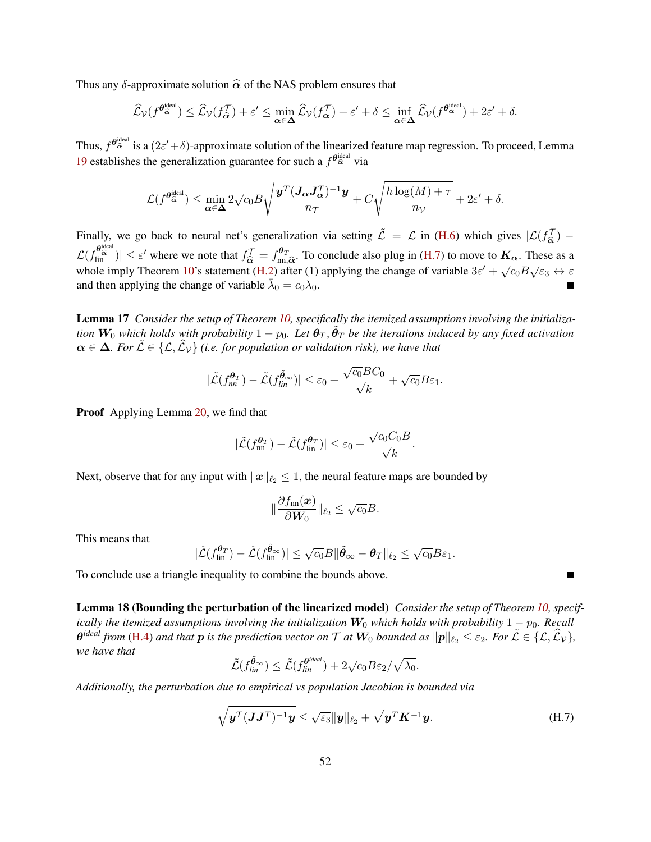Thus any  $\delta$ -approximate solution  $\hat{\alpha}$  of the NAS problem ensures that

$$
\widehat{\mathcal{L}}_{\mathcal{V}}(f^{\boldsymbol{\theta}_{\widehat{\alpha}}^{\text{ideal}}}) \leq \widehat{\mathcal{L}}_{\mathcal{V}}(f_{\widehat{\alpha}}^{\mathcal{T}}) + \varepsilon' \leq \min_{\alpha \in \Delta} \widehat{\mathcal{L}}_{\mathcal{V}}(f_{\alpha}^{\mathcal{T}}) + \varepsilon' + \delta \leq \inf_{\alpha \in \Delta} \widehat{\mathcal{L}}_{\mathcal{V}}(f^{\boldsymbol{\theta}_{\alpha}^{\text{ideal}}}) + 2\varepsilon' + \delta.
$$

Thus,  $f^{\theta_{\alpha}^{ideal}}$  is a  $(2\varepsilon'+\delta)$ -approximate solution of the linearized feature map regression. To proceed, Lemma [19](#page-52-0) establishes the generalization guarantee for such a  $f^{\theta_{\alpha}^{ideal}}$  via

$$
\mathcal{L}(f^{\boldsymbol{\theta}_{\widehat{\alpha}}^{\text{ideal}}}) \leq \min_{\boldsymbol{\alpha} \in \boldsymbol{\Delta}} 2\sqrt{c_0} B \sqrt{\frac{\boldsymbol{y}^T (\boldsymbol{J_{\alpha}J_{\alpha}^T})^{-1} \boldsymbol{y}}{n_{\mathcal{T}}}} + C \sqrt{\frac{h \log(M) + \tau}{n_{\mathcal{V}}}} + 2 \varepsilon' + \delta.
$$

Finally, we go back to neural net's generalization via setting  $\tilde{\mathcal{L}} = \mathcal{L}$  in [\(H.6\)](#page-50-0) which gives  $|\mathcal{L}(f_{\hat{\alpha}}^{\mathcal{T}}) \widehat{\alpha}$  $\mathcal{L}(f_{\text{lin}}^{\theta_{\text{ideal}}}) \leq \varepsilon'$  where we note that  $f_{\widehat{\alpha}}^{\mathcal{T}} = f_{\text{nn}}^{\theta_{\mathcal{T}}}$  $\frac{\partial \sigma}{\partial n}$ . To conclude also plug in [\(H.7\)](#page-51-2) to move to  $K_{\alpha}$ . These as a a a a formulation the observed provided  $2\alpha' + \sqrt{a}R$ whole imply Theorem [10'](#page-49-2)s statement [\(H.2\)](#page-50-1) after (1) applying the change of variable  $3\varepsilon' + \sqrt{c_0}B\sqrt{\varepsilon_3} \leftrightarrow \varepsilon$ and then applying the change of variable  $\bar{\lambda}_0 = c_0 \lambda_0$ .

<span id="page-51-0"></span>Lemma 17 *Consider the setup of Theorem [10,](#page-49-2) specifically the itemized assumptions involving the initialization*  $W_0$  which holds with probability  $1-p_0$ . Let  $\theta_T$ ,  $\tilde{\theta}_T$  be the iterations induced by any fixed activation  $\alpha \in \Delta$ *. For*  $\tilde{\mathcal{L}} \in \{\mathcal{L}, \widehat{\mathcal{L}}_V\}$  *(i.e. for population or validation risk), we have that* 

$$
|\tilde{\mathcal{L}}(f_{nn}^{\theta_T}) - \tilde{\mathcal{L}}(f_{lin}^{\tilde{\theta}_{\infty}})| \leq \varepsilon_0 + \frac{\sqrt{c_0}BC_0}{\sqrt{k}} + \sqrt{c_0}B\varepsilon_1.
$$

**Proof** Applying Lemma [20,](#page-52-1) we find that

$$
|\tilde{\mathcal{L}}(f_{\text{nn}}^{\theta_T}) - \tilde{\mathcal{L}}(f_{\text{lin}}^{\theta_T})| \le \varepsilon_0 + \frac{\sqrt{c_0}C_0B}{\sqrt{k}}.
$$

Next, observe that for any input with  $||x||_{\ell_2} \leq 1$ , the neural feature maps are bounded by

$$
\|\frac{\partial f_{\text{nn}}(\boldsymbol{x})}{\partial \boldsymbol{W}_0}\|_{\ell_2} \leq \sqrt{c_0}B.
$$

This means that

$$
|\tilde{\mathcal{L}}(f_{\text{lin}}^{\theta_T}) - \tilde{\mathcal{L}}(f_{\text{lin}}^{\tilde{\theta}_{\infty}})| \leq \sqrt{c_0}B \|\tilde{\theta}_{\infty} - \theta_T\|_{\ell_2} \leq \sqrt{c_0}B\varepsilon_1.
$$

To conclude use a triangle inequality to combine the bounds above.

<span id="page-51-1"></span>Lemma 18 (Bounding the perturbation of the linearized model) *Consider the setup of Theorem [10,](#page-49-2) specifically the itemized assumptions involving the initialization*  $W_0$  *which holds with probability*  $1 - p_0$ *. Recall*  $\theta^{ideal}$  *from* [\(H.4\)](#page-50-2) and that  $p$  is the prediction vector on  $\mathcal T$  at  $W_0$  bounded as  $\|\pmb p\|_{\ell_2} \leq \varepsilon_2$ *. For*  $\tilde{\mathcal L} \in \{\mathcal L, \widehat{\mathcal L}_\mathcal V\},$ *we have that*

$$
\tilde{\mathcal{L}}(f_{lin}^{\tilde{\theta}_{\infty}}) \leq \tilde{\mathcal{L}}(f_{lin}^{\theta^{ideal}}) + 2\sqrt{c_0}B\varepsilon_2/\sqrt{\lambda_0}.
$$

*Additionally, the perturbation due to empirical vs population Jacobian is bounded via*

$$
\sqrt{\boldsymbol{y}^T(\boldsymbol{J}\boldsymbol{J}^T)^{-1}\boldsymbol{y}} \le \sqrt{\varepsilon_3} \|\boldsymbol{y}\|_{\ell_2} + \sqrt{\boldsymbol{y}^T\boldsymbol{K}^{-1}\boldsymbol{y}}.
$$
\n(H.7)

<span id="page-51-2"></span>Е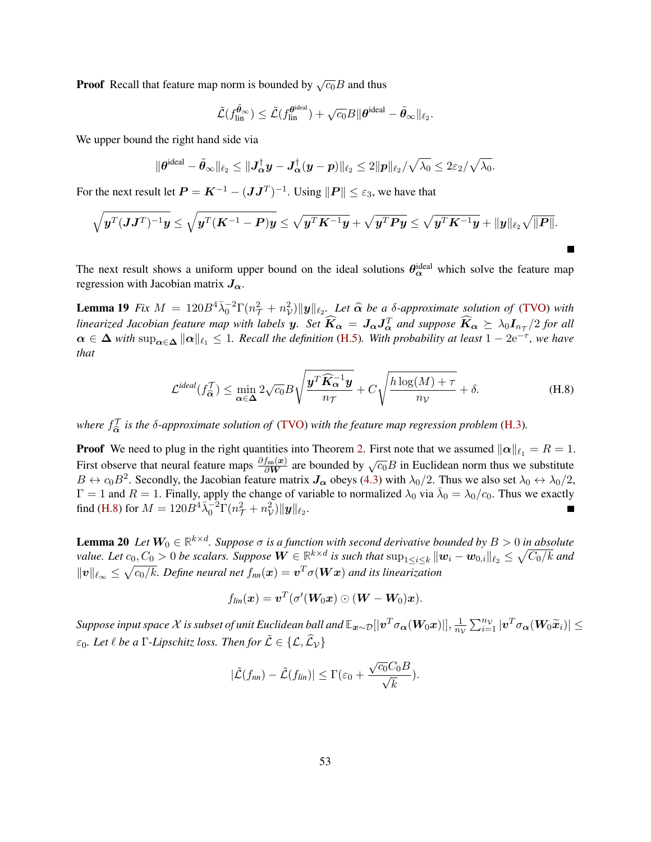**Proof** Recall that feature map norm is bounded by  $\sqrt{c_0}B$  and thus

$$
\tilde{\mathcal{L}}(f_{\text{lin}}^{\tilde{\boldsymbol{\theta}}_{\infty}}) \leq \tilde{\mathcal{L}}(f_{\text{lin}}^{\boldsymbol{\theta}^{\text{ideal}}}) + \sqrt{c_0}B \|\boldsymbol{\theta}^{\text{ideal}} - \tilde{\boldsymbol{\theta}}_{\infty}\|_{\ell_2}.
$$

We upper bound the right hand side via

$$
\|\boldsymbol{\theta}^{\text{ideal}}-\tilde{\boldsymbol{\theta}}_{\infty}\|_{\ell_2}\leq\|\boldsymbol{J}_{\boldsymbol{\alpha}}^\dagger\boldsymbol{y}-\boldsymbol{J}_{\boldsymbol{\alpha}}^\dagger(\boldsymbol{y}-\boldsymbol{p})\|_{\ell_2}\leq2\|\boldsymbol{p}\|_{\ell_2}/\sqrt{\lambda_0}\leq2\varepsilon_2/\sqrt{\lambda_0}.
$$

For the next result let  $P = K^{-1} - (JJ^T)^{-1}$ . Using  $||P|| \le \varepsilon_3$ , we have that

$$
\sqrt{\boldsymbol{y}^T (\boldsymbol{J}\boldsymbol{J}^T)^{-1}\boldsymbol{y}} \leq \sqrt{\boldsymbol{y}^T (\boldsymbol{K}^{-1} - \boldsymbol{P})\boldsymbol{y}} \leq \sqrt{\boldsymbol{y}^T \boldsymbol{K}^{-1}\boldsymbol{y}} + \sqrt{\boldsymbol{y}^T \boldsymbol{P} \boldsymbol{y}} \leq \sqrt{\boldsymbol{y}^T \boldsymbol{K}^{-1}\boldsymbol{y}} + \|\boldsymbol{y}\|_{\ell_2} \sqrt{\|\boldsymbol{P}\|}.
$$

The next result shows a uniform upper bound on the ideal solutions  $\theta_{\alpha}^{\text{ideal}}$  which solve the feature map regression with Jacobian matrix  $J_{\alpha}$ .

**Lemma 19** *Fix*  $M = 120B^4\overline{\lambda}_0^{-2}\Gamma(n_T^2 + n_V^2)\Vert y \Vert_{\ell_2}$ . Let  $\widehat{\alpha}$  be a  $\delta$ -approximate solution of [\(TVO\)](#page-3-1) with *linearized Jacobian feature map with labels*  $y$ . Set  $\widehat{K}_{\alpha} = J_{\alpha}J_{\alpha}^{T}$  and suppose  $\widehat{K}_{\alpha} \succeq \lambda_{0}I_{n_{\mathcal{T}}}/2$  for all  $\alpha \in \Delta$  *with*  $\sup_{\alpha \in \Delta} \|\alpha\|_{\ell_1} \leq 1$ . Recall the definition [\(H.5\)](#page-50-3). With probability at least  $1 - 2e^{-\tau}$ , we have *that*

<span id="page-52-2"></span><span id="page-52-0"></span>
$$
\mathcal{L}^{ideal}(f_{\widehat{\alpha}}^{\mathcal{T}}) \le \min_{\alpha \in \Delta} 2\sqrt{c_0} B \sqrt{\frac{\mathbf{y}^T \widehat{\mathbf{K}}_{\alpha}^{-1} \mathbf{y}}{n_{\mathcal{T}}}} + C \sqrt{\frac{h \log(M) + \tau}{n_{\mathcal{V}}}} + \delta. \tag{H.8}
$$

where  $f_{\hat{\alpha}}^{\mathcal{T}}$  is the  $\delta$ -approximate solution of [\(TVO\)](#page-3-1) with the feature map regression problem [\(H.3\)](#page-50-4).

**Proof** We need to plug in the right quantities into Theorem [2.](#page-8-2) First note that we assumed  $\|\alpha\|_{\ell_1} = R = 1$ . First observe that neural feature maps  $\frac{\partial f_{\text{in}}(x)}{\partial W}$  are bounded by  $\sqrt{c_0}B$  in Euclidean norm thus we substitute  $B \leftrightarrow c_0 B^2$ . Secondly, the Jacobian feature matrix  $J_\alpha$  obeys [\(4.3\)](#page-8-1) with  $\lambda_0/2$ . Thus we also set  $\lambda_0 \leftrightarrow \lambda_0/2$ ,  $\Gamma = 1$  and  $R = 1$ . Finally, apply the change of variable to normalized  $\lambda_0$  via  $\bar{\lambda}_0 = \lambda_0/c_0$ . Thus we exactly find [\(H.8\)](#page-52-2) for  $M = 120B^4 \bar{\lambda}_0^{-2} \Gamma(n_{\mathcal{T}}^2 + n_{\mathcal{V}}^2) ||\mathbf{y}||_{\ell_2}$ .

<span id="page-52-1"></span>**Lemma 20** Let  $W_0 \in \mathbb{R}^{k \times d}$ . Suppose  $\sigma$  is a function with second derivative bounded by  $B > 0$  in absolute value. Let  $c_0,C_0>0$  be scalars. Suppose  $\bm{W}\in\mathbb{R}^{k\times d}$  is such that  $\sup_{1\leq i\leq k}\|\bm{w}_i-\bm{w}_{0,i}\|_{\ell_2}\leq \sqrt{C_0/k}$  and  $\|v\|_{\ell_\infty} \leq \sqrt{c_0/k}$ . Define neural net  $f_{nn}(\bm{x}) = \bm{v}^T \sigma(\bm{W}\bm{x})$  and its linearization

$$
f_{lin}(\boldsymbol{x}) = \boldsymbol{v}^T (\sigma'(\boldsymbol{W}_0 \boldsymbol{x}) \odot (\boldsymbol{W} - \boldsymbol{W}_0) \boldsymbol{x}).
$$

 $S$ uppose input space  $\mathcal X$  is subset of unit Euclidean ball and  $\mathbb E_{\bm x \sim \mathcal D}[|\bm v^T \sigma_{\bm \alpha}(\bm W_0 \bm x)|], \frac{1}{n_0}$  $\frac{1}{n_{\mathcal{V}}} \sum_{i=1}^{n_{\mathcal{V}}} |\boldsymbol{v}^T \sigma_{\boldsymbol{\alpha}}(\boldsymbol{W}_{0} \widetilde{\boldsymbol{x}}_{i})| \leq$  $\varepsilon_0$ *. Let*  $\ell$  *be a*  $\Gamma$ *-Lipschitz loss. Then for*  $\tilde{\mathcal{L}} \in \{ \mathcal{L}, \hat{\mathcal{L}}_{\mathcal{V}} \}$ 

$$
|\tilde{\mathcal{L}}(f_{nn})-\tilde{\mathcal{L}}(f_{lin})|\leq \Gamma(\varepsilon_0+\frac{\sqrt{c_0}C_0B}{\sqrt{k}}).
$$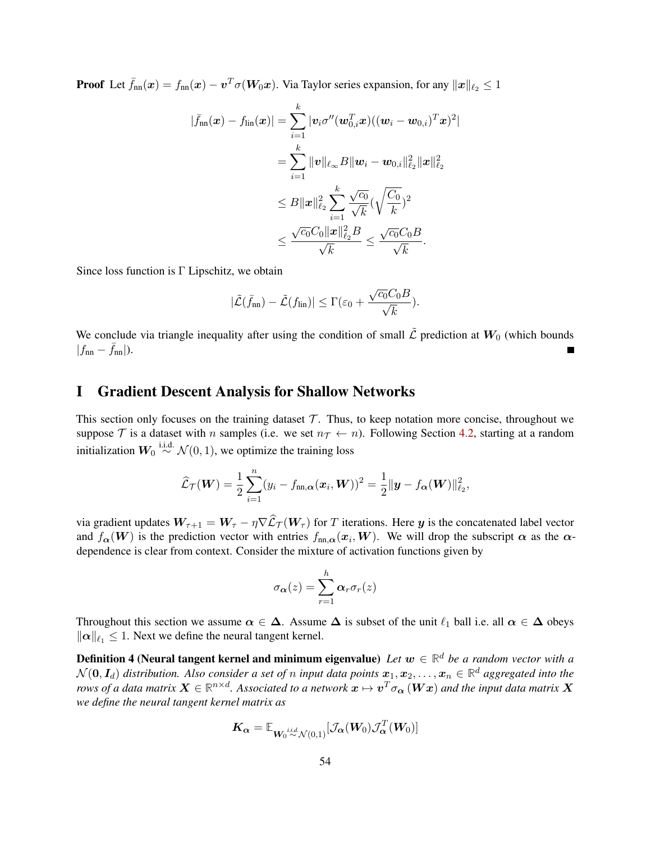**Proof** Let  $\bar{f}_{nn}(x) = f_{nn}(x) - v^T \sigma(W_0 x)$ . Via Taylor series expansion, for any  $||x||_{\ell_2} \leq 1$ 

$$
\begin{aligned} |\bar{f}_{\text{nn}}(\bm{x}) - f_{\text{lin}}(\bm{x})| &= \sum_{i=1}^{k} |\bm{v}_i \sigma''(\bm{w}_{0,i}^T\bm{x}) ( (\bm{w}_i - \bm{w}_{0,i})^T\bm{x})^2| \\ &= \sum_{i=1}^{k} \|\bm{v}\|_{\ell_{\infty}} B \|\bm{w}_i - \bm{w}_{0,i}\|_{\ell_2}^2 \|\bm{x}\|_{\ell_2}^2 \\ &\leq B \|\bm{x}\|_{\ell_2}^2 \sum_{i=1}^{k} \frac{\sqrt{c_0}}{\sqrt{k}} (\sqrt{\frac{C_0}{k}})^2 \\ &\leq \frac{\sqrt{c_0}C_0 \|\bm{x}\|_{\ell_2}^2 B}{\sqrt{k}} \leq \frac{\sqrt{c_0}C_0 B}{\sqrt{k}}. \end{aligned}
$$

Since loss function is  $\Gamma$  Lipschitz, we obtain

$$
|\tilde{\mathcal{L}}(\bar{f}_{nn}) - \tilde{\mathcal{L}}(f_{lin})| \leq \Gamma(\varepsilon_0 + \frac{\sqrt{c_0}C_0B}{\sqrt{k}}).
$$

We conclude via triangle inequality after using the condition of small  $\tilde{\mathcal{L}}$  prediction at  $W_0$  (which bounds  $|f_{nn} - f_{nn}|$ ).

# I Gradient Descent Analysis for Shallow Networks

This section only focuses on the training dataset  $\mathcal T$ . Thus, to keep notation more concise, throughout we suppose T is a dataset with n samples (i.e. we set  $n<sub>T</sub> \leftarrow n$ ). Following Section [4.2,](#page-8-0) starting at a random initialization  $W_0 \stackrel{\text{i.i.d.}}{\sim} \mathcal{N}(0, 1)$ , we optimize the training loss

$$
\widehat{\mathcal{L}}_{\mathcal{T}}(\boldsymbol{W}) = \frac{1}{2} \sum_{i=1}^n (y_i - f_{\text{nn},\boldsymbol{\alpha}}(\boldsymbol{x}_i, \boldsymbol{W}))^2 = \frac{1}{2} ||\boldsymbol{y} - f_{\boldsymbol{\alpha}}(\boldsymbol{W})||_{\ell_2}^2,
$$

via gradient updates  $W_{\tau+1} = W_{\tau} - \eta \nabla \widehat{L}_{\tau}(W_{\tau})$  for T iterations. Here y is the concatenated label vector and  $f_{\alpha}(W)$  is the prediction vector with entries  $f_{nn,\alpha}(x_i, W)$ . We will drop the subscript  $\alpha$  as the  $\alpha$ dependence is clear from context. Consider the mixture of activation functions given by

$$
\sigma_{\boldsymbol{\alpha}}(z) = \sum_{r=1}^{h} \boldsymbol{\alpha}_r \sigma_r(z)
$$

Throughout this section we assume  $\alpha \in \Delta$ . Assume  $\Delta$  is subset of the unit  $\ell_1$  ball i.e. all  $\alpha \in \Delta$  obeys  $\|\alpha\|_{\ell_1} \leq 1$ . Next we define the neural tangent kernel.

**Definition 4 (Neural tangent kernel and minimum eigenvalue)** Let  $w \in \mathbb{R}^d$  be a random vector with a  $\mathcal{N}(\bm{0}, \bm{I}_d)$  distribution. Also consider a set of  $n$  input data points  $\bm{x}_1, \bm{x}_2, \dots, \bm{x}_n \in \mathbb{R}^d$  aggregated into the rows of a data matrix  $\bm{X}\in\mathbb{R}^{n\times d}$ . Associated to a network  $\bm{x}\mapsto\bm{v}^T\sigma_{\bm{\alpha}}\left(\bm{W}\bm{x}\right)$  and the input data matrix  $\bm{X}$ *we define the neural tangent kernel matrix as*

$$
\boldsymbol{K_{\alpha}} = \mathbb{E}_{\boldsymbol{W_0} \overset{i.i.d.}{\sim} \mathcal{N}(0,1)}[\mathcal{J}_{\boldsymbol{\alpha}}(\boldsymbol{W_0}) \mathcal{J}_{\boldsymbol{\alpha}}^T(\boldsymbol{W_0})]
$$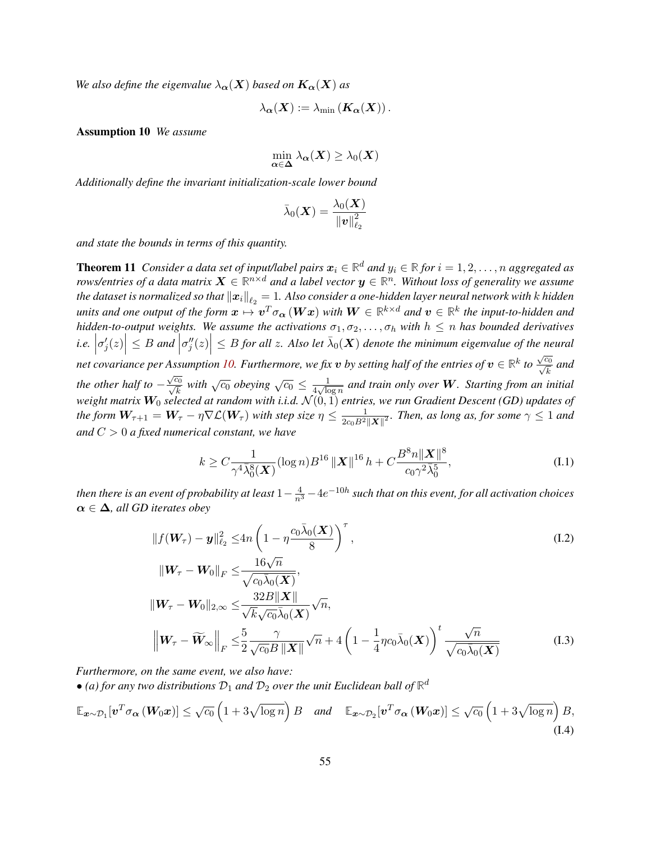*We also define the eigenvalue*  $\lambda_{\alpha}(X)$  *based on*  $K_{\alpha}(X)$  *as* 

$$
\lambda_{\boldsymbol{\alpha}}(\boldsymbol{X}):=\lambda_{\min}\left(\boldsymbol{K}_{\boldsymbol{\alpha}}(\boldsymbol{X})\right).
$$

<span id="page-54-0"></span>Assumption 10 *We assume*

$$
\min_{\alpha \in \Delta} \lambda_{\alpha}(\boldsymbol{X}) \geq \lambda_0(\boldsymbol{X})
$$

*Additionally define the invariant initialization-scale lower bound*

$$
\bar{\lambda}_0(\boldsymbol{X}) = \frac{\lambda_0(\boldsymbol{X})}{\left\|\boldsymbol{v}\right\|_{\ell_2}^2}
$$

*and state the bounds in terms of this quantity.*

<span id="page-54-1"></span>**Theorem 11** Consider a data set of input/label pairs  $x_i \in \mathbb{R}^d$  and  $y_i \in \mathbb{R}$  for  $i = 1, 2, \ldots, n$  aggregated as *rows/entries of a data matrix*  $\bm{X}\in\mathbb{R}^{n\times d}$  *and a label vector*  $\bm{y}\in\mathbb{R}^n$ *. Without loss of generality we assume* the dataset is normalized so that  $\|\pmb{x}_i\|_{\ell_2} = 1$ . Also consider a one-hidden layer neural network with  $k$  hidden units and one output of the form  $x \mapsto v^T \sigma_{\bm{\alpha}}(Wx)$  with  $W \in \mathbb{R}^{k \times d}$  and  $v \in \mathbb{R}^k$  the input-to-hidden and *hidden-to-output weights. We assume the activations*  $\sigma_1, \sigma_2, \ldots, \sigma_h$  *with*  $h \leq n$  *has bounded derivatives i.e.*  $\sigma'_j(z)\Big|\leq B$  and  $\Big|$  $\left|\sigma''_j(z)\right| \leq B$  for all z. Also let  $\bar{\lambda}_0(X)$  denote the minimum eigenvalue of the neural net covariance per Assumption [10.](#page-54-0) Furthermore, we fix  $v$  by setting half of the entries of  $v \in \mathbb{R}^k$  to  $\frac{\sqrt{c_0}}{\sqrt{L}}$  $\frac{a_0}{\overline{k}}$  and *the other half to* − √  $\frac{\sqrt{c_0}}{c}$  $\frac{\overline{c_0}}{\overline{k}}$  with  $\sqrt{c_0}$  *obeying*  $\sqrt{c_0} \leq \frac{1}{4\sqrt{\log n}}$  $\frac{1}{4\sqrt{\log n}}$  and train only over **W**. Starting from an initial *weight matrix* W<sup>0</sup> *selected at random with i.i.d.* N (0, 1) *entries, we run Gradient Descent (GD) updates of the form*  $W_{\tau+1} = W_{\tau} - \eta \nabla \mathcal{L}(W_{\tau})$  *with step size*  $\eta \leq \frac{1}{2c_0 R^2}$  $\frac{1}{2c_0B^2\|\boldsymbol{X}\|^2}$ . Then, as long as, for some  $\gamma\leq 1$  and *and* C > 0 *a fixed numerical constant, we have*

<span id="page-54-4"></span><span id="page-54-3"></span><span id="page-54-2"></span>
$$
k \ge C \frac{1}{\gamma^4 \bar{\lambda}_0^8(\mathbf{X})} (\log n) B^{16} \left\| \mathbf{X} \right\|^{16} h + C \frac{B^8 n \| \mathbf{X} \|^8}{c_0 \gamma^2 \bar{\lambda}_0^5},
$$
 (I.1)

then there is an event of probability at least  $1-\frac{4}{n^3}-4e^{-10h}$  such that on this event, for all activation choices  $\alpha \in \Delta$ *, all GD iterates obey* 

$$
||f(\boldsymbol{W}_{\tau}) - \boldsymbol{y}||_{\ell_2}^2 \le 4n\left(1 - \eta \frac{c_0\bar{\lambda}_0(\boldsymbol{X})}{8}\right)^{\tau},
$$
\n(1.2)

<span id="page-54-5"></span>
$$
\|W_{\tau} - W_0\|_F \leq \frac{10\sqrt{n}}{\sqrt{c_0\bar{\lambda}_0(\mathbf{X})}},
$$
  

$$
\|W_{\tau} - W_0\|_{2,\infty} \leq \frac{32B\|\mathbf{X}\|}{\sqrt{k}\sqrt{c_0}\bar{\lambda}_0(\mathbf{X})}\sqrt{n},
$$
  

$$
\left\|W_{\tau} - \widetilde{W}_{\infty}\right\|_F \leq \frac{5}{2}\frac{\gamma}{\sqrt{c_0}B\|\mathbf{X}\|}\sqrt{n} + 4\left(1 - \frac{1}{4}\eta c_0\bar{\lambda}_0(\mathbf{X})\right)^t \frac{\sqrt{n}}{\sqrt{c_0\bar{\lambda}_0(\mathbf{X})}} \tag{I.3}
$$

*Furthermore, on the same event, we also have:*

 $\bullet$  (a) for any two distributions  $\mathcal{D}_1$  and  $\mathcal{D}_2$  over the unit Euclidean ball of  $\mathbb{R}^d$ 

$$
\mathbb{E}_{\boldsymbol{x}\sim\mathcal{D}_1}[\boldsymbol{v}^T\sigma_{\boldsymbol{\alpha}}\left(\boldsymbol{W}_0\boldsymbol{x}\right)] \leq \sqrt{c_0} \left(1 + 3\sqrt{\log n}\right) \boldsymbol{B} \quad \text{and} \quad \mathbb{E}_{\boldsymbol{x}\sim\mathcal{D}_2}[\boldsymbol{v}^T\sigma_{\boldsymbol{\alpha}}\left(\boldsymbol{W}_0\boldsymbol{x}\right)] \leq \sqrt{c_0} \left(1 + 3\sqrt{\log n}\right) \boldsymbol{B},\tag{I.4}
$$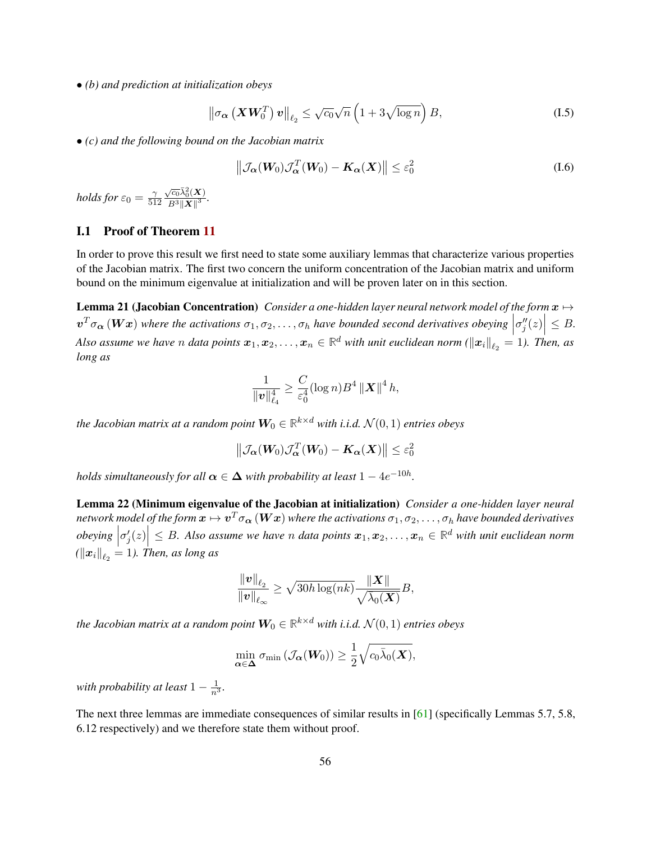• *(b) and prediction at initialization obeys*

$$
\left\|\sigma_{\alpha}\left(\boldsymbol{X}\boldsymbol{W}_{0}^{T}\right)\boldsymbol{v}\right\|_{\ell_{2}} \leq \sqrt{c_{0}}\sqrt{n}\left(1+3\sqrt{\log n}\right)B, \tag{I.5}
$$

• *(c) and the following bound on the Jacobian matrix*

<span id="page-55-1"></span><span id="page-55-0"></span>
$$
\left\| \mathcal{J}_{\alpha}(W_0) \mathcal{J}_{\alpha}^T(W_0) - \mathbf{K}_{\alpha}(X) \right\| \le \varepsilon_0^2 \tag{I.6}
$$

*holds for*  $\varepsilon_0 = \frac{\gamma}{51}$ 512  $\sqrt{c_0}\bar{\lambda}_0^2(\bm{X})$  $\frac{\partial^2 C_0(\mathbf{A})}{\partial^3 \|\mathbf{X}\|^3}.$ 

### I.1 Proof of Theorem [11](#page-54-1)

In order to prove this result we first need to state some auxiliary lemmas that characterize various properties of the Jacobian matrix. The first two concern the uniform concentration of the Jacobian matrix and uniform bound on the minimum eigenvalue at initialization and will be proven later on in this section.

**Lemma 21 (Jacobian Concentration)** *Consider a one-hidden layer neural network model of the form*  $x \mapsto$  $\mathbf{v}^T \sigma_{\alpha}(\mathbf{Wx})$  where the activations  $\sigma_1, \sigma_2, \ldots, \sigma_h$  have bounded second derivatives obeying  $\left|\sigma''_j(z)\right| \leq B$ .  $\mid$ Also assume we have  $n$  data points  $x_1, x_2, \ldots, x_n \in \mathbb{R}^d$  with unit euclidean norm ( $\|x_i\|_{\ell_2} = 1$ ). Then, as *long as*

<span id="page-55-2"></span>
$$
\frac{1}{\|\bm{v}\|_{\ell_4}^4} \geq \frac{C}{\varepsilon_0^4} (\log n) B^4 \left\| \bm{X} \right\|^4 h,
$$

the Jacobian matrix at a random point  $\boldsymbol{W_0} \in \mathbb{R}^{k \times d}$  with i.i.d.  $\mathcal{N}(0, 1)$  entries obeys

$$
\left\|\mathcal{J}_{\boldsymbol{\alpha}}(\boldsymbol{W}_{0})\mathcal{J}_{\boldsymbol{\alpha}}^{T}(\boldsymbol{W}_{0}) - \boldsymbol{K}_{\boldsymbol{\alpha}}(\boldsymbol{X})\right\| \leq \varepsilon_0^2
$$

*holds simultaneously for all*  $\boldsymbol{\alpha} \in \boldsymbol{\Delta}$  with probability at least  $1-4e^{-10h}.$ 

<span id="page-55-3"></span>Lemma 22 (Minimum eigenvalue of the Jacobian at initialization) *Consider a one-hidden layer neural* network model of the form  $x\mapsto v^T\sigma_{\bm{\alpha}}\left(\bm{Wx}\right)$  where the activations  $\sigma_1,\sigma_2,\dots,\sigma_h$  have bounded derivatives *obeying*  $\sigma'_{j}(z)$   $\leq B$ . Also assume we have n data points  $x_1, x_2, \ldots, x_n \in \mathbb{R}^d$  with unit euclidean norm  $\left(\left\|\bm{x}_{i}\right\|_{\ell_{2}}=1\right)$ . Then, as long as

$$
\frac{\|\boldsymbol{v}\|_{\ell_2}}{\|\boldsymbol{v}\|_{\ell_{\infty}}} \geq \sqrt{30h\log(nk)} \frac{\|\boldsymbol{X}\|}{\sqrt{\bar{\lambda}_0(\boldsymbol{X})}} B,
$$

the Jacobian matrix at a random point  $\boldsymbol{W}_0 \in \mathbb{R}^{k \times d}$  with i.i.d.  $\mathcal{N}(0,1)$  entries obeys

$$
\min_{\alpha \in \Delta} \sigma_{\min} \left( \mathcal{J}_{\alpha} (W_0) \right) \geq \frac{1}{2} \sqrt{c_0 \bar{\lambda}_0(\boldsymbol{X})},
$$

*with probability at least*  $1 - \frac{1}{n^3}$ *.* 

<span id="page-55-4"></span>The next three lemmas are immediate consequences of similar results in [\[61\]](#page-23-14) (specifically Lemmas 5.7, 5.8, 6.12 respectively) and we therefore state them without proof.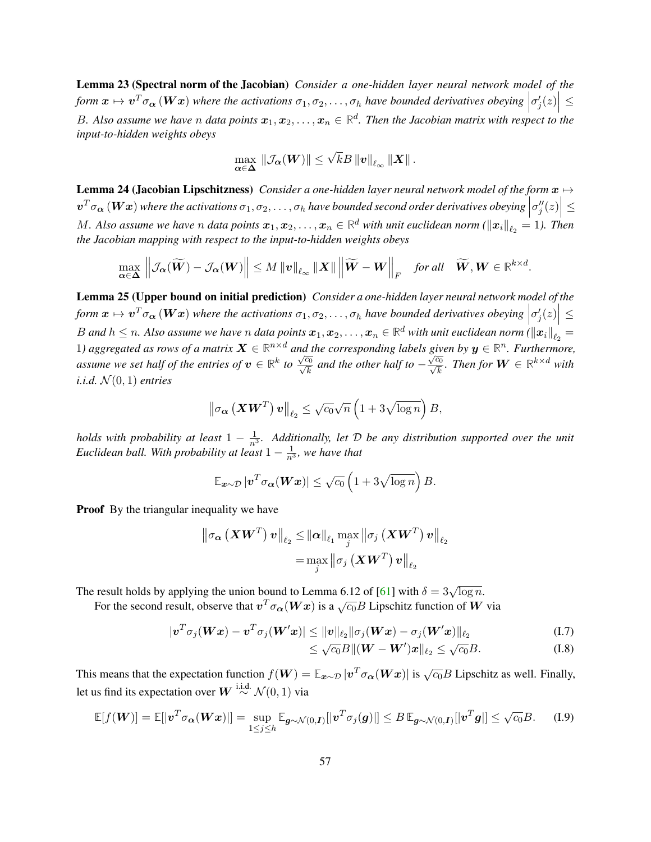Lemma 23 (Spectral norm of the Jacobian) *Consider a one-hidden layer neural network model of the* form  $x \mapsto v^T \sigma_\alpha (Wx)$  where the activations  $\sigma_1, \sigma_2, \ldots, \sigma_h$  have bounded derivatives obeying  $| \sigma'_j(z) | \leq$  $\vert$ B. Also assume we have n data points  $x_1, x_2, \ldots, x_n \in \mathbb{R}^d$ . Then the Jacobian matrix with respect to the *input-to-hidden weights obeys*

$$
\max_{\alpha \in \Delta} \|\mathcal{J}_{\alpha}(W)\| \leq \sqrt{k}B\left\|v\right\|_{\ell_{\infty}}\left\|X\right\|.
$$

<span id="page-56-1"></span>**Lemma 24 (Jacobian Lipschitzness)** *Consider a one-hidden layer neural network model of the form*  $x \mapsto$  $\bm{v}^T \sigma_{\bm{\alpha}}\left(\bm{Wx}\right)$  where the activations  $\sigma_1, \sigma_2, \ldots, \sigma_h$  have bounded second order derivatives obeying  $\left|\sigma''_j(z)\right| \leq \sigma^2$  $\begin{array}{c} \end{array}$ M. Also assume we have n data points  $x_1, x_2, \ldots, x_n \in \mathbb{R}^d$  with unit euclidean norm ( $x_i\|_{\ell_2} = 1$ ). Then *the Jacobian mapping with respect to the input-to-hidden weights obeys*

$$
\max_{\alpha \in \mathbf{\Delta}} \left\| \mathcal{J}_{\alpha}(\widetilde{\boldsymbol{W}}) - \mathcal{J}_{\alpha}(\boldsymbol{W}) \right\| \leq M \left\| \boldsymbol{v} \right\|_{\ell_{\infty}} \left\| \boldsymbol{X} \right\| \left\| \widetilde{\boldsymbol{W}} - \boldsymbol{W} \right\|_{F} \quad \textit{for all} \quad \widetilde{\boldsymbol{W}}, \boldsymbol{W} \in \mathbb{R}^{k \times d}.
$$

<span id="page-56-0"></span>Lemma 25 (Upper bound on initial prediction) *Consider a one-hidden layer neural network model of the* form  $x \mapsto v^T \sigma_\alpha(Wx)$  where the activations  $\sigma_1, \sigma_2, \ldots, \sigma_h$  have bounded derivatives obeying  $\left|\sigma'_j(z)\right| \leq$ ļ  $B$  and  $h\leq n$ . Also assume we have  $n$  data points  $\bm x_1,\bm x_2,\ldots,\bm x_n\in\mathbb R^d$  with unit euclidean norm ( $\|\bm x_i\|_{\ell_2}=0$ 1) aggregated as rows of a matrix  $X \in \mathbb{R}^{n \times d}$  and the corresponding labels given by  $y \in \mathbb{R}^n$ . Furthermore, assume we set half of the entries of  $v \in \mathbb{R}^k$  to √  $\sqrt{\frac{c_0}{c}}$  $\frac{a_0}{k}$  and the other half to  $\delta$  $\frac{\sqrt{c_0}}{c}$  $\frac{c_0}{k}$ *. Then for*  $\boldsymbol{W} \in \mathbb{R}^{k \times d}$  with *i.i.d.*  $\mathcal{N}(0, 1)$  *entries* 

$$
\left\|\sigma_{\boldsymbol{\alpha}}\left(\boldsymbol{X}\boldsymbol{W}^T\right)\boldsymbol{v}\right\|_{\ell_2} \leq \sqrt{c_0}\sqrt{n}\left(1+3\sqrt{\log n}\right)B,
$$

*holds with probability at least*  $1 - \frac{1}{n^3}$ *. Additionally, let D be any distribution supported over the unit* Euclidean ball. With probability at least  $1-\frac{1}{n^3}$ , we have that

$$
\mathbb{E}_{\boldsymbol{x}\sim\mathcal{D}}\left|\boldsymbol{v}^T\sigma_{\boldsymbol{\alpha}}(\boldsymbol{W}\boldsymbol{x})\right| \leq \sqrt{c_0}\left(1+3\sqrt{\log n}\right)B.
$$

**Proof** By the triangular inequality we have

$$
\begin{aligned} \left\| \sigma_{\bm{\alpha}} \left( \bm{X} \bm{W}^T \right) \bm{v} \right\|_{\ell_2} & \leq \left\| \bm{\alpha} \right\|_{\ell_1} \max_j \left\| \sigma_j \left( \bm{X} \bm{W}^T \right) \bm{v} \right\|_{\ell_2} \\ & = \max_j \left\| \sigma_j \left( \bm{X} \bm{W}^T \right) \bm{v} \right\|_{\ell_2} \end{aligned}
$$

The result holds by applying the union bound to Lemma 6.12 of [\[61\]](#page-23-14) with  $\delta = 3\sqrt{\log n}$ .

For the second result, observe that  $v^T \sigma_{\alpha}(Wx)$  is a  $\sqrt{c_0}B$  Lipschitz function of W via

$$
|\boldsymbol{v}^T \sigma_j(\boldsymbol{W}\boldsymbol{x}) - \boldsymbol{v}^T \sigma_j(\boldsymbol{W}'\boldsymbol{x})| \leq ||\boldsymbol{v}||_{\ell_2} ||\sigma_j(\boldsymbol{W}\boldsymbol{x}) - \sigma_j(\boldsymbol{W}'\boldsymbol{x})||_{\ell_2}
$$
\n(1.7)

$$
\leq \sqrt{c_0}B \|(W - W')x\|_{\ell_2} \leq \sqrt{c_0}B. \tag{I.8}
$$

This means that the expectation function  $f(\mathbf{W}) = \mathbb{E}_{\mathbf{x} \sim \mathcal{D}} |\mathbf{v}^T \sigma_{\alpha}(\mathbf{W} \mathbf{x})|$  is  $\sqrt{c_0} B$  Lipschitz as well. Finally, let us find its expectation over  $\boldsymbol{W} \stackrel{\text{i.i.d.}}{\sim} \mathcal{N}(0,1)$  via

$$
\mathbb{E}[f(\boldsymbol{W})] = \mathbb{E}[|\boldsymbol{v}^T\sigma_{\boldsymbol{\alpha}}(\boldsymbol{W}\boldsymbol{x})|] = \sup_{1 \leq j \leq h} \mathbb{E}_{\boldsymbol{g} \sim \mathcal{N}(0,\boldsymbol{I})} [|\boldsymbol{v}^T\sigma_j(\boldsymbol{g})|] \leq B \mathbb{E}_{\boldsymbol{g} \sim \mathcal{N}(0,\boldsymbol{I})} [|\boldsymbol{v}^T\boldsymbol{g}|] \leq \sqrt{c_0} B. \tag{I.9}
$$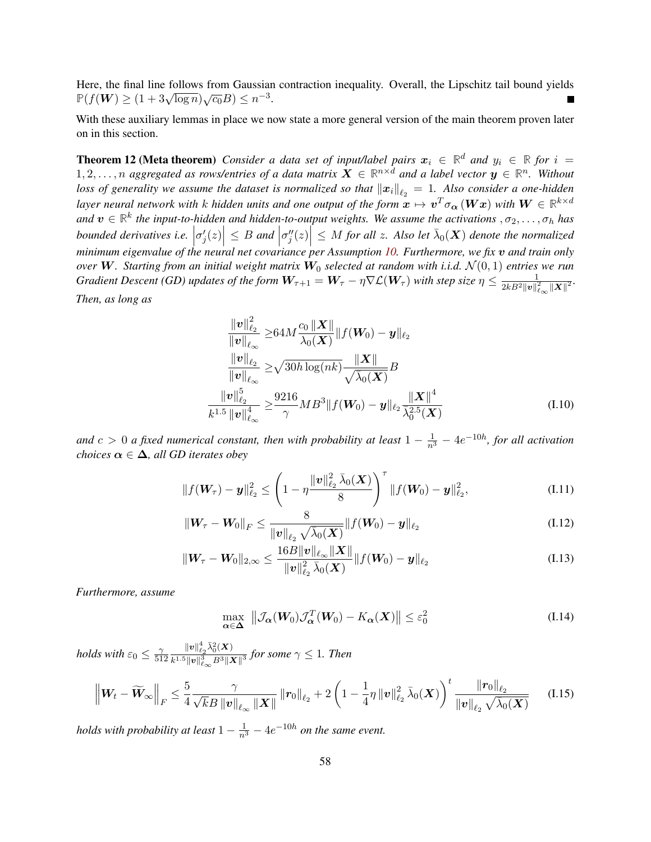Here, the final line follows from Gaussian contraction inequality. Overall, the Lipschitz tail bound yields **P**( $f(W) \ge (1 + 3\sqrt{\log n})\sqrt{c_0}B \le n^{-3}$ .

With these auxiliary lemmas in place we now state a more general version of the main theorem proven later on in this section.

<span id="page-57-3"></span>**Theorem 12 (Meta theorem)** *Consider a data set of input/label pairs*  $x_i \in \mathbb{R}^d$  *and*  $y_i \in \mathbb{R}$  *for*  $i =$  $1, 2, \ldots, n$  aggregated as rows/entries of a data matrix  $\bm{X} \in \mathbb{R}^{n \times d}$  and a label vector  $\bm{y} \in \mathbb{R}^n$ . Without loss of generality we assume the dataset is normalized so that  $\|x_i\|_{\ell_2} = 1$ . Also consider a one-hidden *layer neural network with k hidden units and one output of the form*  $x\mapsto v^T\sigma_{\bm{\alpha}}\bm{(Wx)}$  *with*  $\bm{W}\in\mathbb{R}^{k\times d}$ and  $v \in \mathbb{R}^k$  the input-to-hidden and hidden-to-output weights. We assume the activations  $, \sigma_2, \ldots, \sigma_h$  has  $S$  *bounded derivatives i.e.*  $|\sigma'_j(z)| \leq B$  *and*  $|\sigma''_j(z)| \leq M$  *for all z. Also let*  $\bar{\lambda}_0(\boldsymbol{X})$  *denote the normalized minimum eigenvalue of the neural net covariance per Assumption [10.](#page-54-0) Furthermore, we fix* v *and train only over* W. Starting from an initial weight matrix  $W_0$  selected at random with i.i.d.  $\mathcal{N}(0,1)$  entries we run *Gradient Descent (GD) updates of the form*  $W_{\tau+1} = W_{\tau} - \eta \nabla \mathcal{L}(W_{\tau})$  *with step size*  $\eta \leq \frac{1}{2kB^2\|u\|^2}$  $\frac{1}{2kB^2\left\Vert \bm{v}\right\Vert _{\ell_{\infty}}^2\left\Vert \bm{X}\right\Vert ^{2}}.$ *Then, as long as*

<span id="page-57-0"></span>
$$
\frac{\|\mathbf{v}\|_{\ell_2}^2}{\|\mathbf{v}\|_{\ell_{\infty}}} \geq 64M \frac{c_0 \|\mathbf{X}\|}{\lambda_0(\mathbf{X})} \|f(\mathbf{W}_0) - \mathbf{y}\|_{\ell_2}
$$
\n
$$
\frac{\|\mathbf{v}\|_{\ell_2}}{\|\mathbf{v}\|_{\ell_{\infty}}} \geq \sqrt{30h \log(nk)} \frac{\|\mathbf{X}\|}{\sqrt{\lambda_0(\mathbf{X})}} B
$$
\n
$$
\frac{\|\mathbf{v}\|_{\ell_2}^5}{k^{1.5} \|\mathbf{v}\|_{\ell_{\infty}}^4} \geq \frac{9216}{\gamma} MB^3 \|f(\mathbf{W}_0) - \mathbf{y}\|_{\ell_2} \frac{\|\mathbf{X}\|^4}{\overline{\lambda_0^{2.5}(\mathbf{X})}}
$$
\n(1.10)

and  $c > 0$  a fixed numerical constant, then with probability at least  $1 - \frac{1}{n^3} - 4e^{-10h}$ , for all activation *choices*  $\alpha \in \Delta$ *, all GD iterates obey* 

$$
||f(\mathbf{W}_{\tau}) - \mathbf{y}||_{\ell_2}^2 \leq \left(1 - \eta \frac{\|\mathbf{v}\|_{\ell_2}^2 \bar{\lambda}_0(\mathbf{X})}{8}\right)^{\tau} ||f(\mathbf{W}_0) - \mathbf{y}||_{\ell_2}^2, \tag{I.11}
$$

$$
\|\mathbf{W}_{\tau}-\mathbf{W}_{0}\|_{F} \leq \frac{8}{\|\mathbf{v}\|_{\ell_{2}}\sqrt{\lambda_{0}(\mathbf{X})}}\|f(\mathbf{W}_{0})-\mathbf{y}\|_{\ell_{2}}
$$
(I.12)

$$
\|W_{\tau}-W_0\|_{2,\infty}\leq \frac{16B\|v\|_{\ell_{\infty}}\|X\|}{\|v\|_{\ell_2}^2 \bar{\lambda}_0(X)}\|f(W_0)-y\|_{\ell_2}
$$
\n(1.13)

*Furthermore, assume*

<span id="page-57-6"></span><span id="page-57-5"></span><span id="page-57-4"></span><span id="page-57-2"></span><span id="page-57-1"></span>
$$
\max_{\alpha \in \Delta} \|\mathcal{J}_{\alpha}(W_0)\mathcal{J}_{\alpha}^T(W_0) - K_{\alpha}(X)\| \le \varepsilon_0^2 \tag{I.14}
$$

*holds with*  $\varepsilon_0 \leq \frac{2}{51}$ 512  $\|\bm{v}\|_{\ell_2}^4\bar{\lambda}_0^2(\bm{X})$  $\frac{1}{k^{1.5}||\boldsymbol{v}||_{\ell_{\infty}}^3 B^3||\boldsymbol{X}||^3}$  for some  $\gamma \leq 1$ . Then

$$
\left\| W_t - \widetilde{W}_{\infty} \right\|_F \leq \frac{5}{4} \frac{\gamma}{\sqrt{k}B \left\| v \right\|_{\ell_{\infty}} \|X\|} \left\| r_0 \right\|_{\ell_2} + 2 \left( 1 - \frac{1}{4} \eta \left\| v \right\|_{\ell_2}^2 \bar{\lambda}_0(X) \right)^t \frac{\left\| r_0 \right\|_{\ell_2}}{\left\| v \right\|_{\ell_2} \sqrt{\bar{\lambda}_0(X)}} \tag{I.15}
$$

*holds with probability at least*  $1 - \frac{1}{n^3} - 4e^{-10h}$  *on the same event.*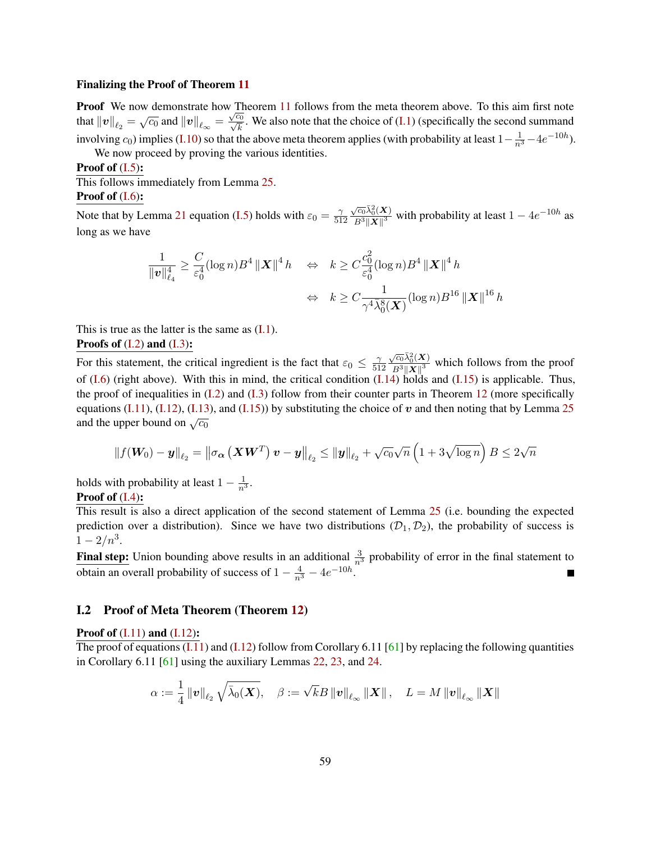#### Finalizing the Proof of Theorem [11](#page-54-1)

**Proof** We now demonstrate how Theorem [11](#page-54-1) follows from the meta theorem above. To this aim first note that  $\|v\|_{\ell_2} = \sqrt{c_0}$  and  $\|v\|_{\ell_\infty} = \frac{\sqrt{c_0}}{\sqrt{k}}$  $\frac{d}{k}$ . We also note that the choice of [\(I.1\)](#page-54-2) (specifically the second summand involving  $c_0$ ) implies [\(I.10\)](#page-57-0) so that the above meta theorem applies (with probability at least  $1-\frac{1}{n^3}-4e^{-10h}$ ).

We now proceed by proving the various identities.

#### **Proof of**  $(I.5)$ **:**

This follows immediately from Lemma [25.](#page-56-0) Proof of  $(I.6)$ :

Note that by Lemma [21](#page-55-2) equation [\(I.5\)](#page-55-0) holds with  $\varepsilon_0 = \frac{2}{51}$ 512  $\sqrt{c_0}\bar{\lambda}_0^2(\bm{X})$  $\frac{\sqrt{c_0 \lambda_0^2(\mathbf{X})}}{B^3 \|\mathbf{X}\|^3}$  with probability at least  $1 - 4e^{-10h}$  as long as we have

$$
\frac{1}{\|v\|_{\ell_4}^4} \ge \frac{C}{\varepsilon_0^4} (\log n) B^4 \|X\|^4 h \quad \Leftrightarrow \quad k \ge C \frac{c_0^2}{\varepsilon_0^4} (\log n) B^4 \|X\|^4 h
$$
  

$$
\Leftrightarrow \quad k \ge C \frac{1}{\gamma^4 \bar{\lambda}_0^8(\mathbf{X})} (\log n) B^{16} \|X\|^{16} h
$$

This is true as the latter is the same as  $(I,1)$ . Proofs of  $(I.2)$  and  $(I.3)$ :

For this statement, the critical ingredient is the fact that  $\varepsilon_0 \leq \frac{2}{51}$ 512  $\sqrt{c_0}\bar{\lambda}_0^2(\bm{X})$  $\frac{\sqrt{c_0\lambda_0(\mathbf{X})}}{B^3||\mathbf{X}||^3}$  which follows from the proof of  $(L6)$  (right above). With this in mind, the critical condition  $(L14)$  holds and  $(L15)$  is applicable. Thus, the proof of inequalities in  $(I.2)$  and  $(I.3)$  follow from their counter parts in Theorem [12](#page-57-3) (more specifically equations [\(I.11\)](#page-57-4), [\(I.12\)](#page-57-5), [\(I.13\)](#page-57-6), and [\(I.15\)](#page-57-2)) by substituting the choice of v and then noting that by Lemma [25](#page-56-0) and the upper bound on  $\sqrt{c_0}$ 

$$
\left\|f(\boldsymbol{W_0})-\boldsymbol{y}\right\|_{\ell_2}=\left\|\sigma_{\boldsymbol{\alpha}}\left(\boldsymbol{X}\boldsymbol{W}^T\right)\boldsymbol{v}-\boldsymbol{y}\right\|_{\ell_2}\leq\left\|\boldsymbol{y}\right\|_{\ell_2}+\sqrt{c_0}\sqrt{n}\left(1+3\sqrt{\log n}\right)B\leq 2\sqrt{n}
$$

holds with probability at least  $1 - \frac{1}{n^3}$ .

### Proof of  $(I.4)$ :

This result is also a direct application of the second statement of Lemma [25](#page-56-0) (i.e. bounding the expected prediction over a distribution). Since we have two distributions  $(D_1, D_2)$ , the probability of success is  $1-2/n^3$ .

**Final step:** Union bounding above results in an additional  $\frac{3}{n^3}$  probability of error in the final statement to obtain an overall probability of success of  $1 - \frac{4}{n^3} - 4e^{-10h}$ . П

### I.2 Proof of Meta Theorem (Theorem [12\)](#page-57-3)

#### **Proof of**  $(I.11)$  **and**  $(I.12)$ **:**

The proof of equations  $(I.11)$  and  $(I.12)$  follow from Corollary 6.11 [\[61\]](#page-23-14) by replacing the following quantities in Corollary 6.11 [\[61\]](#page-23-14) using the auxiliary Lemmas [22,](#page-55-3) [23,](#page-55-4) and [24.](#page-56-1)

$$
\alpha:=\frac{1}{4}\left\|\bm{v}\right\|_{\ell_{2}}\sqrt{\bar{\lambda}_{0}(\bm{X})},\quad \beta:=\sqrt{k}B\left\|\bm{v}\right\|_{\ell_{\infty}}\left\|\bm{X}\right\|,\quad L=M\left\|\bm{v}\right\|_{\ell_{\infty}}\left\|\bm{X}\right\|
$$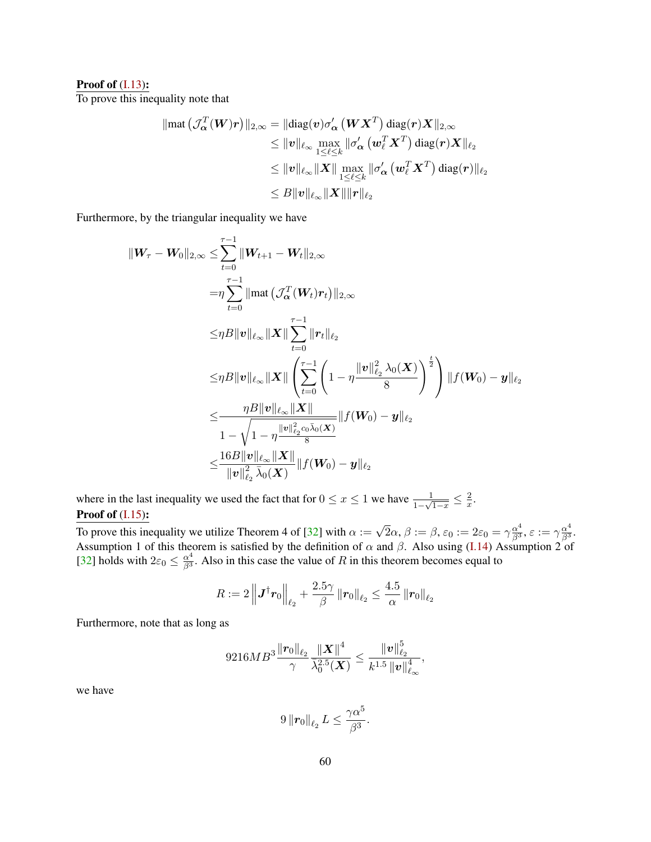#### **Proof of**  $(I.13)$ **:**

To prove this inequality note that

$$
\begin{aligned} \|\text{mat}\left(\mathcal{J}_{\boldsymbol{\alpha}}^T(\boldsymbol{W})\boldsymbol{r}\right)\|_{2,\infty}&=\|\text{diag}(\boldsymbol{v})\sigma_{\boldsymbol{\alpha}}'\left(\boldsymbol{W}\boldsymbol{X}^T\right)\text{diag}(\boldsymbol{r})\boldsymbol{X}\|_{2,\infty}\\ &\leq \|\boldsymbol{v}\|_{\ell_\infty}\max_{1\leq \ell\leq k}\|\sigma_{\boldsymbol{\alpha}}'\left(\boldsymbol{w}_{\ell}^T\boldsymbol{X}^T\right)\text{diag}(\boldsymbol{r})\boldsymbol{X}\|_{\ell_2}\\ &\leq \|\boldsymbol{v}\|_{\ell_\infty}\|\boldsymbol{X}\| \max_{1\leq \ell\leq k}\|\sigma_{\boldsymbol{\alpha}}'\left(\boldsymbol{w}_{\ell}^T\boldsymbol{X}^T\right)\text{diag}(\boldsymbol{r})\|_{\ell_2}\\ &\leq B\|\boldsymbol{v}\|_{\ell_\infty}\|\boldsymbol{X}\|\|\boldsymbol{r}\|_{\ell_2} \end{aligned}
$$

Furthermore, by the triangular inequality we have

$$
\|W_{\tau}-W_{0}\|_{2,\infty} \leq \sum_{t=0}^{\tau-1} \|W_{t+1}-W_{t}\|_{2,\infty} \n= \eta \sum_{t=0}^{\tau-1} \|\text{mat}\left(\mathcal{J}_{\alpha}^{T}(W_{t})r_{t}\right)\|_{2,\infty} \n\leq \eta B \|v\|_{\ell_{\infty}} \|X\| \sum_{t=0}^{\tau-1} \|r_{t}\|_{\ell_{2}} \n\leq \eta B \|v\|_{\ell_{\infty}} \|X\| \left(\sum_{t=0}^{\tau-1} \left(1-\eta \frac{\|v\|_{\ell_{2}}^{2} \lambda_{0}(X)}{8}\right)^{\frac{t}{2}}\right) \|f(W_{0})-y\|_{\ell_{2}} \n\leq \frac{\eta B \|v\|_{\ell_{\infty}} \|X\|}{1-\sqrt{1-\eta \frac{\|v\|_{\ell_{2}}^{2} \alpha \bar{\lambda}_{0}(X)}{8}}} \|f(W_{0})-y\|_{\ell_{2}} \n\leq \frac{16B \|v\|_{\ell_{\infty}} \|X\|}{\|v\|_{\ell_{2}}^{2} \bar{\lambda}_{0}(X)} \|f(W_{0})-y\|_{\ell_{2}}
$$

where in the last inequality we used the fact that for  $0 \le x \le 1$  we have  $\frac{1}{1-\sqrt{1-x}} \le \frac{2}{x}$  $\frac{2}{x}$ . Proof of  $(I.15)$ :

To prove this inequality we utilize Theorem 4 of [\[32\]](#page-21-15) with  $\alpha := \sqrt{2}\alpha$ ,  $\beta := \beta$ ,  $\varepsilon_0 := 2\varepsilon_0 = \gamma \frac{\alpha^4}{\beta^3}$ ,  $\varepsilon := \gamma \frac{\alpha^4}{\beta^3}$ . Assumption 1 of this theorem is satisfied by the definition of  $\alpha$  and  $\beta$ . Also using [\(I.14\)](#page-57-1) Assumption 2 of [\[32\]](#page-21-15) holds with  $2\varepsilon_0 \leq \frac{\alpha^4}{\beta^3}$ . Also in this case the value of R in this theorem becomes equal to

$$
R := 2\left\|\boldsymbol{J}^{\dagger}\boldsymbol{r}_0\right\|_{\ell_2} + \frac{2.5\gamma}{\beta}\left\|\boldsymbol{r}_0\right\|_{\ell_2} \le \frac{4.5}{\alpha}\left\|\boldsymbol{r}_0\right\|_{\ell_2}
$$

Furthermore, note that as long as

$$
9216MB^3\frac{\|\pmb{r}_0\|_{\ell_2}}{\gamma} \frac{\|\pmb{X}\|^4}{\bar{\lambda}_0^{2.5}(\pmb{X})} \leq \frac{\|\pmb{v}\|_{\ell_2}^5}{k^{1.5}\left\|\pmb{v}\right\|_{\ell_\infty}^4},
$$

we have

$$
9\left\|\boldsymbol{r}_0\right\|_{\ell_2}L\leq\frac{\gamma\alpha^5}{\beta^3}.
$$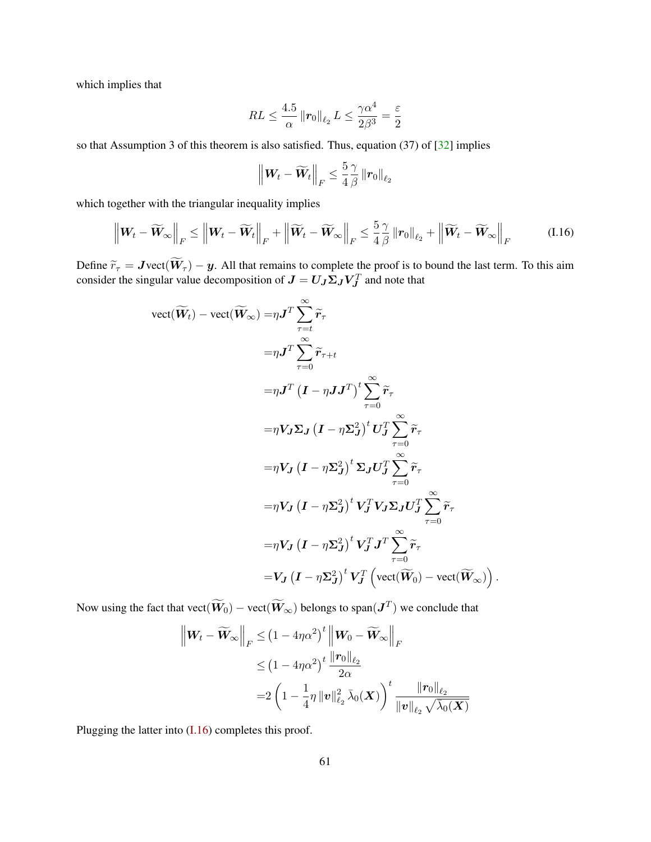which implies that

$$
RL \leq \frac{4.5}{\alpha} \left\| \boldsymbol{r}_0 \right\|_{\ell_2} L \leq \frac{\gamma \alpha^4}{2\beta^3} = \frac{\varepsilon}{2}
$$

so that Assumption 3 of this theorem is also satisfied. Thus, equation (37) of [\[32\]](#page-21-15) implies

<span id="page-60-0"></span>
$$
\left\|\boldsymbol{W}_{t}-\widetilde{\boldsymbol{W}}_{t}\right\|_{F}\leq\frac{5}{4}\frac{\gamma}{\beta}\left\|\boldsymbol{r}_{0}\right\|_{\ell_{2}}
$$

which together with the triangular inequality implies

$$
\left\|\boldsymbol{W}_{t}-\widetilde{\boldsymbol{W}}_{\infty}\right\|_{F} \leq\left\|\boldsymbol{W}_{t}-\widetilde{\boldsymbol{W}}_{t}\right\|_{F}+\left\|\widetilde{\boldsymbol{W}}_{t}-\widetilde{\boldsymbol{W}}_{\infty}\right\|_{F} \leq\frac{5}{4}\frac{\gamma}{\beta}\left\|\boldsymbol{r}_{0}\right\|_{\ell_{2}}+\left\|\widetilde{\boldsymbol{W}}_{t}-\widetilde{\boldsymbol{W}}_{\infty}\right\|_{F} \tag{I.16}
$$

Define  $\widetilde{r}_{\tau} = J \text{vect}(W_{\tau}) - y$ . All that remains to complete the proof is to bound the last term. To this aim consider the singular value decomposition of  $J = U_J \Sigma_J V_J^T$  and note that

$$
vect(\widetilde{W}_{t}) - vect(\widetilde{W}_{\infty}) = \eta J^{T} \sum_{\tau=t}^{\infty} \widetilde{r}_{\tau}
$$
  
\n
$$
= \eta J^{T} \sum_{\tau=0}^{\infty} \widetilde{r}_{\tau+t}
$$
  
\n
$$
= \eta J^{T} (I - \eta J J^{T})^{t} \sum_{\tau=0}^{\infty} \widetilde{r}_{\tau}
$$
  
\n
$$
= \eta V_{J} \Sigma_{J} (I - \eta \Sigma_{J}^{2})^{t} U_{J}^{T} \sum_{\tau=0}^{\infty} \widetilde{r}_{\tau}
$$
  
\n
$$
= \eta V_{J} (I - \eta \Sigma_{J}^{2})^{t} \Sigma_{J} U_{J}^{T} \sum_{\tau=0}^{\infty} \widetilde{r}_{\tau}
$$
  
\n
$$
= \eta V_{J} (I - \eta \Sigma_{J}^{2})^{t} V_{J}^{T} V_{J} \Sigma_{J} U_{J}^{T} \sum_{\tau=0}^{\infty} \widetilde{r}_{\tau}
$$
  
\n
$$
= \eta V_{J} (I - \eta \Sigma_{J}^{2})^{t} V_{J}^{T} J^{T} \sum_{\tau=0}^{\infty} \widetilde{r}_{\tau}
$$
  
\n
$$
= V_{J} (I - \eta \Sigma_{J}^{2})^{t} V_{J}^{T} (vect(\widetilde{W}_{0}) - vect(\widetilde{W}_{\infty}))
$$

Now using the fact that  $\text{vect}(\tilde{\bm{W}}_0) - \text{vect}(\tilde{\bm{W}}_\infty)$  belongs to span $(\bm{J}^T)$  we conclude that

$$
\left\| W_t - \widetilde{W}_{\infty} \right\|_F \leq \left( 1 - 4\eta \alpha^2 \right)^t \left\| W_0 - \widetilde{W}_{\infty} \right\|_F
$$
  

$$
\leq \left( 1 - 4\eta \alpha^2 \right)^t \frac{\left\| \mathbf{r}_0 \right\|_{\ell_2}}{2\alpha}
$$
  

$$
= 2 \left( 1 - \frac{1}{4} \eta \left\| \mathbf{v} \right\|_{\ell_2}^2 \bar{\lambda}_0(\boldsymbol{X}) \right)^t \frac{\left\| \mathbf{r}_0 \right\|_{\ell_2}}{\left\| \mathbf{v} \right\|_{\ell_2} \sqrt{\bar{\lambda}_0(\boldsymbol{X})}}
$$

.

Plugging the latter into [\(I.16\)](#page-60-0) completes this proof.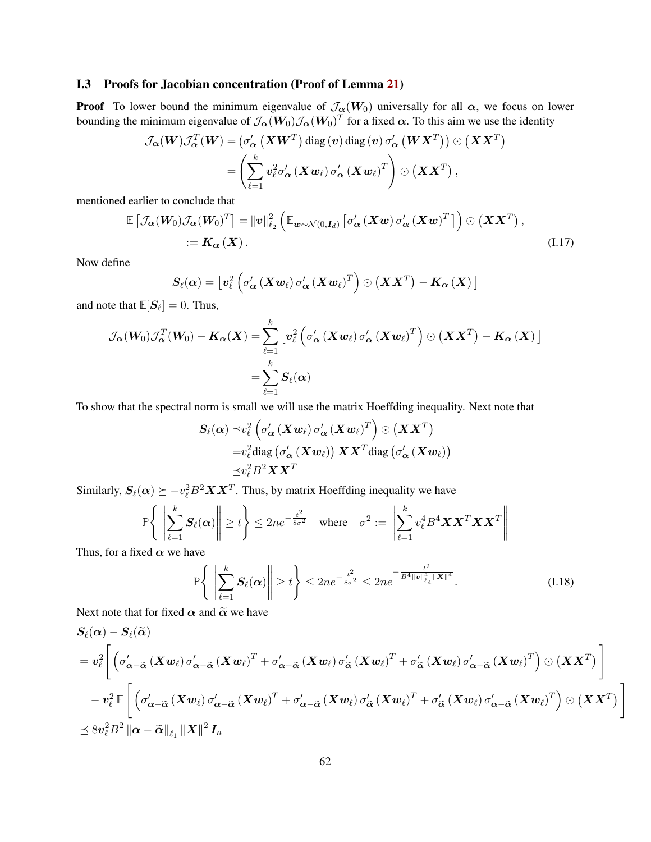### I.3 Proofs for Jacobian concentration (Proof of Lemma [21\)](#page-55-2)

**Proof** To lower bound the minimum eigenvalue of  $\mathcal{J}_{\alpha}(W_0)$  universally for all  $\alpha$ , we focus on lower bounding the minimum eigenvalue of  $\mathcal{J}_{\bm{\alpha}}(\bm{W}_0)\mathcal{J}_{\bm{\alpha}}(\bm{W}_0)^T$  for a fixed  $\bm{\alpha}$ . To this aim we use the identity

$$
\mathcal{J}_{\alpha}(W)\mathcal{J}_{\alpha}^{T}(W) = (\sigma_{\alpha}' (XW^{T}) \text{ diag} (v) \text{ diag} (v) \sigma_{\alpha}' (W X^{T})) \odot (X X^{T})
$$

$$
= \left(\sum_{\ell=1}^{k} v_{\ell}^{2} \sigma_{\alpha}' (X w_{\ell}) \sigma_{\alpha}' (X w_{\ell})^{T}\right) \odot (X X^{T}),
$$

mentioned earlier to conclude that

$$
\mathbb{E}\left[\mathcal{J}_{\alpha}(W_0)\mathcal{J}_{\alpha}(W_0)^T\right] = ||v||_{\ell_2}^2 \left(\mathbb{E}_{\mathbf{w}\sim\mathcal{N}(0,\mathbf{I}_d)}\left[\sigma'_{\alpha}\left(\mathbf{X}\mathbf{w}\right)\sigma'_{\alpha}\left(\mathbf{X}\mathbf{w}\right)^T\right]\right) \odot \left(\mathbf{X}\mathbf{X}^T\right),
$$
  
:=  $\mathbf{K}_{\alpha}\left(\mathbf{X}\right).$  (I.17)

Now define

$$
\boldsymbol{S}_{\ell}(\boldsymbol{\alpha})=\left[\boldsymbol{v}_{\ell}^{2}\left(\sigma_{\boldsymbol{\alpha}}^{\prime}\left(\boldsymbol{X}\boldsymbol{w}_{\ell}\right)\sigma_{\boldsymbol{\alpha}}^{\prime}\left(\boldsymbol{X}\boldsymbol{w}_{\ell}\right)^{T}\right)\odot\left(\boldsymbol{X}\boldsymbol{X}^{T}\right)-\boldsymbol{K}_{\boldsymbol{\alpha}}\left(\boldsymbol{X}\right)\right]
$$

and note that  $\mathbb{E}[\mathcal{S}_\ell] = 0$ . Thus,

$$
\mathcal{J}_{\boldsymbol{\alpha}}(\boldsymbol{W}_{0})\mathcal{J}_{\boldsymbol{\alpha}}^{T}(\boldsymbol{W}_{0}) - \boldsymbol{K}_{\boldsymbol{\alpha}}(\boldsymbol{X}) = \sum_{\ell=1}^{k} \left[ \boldsymbol{v}_{\ell}^{2} \left( \sigma_{\boldsymbol{\alpha}}' \left( \boldsymbol{X} \boldsymbol{w}_{\ell} \right) \sigma_{\boldsymbol{\alpha}}' \left( \boldsymbol{X} \boldsymbol{w}_{\ell} \right)^{T} \right) \odot \left( \boldsymbol{X} \boldsymbol{X}^{T} \right) - \boldsymbol{K}_{\boldsymbol{\alpha}} \left( \boldsymbol{X} \right) \right] = \sum_{\ell=1}^{k} \boldsymbol{S}_{\ell}(\boldsymbol{\alpha})
$$

To show that the spectral norm is small we will use the matrix Hoeffding inequality. Next note that

$$
\begin{aligned} \boldsymbol{S}_{\ell}(\boldsymbol{\alpha}) \preceq & v_{\ell}^{2}\left(\sigma_{\boldsymbol{\alpha}}'\left(\boldsymbol{X}\boldsymbol{w}_{\ell}\right)\sigma_{\boldsymbol{\alpha}}'\left(\boldsymbol{X}\boldsymbol{w}_{\ell}\right)^{T}\right) \odot\left(\boldsymbol{X}\boldsymbol{X}^{T}\right) \\ =& v_{\ell}^{2}\text{diag}\left(\sigma_{\boldsymbol{\alpha}}'\left(\boldsymbol{X}\boldsymbol{w}_{\ell}\right)\right)\boldsymbol{X}\boldsymbol{X}^{T}\text{diag}\left(\sigma_{\boldsymbol{\alpha}}'\left(\boldsymbol{X}\boldsymbol{w}_{\ell}\right)\right) \\ \preceq & v_{\ell}^{2}B^{2}\boldsymbol{X}\boldsymbol{X}^{T} \end{aligned}
$$

Similarly,  $S_{\ell}(\alpha) \succeq -v_{\ell}^2 B^2 \mathbf{X} \mathbf{X}^T$ . Thus, by matrix Hoeffding inequality we have

$$
\mathbb{P}\left\{ \left\| \sum_{\ell=1}^k \mathbf{S}_{\ell}(\alpha) \right\| \ge t \right\} \le 2n e^{-\frac{t^2}{8\sigma^2}} \quad \text{where} \quad \sigma^2 := \left\| \sum_{\ell=1}^k v_{\ell}^4 B^4 \mathbf{X} \mathbf{X}^T \mathbf{X} \mathbf{X}^T \right\|
$$

Thus, for a fixed  $\alpha$  we have

<span id="page-61-0"></span>
$$
\mathbb{P}\left\{ \left\| \sum_{\ell=1}^{k} S_{\ell}(\alpha) \right\| \geq t \right\} \leq 2n e^{-\frac{t^2}{8\sigma^2}} \leq 2n e^{-\frac{t^2}{B^4 \|v\|_{\ell_4}^4 \|X\|^4}}.
$$
 (I.18)

Next note that for fixed  $\alpha$  and  $\tilde{\alpha}$  we have

$$
\begin{aligned} &S_{\ell}(\alpha)-S_{\ell}(\widetilde{\alpha})\\ &=v_{\ell}^{2}\Bigg[\left(\sigma_{\alpha-\widetilde{\alpha}}^{\prime}\left(Xw_{\ell}\right)\sigma_{\alpha-\widetilde{\alpha}}^{\prime}\left(Xw_{\ell}\right)^{T}+\sigma_{\alpha-\widetilde{\alpha}}^{\prime}\left(Xw_{\ell}\right)\sigma_{\widetilde{\alpha}}^{\prime}\left(Xw_{\ell}\right)^{T}+\sigma_{\widetilde{\alpha}}^{\prime}\left(Xw_{\ell}\right)\sigma_{\alpha-\widetilde{\alpha}}^{\prime}\left(Xw_{\ell}\right)^{T}\right)\odot\left(XX^{T}\right)\Bigg]\\ &-v_{\ell}^{2}\,\mathbb{E}\left[\left(\sigma_{\alpha-\widetilde{\alpha}}^{\prime}\left(Xw_{\ell}\right)\sigma_{\alpha-\widetilde{\alpha}}^{\prime}\left(Xw_{\ell}\right)^{T}+\sigma_{\alpha-\widetilde{\alpha}}^{\prime}\left(Xw_{\ell}\right)\sigma_{\widetilde{\alpha}}^{\prime}\left(Xw_{\ell}\right)^{T}+\sigma_{\widetilde{\alpha}}^{\prime}\left(Xw_{\ell}\right)\sigma_{\alpha-\widetilde{\alpha}}^{\prime}\left(Xw_{\ell}\right)^{T}\right)\odot\left(XX^{T}\right)\right]\\ &\preceq8v_{\ell}^{2}B^{2}\left\|\alpha-\widetilde{\alpha}\right\|_{\ell_{1}}\left\|X\right\|^{2}I_{n}\end{aligned}
$$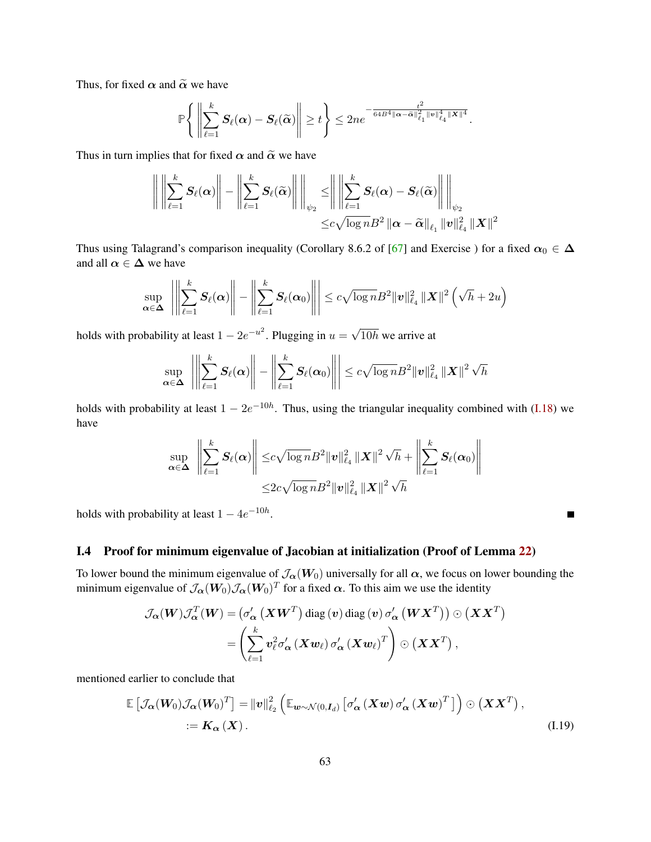Thus, for fixed  $\alpha$  and  $\tilde{\alpha}$  we have

$$
\mathbb{P}\Bigg\{\left\|\sum_{\ell=1}^k S_\ell(\alpha)-S_\ell(\widetilde{\alpha})\right\|\geq t\Bigg\}\leq 2n e^{-\frac{t^2}{64B^4\|\alpha-\widetilde{\alpha}\|_{\ell_1}^2\|v\|_{\ell_4}^4\|X\|^4}}.
$$

Thus in turn implies that for fixed  $\alpha$  and  $\tilde{\alpha}$  we have

$$
\left\| \left\| \sum_{\ell=1}^k S_{\ell}(\alpha) \right\| - \left\| \sum_{\ell=1}^k S_{\ell}(\widetilde{\alpha}) \right\| \right\|_{\psi_2} \leq \left\| \left\| \sum_{\ell=1}^k S_{\ell}(\alpha) - S_{\ell}(\widetilde{\alpha}) \right\| \right\|_{\psi_2}
$$
  

$$
\leq c \sqrt{\log n} B^2 \left\| \alpha - \widetilde{\alpha} \right\|_{\ell_1} \left\| v \right\|_{\ell_4}^2 \left\| X \right\|^2
$$

Thus using Talagrand's comparison inequality (Corollary 8.6.2 of [\[67\]](#page-23-15) and Exercise ) for a fixed  $\alpha_0 \in \Delta$ and all  $\alpha \in \Delta$  we have

$$
\sup_{\alpha \in \Delta} \left\| \left\| \sum_{\ell=1}^k S_{\ell}(\alpha) \right\| - \left\| \sum_{\ell=1}^k S_{\ell}(\alpha_0) \right\| \right\| \leq c \sqrt{\log n} B^2 \|v\|_{\ell_4}^2 \|X\|^2 \left( \sqrt{h} + 2u \right)
$$

holds with probability at least  $1 - 2e^{-u^2}$ . Plugging in  $u =$  $10h$  we arrive at

$$
\sup_{\boldsymbol{\alpha}\in\boldsymbol{\Delta}}\left\|\left\|\sum_{\ell=1}^k\boldsymbol{S}_{\ell}(\boldsymbol{\alpha})\right\|-\left\|\sum_{\ell=1}^k\boldsymbol{S}_{\ell}(\boldsymbol{\alpha}_0)\right\|\right|\leq c\sqrt{\log n}B^2\|\boldsymbol{v}\|_{\ell_4}^2\|\boldsymbol{X}\|^2\sqrt{h}
$$

holds with probability at least  $1 - 2e^{-10h}$ . Thus, using the triangular inequality combined with [\(I.18\)](#page-61-0) we have

$$
\sup_{\boldsymbol{\alpha}\in\boldsymbol{\Delta}}\left\|\sum_{\ell=1}^k\boldsymbol{S}_{\ell}(\boldsymbol{\alpha})\right\|\leq c\sqrt{\log n}B^2\|\boldsymbol{v}\|_{\ell_4}^2\|\boldsymbol{X}\|^2\sqrt{h}+\left\|\sum_{\ell=1}^k\boldsymbol{S}_{\ell}(\boldsymbol{\alpha}_0)\right\|\\ \leq 2c\sqrt{\log n}B^2\|\boldsymbol{v}\|_{\ell_4}^2\|\boldsymbol{X}\|^2\sqrt{h}
$$

 $\blacksquare$ 

holds with probability at least  $1 - 4e^{-10h}$ .

### I.4 Proof for minimum eigenvalue of Jacobian at initialization (Proof of Lemma [22\)](#page-55-3)

To lower bound the minimum eigenvalue of  $\mathcal{J}_{\alpha}(W_0)$  universally for all  $\alpha$ , we focus on lower bounding the minimum eigenvalue of  $\mathcal{J}_{\bm{\alpha}}(\bm{W}_0)\mathcal{J}_{\bm{\alpha}}(\bm{W}_0)^T$  for a fixed  $\bm{\alpha}$ . To this aim we use the identity

$$
\mathcal{J}_{\alpha}(W)\mathcal{J}_{\alpha}^{T}(W) = (\sigma_{\alpha}' (X W^{T}) \text{ diag} (v) \text{ diag} (v) \sigma_{\alpha}' (W X^{T})) \odot (X X^{T})
$$

$$
= \left(\sum_{\ell=1}^{k} v_{\ell}^{2} \sigma_{\alpha}' (X w_{\ell}) \sigma_{\alpha}' (X w_{\ell})^{T}\right) \odot (X X^{T}),
$$

mentioned earlier to conclude that

$$
\mathbb{E}\left[\mathcal{J}_{\boldsymbol{\alpha}}(\boldsymbol{W}_{0})\mathcal{J}_{\boldsymbol{\alpha}}(\boldsymbol{W}_{0})^{T}\right] = \|\boldsymbol{v}\|_{\ell_{2}}^{2}\left(\mathbb{E}_{\boldsymbol{w}\sim\mathcal{N}(0,\boldsymbol{I}_{d})}\left[\sigma_{\boldsymbol{\alpha}}^{\prime}\left(\boldsymbol{X}\boldsymbol{w}\right)\sigma_{\boldsymbol{\alpha}}^{\prime}\left(\boldsymbol{X}\boldsymbol{w}\right)^{T}\right]\right) \odot\left(\boldsymbol{X}\boldsymbol{X}^{T}\right),
$$
\n
$$
:=\boldsymbol{K}_{\boldsymbol{\alpha}}\left(\boldsymbol{X}\right). \tag{I.19}
$$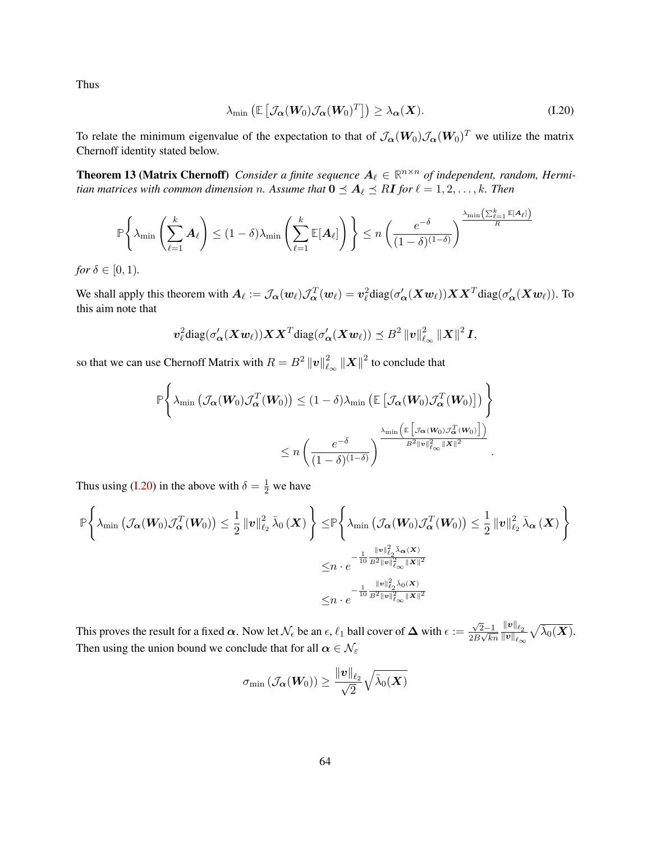Thus

<span id="page-63-0"></span>
$$
\lambda_{\min}\left(\mathbb{E}\left[\mathcal{J}_{\boldsymbol{\alpha}}(\boldsymbol{W}_0)\mathcal{J}_{\boldsymbol{\alpha}}(\boldsymbol{W}_0)^T\right]\right) \geq \lambda_{\boldsymbol{\alpha}}(\boldsymbol{X}).
$$
\n(1.20)

To relate the minimum eigenvalue of the expectation to that of  $\mathcal{J}_{\alpha}(W_0)\mathcal{J}_{\alpha}(W_0)^T$  we utilize the matrix Chernoff identity stated below.

**Theorem 13 (Matrix Chernoff)** Consider a finite sequence  $A_\ell \in \mathbb{R}^{n \times n}$  of independent, random, Hermi*tian matrices with common dimension n. Assume that*  $0 \leq A_\ell \leq R$ *I for*  $\ell = 1, 2, ..., k$ *<i>. Then* 

$$
\mathbb{P}\Bigg\{\lambda_{\min}\left(\sum_{\ell=1}^k \mathbf{A}_\ell\right) \leq (1-\delta)\lambda_{\min}\left(\sum_{\ell=1}^k \mathbb{E}[\mathbf{A}_\ell]\right)\Bigg\} \leq n\left(\frac{e^{-\delta}}{(1-\delta)^{(1-\delta)}}\right)^{\frac{\lambda_{\min}\left(\sum_{\ell=1}^k \mathbb{E}[\mathbf{A}_\ell]\right)}{R}}
$$

*for*  $\delta \in [0, 1)$ *.* 

We shall apply this theorem with  $A_\ell := \mathcal{J}_\alpha(w_\ell)\mathcal{J}_\alpha^T(w_\ell) = v_\ell^2 \text{diag}(\sigma_\alpha'(Xw_\ell)) X X^T \text{diag}(\sigma_\alpha'(Xw_\ell))$ . To this aim note that

$$
\boldsymbol{v}_{\ell}^2 \text{diag}(\sigma_{\boldsymbol{\alpha}}'(X\boldsymbol{w}_{\ell}))\boldsymbol{X}\boldsymbol{X}^T\text{diag}(\sigma_{\boldsymbol{\alpha}}'(X\boldsymbol{w}_{\ell})) \preceq B^2 \|\boldsymbol{v}\|_{\ell_{\infty}}^2 \|X\|^2 \boldsymbol{I},
$$

so that we can use Chernoff Matrix with  $R = B^2 ||v||^2$  $\frac{2}{\ell_{\infty}}\|\boldsymbol{X}\|^{2}$  to conclude that

$$
\mathbb{P}\left\{\lambda_{\min}\left(\mathcal{J}_{\boldsymbol{\alpha}}(\boldsymbol{W}_{0})\mathcal{J}_{\boldsymbol{\alpha}}^{T}(\boldsymbol{W}_{0})\right) \leq (1-\delta)\lambda_{\min}\left(\mathbb{E}\left[\mathcal{J}_{\boldsymbol{\alpha}}(\boldsymbol{W}_{0})\mathcal{J}_{\boldsymbol{\alpha}}^{T}(\boldsymbol{W}_{0})\right]\right)\right\}
$$

$$
\leq n\left(\frac{e^{-\delta}}{(1-\delta)^{(1-\delta)}}\right)^{\lambda_{\min}\left(\mathbb{E}\left[\mathcal{J}_{\boldsymbol{\alpha}}(\boldsymbol{W}_{0})\mathcal{J}_{\boldsymbol{\alpha}}^{T}(\boldsymbol{W}_{0})\right]\right)}{B^{2}\|\boldsymbol{v}\|_{\ell_{\infty}}^{2}\|\boldsymbol{X}\|^{2}}.
$$

Thus using [\(I.20\)](#page-63-0) in the above with  $\delta = \frac{1}{2}$  we have

$$
\mathbb{P}\left\{\lambda_{\min}\left(\mathcal{J}_{\boldsymbol{\alpha}}(\boldsymbol{W}_{0})\mathcal{J}_{\boldsymbol{\alpha}}^{T}(\boldsymbol{W}_{0})\right) \leq \frac{1}{2}\left\|\boldsymbol{v}\right\|_{\ell_{2}}^{2}\bar{\lambda}_{0}\left(\boldsymbol{X}\right)\right\} \leq \mathbb{P}\left\{\lambda_{\min}\left(\mathcal{J}_{\boldsymbol{\alpha}}(\boldsymbol{W}_{0})\mathcal{J}_{\boldsymbol{\alpha}}^{T}(\boldsymbol{W}_{0})\right) \leq \frac{1}{2}\left\|\boldsymbol{v}\right\|_{\ell_{2}}^{2}\bar{\lambda}_{\boldsymbol{\alpha}}\left(\boldsymbol{X}\right)\right\}
$$

$$
\leq n\cdot e^{-\frac{1}{10}\frac{\left\|\boldsymbol{v}\right\|_{\ell_{2}}^{2}\bar{\lambda}_{\boldsymbol{\alpha}}\left(\boldsymbol{X}\right)}{\left\|\boldsymbol{g}\right\|_{\ell_{\infty}}^{2}\left\|\boldsymbol{X}\right\|^{2}}}
$$

$$
\leq n\cdot e^{-\frac{1}{10}\frac{\left\|\boldsymbol{v}\right\|_{\ell_{2}}^{2}\bar{\lambda}_{0}\left(\boldsymbol{X}\right)}{\left\|\boldsymbol{g}\right\|_{\ell_{\infty}}^{2}\left\|\boldsymbol{X}\right\|^{2}}}
$$

This proves the result for a fixed  $\bm{\alpha}$ . Now let  $\mathcal{N}_\epsilon$  be an  $\epsilon, \ell_1$  ball cover of  $\bm{\Delta}$  with  $\epsilon :=$  $\sqrt{2}-1$  $\frac{\sqrt{2-1}}{2B\sqrt{kn}}$  $\left\Vert \bm{v}\right\Vert _{\ell_{2}}$  $\overline{\left\Vert v\right\Vert _{\ell_{\infty}}}$  $\sqrt{\bar{\lambda}_0(\boldsymbol{X})}.$ Then using the union bound we conclude that for all  $\alpha \in \mathcal{N}_{\varepsilon}$ 

$$
\sigma_{\min}\left(\mathcal{J}_{\boldsymbol{\alpha}}(\boldsymbol{W}_{0})\right) \geq \frac{\left\|\boldsymbol{v}\right\|_{\ell_{2}}}{\sqrt{2}}\sqrt{\bar{\lambda}_{0}(\boldsymbol{X})}
$$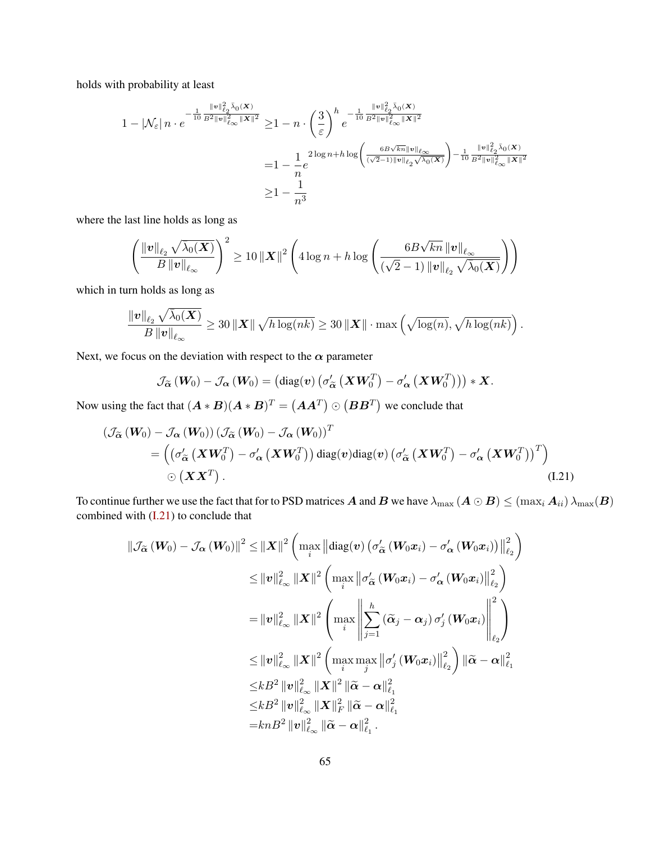holds with probability at least

$$
\begin{aligned} 1 - \left| \mathcal{N}_{\varepsilon} \right| n \cdot e^{-\frac{1}{10} \frac{\left\| \mathbf{v} \right\|_{\ell_2}^2 \bar{\lambda}_0(\mathbf{X})}{B^2 \left\| \mathbf{v} \right\|_{\ell \infty}^2 \left\| \mathbf{X} \right\|^2}} \geq & 1 - n \cdot \left( \frac{3}{\varepsilon} \right)^h e^{-\frac{1}{10} \frac{\left\| \mathbf{v} \right\|_{\ell_2}^2 \bar{\lambda}_0(\mathbf{X})}{B^2 \left\| \mathbf{v} \right\|_{\ell \infty}^2 \left\| \mathbf{X} \right\|^2}} \\ =& 1 - \frac{1}{n} e^{2 \log n + h \log \left( \frac{6B\sqrt{kn} \left\| \mathbf{v} \right\|_{\ell \infty}}{(\sqrt{2} - 1) \left\| \mathbf{v} \right\|_{\ell_2} \sqrt{\bar{\lambda}_0(\mathbf{X})}} \right) - \frac{1}{10} \frac{\left\| \mathbf{v} \right\|_{\ell_2}^2 \bar{\lambda}_0(\mathbf{X})}{B^2 \left\| \mathbf{v} \right\|_{\ell \infty}^2 \left\| \mathbf{X} \right\|^2}} \\ \geq & 1 - \frac{1}{n^3} \end{aligned}
$$

where the last line holds as long as

$$
\left(\frac{\left\| \boldsymbol{v} \right\|_{\ell_2} \sqrt{\bar{\lambda}_0(\boldsymbol{X})}}{B\left\| \boldsymbol{v} \right\|_{\ell_\infty}}\right)^2 \geq 10 \left\| \boldsymbol{X} \right\|^2\left(4 \log n + h \log \left(\frac{6 B \sqrt{kn}\left\| \boldsymbol{v} \right\|_{\ell_\infty}}{(\sqrt{2}-1)\left\| \boldsymbol{v} \right\|_{\ell_2} \sqrt{\bar{\lambda}_0(\boldsymbol{X})}}\right)\right)
$$

which in turn holds as long as

$$
\frac{\|\boldsymbol{v}\|_{\ell_2} \sqrt{\bar{\lambda}_0(\boldsymbol{X})}}{B \left\|\boldsymbol{v}\right\|_{\ell_{\infty}}} \geq 30 \left\|\boldsymbol{X}\right\| \sqrt{h \log(nk)} \geq 30 \left\|\boldsymbol{X}\right\| \cdot \max\left(\sqrt{\log(n)}, \sqrt{h \log(nk)}\right).
$$

Next, we focus on the deviation with respect to the  $\alpha$  parameter

<span id="page-64-0"></span>
$$
\mathcal{J}_{\widetilde{\boldsymbol{\alpha}}}\left(\boldsymbol{W}_{0}\right)-\mathcal{J}_{\boldsymbol{\alpha}}\left(\boldsymbol{W}_{0}\right)=\left(\mathrm{diag}(\boldsymbol{v})\left(\sigma_{\widetilde{\boldsymbol{\alpha}}}'\left(\boldsymbol{X}\boldsymbol{W}_{0}^{T}\right)-\sigma_{\boldsymbol{\alpha}}'\left(\boldsymbol{X}\boldsymbol{W}_{0}^{T}\right)\right)\right)*\boldsymbol{X}.
$$

Now using the fact that  $(A * B)(A * B)^T = (AA^T) \odot (BB^T)$  we conclude that

$$
\begin{split} \left(\mathcal{J}_{\widetilde{\alpha}}\left(W_{0}\right)-\mathcal{J}_{\alpha}\left(W_{0}\right)\right)\left(\mathcal{J}_{\widetilde{\alpha}}\left(W_{0}\right)-\mathcal{J}_{\alpha}\left(W_{0}\right)\right)^{T} \\ & =\left(\left(\sigma_{\widetilde{\alpha}}^{\prime}\left(\boldsymbol{X}W_{0}^{T}\right)-\sigma_{\alpha}^{\prime}\left(\boldsymbol{X}W_{0}^{T}\right)\right)\text{diag}(\boldsymbol{v})\text{diag}(\boldsymbol{v})\left(\sigma_{\widetilde{\alpha}}^{\prime}\left(\boldsymbol{X}W_{0}^{T}\right)-\sigma_{\alpha}^{\prime}\left(\boldsymbol{X}W_{0}^{T}\right)\right)^{T}\right) \\ & \odot\left(\boldsymbol{X}\boldsymbol{X}^{T}\right). \end{split} \tag{I.21}
$$

To continue further we use the fact that for to PSD matrices A and B we have  $\lambda_{\max}(A \odot B) \leq (\max_i A_{ii}) \lambda_{\max}(B)$ combined with [\(I.21\)](#page-64-0) to conclude that

$$
\begin{aligned}\n\|\mathcal{J}_{\widetilde{\alpha}}\left(\boldsymbol{W}_{0}\right)-\mathcal{J}_{\boldsymbol{\alpha}}\left(\boldsymbol{W}_{0}\right)\|^{2} &\leq\|\boldsymbol{X}\|^{2}\left(\max_{i}\left\|\text{diag}(\boldsymbol{v})\left(\sigma_{\widetilde{\alpha}}'\left(\boldsymbol{W}_{0}\boldsymbol{x}_{i}\right)-\sigma_{\boldsymbol{\alpha}}'\left(\boldsymbol{W}_{0}\boldsymbol{x}_{i}\right)\right)\right\|_{\ell_{2}}^{2}\right) \\
&\leq\|\boldsymbol{v}\|_{\ell_{\infty}}^{2}\|\boldsymbol{X}\|^{2}\left(\max_{i}\left\|\sigma_{\widetilde{\alpha}}'\left(\boldsymbol{W}_{0}\boldsymbol{x}_{i}\right)-\sigma_{\boldsymbol{\alpha}}'\left(\boldsymbol{W}_{0}\boldsymbol{x}_{i}\right)\right\|_{\ell_{2}}^{2}\right) \\
&=\|\boldsymbol{v}\|_{\ell_{\infty}}^{2}\|\boldsymbol{X}\|^{2}\left(\max_{i}\left\|\sum_{j=1}^{h}\left(\widetilde{\alpha}_{j}-\alpha_{j}\right)\sigma_{j}'\left(\boldsymbol{W}_{0}\boldsymbol{x}_{i}\right)\right\|_{\ell_{2}}^{2}\right) \\
&\leq\|\boldsymbol{v}\|_{\ell_{\infty}}^{2}\|\boldsymbol{X}\|^{2}\left(\max_{i}\max_{j}\left\|\sigma_{j}'\left(\boldsymbol{W}_{0}\boldsymbol{x}_{i}\right)\right\|_{\ell_{2}}^{2}\right)\|\widetilde{\boldsymbol{\alpha}}-\boldsymbol{\alpha}\|_{\ell_{1}}^{2} \\
&\leq kB^{2}\|\boldsymbol{v}\|_{\ell_{\infty}}^{2}\|\boldsymbol{X}\|^{2}\|\widetilde{\boldsymbol{\alpha}}-\boldsymbol{\alpha}\|_{\ell_{1}}^{2} \\
&\leq kB^{2}\|\boldsymbol{v}\|_{\ell_{\infty}}^{2}\|\boldsymbol{X}\|_{F}^{2}\|\widetilde{\boldsymbol{\alpha}}-\boldsymbol{\alpha}\|_{\ell_{1}}^{2} \\
&=knB^{2}\|\boldsymbol{v}\|_{\ell_{\infty}}^{2}\|\widetilde{\boldsymbol{\alpha}}-\boldsymbol{\alpha}\|_{\ell_{1}}^{2}.\n\end{aligned}
$$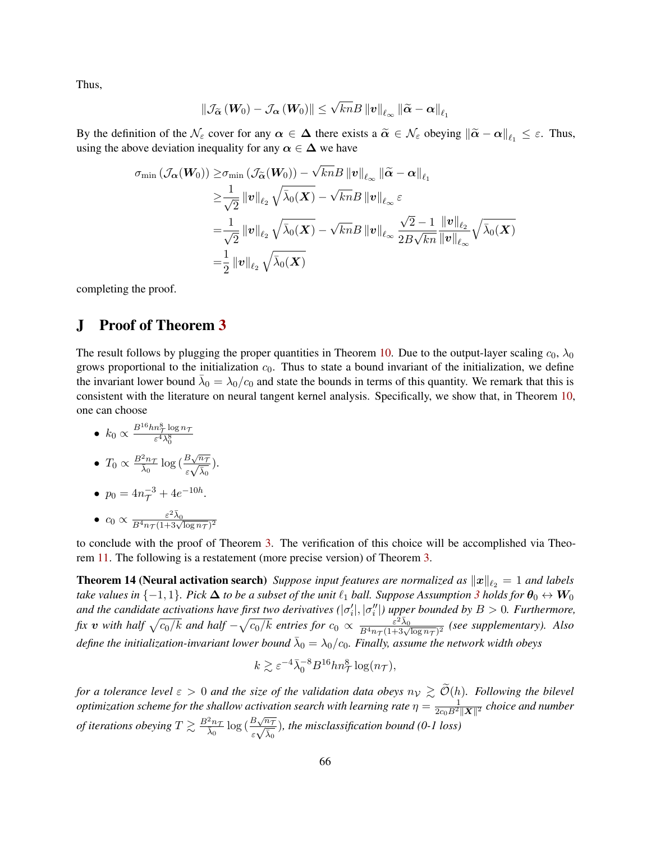Thus,

$$
\left\|\mathcal{J}_{\widetilde{\boldsymbol{\alpha}}}\left(\boldsymbol{W}_{0}\right)-\mathcal{J}_{\boldsymbol{\alpha}}\left(\boldsymbol{W}_{0}\right)\right\| \leq \sqrt{kn} B \left\|\boldsymbol{v}\right\|_{\ell_{\infty}} \left\|\widetilde{\boldsymbol{\alpha}}-\boldsymbol{\alpha}\right\|_{\ell_{1}}
$$

By the definition of the  $\mathcal{N}_{\varepsilon}$  cover for any  $\alpha \in \Delta$  there exists a  $\tilde{\alpha} \in \mathcal{N}_{\varepsilon}$  obeying  $\|\tilde{\alpha} - \alpha\|_{\ell_1} \leq \varepsilon$ . Thus, using the above deviation inequality for any  $\alpha \in \Delta$  we have

$$
\sigma_{\min} (\mathcal{J}_{\alpha}(\boldsymbol{W}_{0})) \geq \sigma_{\min} (\mathcal{J}_{\widetilde{\alpha}}(\boldsymbol{W}_{0})) - \sqrt{kn}B \|\boldsymbol{v}\|_{\ell_{\infty}} \|\widetilde{\alpha} - \alpha\|_{\ell_{1}} \n\geq \frac{1}{\sqrt{2}} \|\boldsymbol{v}\|_{\ell_{2}} \sqrt{\bar{\lambda}_{0}(\boldsymbol{X})} - \sqrt{kn}B \|\boldsymbol{v}\|_{\ell_{\infty}} \varepsilon \n= \frac{1}{\sqrt{2}} \|\boldsymbol{v}\|_{\ell_{2}} \sqrt{\bar{\lambda}_{0}(\boldsymbol{X})} - \sqrt{kn}B \|\boldsymbol{v}\|_{\ell_{\infty}} \frac{\sqrt{2} - 1}{2B\sqrt{kn}} \frac{\|\boldsymbol{v}\|_{\ell_{2}}}{\|\boldsymbol{v}\|_{\ell_{\infty}}} \sqrt{\bar{\lambda}_{0}(\boldsymbol{X})} \n= \frac{1}{2} \|\boldsymbol{v}\|_{\ell_{2}} \sqrt{\bar{\lambda}_{0}(\boldsymbol{X})}
$$

completing the proof.

# <span id="page-65-1"></span>J Proof of Theorem [3](#page-9-0)

The result follows by plugging the proper quantities in Theorem [10.](#page-49-2) Due to the output-layer scaling  $c_0$ ,  $\lambda_0$ grows proportional to the initialization  $c_0$ . Thus to state a bound invariant of the initialization, we define the invariant lower bound  $\bar{\lambda}_0 = \lambda_0/c_0$  and state the bounds in terms of this quantity. We remark that this is consistent with the literature on neural tangent kernel analysis. Specifically, we show that, in Theorem [10,](#page-49-2) one can choose

\n- $$
k_0 \propto \frac{B^{16} h n_{\tau}^8 \log n_{\tau}}{\varepsilon^4 \lambda_0^8}
$$
\n- $T_0 \propto \frac{B^2 n_{\tau}}{\lambda_0} \log \left( \frac{B \sqrt{n_{\tau}}}{\varepsilon \sqrt{\overline{\lambda}_0}} \right)$
\n- $p_0 = 4 n_{\tau}^{-3} + 4 e^{-10h}$
\n

• 
$$
c_0 \propto \frac{\varepsilon^2 \bar{\lambda}_0}{B^4 n \tau (1 + 3\sqrt{\log n \tau})^2}
$$

to conclude with the proof of Theorem [3.](#page-9-0) The verification of this choice will be accomplished via Theorem [11.](#page-54-1) The following is a restatement (more precise version) of Theorem [3.](#page-9-0)

**Theorem 14 (Neural activation search)** *Suppose input features are normalized as*  $||x||_{\ell_2} = 1$  *and labels take values in*  $\{-1,1\}$ *. Pick*  $\Delta$  *to be a subset of the unit*  $\ell_1$  *ball. Suppose Assumption* [3](#page-9-1) *holds for*  $\theta_0 \leftrightarrow W_0$ and the candidate activations have first two derivatives  $(|\sigma'_i|,|\sigma''_i|)$  upper bounded by  $B>0$ . Furthermore, fix v with half  $\sqrt{c_0/k}$  and half  $-\sqrt{c_0/k}$  entries for  $c_0 \propto \frac{\varepsilon^2 \bar{\lambda}_0}{B^4 n \tau (1+3\sqrt{\log n \tau})^2}$  (see supplementary). Also define the initialization-invariant lower bound  $\bar{\lambda}_0 = \lambda_0/c_0$ . Finally, assume the network width obeys

<span id="page-65-0"></span>
$$
k \gtrsim \varepsilon^{-4} \bar{\lambda}_0^{-8} B^{16} h n_\mathcal{T}^8 \log(n_\mathcal{T}),
$$

*for a tolerance level*  $\varepsilon > 0$  *and the size of the validation data obeys*  $n_V \gtrsim \widetilde{\mathcal{O}}(h)$ *. Following the bilevel*  $optimization$  scheme for the shallow activation search with learning rate  $\eta=\frac{1}{2c_0B^2\|\bm X\|^2}$  choice and number *of iterations obeying*  $T \gtrsim \frac{B^2 n_T}{\lambda}$  $\frac{2n\tau}{\overline{\lambda}_0} \log \big( \frac{B\sqrt{n\tau}}{\varepsilon \sqrt{\overline{\lambda}_0}} \big)$  $\frac{B\sqrt{n_{\mathcal{T}}}}{\varepsilon\sqrt{\bar{\lambda}_0}}$ ), the misclassification bound (0-1 loss)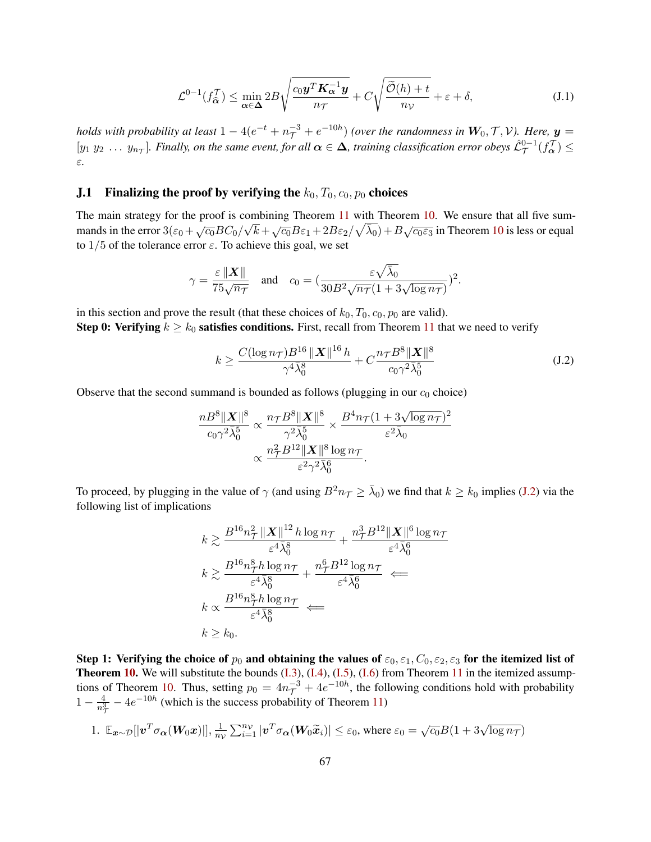<span id="page-66-1"></span>
$$
\mathcal{L}^{0-1}(f_{\widehat{\alpha}}^{\mathcal{T}}) \le \min_{\alpha \in \Delta} 2B \sqrt{\frac{c_0 \mathbf{y}^T \mathbf{K}_{\alpha}^{-1} \mathbf{y}}{n_{\mathcal{T}}}} + C \sqrt{\frac{\widetilde{\mathcal{O}}(h) + t}{n_{\mathcal{V}}}} + \varepsilon + \delta,
$$
\n(J.1)

*holds with probability at least*  $1-4(e^{-t}+n_\mathcal{T}^{-3}+e^{-10h})$  *(over the randomness in*  $\bm{W}_0, \mathcal{T}, \mathcal{V}$ *). Here,*  $\bm{y} =$  $[y_1\ y_2\ \dots\ y_{n_{\mathcal{T}}}].$  Finally, on the same event, for all  $\alpha\in\Delta$ , training classification error obeys  $\hat{\mathcal{L}}^{\mathrm{0}-1}_{\mathcal{T}}(f^\mathcal{T}_\alpha)\leq$ ε*.*

### **J.1** Finalizing the proof by verifying the  $k_0, T_0, c_0, p_0$  choices

The main strategy for the proof is combining Theorem [11](#page-54-1) with Theorem [10.](#page-49-2) We ensure that all five summands in the error  $3(\varepsilon_0 + \sqrt{\varepsilon_0}BC_0/\sqrt{k} + \sqrt{\varepsilon_0}B\varepsilon_1 + 2B\varepsilon_2/\sqrt{\lambda_0}) + B\sqrt{\varepsilon_0}\varepsilon_3$  in Theorem [10](#page-49-2) is less or equal to  $1/5$  of the tolerance error  $\varepsilon$ . To achieve this goal, we set

$$
\gamma = \frac{\varepsilon \left\| \boldsymbol{X} \right\|}{75\sqrt{n_{\mathcal{T}}}} \quad \text{and} \quad c_0 = \left( \frac{\varepsilon \sqrt{\bar{\lambda}_0}}{30B^2 \sqrt{n_{\mathcal{T}}}(1 + 3\sqrt{\log n_{\mathcal{T}}})} \right)^2.
$$

in this section and prove the result (that these choices of  $k_0$ ,  $T_0$ ,  $c_0$ ,  $p_0$  are valid).

**Step 0: Verifying**  $k \geq k_0$  **satisfies conditions.** First, recall from Theorem [11](#page-54-1) that we need to verify

<span id="page-66-0"></span>
$$
k \ge \frac{C(\log n_{\mathcal{T}})B^{16} \left\| \mathbf{X} \right\|^{16} h}{\gamma^4 \bar{\lambda}_0^8} + C \frac{n_{\mathcal{T}} B^8 \left\| \mathbf{X} \right\|^8}{c_0 \gamma^2 \bar{\lambda}_0^5}
$$
(J.2)

Observe that the second summand is bounded as follows (plugging in our  $c_0$  choice)

$$
\frac{nB^8\|\boldsymbol{X}\|^8}{c_0\gamma^2\bar{\lambda}_0^5}\propto\frac{n_{\mathcal{T}}B^8\|\boldsymbol{X}\|^8}{\gamma^2\bar{\lambda}_0^5}\times\frac{B^4n_{\mathcal{T}}(1+3\sqrt{\log n_{\mathcal{T}}})^2}{\varepsilon^2\bar{\lambda}_0}\times\\\propto\frac{n_{\mathcal{T}}^2B^{12}\|\boldsymbol{X}\|^8\log n_{\mathcal{T}}}{\varepsilon^2\gamma^2\bar{\lambda}_0^6}.
$$

To proceed, by plugging in the value of  $\gamma$  (and using  $B^2n_{\mathcal{T}} \geq \bar{\lambda}_0$ ) we find that  $k \geq k_0$  implies [\(J.2\)](#page-66-0) via the following list of implications

$$
k \gtrsim \frac{B^{16}n_{\mathcal{T}}^{2} ||\mathbf{X}||^{12} h \log n_{\mathcal{T}}}{\varepsilon^{4} \bar{\lambda}_{0}^{8}} + \frac{n_{\mathcal{T}}^{3} B^{12} ||\mathbf{X}||^{6} \log n_{\mathcal{T}}}{\varepsilon^{4} \bar{\lambda}_{0}^{6}}
$$

$$
k \gtrsim \frac{B^{16}n_{\mathcal{T}}^{8} h \log n_{\mathcal{T}}}{\varepsilon^{4} \bar{\lambda}_{0}^{8}} + \frac{n_{\mathcal{T}}^{6} B^{12} \log n_{\mathcal{T}}}{\varepsilon^{4} \bar{\lambda}_{0}^{6}} \Longleftarrow
$$

$$
k \propto \frac{B^{16}n_{\mathcal{T}}^{8} h \log n_{\mathcal{T}}}{\varepsilon^{4} \bar{\lambda}_{0}^{8}} \Longleftarrow
$$

$$
k \geq k_{0}.
$$

Step 1: Verifying the choice of  $p_0$  and obtaining the values of  $\varepsilon_0, \varepsilon_1, C_0, \varepsilon_2, \varepsilon_3$  for the itemized list of Theorem [10.](#page-49-2) We will substitute the bounds [\(I.3\)](#page-54-4), [\(I.4\)](#page-54-5), [\(I.5\)](#page-55-0), [\(I.6\)](#page-55-1) from Theorem [11](#page-54-1) in the itemized assump-tions of Theorem [10.](#page-49-2) Thus, setting  $p_0 = 4n_{\tau}^{-3} + 4e^{-10h}$ , the following conditions hold with probability  $1-\frac{4}{n^3}$  $\frac{4}{n_{\tau}^3}$  –  $4e^{-10h}$  (which is the success probability of Theorem [11\)](#page-54-1)

1. 
$$
\mathbb{E}_{\boldsymbol{x}\sim\mathcal{D}}[|\boldsymbol{v}^T\sigma_{\boldsymbol{\alpha}}(\boldsymbol{W}_0\boldsymbol{x})|], \frac{1}{n_{\mathcal{V}}}\sum_{i=1}^{n_{\mathcal{V}}}|\boldsymbol{v}^T\sigma_{\boldsymbol{\alpha}}(\boldsymbol{W}_0\widetilde{\boldsymbol{x}}_i)| \leq \varepsilon_0
$$
, where  $\varepsilon_0 = \sqrt{c_0}B(1 + 3\sqrt{\log n_{\mathcal{T}}})$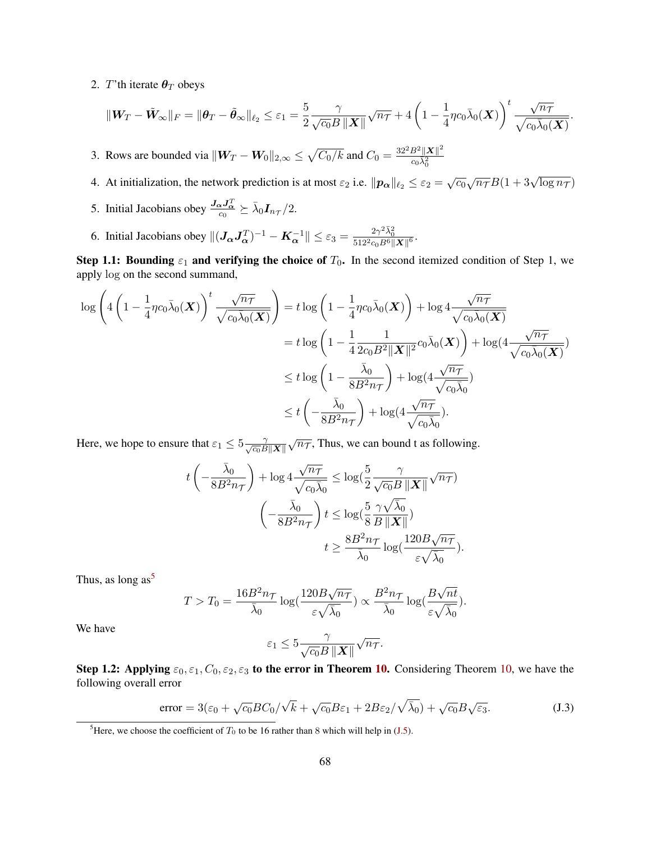2. T'th iterate  $\theta_T$  obeys

$$
\|\mathbf{W}_T - \tilde{\mathbf{W}}_{\infty}\|_F = \|\boldsymbol{\theta}_T - \tilde{\boldsymbol{\theta}}_{\infty}\|_{\ell_2} \leq \varepsilon_1 = \frac{5}{2} \frac{\gamma}{\sqrt{c_0} B \|\mathbf{X}\|} \sqrt{n_T} + 4\left(1 - \frac{1}{4} \eta c_0 \bar{\lambda}_0(\mathbf{X})\right)^t \frac{\sqrt{n_T}}{\sqrt{c_0 \bar{\lambda}_0(\mathbf{X})}}.
$$

3. Rows are bounded via  $||W_T - W_0||_{2,\infty} \leq \sqrt{C_0/k}$  and  $C_0 = \frac{32^2 B^2 ||X||^2}{C_0 \lambda^2}$  $\overline{c_0\bar{\lambda}_0^2}$ 

- 4. At initialization, the network prediction is at most  $\varepsilon_2$  i.e.  $\|\boldsymbol{p}_{\alpha}\|_{\ell_2} \leq \varepsilon_2 = \sqrt{c_0} \sqrt{n_{\mathcal{T}}} B(1 + 3\sqrt{\log n_{\mathcal{T}}})$
- 5. Initial Jacobians obey  $\frac{J_{\alpha}J_{\alpha}^T}{c_0} \succeq \bar{\lambda}_0 I_{n_{\mathcal{T}}}/2$ .
- 6. Initial Jacobians obey  $\|(J_{\alpha}J_{\alpha}^T)^{-1} K_{\alpha}^{-1}\| \leq \varepsilon_3 = \frac{2\gamma^2 \bar{\lambda}_0^2}{512^2 c_0 B^6 \|X\|^6}.$

Step 1.1: Bounding  $\varepsilon_1$  and verifying the choice of  $T_0$ . In the second itemized condition of Step 1, we apply log on the second summand,

$$
\log \left( 4 \left( 1 - \frac{1}{4} \eta c_0 \bar{\lambda}_0(\boldsymbol{X}) \right)^t \frac{\sqrt{n_{\mathcal{T}}}}{\sqrt{c_0 \bar{\lambda}_0(\boldsymbol{X})}} \right) = t \log \left( 1 - \frac{1}{4} \eta c_0 \bar{\lambda}_0(\boldsymbol{X}) \right) + \log 4 \frac{\sqrt{n_{\mathcal{T}}}}{\sqrt{c_0 \bar{\lambda}_0(\boldsymbol{X})}}
$$
  

$$
= t \log \left( 1 - \frac{1}{4} \frac{1}{2c_0 B^2 \|\boldsymbol{X}\|^2} c_0 \bar{\lambda}_0(\boldsymbol{X}) \right) + \log(4 \frac{\sqrt{n_{\mathcal{T}}}}{\sqrt{c_0 \bar{\lambda}_0(\boldsymbol{X})}})
$$
  

$$
\leq t \log \left( 1 - \frac{\bar{\lambda}_0}{8 B^2 n_{\mathcal{T}}} \right) + \log(4 \frac{\sqrt{n_{\mathcal{T}}}}{\sqrt{c_0 \bar{\lambda}_0}})
$$
  

$$
\leq t \left( -\frac{\bar{\lambda}_0}{8 B^2 n_{\mathcal{T}}} \right) + \log(4 \frac{\sqrt{n_{\mathcal{T}}}}{\sqrt{c_0 \bar{\lambda}_0}}).
$$

Here, we hope to ensure that  $\varepsilon_1 \leq 5 \frac{\gamma}{\sqrt{c_0} B \|\mathbf{X}\|}$  $\sqrt{n_{\mathcal{T}}}$ , Thus, we can bound t as following.

$$
t\left(-\frac{\bar{\lambda}_0}{8B^2n\tau}\right) + \log 4\frac{\sqrt{n\tau}}{\sqrt{c_0\bar{\lambda}_0}} \le \log(\frac{5}{2}\frac{\gamma}{\sqrt{c_0}B\left\|\boldsymbol{X}\right\|}\sqrt{n\tau})
$$

$$
\left(-\frac{\bar{\lambda}_0}{8B^2n\tau}\right)t \le \log(\frac{5}{8}\frac{\gamma\sqrt{\bar{\lambda}_0}}{B\left\|\boldsymbol{X}\right\|})
$$

$$
t \ge \frac{8B^2n\tau}{\bar{\lambda}_0}\log(\frac{120B\sqrt{n\tau}}{\varepsilon\sqrt{\bar{\lambda}_0}}).
$$

Thus, as long as<sup>[5](#page-67-0)</sup>

$$
T > T_0 = \frac{16B^2n\tau}{\bar{\lambda}_0}\log(\frac{120B\sqrt{n_{\mathcal{T}}}}{\varepsilon\sqrt{\bar{\lambda}_0}})\propto \frac{B^2n_{\mathcal{T}}}{\bar{\lambda}_0}\log(\frac{B\sqrt{nt}}{\varepsilon\sqrt{\bar{\lambda}_0}}).
$$

We have

<span id="page-67-1"></span>
$$
\varepsilon_1 \leq 5 \frac{\gamma}{\sqrt{c_0} B \, \|\boldsymbol{X}\|} \sqrt{n_{\mathcal{T}}}.
$$

Step 1.2: Applying  $\varepsilon_0, \varepsilon_1, C_0, \varepsilon_2, \varepsilon_3$  to the error in Theorem [10.](#page-49-2) Considering Theorem [10,](#page-49-2) we have the following overall error

error = 
$$
3(\varepsilon_0 + \sqrt{c_0}BC_0/\sqrt{k} + \sqrt{c_0}B\varepsilon_1 + 2B\varepsilon_2/\sqrt{\overline{\lambda}_0}) + \sqrt{c_0}B\sqrt{\varepsilon_3}
$$
. (J.3)

<span id="page-67-0"></span><sup>&</sup>lt;sup>5</sup>Here, we choose the coefficient of  $T_0$  to be 16 rather than 8 which will help in [\(J.5\)](#page-68-0).